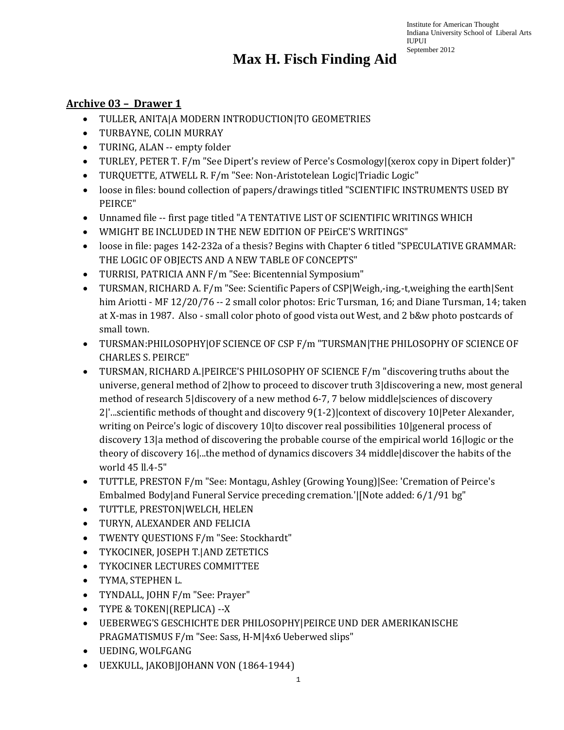# **Max H. Fisch Finding Aid**

#### **Archive 03 – Drawer 1**

- TULLER, ANITA|A MODERN INTRODUCTION|TO GEOMETRIES
- TURBAYNE, COLIN MURRAY
- TURING, ALAN -- empty folder
- TURLEY, PETER T. F/m "See Dipert's review of Perce's Cosmology|(xerox copy in Dipert folder)"
- TURQUETTE, ATWELL R. F/m "See: Non-Aristotelean Logic|Triadic Logic"
- loose in files: bound collection of papers/drawings titled "SCIENTIFIC INSTRUMENTS USED BY PEIRCE"
- Unnamed file -- first page titled "A TENTATIVE LIST OF SCIENTIFIC WRITINGS WHICH
- WMIGHT BE INCLUDED IN THE NEW EDITION OF PEirCE'S WRITINGS"
- loose in file: pages 142-232a of a thesis? Begins with Chapter 6 titled "SPECULATIVE GRAMMAR: THE LOGIC OF OBJECTS AND A NEW TABLE OF CONCEPTS"
- TURRISI, PATRICIA ANN F/m "See: Bicentennial Symposium"
- TURSMAN, RICHARD A. F/m "See: Scientific Papers of CSP|Weigh,-ing,-t,weighing the earth|Sent him Ariotti - MF 12/20/76 -- 2 small color photos: Eric Tursman, 16; and Diane Tursman, 14; taken at X-mas in 1987. Also - small color photo of good vista out West, and 2 b&w photo postcards of small town.
- TURSMAN:PHILOSOPHY|OF SCIENCE OF CSP F/m "TURSMAN|THE PHILOSOPHY OF SCIENCE OF CHARLES S. PEIRCE"
- TURSMAN, RICHARD A.|PEIRCE'S PHILOSOPHY OF SCIENCE F/m "discovering truths about the universe, general method of 2|how to proceed to discover truth 3|discovering a new, most general method of research 5|discovery of a new method 6-7, 7 below middle|sciences of discovery 2|'...scientific methods of thought and discovery 9(1-2)|context of discovery 10|Peter Alexander, writing on Peirce's logic of discovery 10|to discover real possibilities 10|general process of discovery 13|a method of discovering the probable course of the empirical world 16|logic or the theory of discovery 16|...the method of dynamics discovers 34 middle|discover the habits of the world 45 ll.4-5"
- TUTTLE, PRESTON F/m "See: Montagu, Ashley (Growing Young)|See: 'Cremation of Peirce's Embalmed Body|and Funeral Service preceding cremation.'|[Note added: 6/1/91 bg"
- TUTTLE, PRESTON|WELCH, HELEN
- TURYN, ALEXANDER AND FELICIA
- TWENTY QUESTIONS F/m "See: Stockhardt"
- TYKOCINER, JOSEPH T.|AND ZETETICS
- TYKOCINER LECTURES COMMITTEE
- TYMA, STEPHEN L.
- TYNDALL, JOHN F/m "See: Prayer"
- TYPE & TOKEN|(REPLICA) --X
- UEBERWEG'S GESCHICHTE DER PHILOSOPHY|PEIRCE UND DER AMERIKANISCHE PRAGMATISMUS F/m "See: Sass, H-M|4x6 Ueberwed slips"
- UEDING, WOLFGANG
- UEXKULL, JAKOB|JOHANN VON (1864-1944)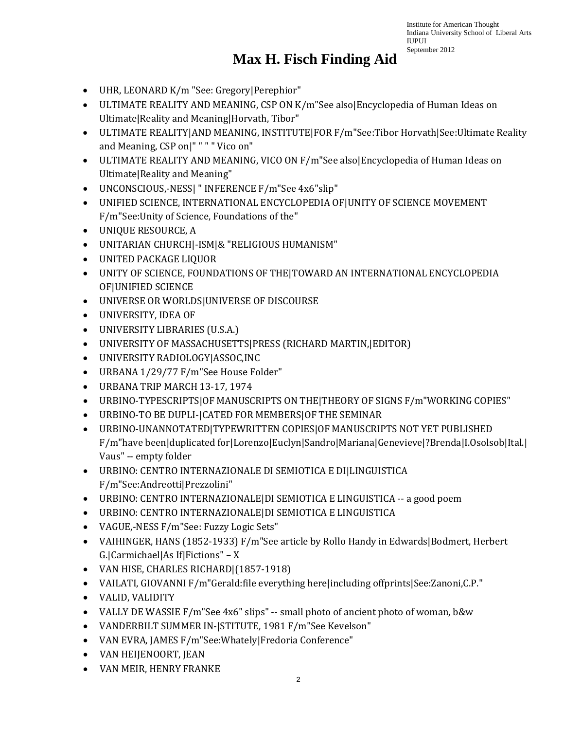- UHR, LEONARD K/m "See: Gregory|Perephior"
- ULTIMATE REALITY AND MEANING, CSP ON K/m"See also|Encyclopedia of Human Ideas on Ultimate|Reality and Meaning|Horvath, Tibor"
- ULTIMATE REALITY|AND MEANING, INSTITUTE|FOR F/m"See:Tibor Horvath|See:Ultimate Reality and Meaning, CSP on|" " " " Vico on"
- ULTIMATE REALITY AND MEANING, VICO ON F/m"See also|Encyclopedia of Human Ideas on Ultimate|Reality and Meaning"
- UNCONSCIOUS,-NESS| " INFERENCE F/m"See 4x6"slip"
- UNIFIED SCIENCE, INTERNATIONAL ENCYCLOPEDIA OF|UNITY OF SCIENCE MOVEMENT F/m"See:Unity of Science, Foundations of the"
- UNIQUE RESOURCE, A
- UNITARIAN CHURCH|-ISM|& "RELIGIOUS HUMANISM"
- UNITED PACKAGE LIQUOR
- UNITY OF SCIENCE, FOUNDATIONS OF THE|TOWARD AN INTERNATIONAL ENCYCLOPEDIA OF|UNIFIED SCIENCE
- UNIVERSE OR WORLDS|UNIVERSE OF DISCOURSE
- UNIVERSITY, IDEA OF
- UNIVERSITY LIBRARIES (U.S.A.)
- UNIVERSITY OF MASSACHUSETTS|PRESS (RICHARD MARTIN,|EDITOR)
- UNIVERSITY RADIOLOGY|ASSOC,INC
- URBANA 1/29/77 F/m"See House Folder"
- URBANA TRIP MARCH 13-17, 1974
- URBINO-TYPESCRIPTS|OF MANUSCRIPTS ON THE|THEORY OF SIGNS F/m"WORKING COPIES"
- URBINO-TO BE DUPLI-|CATED FOR MEMBERS|OF THE SEMINAR
- URBINO-UNANNOTATED|TYPEWRITTEN COPIES|OF MANUSCRIPTS NOT YET PUBLISHED F/m"have been|duplicated for|Lorenzo|Euclyn|Sandro|Mariana|Genevieve|?Brenda|I.Osolsob|Ital.| Vaus" -- empty folder
- URBINO: CENTRO INTERNAZIONALE DI SEMIOTICA E DI|LINGUISTICA F/m"See:Andreotti|Prezzolini"
- URBINO: CENTRO INTERNAZIONALE|DI SEMIOTICA E LINGUISTICA -- a good poem
- URBINO: CENTRO INTERNAZIONALE|DI SEMIOTICA E LINGUISTICA
- VAGUE,-NESS F/m"See: Fuzzy Logic Sets"
- VAIHINGER, HANS (1852-1933) F/m"See article by Rollo Handy in Edwards|Bodmert, Herbert G.|Carmichael|As If|Fictions" – X
- VAN HISE, CHARLES RICHARD|(1857-1918)
- VAILATI, GIOVANNI F/m"Gerald:file everything here|including offprints|See:Zanoni,C.P."
- VALID, VALIDITY
- VALLY DE WASSIE F/m"See 4x6" slips" -- small photo of ancient photo of woman, b&w
- VANDERBILT SUMMER IN-|STITUTE, 1981 F/m"See Kevelson"
- VAN EVRA, JAMES F/m"See:Whately|Fredoria Conference"
- VAN HEIJENOORT, JEAN
- VAN MEIR, HENRY FRANKE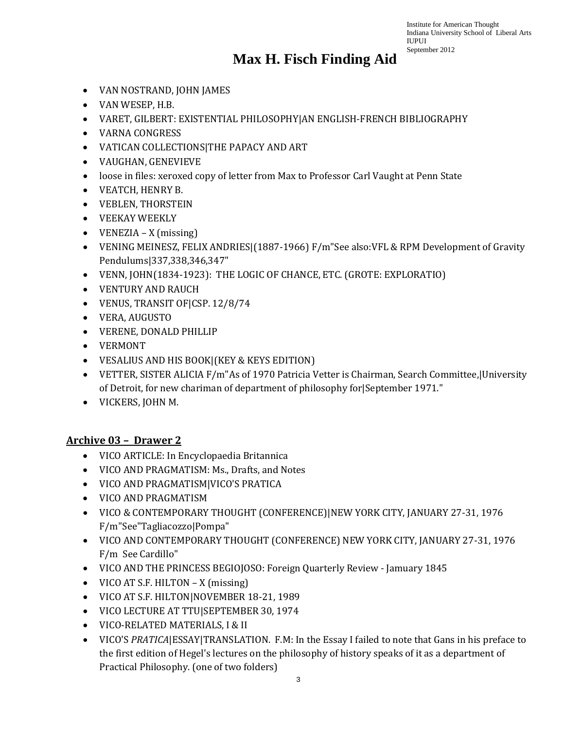#### **Max H. Fisch Finding Aid**

- VAN NOSTRAND, JOHN JAMES
- VAN WESEP, H.B.
- VARET, GILBERT: EXISTENTIAL PHILOSOPHY|AN ENGLISH-FRENCH BIBLIOGRAPHY
- VARNA CONGRESS
- VATICAN COLLECTIONS|THE PAPACY AND ART
- VAUGHAN, GENEVIEVE
- loose in files: xeroxed copy of letter from Max to Professor Carl Vaught at Penn State
- VEATCH, HENRY B.
- VEBLEN, THORSTEIN
- VEEKAY WEEKLY
- VENEZIA X (missing)
- VENING MEINESZ, FELIX ANDRIES (1887-1966) F/m"See also: VFL & RPM Development of Gravity Pendulums|337,338,346,347"
- VENN, JOHN(1834-1923): THE LOGIC OF CHANCE, ETC. (GROTE: EXPLORATIO)
- VENTURY AND RAUCH
- VENUS, TRANSIT OF|CSP. 12/8/74
- VERA, AUGUSTO
- VERENE, DONALD PHILLIP
- VERMONT
- VESALIUS AND HIS BOOK|(KEY & KEYS EDITION)
- VETTER, SISTER ALICIA F/m"As of 1970 Patricia Vetter is Chairman, Search Committee,|University of Detroit, for new chariman of department of philosophy for|September 1971."
- VICKERS, JOHN M.

#### **Archive 03 – Drawer 2**

- VICO ARTICLE: In Encyclopaedia Britannica
- VICO AND PRAGMATISM: Ms., Drafts, and Notes
- VICO AND PRAGMATISM|VICO'S PRATICA
- VICO AND PRAGMATISM
- VICO & CONTEMPORARY THOUGHT (CONFERENCE)|NEW YORK CITY, JANUARY 27-31, 1976 F/m"See"Tagliacozzo|Pompa"
- VICO AND CONTEMPORARY THOUGHT (CONFERENCE) NEW YORK CITY, JANUARY 27-31, 1976 F/m See Cardillo"
- VICO AND THE PRINCESS BEGIOJOSO: Foreign Quarterly Review Jamuary 1845
- VICO AT S.F. HILTON X (missing)
- VICO AT S.F. HILTON|NOVEMBER 18-21, 1989
- VICO LECTURE AT TTU|SEPTEMBER 30, 1974
- VICO-RELATED MATERIALS, I & II
- VICO'S *PRATICA*|ESSAY|TRANSLATION. F.M: In the Essay I failed to note that Gans in his preface to the first edition of Hegel's lectures on the philosophy of history speaks of it as a department of Practical Philosophy. (one of two folders)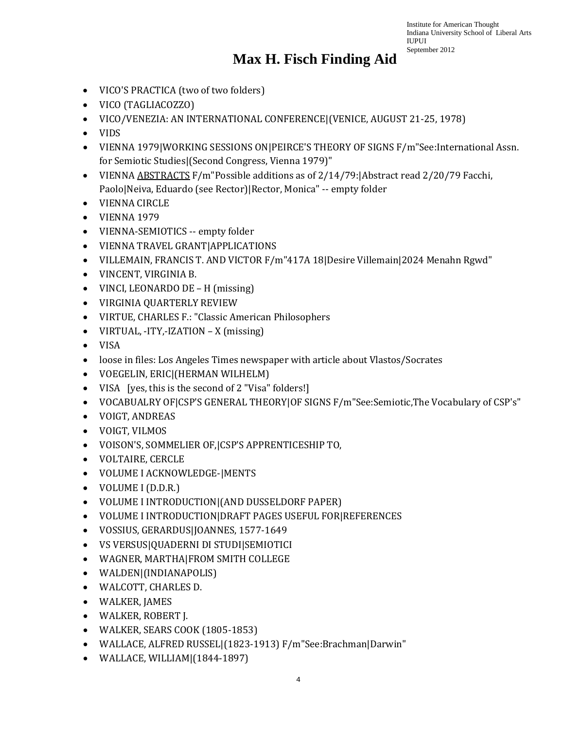- VICO'S PRACTICA (two of two folders)
- VICO (TAGLIACOZZO)
- VICO/VENEZIA: AN INTERNATIONAL CONFERENCE|(VENICE, AUGUST 21-25, 1978)
- VIDS
- VIENNA 1979|WORKING SESSIONS ON|PEIRCE'S THEORY OF SIGNS F/m"See:International Assn. for Semiotic Studies|(Second Congress, Vienna 1979)"
- VIENNA ABSTRACTS F/m"Possible additions as of 2/14/79:|Abstract read 2/20/79 Facchi, Paolo|Neiva, Eduardo (see Rector)|Rector, Monica" -- empty folder
- VIENNA CIRCLE
- VIENNA 1979
- VIENNA-SEMIOTICS -- empty folder
- VIENNA TRAVEL GRANT|APPLICATIONS
- VILLEMAIN, FRANCIS T. AND VICTOR F/m"417A 18|Desire Villemain|2024 Menahn Rgwd"
- VINCENT, VIRGINIA B.
- VINCI, LEONARDO DE H (missing)
- VIRGINIA QUARTERLY REVIEW
- VIRTUE, CHARLES F.: "Classic American Philosophers
- VIRTUAL, -ITY,-IZATION X (missing)
- VISA
- loose in files: Los Angeles Times newspaper with article about Vlastos/Socrates
- VOEGELIN, ERIC|(HERMAN WILHELM)
- VISA [yes, this is the second of 2 "Visa" folders!]
- VOCABUALRY OF|CSP'S GENERAL THEORY|OF SIGNS F/m"See:Semiotic,The Vocabulary of CSP's"
- VOIGT, ANDREAS
- VOIGT, VILMOS
- VOISON'S, SOMMELIER OF,|CSP'S APPRENTICESHIP TO,
- VOLTAIRE, CERCLE
- VOLUME I ACKNOWLEDGE-|MENTS
- VOLUME I (D.D.R.)
- VOLUME I INTRODUCTION|(AND DUSSELDORF PAPER)
- VOLUME I INTRODUCTION|DRAFT PAGES USEFUL FOR|REFERENCES
- VOSSIUS, GERARDUS|JOANNES, 1577-1649
- VS VERSUS|QUADERNI DI STUDI|SEMIOTICI
- WAGNER, MARTHA|FROM SMITH COLLEGE
- WALDEN|(INDIANAPOLIS)
- WALCOTT, CHARLES D.
- WALKER, JAMES
- WALKER, ROBERT J.
- WALKER, SEARS COOK (1805-1853)
- WALLACE, ALFRED RUSSEL|(1823-1913) F/m"See:Brachman|Darwin"
- WALLACE, WILLIAM|(1844-1897)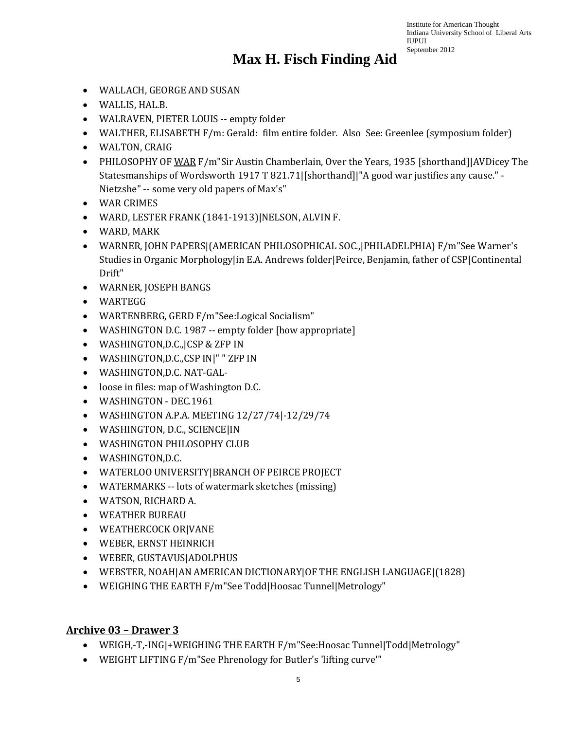### **Max H. Fisch Finding Aid**

- WALLACH, GEORGE AND SUSAN
- WALLIS, HAL.B.
- WALRAVEN, PIETER LOUIS -- empty folder
- WALTHER, ELISABETH F/m: Gerald: film entire folder. Also See: Greenlee (symposium folder)
- WALTON, CRAIG
- PHILOSOPHY OF WAR F/m"Sir Austin Chamberlain, Over the Years, 1935 [shorthand]|AVDicey The Statesmanships of Wordsworth 1917 T 821.71|[shorthand]|"A good war justifies any cause." - Nietzshe" -- some very old papers of Max's"
- WAR CRIMES
- WARD, LESTER FRANK (1841-1913)|NELSON, ALVIN F.
- WARD, MARK
- WARNER, JOHN PAPERS|(AMERICAN PHILOSOPHICAL SOC.,|PHILADELPHIA) F/m"See Warner's Studies in Organic Morphologylin E.A. Andrews folder|Peirce, Benjamin, father of CSP|Continental Drift"
- WARNER, JOSEPH BANGS
- WARTEGG
- WARTENBERG, GERD F/m"See:Logical Socialism"
- WASHINGTON D.C. 1987 -- empty folder [how appropriate]
- WASHINGTON,D.C.,|CSP & ZFP IN
- WASHINGTON,D.C.,CSP IN|" " ZFP IN
- WASHINGTON,D.C. NAT-GAL-
- loose in files: map of Washington D.C.
- WASHINGTON DEC.1961
- WASHINGTON A.P.A. MEETING 12/27/74|-12/29/74
- WASHINGTON, D.C., SCIENCE|IN
- WASHINGTON PHILOSOPHY CLUB
- WASHINGTON,D.C.
- WATERLOO UNIVERSITY|BRANCH OF PEIRCE PROJECT
- WATERMARKS -- lots of watermark sketches (missing)
- WATSON, RICHARD A.
- WEATHER BUREAU
- WEATHERCOCK OR|VANE
- WEBER, ERNST HEINRICH
- WEBER, GUSTAVUS|ADOLPHUS
- WEBSTER, NOAH|AN AMERICAN DICTIONARY|OF THE ENGLISH LANGUAGE|(1828)
- WEIGHING THE EARTH F/m"See Todd|Hoosac Tunnel|Metrology"

#### **Archive 03 – Drawer 3**

- WEIGH,-T,-ING|+WEIGHING THE EARTH F/m"See:Hoosac Tunnel|Todd|Metrology"
- WEIGHT LIFTING F/m"See Phrenology for Butler's 'lifting curve'"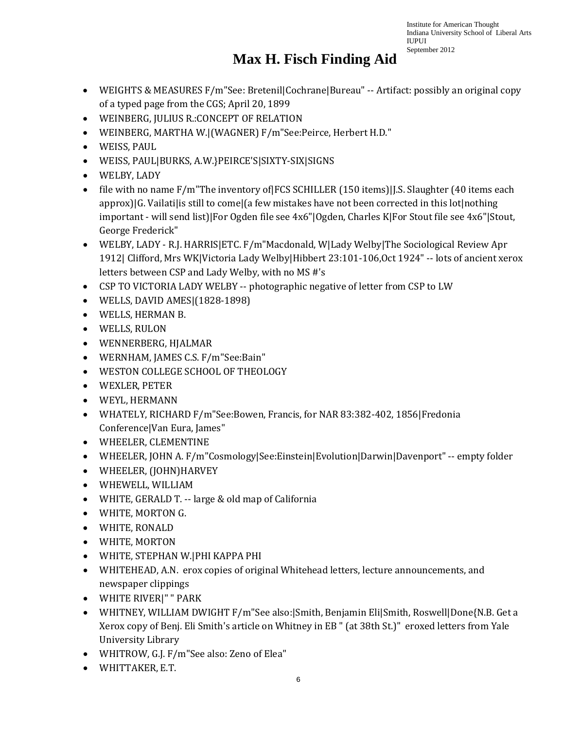- WEIGHTS & MEASURES F/m"See: Bretenil|Cochrane|Bureau" -- Artifact: possibly an original copy of a typed page from the CGS; April 20, 1899
- WEINBERG, JULIUS R.:CONCEPT OF RELATION
- WEINBERG, MARTHA W.|(WAGNER) F/m"See:Peirce, Herbert H.D."
- WEISS, PAUL
- WEISS, PAUL|BURKS, A.W.}PEIRCE'S|SIXTY-SIX|SIGNS
- WELBY, LADY
- file with no name F/m"The inventory of FCS SCHILLER (150 items) I.S. Slaughter (40 items each approx)|G. Vailati|is still to come|(a few mistakes have not been corrected in this lot|nothing important - will send list)|For Ogden file see 4x6"|Ogden, Charles K|For Stout file see 4x6"|Stout, George Frederick"
- WELBY, LADY R.J. HARRIS ETC. F/m Macdonald, W Lady Welby The Sociological Review Apr 1912| Clifford, Mrs WK|Victoria Lady Welby|Hibbert 23:101-106,Oct 1924" -- lots of ancient xerox letters between CSP and Lady Welby, with no MS #'s
- CSP TO VICTORIA LADY WELBY -- photographic negative of letter from CSP to LW
- WELLS, DAVID AMES|(1828-1898)
- WELLS, HERMAN B.
- WELLS, RULON
- WENNERBERG, HJALMAR
- WERNHAM, JAMES C.S. F/m"See:Bain"
- WESTON COLLEGE SCHOOL OF THEOLOGY
- WEXLER, PETER
- WEYL, HERMANN
- WHATELY, RICHARD F/m"See:Bowen, Francis, for NAR 83:382-402, 1856|Fredonia Conference|Van Eura, James"
- WHEELER, CLEMENTINE
- WHEELER, JOHN A. F/m"Cosmology|See:Einstein|Evolution|Darwin|Davenport" -- empty folder
- WHEELER, (JOHN)HARVEY
- WHEWELL, WILLIAM
- WHITE, GERALD T. -- large & old map of California
- WHITE, MORTON G.
- WHITE, RONALD
- WHITE, MORTON
- WHITE, STEPHAN W.|PHI KAPPA PHI
- WHITEHEAD, A.N. erox copies of original Whitehead letters, lecture announcements, and newspaper clippings
- WHITE RIVER|" " PARK
- WHITNEY, WILLIAM DWIGHT F/m"See also:|Smith, Benjamin Eli|Smith, Roswell|Done{N.B. Get a Xerox copy of Benj. Eli Smith's article on Whitney in EB " (at 38th St.)" eroxed letters from Yale University Library
- WHITROW, G.J. F/m"See also: Zeno of Elea"
- WHITTAKER, E.T.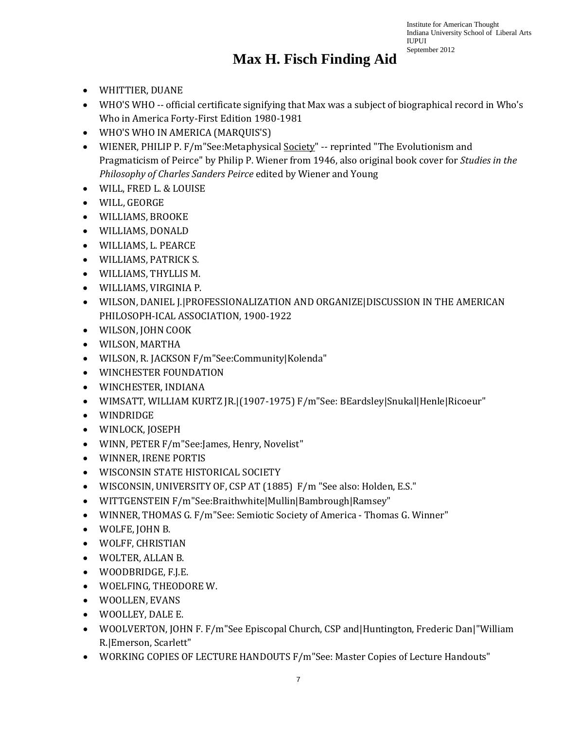- WHITTIER, DUANE
- WHO'S WHO -- official certificate signifying that Max was a subject of biographical record in Who's Who in America Forty-First Edition 1980-1981
- WHO'S WHO IN AMERICA (MARQUIS'S)
- WIENER, PHILIP P. F/m"See:Metaphysical Society" -- reprinted "The Evolutionism and Pragmaticism of Peirce" by Philip P. Wiener from 1946, also original book cover for *Studies in the Philosophy of Charles Sanders Peirce* edited by Wiener and Young
- WILL, FRED L. & LOUISE
- WILL, GEORGE
- WILLIAMS, BROOKE
- WILLIAMS, DONALD
- WILLIAMS, L. PEARCE
- WILLIAMS, PATRICK S.
- WILLIAMS, THYLLIS M.
- WILLIAMS, VIRGINIA P.
- WILSON, DANIEL J.|PROFESSIONALIZATION AND ORGANIZE|DISCUSSION IN THE AMERICAN PHILOSOPH-ICAL ASSOCIATION, 1900-1922
- WILSON, JOHN COOK
- WILSON, MARTHA
- WILSON, R. JACKSON F/m"See:Community|Kolenda"
- WINCHESTER FOUNDATION
- WINCHESTER, INDIANA
- WIMSATT, WILLIAM KURTZ JR.|(1907-1975) F/m"See: BEardsley|Snukal|Henle|Ricoeur"
- WINDRIDGE
- WINLOCK, JOSEPH
- WINN, PETER F/m"See:James, Henry, Novelist"
- WINNER, IRENE PORTIS
- WISCONSIN STATE HISTORICAL SOCIETY
- WISCONSIN, UNIVERSITY OF, CSP AT (1885) F/m "See also: Holden, E.S."
- WITTGENSTEIN F/m"See:Braithwhite|Mullin|Bambrough|Ramsey"
- WINNER, THOMAS G. F/m"See: Semiotic Society of America Thomas G. Winner"
- WOLFE, JOHN B.
- WOLFF, CHRISTIAN
- WOLTER, ALLAN B.
- WOODBRIDGE, F.J.E.
- WOELFING, THEODORE W.
- WOOLLEN, EVANS
- WOOLLEY, DALE E.
- WOOLVERTON, JOHN F. F/m"See Episcopal Church, CSP and Huntington, Frederic Dan | "William" R.|Emerson, Scarlett"
- WORKING COPIES OF LECTURE HANDOUTS F/m"See: Master Copies of Lecture Handouts"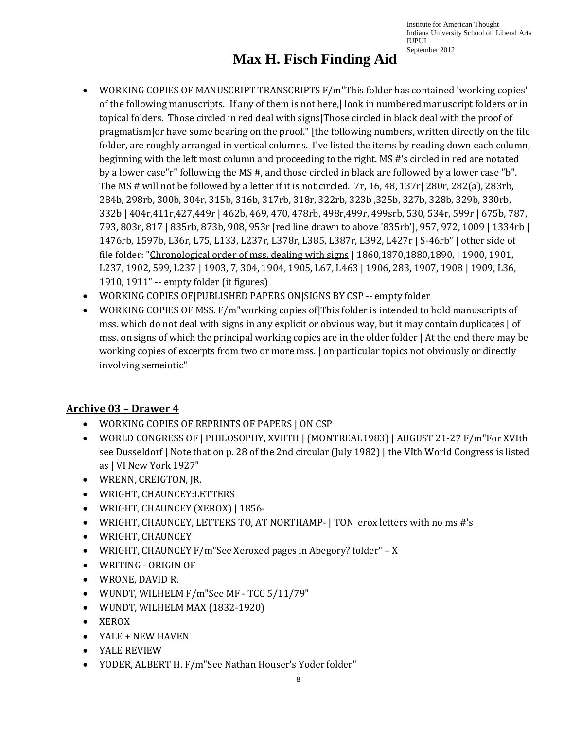## **Max H. Fisch Finding Aid**

- WORKING COPIES OF MANUSCRIPT TRANSCRIPTS F/m"This folder has contained 'working copies' of the following manuscripts. If any of them is not here,| look in numbered manuscript folders or in topical folders. Those circled in red deal with signs|Those circled in black deal with the proof of pragmatism|or have some bearing on the proof." [the following numbers, written directly on the file folder, are roughly arranged in vertical columns. I've listed the items by reading down each column, beginning with the left most column and proceeding to the right. MS #'s circled in red are notated by a lower case"r" following the MS #, and those circled in black are followed by a lower case "b". The MS # will not be followed by a letter if it is not circled. 7r, 16, 48, 137r| 280r, 282(a), 283rb, 284b, 298rb, 300b, 304r, 315b, 316b, 317rb, 318r, 322rb, 323b ,325b, 327b, 328b, 329b, 330rb, 332b | 404r,411r,427,449r | 462b, 469, 470, 478rb, 498r,499r, 499srb, 530, 534r, 599r | 675b, 787, 793, 803r, 817 | 835rb, 873b, 908, 953r [red line drawn to above '835rb'], 957, 972, 1009 | 1334rb | 1476rb, 1597b, L36r, L75, L133, L237r, L378r, L385, L387r, L392, L427r | S-46rb" | other side of file folder: "Chronological order of mss. dealing with signs | 1860,1870,1880,1890, | 1900, 1901, L237, 1902, 599, L237 | 1903, 7, 304, 1904, 1905, L67, L463 | 1906, 283, 1907, 1908 | 1909, L36, 1910, 1911" -- empty folder (it figures)
- WORKING COPIES OF|PUBLISHED PAPERS ON|SIGNS BY CSP -- empty folder
- WORKING COPIES OF MSS. F/m working copies of This folder is intended to hold manuscripts of mss. which do not deal with signs in any explicit or obvious way, but it may contain duplicates | of mss. on signs of which the principal working copies are in the older folder | At the end there may be working copies of excerpts from two or more mss. | on particular topics not obviously or directly involving semeiotic"

#### **Archive 03 – Drawer 4**

- WORKING COPIES OF REPRINTS OF PAPERS | ON CSP
- WORLD CONGRESS OF | PHILOSOPHY, XVIITH | (MONTREAL1983) | AUGUST 21-27 F/m"For XVIth see Dusseldorf | Note that on p. 28 of the 2nd circular (July 1982) | the VIth World Congress is listed as | VI New York 1927"
- WRENN, CREIGTON, JR.
- WRIGHT, CHAUNCEY:LETTERS
- WRIGHT, CHAUNCEY (XEROX) | 1856-
- WRIGHT, CHAUNCEY, LETTERS TO, AT NORTHAMP- | TON erox letters with no ms #'s
- WRIGHT, CHAUNCEY
- WRIGHT, CHAUNCEY F/m"See Xeroxed pages in Abegory? folder" X
- WRITING ORIGIN OF
- WRONE, DAVID R.
- WUNDT, WILHELM F/m"See MF TCC 5/11/79"
- WUNDT, WILHELM MAX (1832-1920)
- XEROX
- YALE + NEW HAVEN
- YALE REVIEW
- YODER, ALBERT H. F/m"See Nathan Houser's Yoder folder"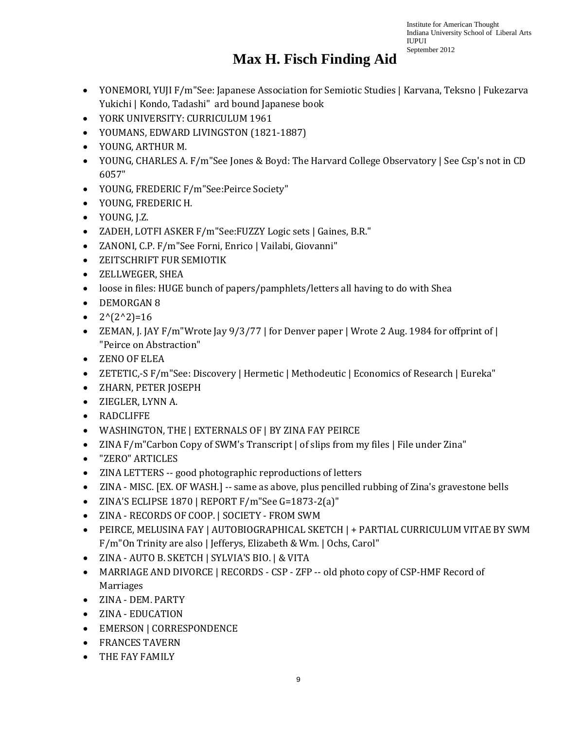- YONEMORI, YUJI F/m"See: Japanese Association for Semiotic Studies | Karvana, Teksno | Fukezarva Yukichi | Kondo, Tadashi" ard bound Japanese book
- YORK UNIVERSITY: CURRICULUM 1961
- YOUMANS, EDWARD LIVINGSTON (1821-1887)
- YOUNG, ARTHUR M.
- YOUNG, CHARLES A. F/m See Jones & Boyd: The Harvard College Observatory | See Csp's not in CD 6057"
- YOUNG, FREDERIC F/m"See:Peirce Society"
- YOUNG, FREDERIC H.
- YOUNG, J.Z.
- ZADEH, LOTFI ASKER F/m"See:FUZZY Logic sets | Gaines, B.R."
- ZANONI, C.P. F/m"See Forni, Enrico | Vailabi, Giovanni"
- ZEITSCHRIFT FUR SEMIOTIK
- ZELLWEGER, SHEA
- loose in files: HUGE bunch of papers/pamphlets/letters all having to do with Shea
- DEMORGAN 8
- $2^{(2^2)}=16$
- ZEMAN, J. JAY F/m "Wrote Jay 9/3/77 | for Denver paper | Wrote 2 Aug. 1984 for offprint of | "Peirce on Abstraction"
- ZENO OF ELEA
- ZETETIC,-S F/m"See: Discovery | Hermetic | Methodeutic | Economics of Research | Eureka"
- ZHARN, PETER JOSEPH
- ZIEGLER, LYNN A.
- RADCLIFFE
- WASHINGTON, THE | EXTERNALS OF | BY ZINA FAY PEIRCE
- ZINA F/m"Carbon Copy of SWM's Transcript | of slips from my files | File under Zina"
- "ZERO" ARTICLES
- ZINA LETTERS -- good photographic reproductions of letters
- ZINA MISC. [EX. OF WASH.] -- same as above, plus pencilled rubbing of Zina's gravestone bells
- ZINA'S ECLIPSE 1870 | REPORT F/m"See G=1873-2(a)"
- ZINA RECORDS OF COOP. | SOCIETY FROM SWM
- PEIRCE, MELUSINA FAY | AUTOBIOGRAPHICAL SKETCH | + PARTIAL CURRICULUM VITAE BY SWM F/m"On Trinity are also | Jefferys, Elizabeth & Wm. | Ochs, Carol"
- ZINA AUTO B. SKETCH | SYLVIA'S BIO. | & VITA
- MARRIAGE AND DIVORCE | RECORDS CSP ZFP -- old photo copy of CSP-HMF Record of Marriages
- ZINA DEM. PARTY
- ZINA EDUCATION
- EMERSON | CORRESPONDENCE
- FRANCES TAVERN
- THE FAY FAMILY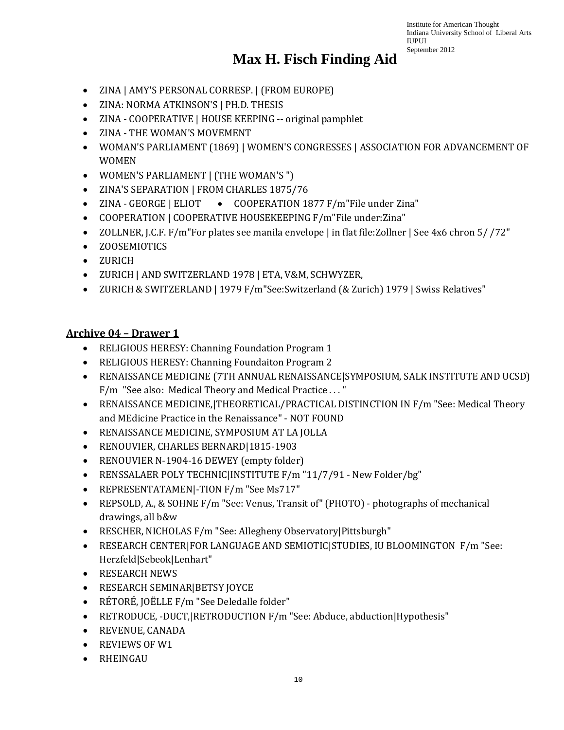#### **Max H. Fisch Finding Aid**

- ZINA | AMY'S PERSONAL CORRESP. | (FROM EUROPE)
- ZINA: NORMA ATKINSON'S | PH.D. THESIS
- ZINA COOPERATIVE | HOUSE KEEPING -- original pamphlet
- ZINA THE WOMAN'S MOVEMENT
- WOMAN'S PARLIAMENT (1869) | WOMEN'S CONGRESSES | ASSOCIATION FOR ADVANCEMENT OF WOMEN
- WOMEN'S PARLIAMENT | (THE WOMAN'S ")
- ZINA'S SEPARATION | FROM CHARLES 1875/76
- COOPERATION 1877 F/m"File under Zina" • ZINA - GEORGE | ELIOT
- COOPERATION | COOPERATIVE HOUSEKEEPING F/m"File under:Zina"
- ZOLLNER, J.C.F. F/m"For plates see manila envelope | in flat file:Zollner | See 4x6 chron 5/ /72"
- ZOOSEMIOTICS
- ZURICH
- ZURICH | AND SWITZERLAND 1978 | ETA, V&M, SCHWYZER,
- ZURICH & SWITZERLAND | 1979 F/m"See:Switzerland (& Zurich) 1979 | Swiss Relatives"

#### **Archive 04 – Drawer 1**

- RELIGIOUS HERESY: Channing Foundation Program 1
- RELIGIOUS HERESY: Channing Foundaiton Program 2
- RENAISSANCE MEDICINE (7TH ANNUAL RENAISSANCE|SYMPOSIUM, SALK INSTITUTE AND UCSD) F/m "See also: Medical Theory and Medical Practice . . . "
- RENAISSANCE MEDICINE,|THEORETICAL/PRACTICAL DISTINCTION IN F/m "See: Medical Theory and MEdicine Practice in the Renaissance" - NOT FOUND
- RENAISSANCE MEDICINE, SYMPOSIUM AT LA JOLLA
- RENOUVIER, CHARLES BERNARD|1815-1903
- RENOUVIER N-1904-16 DEWEY (empty folder)
- RENSSALAER POLY TECHNIC|INSTITUTE F/m "11/7/91 New Folder/bg"
- REPRESENTATAMEN|-TION F/m "See Ms717"
- REPSOLD, A., & SOHNE F/m "See: Venus, Transit of" (PHOTO) photographs of mechanical drawings, all b&w
- RESCHER, NICHOLAS F/m "See: Allegheny Observatory|Pittsburgh"
- RESEARCH CENTER|FOR LANGUAGE AND SEMIOTIC|STUDIES, IU BLOOMINGTON F/m "See: Herzfeld|Sebeok|Lenhart"
- RESEARCH NEWS
- RESEARCH SEMINAR|BETSY JOYCE
- RÉTORÉ, JOËLLE F/m "See Deledalle folder"
- RETRODUCE, -DUCT,|RETRODUCTION F/m "See: Abduce, abduction|Hypothesis"
- REVENUE, CANADA
- REVIEWS OF W1
- RHEINGAU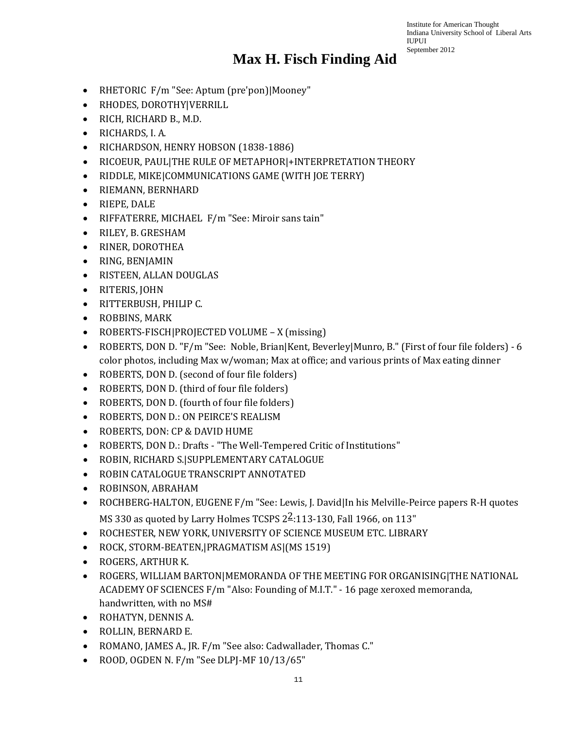- RHETORIC F/m "See: Aptum (pre'pon)|Mooney"
- RHODES, DOROTHY|VERRILL
- RICH, RICHARD B., M.D.
- RICHARDS, I. A.
- RICHARDSON, HENRY HOBSON (1838-1886)
- RICOEUR, PAUL|THE RULE OF METAPHOR|+INTERPRETATION THEORY
- RIDDLE, MIKE|COMMUNICATIONS GAME (WITH JOE TERRY)
- RIEMANN, BERNHARD
- RIEPE, DALE
- RIFFATERRE, MICHAEL F/m "See: Miroir sans tain"
- RILEY, B. GRESHAM
- RINER, DOROTHEA
- RING, BENJAMIN
- RISTEEN, ALLAN DOUGLAS
- RITERIS, JOHN
- RITTERBUSH, PHILIP C.
- ROBBINS, MARK
- ROBERTS-FISCH|PROJECTED VOLUME X (missing)
- ROBERTS, DON D. "F/m "See: Noble, Brian|Kent, Beverley|Munro, B." (First of four file folders) 6 color photos, including Max w/woman; Max at office; and various prints of Max eating dinner
- ROBERTS, DON D. (second of four file folders)
- ROBERTS, DON D. (third of four file folders)
- ROBERTS, DON D. (fourth of four file folders)
- ROBERTS, DON D.: ON PEIRCE'S REALISM
- ROBERTS, DON: CP & DAVID HUME
- ROBERTS, DON D.: Drafts "The Well-Tempered Critic of Institutions"
- ROBIN, RICHARD S.|SUPPLEMENTARY CATALOGUE
- ROBIN CATALOGUE TRANSCRIPT ANNOTATED
- ROBINSON, ABRAHAM
- ROCHBERG-HALTON, EUGENE F/m "See: Lewis, J. David|In his Melville-Peirce papers R-H quotes MS 330 as quoted by Larry Holmes TCSPS  $2\frac{2}{3}$ :113-130, Fall 1966, on 113"
- ROCHESTER, NEW YORK, UNIVERSITY OF SCIENCE MUSEUM ETC. LIBRARY
- ROCK, STORM-BEATEN,|PRAGMATISM AS|(MS 1519)
- ROGERS, ARTHUR K.
- ROGERS, WILLIAM BARTON|MEMORANDA OF THE MEETING FOR ORGANISING|THE NATIONAL ACADEMY OF SCIENCES F/m "Also: Founding of M.I.T." - 16 page xeroxed memoranda, handwritten, with no MS#
- ROHATYN, DENNIS A.
- ROLLIN, BERNARD E.
- ROMANO, JAMES A., JR. F/m "See also: Cadwallader, Thomas C."
- ROOD, OGDEN N. F/m "See DLPJ-MF 10/13/65"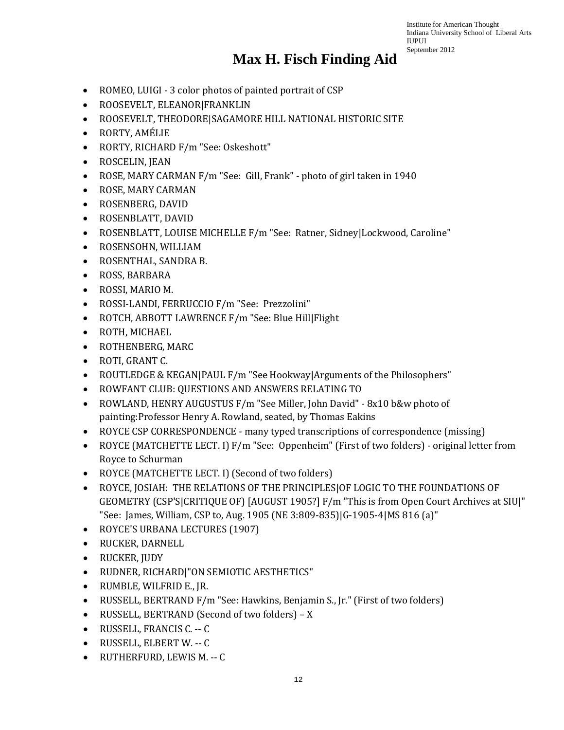- ROMEO, LUIGI 3 color photos of painted portrait of CSP
- ROOSEVELT, ELEANOR|FRANKLIN
- ROOSEVELT, THEODORE|SAGAMORE HILL NATIONAL HISTORIC SITE
- RORTY, AMÉLIE
- RORTY, RICHARD F/m "See: Oskeshott"
- ROSCELIN, JEAN
- ROSE, MARY CARMAN F/m "See: Gill, Frank" photo of girl taken in 1940
- ROSE, MARY CARMAN
- ROSENBERG, DAVID
- ROSENBLATT, DAVID
- ROSENBLATT, LOUISE MICHELLE F/m "See: Ratner, Sidney|Lockwood, Caroline"
- ROSENSOHN, WILLIAM
- ROSENTHAL, SANDRA B.
- ROSS, BARBARA
- ROSSI, MARIO M.
- ROSSI-LANDI, FERRUCCIO F/m "See: Prezzolini"
- ROTCH, ABBOTT LAWRENCE F/m "See: Blue Hill|Flight
- ROTH, MICHAEL
- ROTHENBERG, MARC
- ROTI, GRANT C.
- ROUTLEDGE & KEGAN|PAUL F/m "See Hookway|Arguments of the Philosophers"
- ROWFANT CLUB: QUESTIONS AND ANSWERS RELATING TO
- ROWLAND, HENRY AUGUSTUS F/m "See Miller, John David" 8x10 b&w photo of painting:Professor Henry A. Rowland, seated, by Thomas Eakins
- ROYCE CSP CORRESPONDENCE many typed transcriptions of correspondence (missing)
- ROYCE (MATCHETTE LECT. I) F/m "See: Oppenheim" (First of two folders) original letter from Royce to Schurman
- ROYCE (MATCHETTE LECT. I) (Second of two folders)
- ROYCE, JOSIAH: THE RELATIONS OF THE PRINCIPLES|OF LOGIC TO THE FOUNDATIONS OF GEOMETRY (CSP'S|CRITIQUE OF) [AUGUST 1905?] F/m "This is from Open Court Archives at SIU|" "See: James, William, CSP to, Aug. 1905 (NE 3:809-835)|G-1905-4|MS 816 (a)"
- ROYCE'S URBANA LECTURES (1907)
- RUCKER, DARNELL
- RUCKER, JUDY
- RUDNER, RICHARD|"ON SEMIOTIC AESTHETICS"
- RUMBLE, WILFRID E., JR.
- RUSSELL, BERTRAND F/m "See: Hawkins, Benjamin S., Jr." (First of two folders)
- RUSSELL, BERTRAND (Second of two folders) X
- RUSSELL, FRANCIS C. -- C
- RUSSELL, ELBERT W. -- C
- RUTHERFURD, LEWIS M. -- C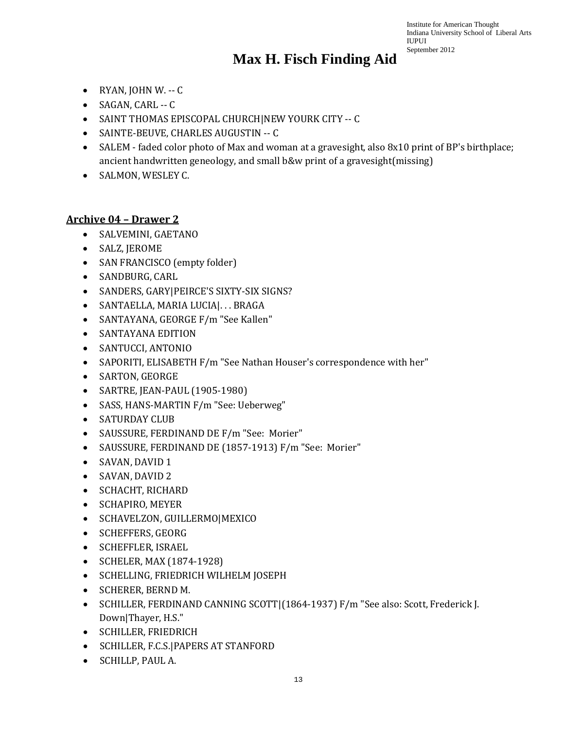### **Max H. Fisch Finding Aid**

- RYAN, JOHN W. -- C
- SAGAN, CARL -- C
- SAINT THOMAS EPISCOPAL CHURCH|NEW YOURK CITY -- C
- SAINTE-BEUVE, CHARLES AUGUSTIN -- C
- SALEM faded color photo of Max and woman at a gravesight, also 8x10 print of BP's birthplace; ancient handwritten geneology, and small b&w print of a gravesight(missing)
- SALMON, WESLEY C.

#### **Archive 04 – Drawer 2**

- SALVEMINI, GAETANO
- SALZ, JEROME
- SAN FRANCISCO (empty folder)
- SANDBURG, CARL
- SANDERS, GARY|PEIRCE'S SIXTY-SIX SIGNS?
- SANTAELLA, MARIA LUCIA|. . . BRAGA
- SANTAYANA, GEORGE F/m "See Kallen"
- SANTAYANA EDITION
- SANTUCCI, ANTONIO
- SAPORITI, ELISABETH F/m "See Nathan Houser's correspondence with her"
- SARTON, GEORGE
- SARTRE, JEAN-PAUL (1905-1980)
- SASS, HANS-MARTIN F/m "See: Ueberweg"
- SATURDAY CLUB
- SAUSSURE, FERDINAND DE F/m "See: Morier"
- SAUSSURE, FERDINAND DE (1857-1913) F/m "See: Morier"
- SAVAN, DAVID 1
- SAVAN, DAVID 2
- SCHACHT, RICHARD
- SCHAPIRO, MEYER
- SCHAVELZON, GUILLERMO|MEXICO
- SCHEFFERS, GEORG
- SCHEFFLER, ISRAEL
- SCHELER, MAX (1874-1928)
- SCHELLING, FRIEDRICH WILHELM JOSEPH
- SCHERER, BERND M.
- SCHILLER, FERDINAND CANNING SCOTT|(1864-1937) F/m "See also: Scott, Frederick J. Down|Thayer, H.S."
- SCHILLER, FRIEDRICH
- SCHILLER, F.C.S.|PAPERS AT STANFORD
- SCHILLP, PAUL A.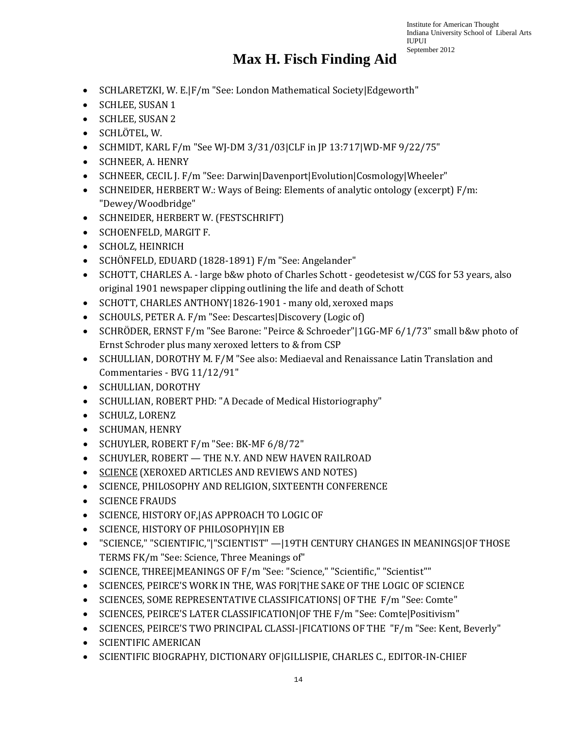- SCHLARETZKI, W. E.|F/m "See: London Mathematical Society|Edgeworth"
- SCHLEE, SUSAN 1
- SCHLEE, SUSAN 2
- SCHLÖTEL, W.
- SCHMIDT, KARL F/m "See WJ-DM 3/31/03|CLF in JP 13:717|WD-MF 9/22/75"
- SCHNEER, A. HENRY
- SCHNEER, CECIL J. F/m "See: Darwin|Davenport|Evolution|Cosmology|Wheeler"
- SCHNEIDER, HERBERT W.: Ways of Being: Elements of analytic ontology (excerpt) F/m: "Dewey/Woodbridge"
- SCHNEIDER, HERBERT W. (FESTSCHRIFT)
- SCHOENFELD, MARGIT F.
- SCHOLZ, HEINRICH
- SCHÖNFELD, EDUARD (1828-1891) F/m "See: Angelander"
- SCHOTT, CHARLES A. large b&w photo of Charles Schott geodetesist w/CGS for 53 years, also original 1901 newspaper clipping outlining the life and death of Schott
- SCHOTT, CHARLES ANTHONY | 1826-1901 many old, xeroxed maps
- SCHOULS, PETER A. F/m "See: Descartes|Discovery (Logic of)
- SCHRÖDER, ERNST F/m "See Barone: "Peirce & Schroeder"|1GG-MF 6/1/73" small b&w photo of Ernst Schroder plus many xeroxed letters to & from CSP
- SCHULLIAN, DOROTHY M. F/M "See also: Mediaeval and Renaissance Latin Translation and Commentaries - BVG 11/12/91"
- SCHULLIAN, DOROTHY
- SCHULLIAN, ROBERT PHD: "A Decade of Medical Historiography"
- SCHULZ, LORENZ
- SCHUMAN, HENRY
- SCHUYLER, ROBERT F/m "See: BK-MF 6/8/72"
- SCHUYLER, ROBERT THE N.Y. AND NEW HAVEN RAILROAD
- SCIENCE (XEROXED ARTICLES AND REVIEWS AND NOTES)
- SCIENCE, PHILOSOPHY AND RELIGION, SIXTEENTH CONFERENCE
- SCIENCE FRAUDS
- SCIENCE, HISTORY OF,|AS APPROACH TO LOGIC OF
- SCIENCE, HISTORY OF PHILOSOPHY|IN EB
- "SCIENCE," "SCIENTIFIC,"|"SCIENTIST" —|19TH CENTURY CHANGES IN MEANINGS|OF THOSE TERMS FK/m "See: Science, Three Meanings of"
- SCIENCE, THREE|MEANINGS OF F/m "See: "Science," "Scientific," "Scientist""
- SCIENCES, PEIRCE'S WORK IN THE, WAS FOR|THE SAKE OF THE LOGIC OF SCIENCE
- SCIENCES, SOME REPRESENTATIVE CLASSIFICATIONS| OF THE F/m "See: Comte"
- SCIENCES, PEIRCE'S LATER CLASSIFICATION|OF THE F/m "See: Comte|Positivism"
- SCIENCES, PEIRCE'S TWO PRINCIPAL CLASSI-|FICATIONS OF THE "F/m "See: Kent, Beverly"
- SCIENTIFIC AMERICAN
- SCIENTIFIC BIOGRAPHY, DICTIONARY OF|GILLISPIE, CHARLES C., EDITOR-IN-CHIEF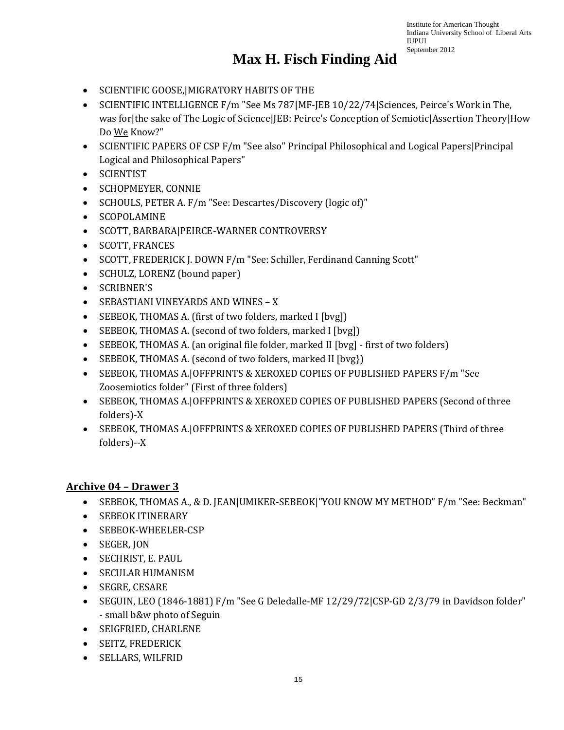#### **Max H. Fisch Finding Aid**

- SCIENTIFIC GOOSE,|MIGRATORY HABITS OF THE
- SCIENTIFIC INTELLIGENCE F/m "See Ms 787|MF-JEB 10/22/74|Sciences, Peirce's Work in The, was for|the sake of The Logic of Science|JEB: Peirce's Conception of Semiotic|Assertion Theory|How Do We Know?"
- SCIENTIFIC PAPERS OF CSP F/m "See also" Principal Philosophical and Logical Papers | Principal Logical and Philosophical Papers"
- SCIENTIST
- SCHOPMEYER, CONNIE
- SCHOULS, PETER A. F/m "See: Descartes/Discovery (logic of)"
- SCOPOLAMINE
- SCOTT, BARBARA|PEIRCE-WARNER CONTROVERSY
- SCOTT, FRANCES
- SCOTT, FREDERICK J. DOWN F/m "See: Schiller, Ferdinand Canning Scott"
- SCHULZ, LORENZ (bound paper)
- SCRIBNER'S
- SEBASTIANI VINEYARDS AND WINES X
- SEBEOK, THOMAS A. (first of two folders, marked I [bvg])
- SEBEOK, THOMAS A. (second of two folders, marked I [bvg])
- SEBEOK, THOMAS A. (an original file folder, marked II [bvg] first of two folders]
- SEBEOK, THOMAS A. (second of two folders, marked II [bvg})
- SEBEOK, THOMAS A.|OFFPRINTS & XEROXED COPIES OF PUBLISHED PAPERS F/m "See Zoosemiotics folder" (First of three folders)
- SEBEOK, THOMAS A.|OFFPRINTS & XEROXED COPIES OF PUBLISHED PAPERS (Second of three folders)-X
- SEBEOK, THOMAS A.|OFFPRINTS & XEROXED COPIES OF PUBLISHED PAPERS (Third of three folders)--X

#### **Archive 04 – Drawer 3**

- SEBEOK, THOMAS A., & D. JEAN|UMIKER-SEBEOK|"YOU KNOW MY METHOD" F/m "See: Beckman"
- SEBEOK ITINERARY
- SEBEOK-WHEELER-CSP
- SEGER, JON
- SECHRIST, E. PAUL
- SECULAR HUMANISM
- SEGRE, CESARE
- SEGUIN, LEO (1846-1881) F/m "See G Deledalle-MF 12/29/72|CSP-GD 2/3/79 in Davidson folder" - small b&w photo of Seguin
- SEIGFRIED, CHARLENE
- SEITZ, FREDERICK
- SELLARS, WILFRID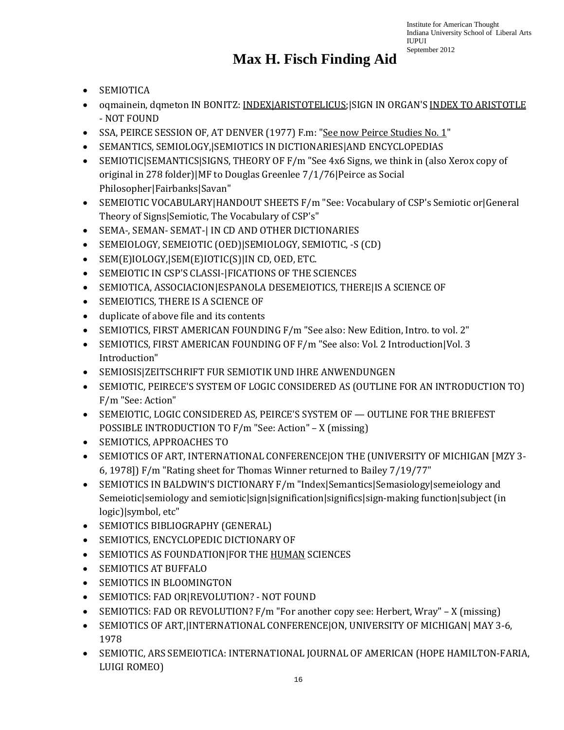- SEMIOTICA
- oqmainein, dqmeton IN BONITZ: INDEX|ARISTOTELICUS;|SIGN IN ORGAN'S INDEX TO ARISTOTLE - NOT FOUND
- SSA, PEIRCE SESSION OF, AT DENVER (1977) F.m: "See now Peirce Studies No. 1"
- SEMANTICS, SEMIOLOGY,|SEMIOTICS IN DICTIONARIES|AND ENCYCLOPEDIAS
- SEMIOTIC|SEMANTICS|SIGNS, THEORY OF F/m "See 4x6 Signs, we think in (also Xerox copy of original in 278 folder)|MF to Douglas Greenlee 7/1/76|Peirce as Social Philosopher|Fairbanks|Savan"
- SEMEIOTIC VOCABULARY|HANDOUT SHEETS F/m "See: Vocabulary of CSP's Semiotic or|General Theory of Signs|Semiotic, The Vocabulary of CSP's"
- SEMA-, SEMAN- SEMAT-| IN CD AND OTHER DICTIONARIES
- SEMEIOLOGY, SEMEIOTIC (OED)|SEMIOLOGY, SEMIOTIC, -S (CD)
- SEM(E)IOLOGY,|SEM(E)IOTIC(S)|IN CD, OED, ETC.
- SEMEIOTIC IN CSP'S CLASSI-|FICATIONS OF THE SCIENCES
- SEMIOTICA, ASSOCIACION|ESPANOLA DESEMEIOTICS, THERE|IS A SCIENCE OF
- SEMEIOTICS, THERE IS A SCIENCE OF
- duplicate of above file and its contents
- SEMIOTICS, FIRST AMERICAN FOUNDING F/m "See also: New Edition, Intro. to vol. 2"
- SEMIOTICS, FIRST AMERICAN FOUNDING OF F/m "See also: Vol. 2 Introduction|Vol. 3 Introduction"
- SEMIOSIS|ZEITSCHRIFT FUR SEMIOTIK UND IHRE ANWENDUNGEN
- SEMIOTIC, PEIRECE'S SYSTEM OF LOGIC CONSIDERED AS (OUTLINE FOR AN INTRODUCTION TO) F/m "See: Action"
- SEMEIOTIC, LOGIC CONSIDERED AS, PEIRCE'S SYSTEM OF OUTLINE FOR THE BRIEFEST POSSIBLE INTRODUCTION TO F/m "See: Action" – X (missing)
- SEMIOTICS, APPROACHES TO
- SEMIOTICS OF ART, INTERNATIONAL CONFERENCE|ON THE (UNIVERSITY OF MICHIGAN [MZY 3- 6, 1978]) F/m "Rating sheet for Thomas Winner returned to Bailey 7/19/77"
- SEMIOTICS IN BALDWIN'S DICTIONARY F/m "Index|Semantics|Semasiology|semeiology and Semeiotic|semiology and semiotic|sign|signification|significs|sign-making function|subject (in logic)|symbol, etc"
- SEMIOTICS BIBLIOGRAPHY (GENERAL)
- SEMIOTICS, ENCYCLOPEDIC DICTIONARY OF
- SEMIOTICS AS FOUNDATION|FOR THE HUMAN SCIENCES
- SEMIOTICS AT BUFFALO
- SEMIOTICS IN BLOOMINGTON
- SEMIOTICS: FAD OR|REVOLUTION? NOT FOUND
- SEMIOTICS: FAD OR REVOLUTION? F/m "For another copy see: Herbert, Wray" X (missing)
- SEMIOTICS OF ART,|INTERNATIONAL CONFERENCE|ON, UNIVERSITY OF MICHIGAN| MAY 3-6, 1978
- SEMIOTIC, ARS SEMEIOTICA: INTERNATIONAL JOURNAL OF AMERICAN (HOPE HAMILTON-FARIA, LUIGI ROMEO)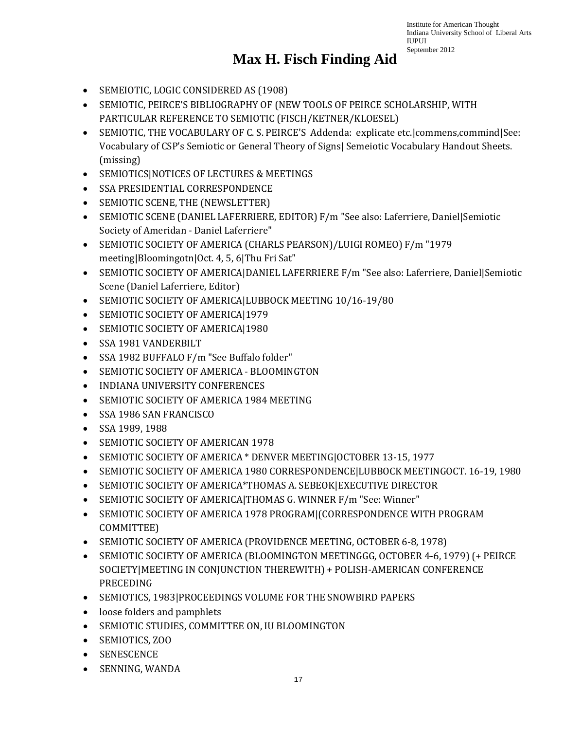- SEMEIOTIC, LOGIC CONSIDERED AS (1908)
- SEMIOTIC, PEIRCE'S BIBLIOGRAPHY OF (NEW TOOLS OF PEIRCE SCHOLARSHIP, WITH PARTICULAR REFERENCE TO SEMIOTIC (FISCH/KETNER/KLOESEL)
- SEMIOTIC, THE VOCABULARY OF C. S. PEIRCE'S Addenda: explicate etc.|commens,commind|See: Vocabulary of CSP's Semiotic or General Theory of Signs| Semeiotic Vocabulary Handout Sheets. (missing)
- SEMIOTICS|NOTICES OF LECTURES & MEETINGS
- SSA PRESIDENTIAL CORRESPONDENCE
- SEMIOTIC SCENE, THE (NEWSLETTER)
- SEMIOTIC SCENE (DANIEL LAFERRIERE, EDITOR) F/m "See also: Laferriere, Daniel|Semiotic Society of Ameridan - Daniel Laferriere"
- SEMIOTIC SOCIETY OF AMERICA (CHARLS PEARSON)/LUIGI ROMEO) F/m "1979 meeting|Bloomingotn|Oct. 4, 5, 6|Thu Fri Sat"
- SEMIOTIC SOCIETY OF AMERICA|DANIEL LAFERRIERE F/m "See also: Laferriere, Daniel|Semiotic Scene (Daniel Laferriere, Editor)
- SEMIOTIC SOCIETY OF AMERICA|LUBBOCK MEETING 10/16-19/80
- SEMIOTIC SOCIETY OF AMERICA|1979
- SEMIOTIC SOCIETY OF AMERICA|1980
- SSA 1981 VANDERBILT
- SSA 1982 BUFFALO F/m "See Buffalo folder"
- SEMIOTIC SOCIETY OF AMERICA BLOOMINGTON
- INDIANA UNIVERSITY CONFERENCES
- SEMIOTIC SOCIETY OF AMERICA 1984 MEETING
- SSA 1986 SAN FRANCISCO
- SSA 1989, 1988
- SEMIOTIC SOCIETY OF AMERICAN 1978
- SEMIOTIC SOCIETY OF AMERICA \* DENVER MEETING|OCTOBER 13-15, 1977
- SEMIOTIC SOCIETY OF AMERICA 1980 CORRESPONDENCE|LUBBOCK MEETINGOCT. 16-19, 1980
- SEMIOTIC SOCIETY OF AMERICA\*THOMAS A. SEBEOK|EXECUTIVE DIRECTOR
- SEMIOTIC SOCIETY OF AMERICA|THOMAS G. WINNER F/m "See: Winner"
- SEMIOTIC SOCIETY OF AMERICA 1978 PROGRAM|(CORRESPONDENCE WITH PROGRAM COMMITTEE)
- SEMIOTIC SOCIETY OF AMERICA (PROVIDENCE MEETING, OCTOBER 6-8, 1978)
- SEMIOTIC SOCIETY OF AMERICA (BLOOMINGTON MEETINGGG, OCTOBER 4-6, 1979) (+ PEIRCE SOCIETY|MEETING IN CONJUNCTION THEREWITH) + POLISH-AMERICAN CONFERENCE PRECEDING
- SEMIOTICS, 1983|PROCEEDINGS VOLUME FOR THE SNOWBIRD PAPERS
- loose folders and pamphlets
- SEMIOTIC STUDIES, COMMITTEE ON, IU BLOOMINGTON
- SEMIOTICS, ZOO
- SENESCENCE
- SENNING, WANDA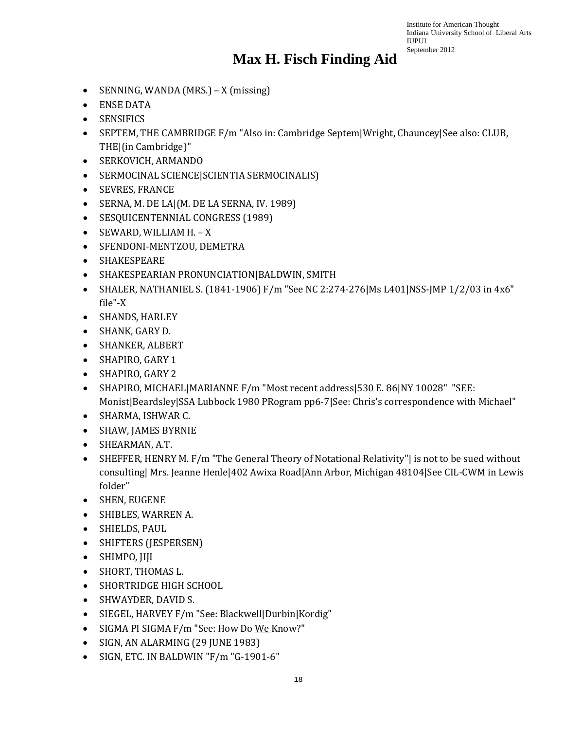- SENNING, WANDA (MRS.) X (missing)
- ENSE DATA
- SENSIFICS
- SEPTEM, THE CAMBRIDGE F/m "Also in: Cambridge Septem|Wright, Chauncey|See also: CLUB, THE|(in Cambridge)"
- SERKOVICH, ARMANDO
- SERMOCINAL SCIENCE|SCIENTIA SERMOCINALIS)
- SEVRES, FRANCE
- SERNA, M. DE LA|(M. DE LA SERNA, IV. 1989)
- SESQUICENTENNIAL CONGRESS (1989)
- SEWARD, WILLIAM H. X
- SFENDONI-MENTZOU, DEMETRA
- SHAKESPEARE
- SHAKESPEARIAN PRONUNCIATION|BALDWIN, SMITH
- SHALER, NATHANIEL S. (1841-1906) F/m "See NC 2:274-276|Ms L401|NSS-JMP 1/2/03 in 4x6" file"-X
- SHANDS, HARLEY
- SHANK, GARY D.
- SHANKER, ALBERT
- SHAPIRO, GARY 1
- SHAPIRO, GARY 2
- SHAPIRO, MICHAEL|MARIANNE F/m "Most recent address|530 E. 86|NY 10028" "SEE: Monist|Beardsley|SSA Lubbock 1980 PRogram pp6-7|See: Chris's correspondence with Michael"
- SHARMA, ISHWAR C.
- SHAW, JAMES BYRNIE
- SHEARMAN, A.T.
- SHEFFER, HENRY M. F/m "The General Theory of Notational Relativity"| is not to be sued without consulting| Mrs. Jeanne Henle|402 Awixa Road|Ann Arbor, Michigan 48104|See CIL-CWM in Lewis folder"
- SHEN, EUGENE
- SHIBLES, WARREN A.
- SHIELDS, PAUL
- SHIFTERS (JESPERSEN)
- SHIMPO, JIJI
- SHORT, THOMAS L.
- SHORTRIDGE HIGH SCHOOL
- SHWAYDER, DAVID S.
- SIEGEL, HARVEY F/m "See: Blackwell|Durbin|Kordig"
- SIGMA PI SIGMA F/m "See: How Do We Know?"
- SIGN, AN ALARMING (29 JUNE 1983)
- SIGN, ETC. IN BALDWIN "F/m "G-1901-6"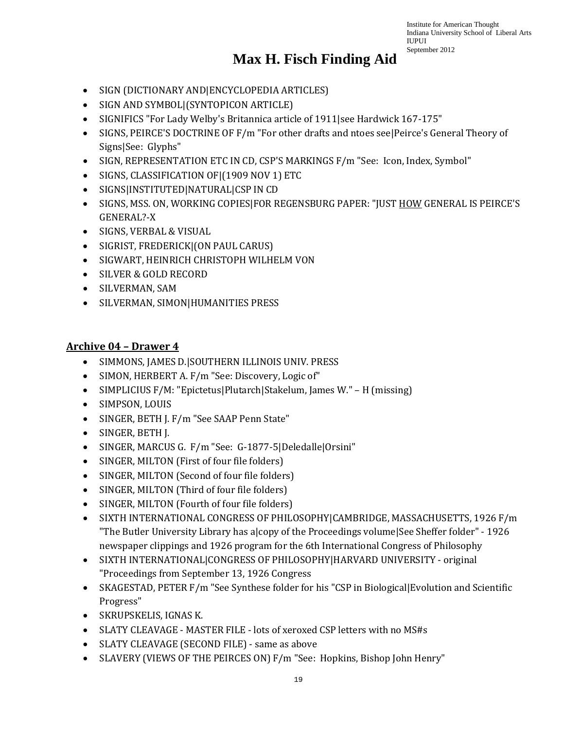### **Max H. Fisch Finding Aid**

- SIGN (DICTIONARY AND|ENCYCLOPEDIA ARTICLES)
- SIGN AND SYMBOL|(SYNTOPICON ARTICLE)
- SIGNIFICS "For Lady Welby's Britannica article of 1911 | see Hardwick 167-175"
- SIGNS, PEIRCE'S DOCTRINE OF F/m "For other drafts and ntoes see | Peirce's General Theory of Signs|See: Glyphs"
- SIGN, REPRESENTATION ETC IN CD, CSP'S MARKINGS F/m "See: Icon, Index, Symbol"
- SIGNS, CLASSIFICATION OF|(1909 NOV 1) ETC
- SIGNS|INSTITUTED|NATURAL|CSP IN CD
- SIGNS, MSS. ON, WORKING COPIES|FOR REGENSBURG PAPER: "JUST HOW GENERAL IS PEIRCE'S GENERAL?-X
- SIGNS, VERBAL & VISUAL
- SIGRIST, FREDERICK|(ON PAUL CARUS)
- SIGWART, HEINRICH CHRISTOPH WILHELM VON
- SILVER & GOLD RECORD
- SILVERMAN, SAM
- SILVERMAN, SIMON|HUMANITIES PRESS

#### **Archive 04 – Drawer 4**

- SIMMONS, JAMES D.|SOUTHERN ILLINOIS UNIV. PRESS
- SIMON, HERBERT A. F/m "See: Discovery, Logic of"
- SIMPLICIUS F/M: "Epictetus|Plutarch|Stakelum, James W." H (missing)
- SIMPSON, LOUIS
- SINGER, BETH J. F/m "See SAAP Penn State"
- SINGER, BETH J.
- SINGER, MARCUS G. F/m "See: G-1877-5|Deledalle|Orsini"
- SINGER, MILTON (First of four file folders)
- SINGER, MILTON (Second of four file folders)
- SINGER, MILTON (Third of four file folders)
- SINGER, MILTON (Fourth of four file folders)
- SIXTH INTERNATIONAL CONGRESS OF PHILOSOPHY|CAMBRIDGE, MASSACHUSETTS, 1926 F/m "The Butler University Library has a|copy of the Proceedings volume|See Sheffer folder" - 1926 newspaper clippings and 1926 program for the 6th International Congress of Philosophy
- SIXTH INTERNATIONAL|CONGRESS OF PHILOSOPHY|HARVARD UNIVERSITY original "Proceedings from September 13, 1926 Congress
- SKAGESTAD, PETER F/m "See Synthese folder for his "CSP in Biological|Evolution and Scientific Progress"
- SKRUPSKELIS, IGNAS K.
- SLATY CLEAVAGE MASTER FILE lots of xeroxed CSP letters with no MS#s
- SLATY CLEAVAGE (SECOND FILE) same as above
- SLAVERY (VIEWS OF THE PEIRCES ON) F/m "See: Hopkins, Bishop John Henry"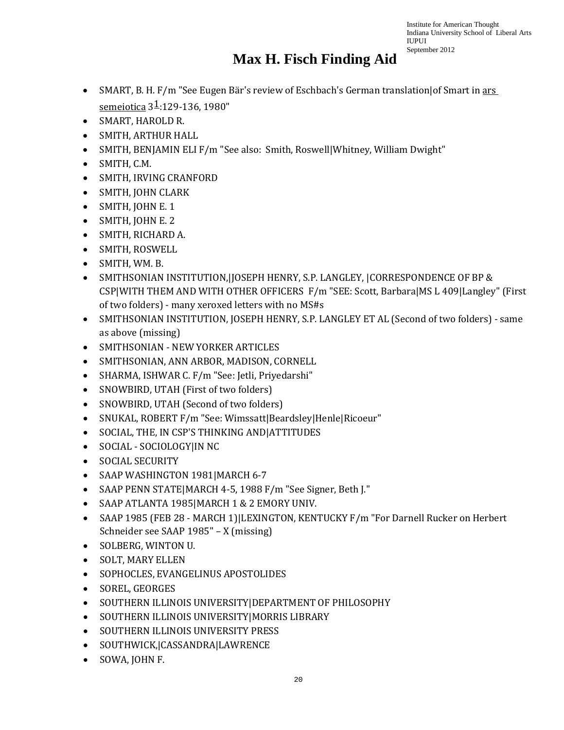- SMART, B. H. F/m "See Eugen Bär's review of Eschbach's German translation|of Smart in ars semeiotica  $3\frac{1}{2}$ :129-136, 1980"
- SMART, HAROLD R.
- SMITH, ARTHUR HALL
- SMITH, BENJAMIN ELI F/m "See also: Smith, Roswell Whitney, William Dwight"
- SMITH, C.M.
- SMITH, IRVING CRANFORD
- SMITH, JOHN CLARK
- SMITH, JOHN E. 1
- SMITH, JOHN E. 2
- SMITH, RICHARD A.
- SMITH, ROSWELL
- SMITH, WM. B.
- SMITHSONIAN INSTITUTION,|JOSEPH HENRY, S.P. LANGLEY, |CORRESPONDENCE OF BP & CSP|WITH THEM AND WITH OTHER OFFICERS F/m "SEE: Scott, Barbara|MS L 409|Langley" (First of two folders) - many xeroxed letters with no MS#s
- SMITHSONIAN INSTITUTION, JOSEPH HENRY, S.P. LANGLEY ET AL (Second of two folders) same as above (missing)
- SMITHSONIAN NEW YORKER ARTICLES
- SMITHSONIAN, ANN ARBOR, MADISON, CORNELL
- SHARMA, ISHWAR C. F/m "See: Jetli, Priyedarshi"
- SNOWBIRD, UTAH (First of two folders)
- SNOWBIRD, UTAH (Second of two folders)
- SNUKAL, ROBERT F/m "See: Wimssatt|Beardsley|Henle|Ricoeur"
- SOCIAL, THE, IN CSP'S THINKING AND|ATTITUDES
- SOCIAL SOCIOLOGY|IN NC
- SOCIAL SECURITY
- SAAP WASHINGTON 1981 | MARCH 6-7
- SAAP PENN STATE|MARCH 4-5, 1988 F/m "See Signer, Beth J."
- SAAP ATLANTA 1985|MARCH 1 & 2 EMORY UNIV.
- SAAP 1985 (FEB 28 MARCH 1) LEXINGTON, KENTUCKY F/m "For Darnell Rucker on Herbert Schneider see SAAP 1985" – X (missing)
- SOLBERG, WINTON U.
- SOLT, MARY ELLEN
- SOPHOCLES, EVANGELINUS APOSTOLIDES
- SOREL, GEORGES
- SOUTHERN ILLINOIS UNIVERSITY|DEPARTMENT OF PHILOSOPHY
- SOUTHERN ILLINOIS UNIVERSITY|MORRIS LIBRARY
- SOUTHERN ILLINOIS UNIVERSITY PRESS
- SOUTHWICK,|CASSANDRA|LAWRENCE
- SOWA, JOHN F.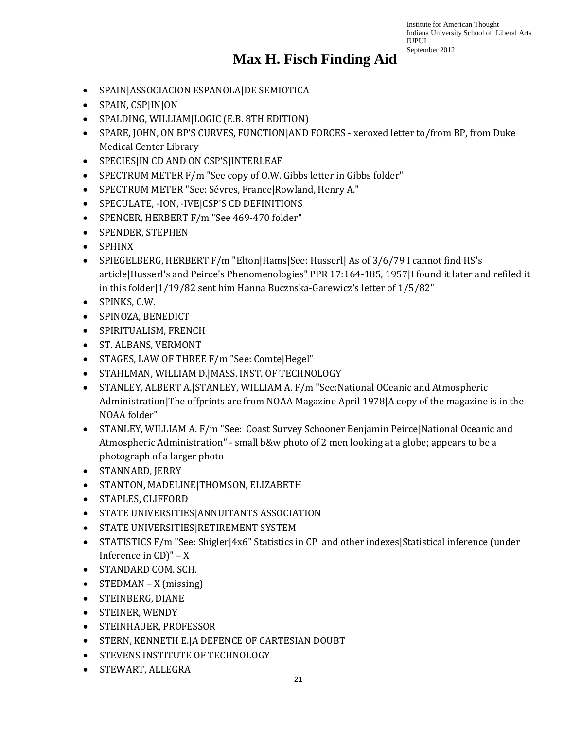- SPAIN|ASSOCIACION ESPANOLA|DE SEMIOTICA
- SPAIN, CSP|IN|ON
- SPALDING, WILLIAM|LOGIC (E.B. 8TH EDITION)
- SPARE, JOHN, ON BP'S CURVES, FUNCTION|AND FORCES xeroxed letter to/from BP, from Duke Medical Center Library
- SPECIES|IN CD AND ON CSP'S|INTERLEAF
- SPECTRUM METER F/m "See copy of O.W. Gibbs letter in Gibbs folder"
- SPECTRUM METER "See: Sévres, France|Rowland, Henry A."
- SPECULATE, -ION, -IVE|CSP'S CD DEFINITIONS
- SPENCER, HERBERT F/m "See 469-470 folder"
- SPENDER, STEPHEN
- SPHINX
- SPIEGELBERG, HERBERT F/m "Elton|Hams|See: Husserl| As of 3/6/79 I cannot find HS's article|Husserl's and Peirce's Phenomenologies" PPR 17:164-185, 1957|I found it later and refiled it in this folder|1/19/82 sent him Hanna Bucznska-Garewicz's letter of 1/5/82"
- SPINKS, C.W.
- SPINOZA, BENEDICT
- SPIRITUALISM, FRENCH
- ST. ALBANS, VERMONT
- STAGES, LAW OF THREE F/m "See: Comte|Hegel"
- STAHLMAN, WILLIAM D.|MASS. INST. OF TECHNOLOGY
- STANLEY, ALBERT A.|STANLEY, WILLIAM A. F/m "See:National OCeanic and Atmospheric Administration|The offprints are from NOAA Magazine April 1978|A copy of the magazine is in the NOAA folder"
- STANLEY, WILLIAM A. F/m "See: Coast Survey Schooner Benjamin Peirce|National Oceanic and Atmospheric Administration" - small b&w photo of 2 men looking at a globe; appears to be a photograph of a larger photo
- STANNARD, JERRY
- STANTON, MADELINE|THOMSON, ELIZABETH
- STAPLES, CLIFFORD
- STATE UNIVERSITIES|ANNUITANTS ASSOCIATION
- STATE UNIVERSITIES|RETIREMENT SYSTEM
- STATISTICS F/m "See: Shigler|4x6" Statistics in CP and other indexes|Statistical inference (under Inference in CD)" – X
- STANDARD COM. SCH.
- STEDMAN  $X$  (missing)
- STEINBERG, DIANE
- STEINER, WENDY
- STEINHAUER, PROFESSOR
- STERN, KENNETH E.|A DEFENCE OF CARTESIAN DOUBT
- STEVENS INSTITUTE OF TECHNOLOGY
- STEWART, ALLEGRA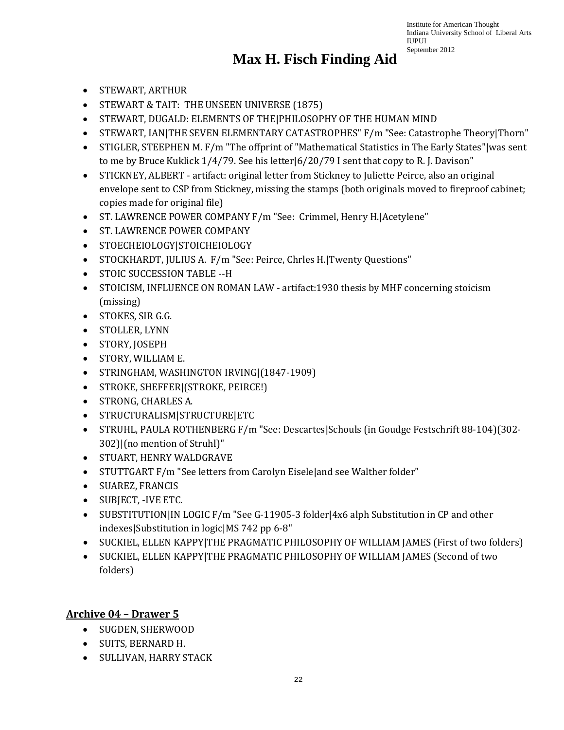#### **Max H. Fisch Finding Aid**

- STEWART, ARTHUR
- STEWART & TAIT: THE UNSEEN UNIVERSE (1875)
- STEWART, DUGALD: ELEMENTS OF THE|PHILOSOPHY OF THE HUMAN MIND
- STEWART, IAN|THE SEVEN ELEMENTARY CATASTROPHES" F/m "See: Catastrophe Theory|Thorn"
- STIGLER, STEEPHEN M. F/m "The offprint of "Mathematical Statistics in The Early States"|was sent to me by Bruce Kuklick 1/4/79. See his letter|6/20/79 I sent that copy to R. J. Davison"
- STICKNEY, ALBERT artifact: original letter from Stickney to Juliette Peirce, also an original envelope sent to CSP from Stickney, missing the stamps (both originals moved to fireproof cabinet; copies made for original file)
- ST. LAWRENCE POWER COMPANY F/m "See: Crimmel, Henry H.|Acetylene"
- ST. LAWRENCE POWER COMPANY
- STOECHEIOLOGY|STOICHEIOLOGY
- STOCKHARDT, JULIUS A. F/m "See: Peirce, Chrles H.|Twenty Questions"
- STOIC SUCCESSION TABLE --H
- STOICISM, INFLUENCE ON ROMAN LAW artifact: 1930 thesis by MHF concerning stoicism (missing)
- STOKES, SIR G.G.
- STOLLER, LYNN
- STORY, JOSEPH
- STORY, WILLIAM E.
- STRINGHAM, WASHINGTON IRVING|(1847-1909)
- STROKE, SHEFFER|(STROKE, PEIRCE!)
- STRONG, CHARLES A.
- STRUCTURALISM|STRUCTURE|ETC
- STRUHL, PAULA ROTHENBERG F/m "See: Descartes|Schouls (in Goudge Festschrift 88-104)(302- 302)|(no mention of Struhl)"
- STUART, HENRY WALDGRAVE
- STUTTGART F/m "See letters from Carolyn Eisele|and see Walther folder"
- SUAREZ, FRANCIS
- SUBJECT, -IVE ETC.
- SUBSTITUTION|IN LOGIC F/m "See G-11905-3 folder|4x6 alph Substitution in CP and other indexes|Substitution in logic|MS 742 pp 6-8"
- SUCKIEL, ELLEN KAPPY|THE PRAGMATIC PHILOSOPHY OF WILLIAM JAMES (First of two folders)
- SUCKIEL, ELLEN KAPPY|THE PRAGMATIC PHILOSOPHY OF WILLIAM JAMES (Second of two folders)

#### **Archive 04 – Drawer 5**

- SUGDEN, SHERWOOD
- SUITS, BERNARD H.
- SULLIVAN, HARRY STACK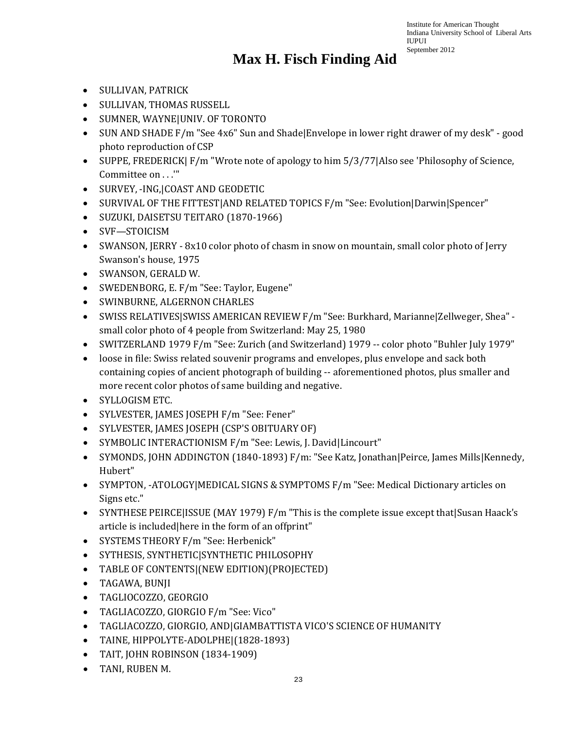- SULLIVAN, PATRICK
- SULLIVAN, THOMAS RUSSELL
- SUMNER, WAYNE|UNIV. OF TORONTO
- SUN AND SHADE F/m "See 4x6" Sun and Shade Envelope in lower right drawer of my desk" good photo reproduction of CSP
- SUPPE, FREDERICK | F/m "Wrote note of apology to him 5/3/77 | Also see 'Philosophy of Science, Committee on . . .'"
- SURVEY, -ING,|COAST AND GEODETIC
- SURVIVAL OF THE FITTEST|AND RELATED TOPICS F/m "See: Evolution|Darwin|Spencer"
- SUZUKI, DAISETSU TEITARO (1870-1966)
- SVF—STOICISM
- SWANSON, JERRY 8x10 color photo of chasm in snow on mountain, small color photo of Jerry Swanson's house, 1975
- SWANSON, GERALD W.
- SWEDENBORG, E. F/m "See: Taylor, Eugene"
- SWINBURNE, ALGERNON CHARLES
- SWISS RELATIVES|SWISS AMERICAN REVIEW F/m "See: Burkhard, Marianne|Zellweger, Shea" small color photo of 4 people from Switzerland: May 25, 1980
- SWITZERLAND 1979 F/m "See: Zurich (and Switzerland) 1979 -- color photo "Buhler July 1979"
- loose in file: Swiss related souvenir programs and envelopes, plus envelope and sack both containing copies of ancient photograph of building -- aforementioned photos, plus smaller and more recent color photos of same building and negative.
- SYLLOGISM ETC.
- SYLVESTER, JAMES JOSEPH F/m "See: Fener"
- SYLVESTER, JAMES JOSEPH (CSP'S OBITUARY OF)
- SYMBOLIC INTERACTIONISM F/m "See: Lewis, J. David|Lincourt"
- SYMONDS, JOHN ADDINGTON (1840-1893) F/m: "See Katz, Jonathan|Peirce, James Mills|Kennedy, Hubert"
- SYMPTON, -ATOLOGY|MEDICAL SIGNS & SYMPTOMS F/m "See: Medical Dictionary articles on Signs etc."
- SYNTHESE PEIRCE|ISSUE (MAY 1979) F/m "This is the complete issue except that|Susan Haack's article is included|here in the form of an offprint"
- SYSTEMS THEORY F/m "See: Herbenick"
- SYTHESIS, SYNTHETIC|SYNTHETIC PHILOSOPHY
- TABLE OF CONTENTS|(NEW EDITION)(PROJECTED)
- TAGAWA, BUNJI
- TAGLIOCOZZO, GEORGIO
- TAGLIACOZZO, GIORGIO F/m "See: Vico"
- TAGLIACOZZO, GIORGIO, AND|GIAMBATTISTA VICO'S SCIENCE OF HUMANITY
- TAINE, HIPPOLYTE-ADOLPHE|(1828-1893)
- TAIT, JOHN ROBINSON (1834-1909)
- TANI, RUBEN M.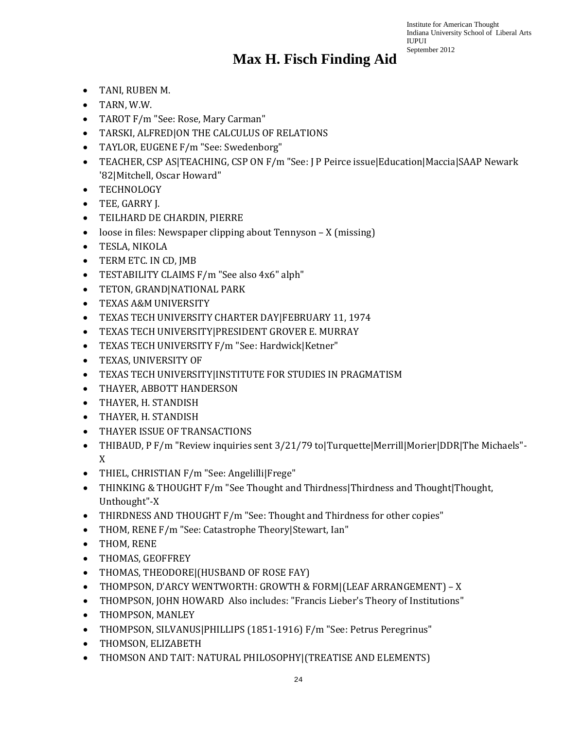- TANI, RUBEN M.
- TARN, W.W.
- TAROT F/m "See: Rose, Mary Carman"
- TARSKI, ALFRED|ON THE CALCULUS OF RELATIONS
- TAYLOR, EUGENE F/m "See: Swedenborg"
- TEACHER, CSP AS|TEACHING, CSP ON F/m "See: J P Peirce issue|Education|Maccia|SAAP Newark '82|Mitchell, Oscar Howard"
- TECHNOLOGY
- TEE, GARRY J.
- TEILHARD DE CHARDIN, PIERRE
- loose in files: Newspaper clipping about Tennyson X (missing)
- TESLA, NIKOLA
- TERM ETC. IN CD, JMB
- TESTABILITY CLAIMS F/m "See also 4x6" alph"
- TETON, GRAND|NATIONAL PARK
- TEXAS A&M UNIVERSITY
- TEXAS TECH UNIVERSITY CHARTER DAY|FEBRUARY 11, 1974
- TEXAS TECH UNIVERSITY|PRESIDENT GROVER E. MURRAY
- TEXAS TECH UNIVERSITY F/m "See: Hardwick|Ketner"
- TEXAS, UNIVERSITY OF
- TEXAS TECH UNIVERSITY|INSTITUTE FOR STUDIES IN PRAGMATISM
- THAYER, ABBOTT HANDERSON
- THAYER, H. STANDISH
- THAYER, H. STANDISH
- THAYER ISSUE OF TRANSACTIONS
- THIBAUD, P F/m "Review inquiries sent 3/21/79 to|Turquette|Merrill|Morier|DDR|The Michaels"- X
- THIEL, CHRISTIAN F/m "See: Angelilli|Frege"
- THINKING & THOUGHT F/m "See Thought and Thirdness | Thirdness and Thought | Thought, Unthought"-X
- THIRDNESS AND THOUGHT F/m "See: Thought and Thirdness for other copies"
- THOM, RENE F/m "See: Catastrophe Theory|Stewart, Ian"
- THOM, RENE
- THOMAS, GEOFFREY
- THOMAS, THEODORE|(HUSBAND OF ROSE FAY)
- THOMPSON, D'ARCY WENTWORTH: GROWTH & FORM|(LEAF ARRANGEMENT) X
- THOMPSON, JOHN HOWARD Also includes: "Francis Lieber's Theory of Institutions"
- THOMPSON, MANLEY
- THOMPSON, SILVANUS|PHILLIPS (1851-1916) F/m "See: Petrus Peregrinus"
- THOMSON, ELIZABETH
- THOMSON AND TAIT: NATURAL PHILOSOPHY|(TREATISE AND ELEMENTS)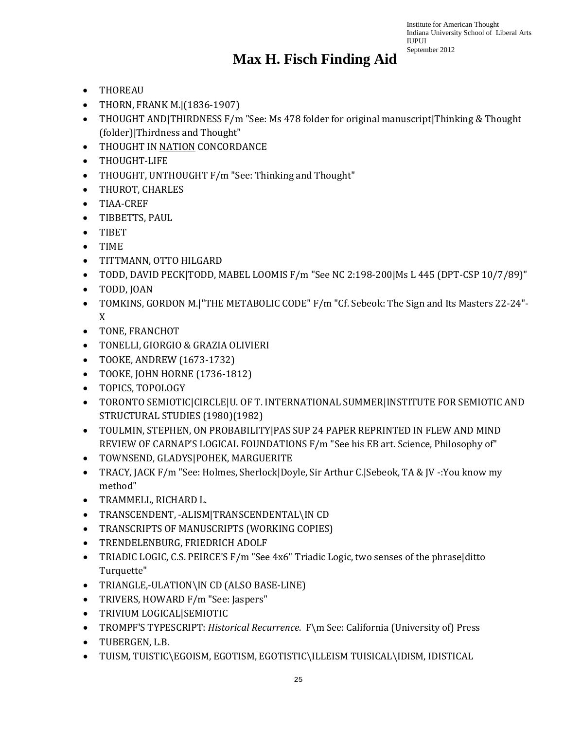- THOREAU
- THORN, FRANK M.|(1836-1907)
- THOUGHT AND THIRDNESS F/m "See: Ms 478 folder for original manuscript Thinking & Thought (folder)|Thirdness and Thought"
- THOUGHT IN NATION CONCORDANCE
- THOUGHT-LIFE
- THOUGHT, UNTHOUGHT F/m "See: Thinking and Thought"
- THUROT, CHARLES
- TIAA-CREF
- TIBBETTS, PAUL
- TIBET
- TIME
- TITTMANN, OTTO HILGARD
- TODD, DAVID PECK|TODD, MABEL LOOMIS F/m "See NC 2:198-200|Ms L 445 (DPT-CSP 10/7/89)"
- TODD, JOAN
- TOMKINS, GORDON M.|"THE METABOLIC CODE" F/m "Cf. Sebeok: The Sign and Its Masters 22-24"- X
- TONE, FRANCHOT
- TONELLI, GIORGIO & GRAZIA OLIVIERI
- TOOKE, ANDREW (1673-1732)
- TOOKE, JOHN HORNE (1736-1812)
- TOPICS, TOPOLOGY
- TORONTO SEMIOTIC|CIRCLE|U. OF T. INTERNATIONAL SUMMER|INSTITUTE FOR SEMIOTIC AND STRUCTURAL STUDIES (1980)(1982)
- TOULMIN, STEPHEN, ON PROBABILITY|PAS SUP 24 PAPER REPRINTED IN FLEW AND MIND REVIEW OF CARNAP'S LOGICAL FOUNDATIONS F/m "See his EB art. Science, Philosophy of"
- TOWNSEND, GLADYS|POHEK, MARGUERITE
- TRACY, JACK F/m "See: Holmes, Sherlock|Doyle, Sir Arthur C.|Sebeok, TA & JV -:You know my method"
- TRAMMELL, RICHARD L.
- TRANSCENDENT, -ALISM|TRANSCENDENTAL\IN CD
- TRANSCRIPTS OF MANUSCRIPTS (WORKING COPIES)
- TRENDELENBURG, FRIEDRICH ADOLF
- TRIADIC LOGIC, C.S. PEIRCE'S F/m "See 4x6" Triadic Logic, two senses of the phrase|ditto Turquette"
- TRIANGLE,-ULATION\IN CD (ALSO BASE-LINE)
- TRIVERS, HOWARD F/m "See: Jaspers"
- TRIVIUM LOGICAL|SEMIOTIC
- TROMPF'S TYPESCRIPT: *Historical Recurrence*. F\m See: California (University of) Press
- TUBERGEN, L.B.
- TUISM, TUISTIC\EGOISM, EGOTISM, EGOTISTIC\ILLEISM TUISICAL\IDISM, IDISTICAL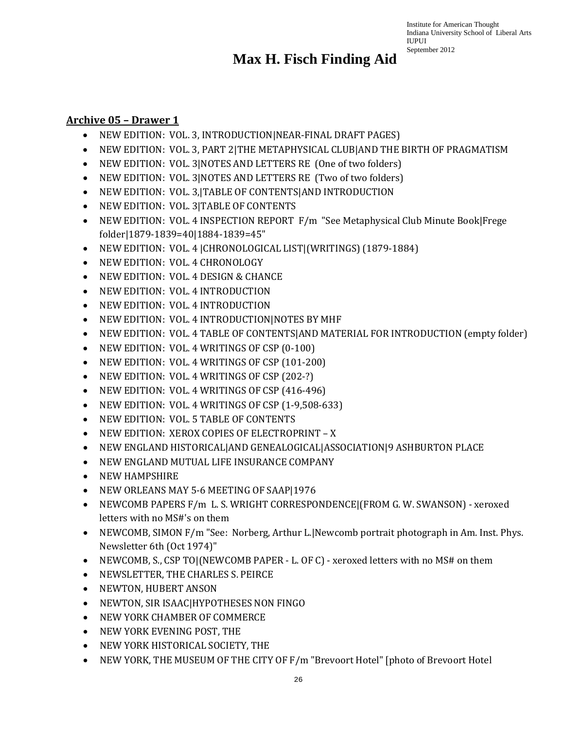### **Max H. Fisch Finding Aid**

#### **Archive 05 – Drawer 1**

- NEW EDITION: VOL. 3, INTRODUCTION|NEAR-FINAL DRAFT PAGES)
- NEW EDITION: VOL. 3, PART 2|THE METAPHYSICAL CLUB|AND THE BIRTH OF PRAGMATISM
- NEW EDITION: VOL. 3|NOTES AND LETTERS RE (One of two folders)
- NEW EDITION: VOL. 3|NOTES AND LETTERS RE (Two of two folders)
- NEW EDITION: VOL. 3,|TABLE OF CONTENTS|AND INTRODUCTION
- NEW EDITION: VOL. 3|TABLE OF CONTENTS
- NEW EDITION: VOL. 4 INSPECTION REPORT F/m "See Metaphysical Club Minute Book|Frege folder|1879-1839=40|1884-1839=45"
- NEW EDITION: VOL. 4 |CHRONOLOGICAL LIST|(WRITINGS) (1879-1884)
- NEW EDITION: VOL. 4 CHRONOLOGY
- NEW EDITION: VOL. 4 DESIGN & CHANCE
- NEW EDITION: VOL. 4 INTRODUCTION
- NEW EDITION: VOL. 4 INTRODUCTION
- NEW EDITION: VOL. 4 INTRODUCTION|NOTES BY MHF
- NEW EDITION: VOL. 4 TABLE OF CONTENTS|AND MATERIAL FOR INTRODUCTION (empty folder)
- NEW EDITION: VOL. 4 WRITINGS OF CSP (0-100)
- NEW EDITION: VOL. 4 WRITINGS OF CSP (101-200)
- NEW EDITION: VOL. 4 WRITINGS OF CSP (202-?)
- NEW EDITION: VOL. 4 WRITINGS OF CSP (416-496)
- NEW EDITION: VOL. 4 WRITINGS OF CSP (1-9,508-633)
- NEW EDITION: VOL. 5 TABLE OF CONTENTS
- NEW EDITION: XEROX COPIES OF ELECTROPRINT X
- NEW ENGLAND HISTORICAL|AND GENEALOGICAL|ASSOCIATION|9 ASHBURTON PLACE
- NEW ENGLAND MUTUAL LIFE INSURANCE COMPANY
- NEW HAMPSHIRE
- NEW ORLEANS MAY 5-6 MEETING OF SAAP|1976
- NEWCOMB PAPERS F/m L. S. WRIGHT CORRESPONDENCE|(FROM G. W. SWANSON) xeroxed letters with no MS#'s on them
- NEWCOMB, SIMON F/m "See: Norberg, Arthur L. Newcomb portrait photograph in Am. Inst. Phys. Newsletter 6th (Oct 1974)"
- NEWCOMB, S., CSP TO [(NEWCOMB PAPER L. OF C) xeroxed letters with no MS# on them
- NEWSLETTER, THE CHARLES S. PEIRCE
- NEWTON, HUBERT ANSON
- NEWTON, SIR ISAAC|HYPOTHESES NON FINGO
- NEW YORK CHAMBER OF COMMERCE
- NEW YORK EVENING POST, THE
- NEW YORK HISTORICAL SOCIETY, THE
- NEW YORK, THE MUSEUM OF THE CITY OF F/m "Brevoort Hotel" [photo of Brevoort Hotel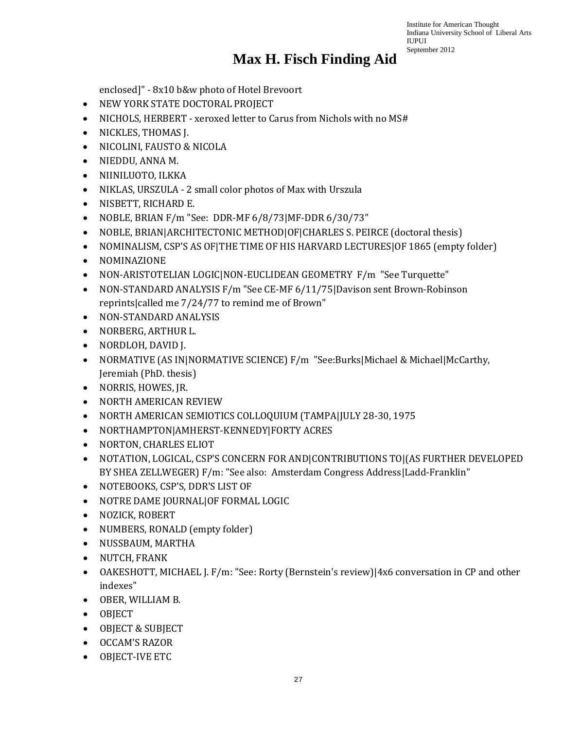## **Max H. Fisch Finding Aid**

enclosed]" - 8x10 b&w photo of Hotel Brevoort

- NEW YORK STATE DOCTORAL PROJECT
- NICHOLS, HERBERT xeroxed letter to Carus from Nichols with no MS#
- NICKLES, THOMAS J.
- NICOLINI, FAUSTO & NICOLA
- NIEDDU, ANNA M.
- NIINILUOTO, ILKKA
- NIKLAS, URSZULA 2 small color photos of Max with Urszula
- NISBETT, RICHARD E.
- NOBLE, BRIAN F/m "See: DDR-MF 6/8/73|MF-DDR 6/30/73"
- NOBLE, BRIAN|ARCHITECTONIC METHOD|OF|CHARLES S. PEIRCE (doctoral thesis)
- NOMINALISM, CSP'S AS OF|THE TIME OF HIS HARVARD LECTURES|OF 1865 (empty folder)
- NOMINAZIONE
- NON-ARISTOTELIAN LOGIC|NON-EUCLIDEAN GEOMETRY F/m "See Turquette"
- NON-STANDARD ANALYSIS F/m "See CE-MF 6/11/75|Davison sent Brown-Robinson reprints|called me 7/24/77 to remind me of Brown"
- NON-STANDARD ANALYSIS
- NORBERG, ARTHUR L.
- NORDLOH, DAVID J.
- NORMATIVE (AS IN|NORMATIVE SCIENCE) F/m "See:Burks|Michael & Michael|McCarthy, Jeremiah (PhD. thesis)
- NORRIS, HOWES, JR.
- NORTH AMERICAN REVIEW
- NORTH AMERICAN SEMIOTICS COLLOQUIUM (TAMPA|JULY 28-30, 1975
- NORTHAMPTON|AMHERST-KENNEDY|FORTY ACRES
- NORTON, CHARLES ELIOT
- NOTATION, LOGICAL, CSP'S CONCERN FOR AND|CONTRIBUTIONS TO|(AS FURTHER DEVELOPED BY SHEA ZELLWEGER) F/m: "See also: Amsterdam Congress Address|Ladd-Franklin"
- NOTEBOOKS, CSP'S, DDR'S LIST OF
- NOTRE DAME JOURNAL|OF FORMAL LOGIC
- NOZICK, ROBERT
- NUMBERS, RONALD (empty folder)
- NUSSBAUM, MARTHA
- NUTCH, FRANK
- OAKESHOTT, MICHAEL J. F/m: "See: Rorty (Bernstein's review)|4x6 conversation in CP and other indexes"
- OBER, WILLIAM B.
- OBJECT
- OBJECT & SUBJECT
- OCCAM'S RAZOR
- OBJECT-IVE ETC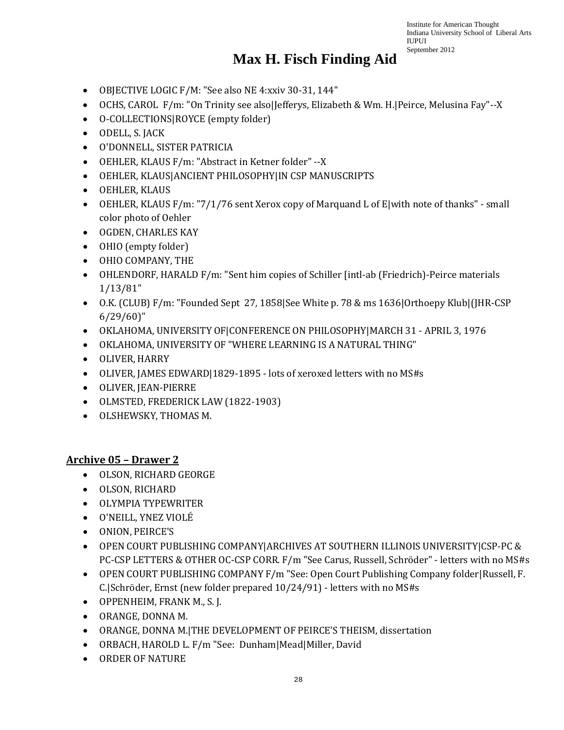#### **Max H. Fisch Finding Aid**

- OBJECTIVE LOGIC F/M: "See also NE 4:xxiv 30-31, 144"
- OCHS, CAROL F/m: "On Trinity see also|Jefferys, Elizabeth & Wm. H.|Peirce, Melusina Fay"--X
- O-COLLECTIONS|ROYCE (empty folder)
- ODELL, S. JACK
- O'DONNELL, SISTER PATRICIA
- OEHLER, KLAUS F/m: "Abstract in Ketner folder" --X
- OEHLER, KLAUS|ANCIENT PHILOSOPHY|IN CSP MANUSCRIPTS
- OEHLER, KLAUS
- OEHLER, KLAUS F/m: "7/1/76 sent Xerox copy of Marquand L of E|with note of thanks" small color photo of Oehler
- OGDEN, CHARLES KAY
- OHIO (empty folder)
- OHIO COMPANY, THE
- OHLENDORF, HARALD F/m: "Sent him copies of Schiller [intl-ab (Friedrich)-Peirce materials 1/13/81"
- O.K. (CLUB) F/m: "Founded Sept 27, 1858|See White p. 78 & ms 1636|Orthoepy Klub|(JHR-CSP 6/29/60)"
- OKLAHOMA, UNIVERSITY OF|CONFERENCE ON PHILOSOPHY|MARCH 31 APRIL 3, 1976
- OKLAHOMA, UNIVERSITY OF "WHERE LEARNING IS A NATURAL THING"
- OLIVER, HARRY
- OLIVER, JAMES EDWARD|1829-1895 lots of xeroxed letters with no MS#s
- OLIVER, JEAN-PIERRE
- OLMSTED, FREDERICK LAW (1822-1903)
- OLSHEWSKY, THOMAS M.

#### **Archive 05 – Drawer 2**

- OLSON, RICHARD GEORGE
- OLSON, RICHARD
- OLYMPIA TYPEWRITER
- O'NEILL, YNEZ VIOLÉ
- ONION, PEIRCE'S
- OPEN COURT PUBLISHING COMPANY|ARCHIVES AT SOUTHERN ILLINOIS UNIVERSITY|CSP-PC & PC-CSP LETTERS & OTHER OC-CSP CORR. F/m "See Carus, Russell, Schröder" - letters with no MS#s
- OPEN COURT PUBLISHING COMPANY F/m "See: Open Court Publishing Company folder|Russell, F. C.|Schröder, Ernst (new folder prepared 10/24/91) - letters with no MS#s
- OPPENHEIM, FRANK M., S. J.
- ORANGE, DONNA M.
- ORANGE, DONNA M.|THE DEVELOPMENT OF PEIRCE'S THEISM, dissertation
- ORBACH, HAROLD L. F/m "See: Dunham|Mead|Miller, David
- ORDER OF NATURE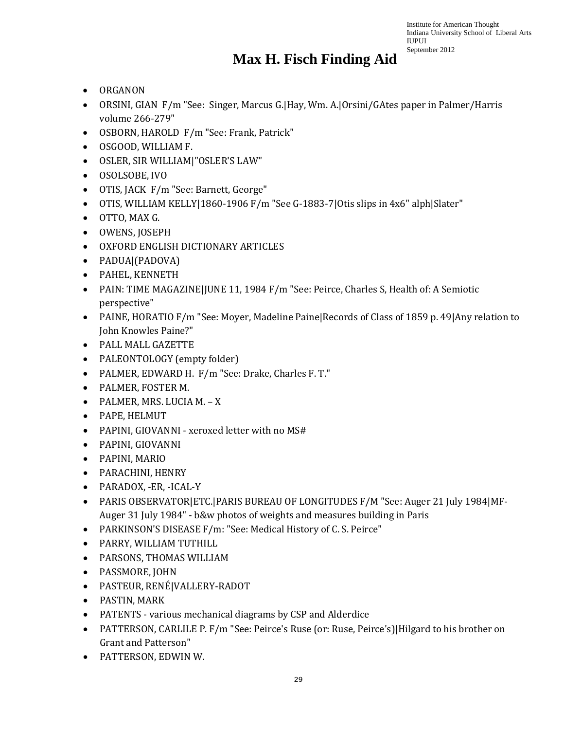- ORGANON
- ORSINI, GIAN F/m "See: Singer, Marcus G.|Hay, Wm. A.|Orsini/GAtes paper in Palmer/Harris volume 266-279"
- OSBORN, HAROLD F/m "See: Frank, Patrick"
- OSGOOD, WILLIAM F.
- OSLER, SIR WILLIAM|"OSLER'S LAW"
- OSOLSOBE, IVO
- OTIS, JACK F/m "See: Barnett, George"
- OTIS, WILLIAM KELLY|1860-1906 F/m "See G-1883-7|Otis slips in 4x6" alph|Slater"
- OTTO, MAX G.
- OWENS, JOSEPH
- OXFORD ENGLISH DICTIONARY ARTICLES
- PADUA|(PADOVA)
- PAHEL, KENNETH
- PAIN: TIME MAGAZINE|JUNE 11, 1984 F/m "See: Peirce, Charles S, Health of: A Semiotic perspective"
- PAINE, HORATIO F/m "See: Moyer, Madeline Paine|Records of Class of 1859 p. 49|Any relation to John Knowles Paine?"
- PALL MALL GAZETTE
- PALEONTOLOGY (empty folder)
- PALMER, EDWARD H. F/m "See: Drake, Charles F. T."
- PALMER, FOSTER M.
- PALMER, MRS. LUCIA M. X
- PAPE, HELMUT
- PAPINI, GIOVANNI xeroxed letter with no MS#
- PAPINI, GIOVANNI
- PAPINI, MARIO
- PARACHINI, HENRY
- PARADOX, -ER, -ICAL-Y
- PARIS OBSERVATOR|ETC.|PARIS BUREAU OF LONGITUDES F/M "See: Auger 21 July 1984|MF-Auger 31 July 1984" - b&w photos of weights and measures building in Paris
- PARKINSON'S DISEASE F/m: "See: Medical History of C. S. Peirce"
- PARRY, WILLIAM TUTHILL
- PARSONS, THOMAS WILLIAM
- PASSMORE, JOHN
- PASTEUR, RENÉ|VALLERY-RADOT
- PASTIN, MARK
- PATENTS various mechanical diagrams by CSP and Alderdice
- PATTERSON, CARLILE P. F/m "See: Peirce's Ruse (or: Ruse, Peirce's) | Hilgard to his brother on Grant and Patterson"
- PATTERSON, EDWIN W.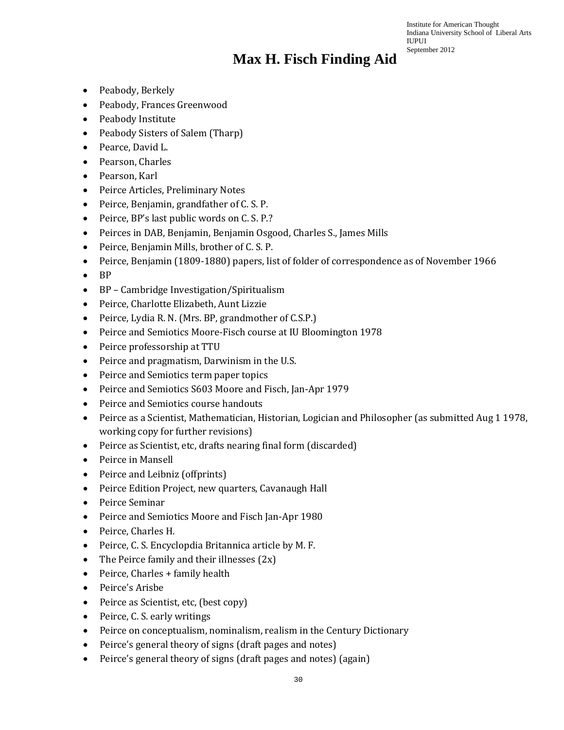- Peabody, Berkely
- Peabody, Frances Greenwood
- Peabody Institute
- Peabody Sisters of Salem (Tharp)
- Pearce, David L.
- Pearson, Charles
- Pearson, Karl
- Peirce Articles, Preliminary Notes
- Peirce, Benjamin, grandfather of C. S. P.
- Peirce, BP's last public words on C. S. P.?
- Peirces in DAB, Benjamin, Benjamin Osgood, Charles S., James Mills
- Peirce, Benjamin Mills, brother of C. S. P.
- Peirce, Benjamin (1809-1880) papers, list of folder of correspondence as of November 1966
- BP
- BP Cambridge Investigation/Spiritualism
- Peirce, Charlotte Elizabeth, Aunt Lizzie
- Peirce, Lydia R. N. (Mrs. BP, grandmother of C.S.P.)
- Peirce and Semiotics Moore-Fisch course at IU Bloomington 1978
- Peirce professorship at TTU
- Peirce and pragmatism, Darwinism in the U.S.
- Peirce and Semiotics term paper topics
- Peirce and Semiotics S603 Moore and Fisch, Jan-Apr 1979
- Peirce and Semiotics course handouts
- Peirce as a Scientist, Mathematician, Historian, Logician and Philosopher (as submitted Aug 1 1978, working copy for further revisions)
- Peirce as Scientist, etc, drafts nearing final form (discarded)
- Peirce in Mansell
- Peirce and Leibniz (offprints)
- Peirce Edition Project, new quarters, Cavanaugh Hall
- Peirce Seminar
- Peirce and Semiotics Moore and Fisch Jan-Apr 1980
- Peirce, Charles H.
- Peirce, C. S. Encyclopdia Britannica article by M. F.
- The Peirce family and their illnesses  $(2x)$
- Peirce, Charles + family health
- Peirce's Arisbe
- Peirce as Scientist, etc, (best copy)
- Peirce, C. S. early writings
- Peirce on conceptualism, nominalism, realism in the Century Dictionary
- Peirce's general theory of signs (draft pages and notes)
- Peirce's general theory of signs (draft pages and notes) (again)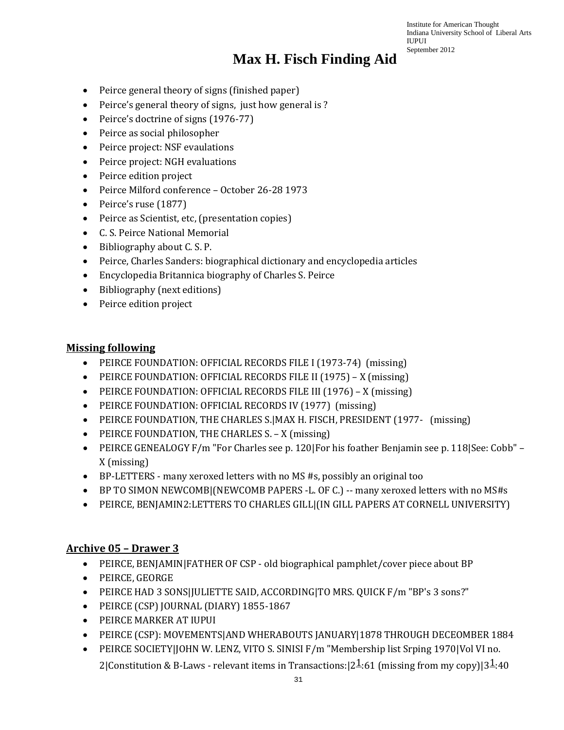### **Max H. Fisch Finding Aid**

- Peirce general theory of signs (finished paper)
- Peirce's general theory of signs, just how general is ?
- Peirce's doctrine of signs (1976-77)
- Peirce as social philosopher
- Peirce project: NSF evaulations
- Peirce project: NGH evaluations
- Peirce edition project
- Peirce Milford conference October 26-28 1973
- Peirce's ruse (1877)
- Peirce as Scientist, etc, (presentation copies)
- C. S. Peirce National Memorial
- Bibliography about C. S. P.
- Peirce, Charles Sanders: biographical dictionary and encyclopedia articles
- Encyclopedia Britannica biography of Charles S. Peirce
- Bibliography (next editions)
- Peirce edition project

#### **Missing following**

- PEIRCE FOUNDATION: OFFICIAL RECORDS FILE I (1973-74) (missing)
- PEIRCE FOUNDATION: OFFICIAL RECORDS FILE II (1975) X (missing)
- PEIRCE FOUNDATION: OFFICIAL RECORDS FILE III (1976) X (missing)
- PEIRCE FOUNDATION: OFFICIAL RECORDS IV (1977) (missing)
- PEIRCE FOUNDATION, THE CHARLES S.|MAX H. FISCH, PRESIDENT (1977- (missing)
- PEIRCE FOUNDATION, THE CHARLES S. X (missing)
- PEIRCE GENEALOGY F/m "For Charles see p. 120|For his foather Benjamin see p. 118|See: Cobb" X (missing)
- BP-LETTERS many xeroxed letters with no MS #s, possibly an original too
- BP TO SIMON NEWCOMB|(NEWCOMB PAPERS -L. OF C.) -- many xeroxed letters with no MS#s
- PEIRCE, BENJAMIN2:LETTERS TO CHARLES GILL|(IN GILL PAPERS AT CORNELL UNIVERSITY)

#### **Archive 05 – Drawer 3**

- PEIRCE, BENJAMIN|FATHER OF CSP old biographical pamphlet/cover piece about BP
- PEIRCE, GEORGE
- PEIRCE HAD 3 SONS|JULIETTE SAID, ACCORDING|TO MRS. QUICK F/m "BP's 3 sons?"
- PEIRCE (CSP) JOURNAL (DIARY) 1855-1867
- PEIRCE MARKER AT IUPUI
- PEIRCE (CSP): MOVEMENTS|AND WHERABOUTS JANUARY|1878 THROUGH DECEOMBER 1884
- PEIRCE SOCIETY|JOHN W. LENZ, VITO S. SINISI F/m "Membership list Srping 1970|Vol VI no. 2|Constitution & B-Laws - relevant items in Transactions:  $|2\frac{1}{61}$  (missing from my copy)|3<sup>1</sup>:40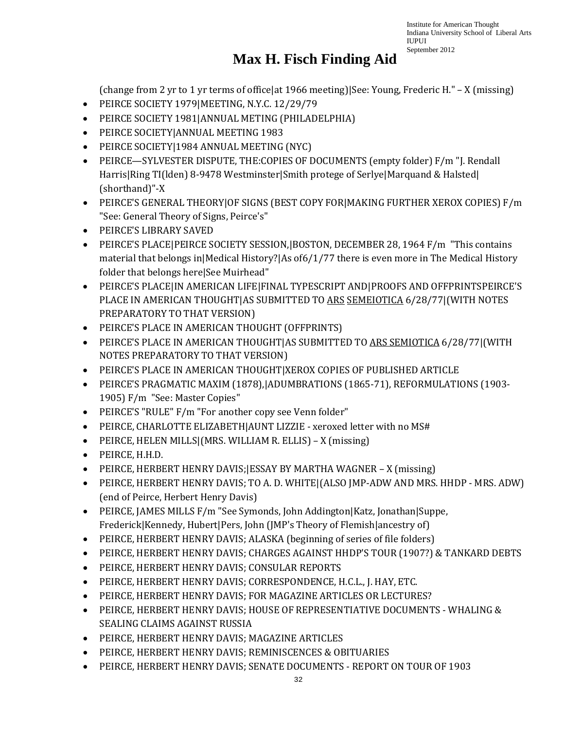### **Max H. Fisch Finding Aid**

(change from 2 yr to 1 yr terms of office|at 1966 meeting)|See: Young, Frederic H." – X (missing)

- PEIRCE SOCIETY 1979|MEETING, N.Y.C. 12/29/79
- PEIRCE SOCIETY 1981|ANNUAL METING (PHILADELPHIA)
- PEIRCE SOCIETY|ANNUAL MEETING 1983
- PEIRCE SOCIETY|1984 ANNUAL MEETING (NYC)
- PEIRCE—SYLVESTER DISPUTE, THE:COPIES OF DOCUMENTS (empty folder) F/m "J. Rendall Harris|Ring TI(lden) 8-9478 Westminster|Smith protege of Serlye|Marquand & Halsted| (shorthand)"-X
- PEIRCE'S GENERAL THEORY|OF SIGNS (BEST COPY FOR|MAKING FURTHER XEROX COPIES) F/m "See: General Theory of Signs, Peirce's"
- PEIRCE'S LIBRARY SAVED
- PEIRCE'S PLACE|PEIRCE SOCIETY SESSION,|BOSTON, DECEMBER 28, 1964 F/m "This contains material that belongs in|Medical History?|As of6/1/77 there is even more in The Medical History folder that belongs here|See Muirhead"
- PEIRCE'S PLACE|IN AMERICAN LIFE|FINAL TYPESCRIPT AND|PROOFS AND OFFPRINTSPEIRCE'S PLACE IN AMERICAN THOUGHT|AS SUBMITTED TO ARS SEMEIOTICA 6/28/77|(WITH NOTES PREPARATORY TO THAT VERSION)
- PEIRCE'S PLACE IN AMERICAN THOUGHT (OFFPRINTS)
- PEIRCE'S PLACE IN AMERICAN THOUGHT|AS SUBMITTED TO ARS SEMIOTICA 6/28/77|(WITH NOTES PREPARATORY TO THAT VERSION)
- PEIRCE'S PLACE IN AMERICAN THOUGHT|XEROX COPIES OF PUBLISHED ARTICLE
- PEIRCE'S PRAGMATIC MAXIM (1878),|ADUMBRATIONS (1865-71), REFORMULATIONS (1903- 1905) F/m "See: Master Copies"
- PEIRCE'S "RULE" F/m "For another copy see Venn folder"
- PEIRCE, CHARLOTTE ELIZABETH|AUNT LIZZIE xeroxed letter with no MS#
- PEIRCE, HELEN MILLS|(MRS. WILLIAM R. ELLIS) X (missing)
- PEIRCE, H.H.D.
- PEIRCE, HERBERT HENRY DAVIS;|ESSAY BY MARTHA WAGNER X (missing)
- PEIRCE, HERBERT HENRY DAVIS; TO A. D. WHITE|(ALSO JMP-ADW AND MRS. HHDP MRS. ADW) (end of Peirce, Herbert Henry Davis)
- PEIRCE, JAMES MILLS F/m "See Symonds, John Addington|Katz, Jonathan|Suppe, Frederick|Kennedy, Hubert|Pers, John (JMP's Theory of Flemish|ancestry of)
- PEIRCE, HERBERT HENRY DAVIS; ALASKA (beginning of series of file folders)
- PEIRCE, HERBERT HENRY DAVIS; CHARGES AGAINST HHDP'S TOUR (1907?) & TANKARD DEBTS
- PEIRCE, HERBERT HENRY DAVIS; CONSULAR REPORTS
- PEIRCE, HERBERT HENRY DAVIS; CORRESPONDENCE, H.C.L., J. HAY, ETC.
- PEIRCE, HERBERT HENRY DAVIS; FOR MAGAZINE ARTICLES OR LECTURES?
- PEIRCE, HERBERT HENRY DAVIS; HOUSE OF REPRESENTIATIVE DOCUMENTS WHALING & SEALING CLAIMS AGAINST RUSSIA
- PEIRCE, HERBERT HENRY DAVIS; MAGAZINE ARTICLES
- PEIRCE, HERBERT HENRY DAVIS; REMINISCENCES & OBITUARIES
- PEIRCE, HERBERT HENRY DAVIS; SENATE DOCUMENTS REPORT ON TOUR OF 1903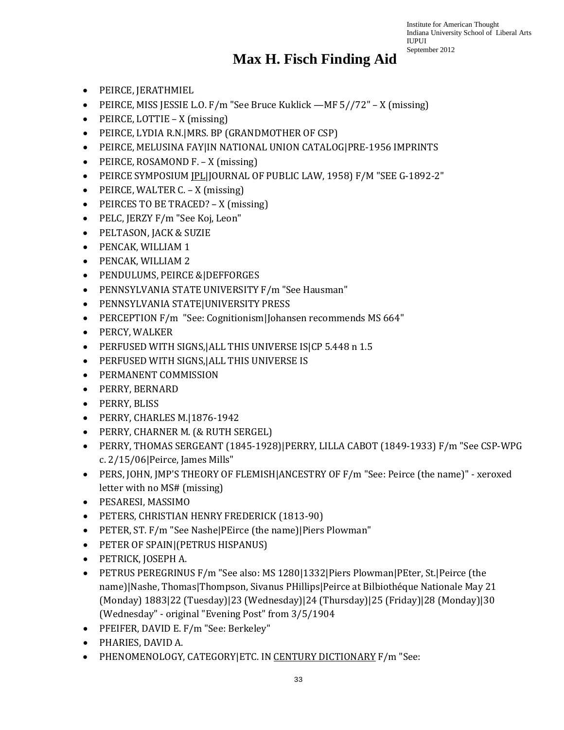- PEIRCE, JERATHMIEL
- PEIRCE, MISS JESSIE L.O. F/m "See Bruce Kuklick —MF 5//72" X (missing)
- PEIRCE, LOTTIE X (missing)
- PEIRCE, LYDIA R.N.|MRS. BP (GRANDMOTHER OF CSP)
- PEIRCE, MELUSINA FAY|IN NATIONAL UNION CATALOG|PRE-1956 IMPRINTS
- PEIRCE, ROSAMOND F. X (missing)
- PEIRCE SYMPOSIUM JPL|JOURNAL OF PUBLIC LAW, 1958) F/M "SEE G-1892-2"
- PEIRCE, WALTER C. X (missing)
- PEIRCES TO BE TRACED? X (missing)
- PELC, JERZY F/m "See Koj, Leon"
- PELTASON, JACK & SUZIE
- PENCAK, WILLIAM 1
- PENCAK, WILLIAM 2
- PENDULUMS, PEIRCE &|DEFFORGES
- PENNSYLVANIA STATE UNIVERSITY F/m "See Hausman"
- PENNSYLVANIA STATE|UNIVERSITY PRESS
- PERCEPTION F/m "See: Cognitionism|Johansen recommends MS 664"
- PERCY, WALKER
- PERFUSED WITH SIGNS,|ALL THIS UNIVERSE IS|CP 5.448 n 1.5
- PERFUSED WITH SIGNS,|ALL THIS UNIVERSE IS
- PERMANENT COMMISSION
- PERRY, BERNARD
- PERRY, BLISS
- PERRY, CHARLES M.|1876-1942
- PERRY, CHARNER M. (& RUTH SERGEL)
- PERRY, THOMAS SERGEANT (1845-1928)|PERRY, LILLA CABOT (1849-1933) F/m "See CSP-WPG c. 2/15/06|Peirce, James Mills"
- PERS, JOHN, JMP'S THEORY OF FLEMISH|ANCESTRY OF F/m "See: Peirce (the name)" xeroxed letter with no MS# (missing)
- PESARESI, MASSIMO
- PETERS, CHRISTIAN HENRY FREDERICK (1813-90)
- PETER, ST. F/m "See Nashe|PEirce (the name)|Piers Plowman"
- PETER OF SPAIN|(PETRUS HISPANUS)
- PETRICK, JOSEPH A.
- PETRUS PEREGRINUS F/m "See also: MS 1280|1332|Piers Plowman|PEter, St.|Peirce (the name)|Nashe, Thomas|Thompson, Sivanus PHillips|Peirce at Bilbiothéque Nationale May 21 (Monday) 1883|22 (Tuesday)|23 (Wednesday)|24 (Thursday)|25 (Friday)|28 (Monday)|30 (Wednesday" - original "Evening Post" from 3/5/1904
- PFEIFER, DAVID E. F/m "See: Berkeley"
- PHARIES, DAVID A.
- PHENOMENOLOGY, CATEGORY|ETC. IN CENTURY DICTIONARY F/m "See: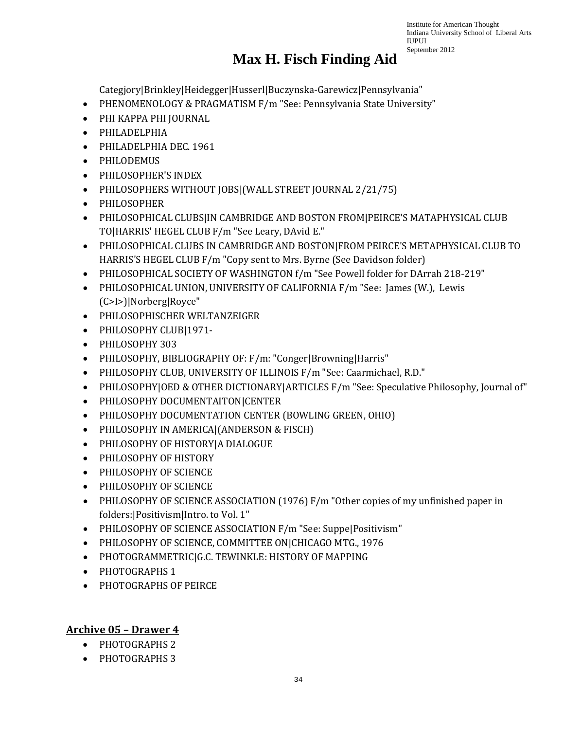# **Max H. Fisch Finding Aid**

Institute for American Thought Indiana University School of Liberal Arts

IUPUI September 2012

Categjory|Brinkley|Heidegger|Husserl|Buczynska-Garewicz|Pennsylvania"

- PHENOMENOLOGY & PRAGMATISM F/m "See: Pennsylvania State University"
- PHI KAPPA PHI JOURNAL
- PHILADELPHIA
- PHILADELPHIA DEC. 1961
- PHILODEMUS
- PHILOSOPHER'S INDEX
- PHILOSOPHERS WITHOUT JOBS|(WALL STREET JOURNAL 2/21/75)
- PHILOSOPHER
- PHILOSOPHICAL CLUBS|IN CAMBRIDGE AND BOSTON FROM|PEIRCE'S MATAPHYSICAL CLUB TO|HARRIS' HEGEL CLUB F/m "See Leary, DAvid E."
- PHILOSOPHICAL CLUBS IN CAMBRIDGE AND BOSTON|FROM PEIRCE'S METAPHYSICAL CLUB TO HARRIS'S HEGEL CLUB F/m "Copy sent to Mrs. Byrne (See Davidson folder)
- PHILOSOPHICAL SOCIETY OF WASHINGTON f/m "See Powell folder for DArrah 218-219"
- PHILOSOPHICAL UNION, UNIVERSITY OF CALIFORNIA F/m "See: James (W.), Lewis (C>I>)|Norberg|Royce"
- PHILOSOPHISCHER WELTANZEIGER
- PHILOSOPHY CLUB|1971-
- PHILOSOPHY 303
- PHILOSOPHY, BIBLIOGRAPHY OF: F/m: "Conger|Browning|Harris"
- PHILOSOPHY CLUB, UNIVERSITY OF ILLINOIS F/m "See: Caarmichael, R.D."
- PHILOSOPHY|OED & OTHER DICTIONARY|ARTICLES F/m "See: Speculative Philosophy, Journal of"
- PHILOSOPHY DOCUMENTAITON|CENTER
- PHILOSOPHY DOCUMENTATION CENTER (BOWLING GREEN, OHIO)
- PHILOSOPHY IN AMERICA|(ANDERSON & FISCH)
- PHILOSOPHY OF HISTORY|A DIALOGUE
- PHILOSOPHY OF HISTORY
- PHILOSOPHY OF SCIENCE
- PHILOSOPHY OF SCIENCE
- PHILOSOPHY OF SCIENCE ASSOCIATION (1976) F/m "Other copies of my unfinished paper in folders:|Positivism|Intro. to Vol. 1"
- PHILOSOPHY OF SCIENCE ASSOCIATION F/m "See: Suppe|Positivism"
- PHILOSOPHY OF SCIENCE, COMMITTEE ON|CHICAGO MTG., 1976
- PHOTOGRAMMETRIC|G.C. TEWINKLE: HISTORY OF MAPPING
- PHOTOGRAPHS 1
- PHOTOGRAPHS OF PEIRCE

#### **Archive 05 – Drawer 4**

- PHOTOGRAPHS 2
- PHOTOGRAPHS 3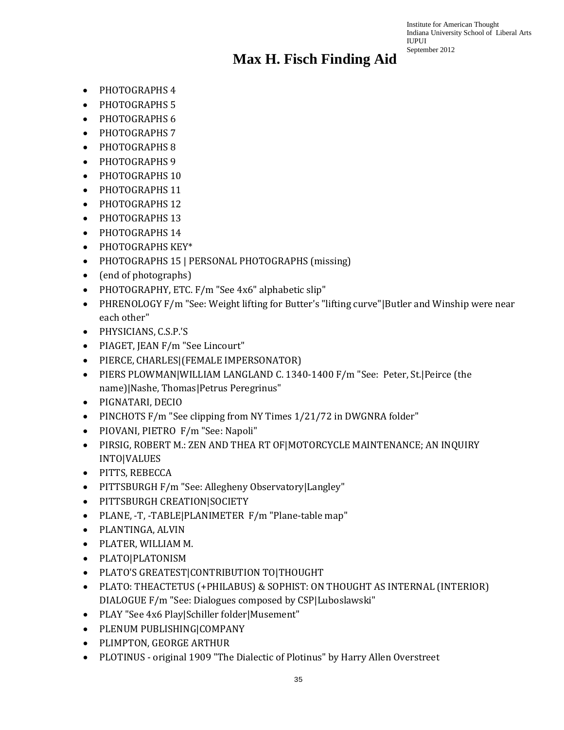- PHOTOGRAPHS 4
- PHOTOGRAPHS 5
- PHOTOGRAPHS 6
- PHOTOGRAPHS 7
- PHOTOGRAPHS 8
- PHOTOGRAPHS 9
- PHOTOGRAPHS 10
- PHOTOGRAPHS 11
- PHOTOGRAPHS 12
- PHOTOGRAPHS 13
- PHOTOGRAPHS 14
- PHOTOGRAPHS KEY\*
- PHOTOGRAPHS 15 | PERSONAL PHOTOGRAPHS (missing)
- (end of photographs)
- PHOTOGRAPHY, ETC. F/m "See 4x6" alphabetic slip"
- PHRENOLOGY F/m "See: Weight lifting for Butter's "lifting curve"|Butler and Winship were near each other"
- PHYSICIANS, C.S.P.'S
- PIAGET, JEAN F/m "See Lincourt"
- PIERCE, CHARLES|(FEMALE IMPERSONATOR)
- PIERS PLOWMAN|WILLIAM LANGLAND C. 1340-1400 F/m "See: Peter, St.|Peirce (the name)|Nashe, Thomas|Petrus Peregrinus"
- PIGNATARI, DECIO
- PINCHOTS F/m "See clipping from NY Times 1/21/72 in DWGNRA folder"
- PIOVANI, PIETRO F/m "See: Napoli"
- PIRSIG, ROBERT M.: ZEN AND THEA RT OF|MOTORCYCLE MAINTENANCE; AN INQUIRY INTO|VALUES
- PITTS, REBECCA
- PITTSBURGH F/m "See: Allegheny Observatory|Langley"
- PITTSBURGH CREATION|SOCIETY
- PLANE, -T, -TABLE|PLANIMETER F/m "Plane-table map"
- PLANTINGA, ALVIN
- PLATER, WILLIAM M.
- PLATO|PLATONISM
- PLATO'S GREATEST|CONTRIBUTION TO|THOUGHT
- PLATO: THEACTETUS (+PHILABUS) & SOPHIST: ON THOUGHT AS INTERNAL (INTERIOR) DIALOGUE F/m "See: Dialogues composed by CSP|Luboslawski"
- PLAY "See 4x6 Play|Schiller folder|Musement"
- PLENUM PUBLISHING|COMPANY
- PLIMPTON, GEORGE ARTHUR
- PLOTINUS original 1909 "The Dialectic of Plotinus" by Harry Allen Overstreet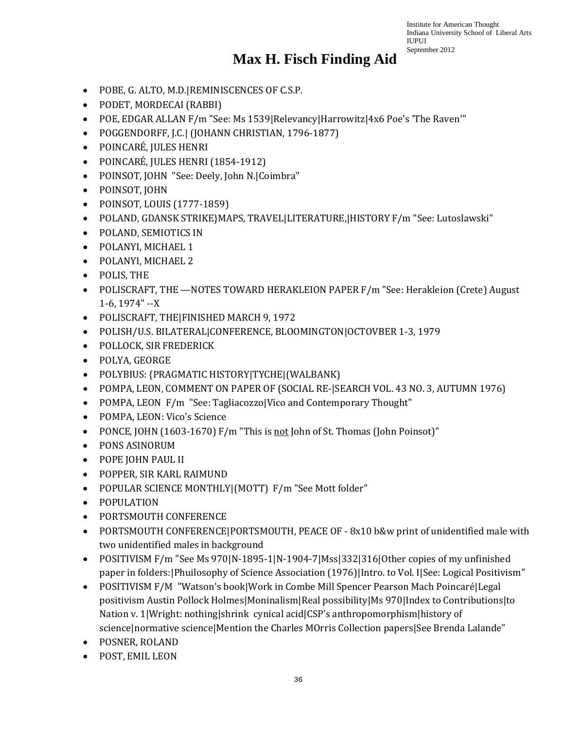- POBE, G. ALTO, M.D.|REMINISCENCES OF C.S.P.
- PODET, MORDECAI (RABBI)
- POE, EDGAR ALLAN F/m "See: Ms 1539|Relevancy|Harrowitz|4x6 Poe's 'The Raven'"
- POGGENDORFF, J.C.| (JOHANN CHRISTIAN, 1796-1877)
- POINCARÉ, JULES HENRI
- POINCARÉ, JULES HENRI (1854-1912)
- POINSOT, JOHN "See: Deely, John N.|Coimbra"
- POINSOT, JOHN
- POINSOT, LOUIS (1777-1859)
- POLAND, GDANSK STRIKE}MAPS, TRAVEL|LITERATURE,|HISTORY F/m "See: Lutoslawski"
- POLAND, SEMIOTICS IN
- POLANYI, MICHAEL 1
- POLANYI, MICHAEL 2
- POLIS, THE
- POLISCRAFT, THE —NOTES TOWARD HERAKLEION PAPER F/m "See: Herakleion (Crete) August 1-6, 1974" --X
- POLISCRAFT, THE|FINISHED MARCH 9, 1972
- POLISH/U.S. BILATERAL|CONFERENCE, BLOOMINGTON|OCTOVBER 1-3, 1979
- POLLOCK, SIR FREDERICK
- POLYA, GEORGE
- POLYBIUS: {PRAGMATIC HISTORY|TYCHE|(WALBANK)
- POMPA, LEON, COMMENT ON PAPER OF (SOCIAL RE-|SEARCH VOL. 43 NO. 3, AUTUMN 1976)
- POMPA, LEON F/m "See: Tagliacozzo|Vico and Contemporary Thought"
- POMPA, LEON: Vico's Science
- PONCE, JOHN (1603-1670) F/m "This is not John of St. Thomas (John Poinsot)"
- PONS ASINORUM
- POPE JOHN PAUL II
- POPPER, SIR KARL RAIMUND
- POPULAR SCIENCE MONTHLY|(MOTT) F/m "See Mott folder"
- POPULATION
- PORTSMOUTH CONFERENCE
- PORTSMOUTH CONFERENCE PORTSMOUTH, PEACE OF 8x10 b&w print of unidentified male with two unidentified males in background
- POSITIVISM F/m "See Ms 970|N-1895-1|N-1904-7|Mss|332|316|Other copies of my unfinished paper in folders:|Phuilosophy of Science Association (1976)|Intro. to Vol. I|See: Logical Positivism"
- POSITIVISM F/M "Watson's book|Work in Combe Mill Spencer Pearson Mach Poincaré|Legal positivism Austin Pollock Holmes|Moninalism|Real possibility|Ms 970|Index to Contributions|to Nation v. 1|Wright: nothing|shrink cynical acid|CSP's anthropomorphism|history of science|normative science|Mention the Charles MOrris Collection papers|See Brenda Lalande"
- POSNER, ROLAND
- POST, EMIL LEON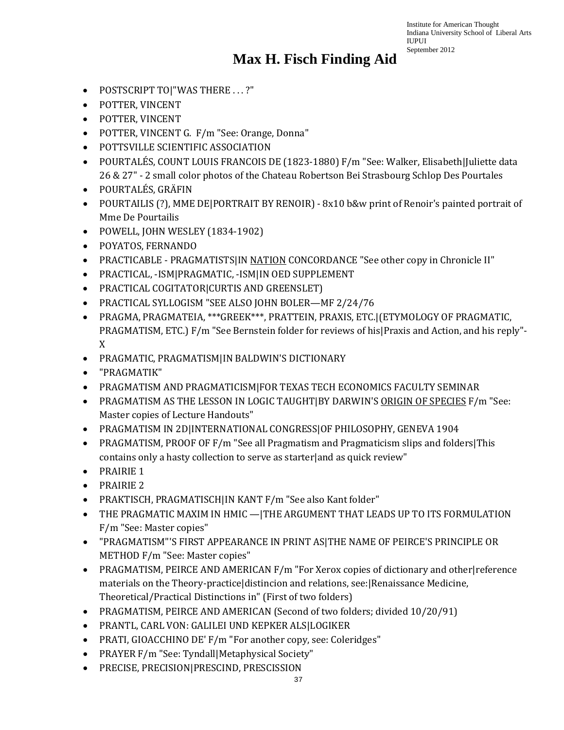- POSTSCRIPT TO ! "WAS THERE . . . ?"
- POTTER, VINCENT
- POTTER, VINCENT
- POTTER, VINCENT G. F/m "See: Orange, Donna"
- POTTSVILLE SCIENTIFIC ASSOCIATION
- POURTALÉS, COUNT LOUIS FRANCOIS DE (1823-1880) F/m "See: Walker, Elisabeth|Juliette data 26 & 27" - 2 small color photos of the Chateau Robertson Bei Strasbourg Schlop Des Pourtales
- POURTALÉS, GRÄFIN
- POURTAILIS (?), MME DE|PORTRAIT BY RENOIR) 8x10 b&w print of Renoir's painted portrait of Mme De Pourtailis
- POWELL, JOHN WESLEY (1834-1902)
- POYATOS, FERNANDO
- PRACTICABLE PRAGMATISTS|IN NATION CONCORDANCE "See other copy in Chronicle II"
- PRACTICAL, -ISM|PRAGMATIC, -ISM|IN OED SUPPLEMENT
- PRACTICAL COGITATOR|CURTIS AND GREENSLET)
- PRACTICAL SYLLOGISM "SEE ALSO JOHN BOLER—MF 2/24/76
- PRAGMA, PRAGMATEIA, \*\*\*GREEK\*\*\*, PRATTEIN, PRAXIS, ETC.|(ETYMOLOGY OF PRAGMATIC, PRAGMATISM, ETC.) F/m "See Bernstein folder for reviews of his|Praxis and Action, and his reply"- X
- PRAGMATIC, PRAGMATISM|IN BALDWIN'S DICTIONARY
- "PRAGMATIK"
- PRAGMATISM AND PRAGMATICISM|FOR TEXAS TECH ECONOMICS FACULTY SEMINAR
- PRAGMATISM AS THE LESSON IN LOGIC TAUGHT|BY DARWIN'S ORIGIN OF SPECIES F/m "See: Master copies of Lecture Handouts"
- PRAGMATISM IN 2D|INTERNATIONAL CONGRESS|OF PHILOSOPHY, GENEVA 1904
- PRAGMATISM, PROOF OF F/m "See all Pragmatism and Pragmaticism slips and folders|This contains only a hasty collection to serve as starter|and as quick review"
- PRAIRIE 1
- PRAIRIE 2
- PRAKTISCH, PRAGMATISCH|IN KANT F/m "See also Kant folder"
- THE PRAGMATIC MAXIM IN HMIC —|THE ARGUMENT THAT LEADS UP TO ITS FORMULATION F/m "See: Master copies"
- "PRAGMATISM"'S FIRST APPEARANCE IN PRINT AS|THE NAME OF PEIRCE'S PRINCIPLE OR METHOD F/m "See: Master copies"
- PRAGMATISM, PEIRCE AND AMERICAN F/m "For Xerox copies of dictionary and other|reference materials on the Theory-practice|distincion and relations, see:|Renaissance Medicine, Theoretical/Practical Distinctions in" (First of two folders)
- PRAGMATISM, PEIRCE AND AMERICAN (Second of two folders; divided 10/20/91)
- PRANTL, CARL VON: GALILEI UND KEPKER ALS|LOGIKER
- PRATI, GIOACCHINO DE' F/m "For another copy, see: Coleridges"
- PRAYER F/m "See: Tyndall|Metaphysical Society"
- PRECISE, PRECISION|PRESCIND, PRESCISSION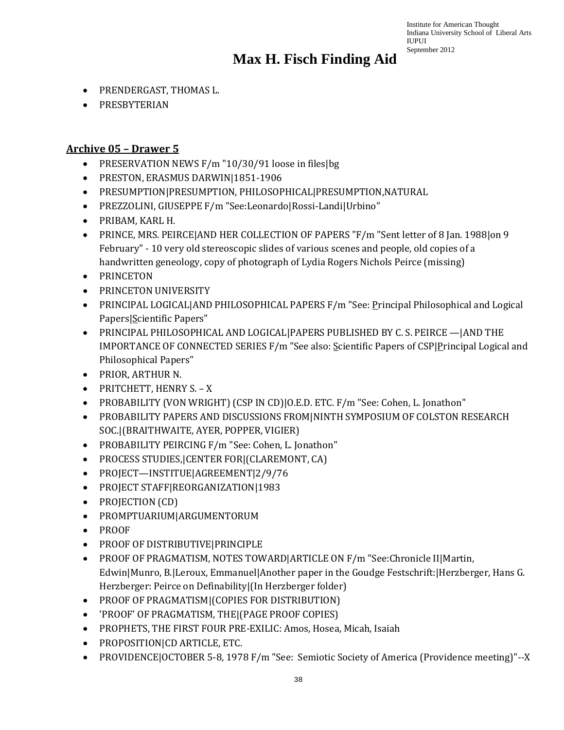# **Max H. Fisch Finding Aid**

- PRENDERGAST, THOMAS L.
- PRESBYTERIAN

#### **Archive 05 – Drawer 5**

- PRESERVATION NEWS F/m "10/30/91 loose in files | bg
- PRESTON, ERASMUS DARWIN|1851-1906
- PRESUMPTION|PRESUMPTION, PHILOSOPHICAL|PRESUMPTION,NATURAL
- PREZZOLINI, GIUSEPPE F/m "See:Leonardo|Rossi-Landi|Urbino"
- PRIBAM, KARL H.
- PRINCE, MRS. PEIRCE AND HER COLLECTION OF PAPERS "F/m "Sent letter of 8 Jan. 1988 on 9 February" - 10 very old stereoscopic slides of various scenes and people, old copies of a handwritten geneology, copy of photograph of Lydia Rogers Nichols Peirce (missing)
- PRINCETON
- PRINCETON UNIVERSITY
- PRINCIPAL LOGICAL|AND PHILOSOPHICAL PAPERS F/m "See: Principal Philosophical and Logical Papers|Scientific Papers"
- PRINCIPAL PHILOSOPHICAL AND LOGICAL|PAPERS PUBLISHED BY C. S. PEIRCE —|AND THE IMPORTANCE OF CONNECTED SERIES F/m "See also: Scientific Papers of CSP|Principal Logical and Philosophical Papers"
- PRIOR, ARTHUR N.
- PRITCHETT, HENRY S. X
- PROBABILITY (VON WRIGHT) (CSP IN CD)|O.E.D. ETC. F/m "See: Cohen, L. Jonathon"
- PROBABILITY PAPERS AND DISCUSSIONS FROM|NINTH SYMPOSIUM OF COLSTON RESEARCH SOC.|(BRAITHWAITE, AYER, POPPER, VIGIER)
- PROBABILITY PEIRCING F/m "See: Cohen, L. Jonathon"
- PROCESS STUDIES,|CENTER FOR|(CLAREMONT, CA)
- PROJECT—INSTITUE|AGREEMENT|2/9/76
- PROJECT STAFF|REORGANIZATION|1983
- PROJECTION (CD)
- PROMPTUARIUM|ARGUMENTORUM
- PROOF
- PROOF OF DISTRIBUTIVE|PRINCIPLE
- PROOF OF PRAGMATISM, NOTES TOWARD|ARTICLE ON F/m "See:Chronicle II|Martin, Edwin|Munro, B.|Leroux, Emmanuel|Another paper in the Goudge Festschrift:|Herzberger, Hans G. Herzberger: Peirce on Definability|(In Herzberger folder)
- PROOF OF PRAGMATISM|(COPIES FOR DISTRIBUTION)
- 'PROOF' OF PRAGMATISM, THE|(PAGE PROOF COPIES)
- PROPHETS, THE FIRST FOUR PRE-EXILIC: Amos, Hosea, Micah, Isaiah
- PROPOSITION|CD ARTICLE, ETC.
- PROVIDENCE|OCTOBER 5-8, 1978 F/m "See: Semiotic Society of America (Providence meeting)"--X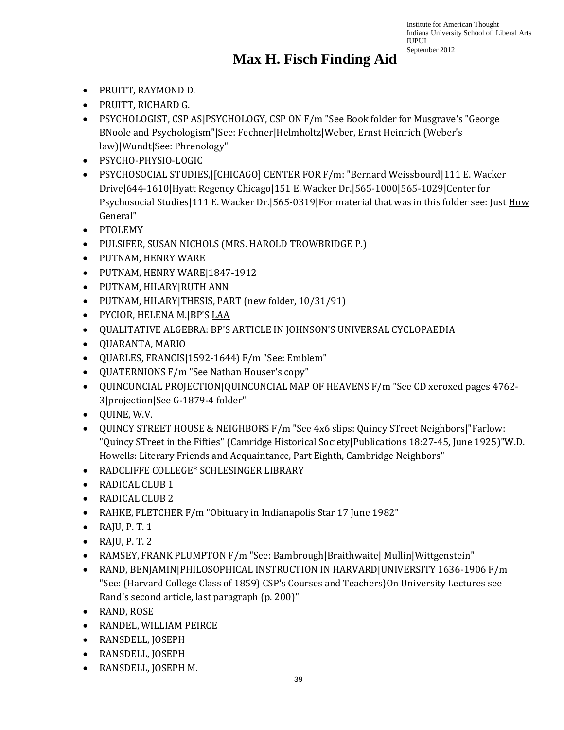- PRUITT, RAYMOND D.
- PRUITT, RICHARD G.
- PSYCHOLOGIST, CSP AS|PSYCHOLOGY, CSP ON F/m "See Book folder for Musgrave's "George BNoole and Psychologism"|See: Fechner|Helmholtz|Weber, Ernst Heinrich (Weber's law)|Wundt|See: Phrenology"
- PSYCHO-PHYSIO-LOGIC
- PSYCHOSOCIAL STUDIES,|[CHICAGO] CENTER FOR F/m: "Bernard Weissbourd|111 E. Wacker Drive|644-1610|Hyatt Regency Chicago|151 E. Wacker Dr.|565-1000|565-1029|Center for Psychosocial Studies|111 E. Wacker Dr.|565-0319|For material that was in this folder see: Just How General"
- PTOLEMY
- PULSIFER, SUSAN NICHOLS (MRS. HAROLD TROWBRIDGE P.)
- PUTNAM, HENRY WARE
- PUTNAM, HENRY WARE|1847-1912
- PUTNAM, HILARY|RUTH ANN
- PUTNAM, HILARY|THESIS, PART (new folder, 10/31/91)
- PYCIOR, HELENA M.|BP'S LAA
- QUALITATIVE ALGEBRA: BP'S ARTICLE IN JOHNSON'S UNIVERSAL CYCLOPAEDIA
- QUARANTA, MARIO
- QUARLES, FRANCIS|1592-1644) F/m "See: Emblem"
- QUATERNIONS F/m "See Nathan Houser's copy"
- QUINCUNCIAL PROJECTION|QUINCUNCIAL MAP OF HEAVENS F/m "See CD xeroxed pages 4762- 3|projection|See G-1879-4 folder"
- QUINE, W.V.
- QUINCY STREET HOUSE & NEIGHBORS F/m "See 4x6 slips: Quincy STreet Neighbors|"Farlow: "Quincy STreet in the Fifties" (Camridge Historical Society|Publications 18:27-45, June 1925)"W.D. Howells: Literary Friends and Acquaintance, Part Eighth, Cambridge Neighbors"
- RADCLIFFE COLLEGE\* SCHLESINGER LIBRARY
- RADICAL CLUB 1
- RADICAL CLUB 2
- RAHKE, FLETCHER F/m "Obituary in Indianapolis Star 17 June 1982"
- $\bullet$  RAJU, P.T. 1
- $\bullet$  RAJU, P. T. 2
- RAMSEY, FRANK PLUMPTON F/m "See: Bambrough|Braithwaite| Mullin|Wittgenstein"
- RAND, BENJAMIN|PHILOSOPHICAL INSTRUCTION IN HARVARD|UNIVERSITY 1636-1906 F/m "See: {Harvard College Class of 1859} CSP's Courses and Teachers}On University Lectures see Rand's second article, last paragraph (p. 200)"
- RAND, ROSE
- RANDEL, WILLIAM PEIRCE
- RANSDELL, JOSEPH
- RANSDELL, JOSEPH
- RANSDELL, JOSEPH M.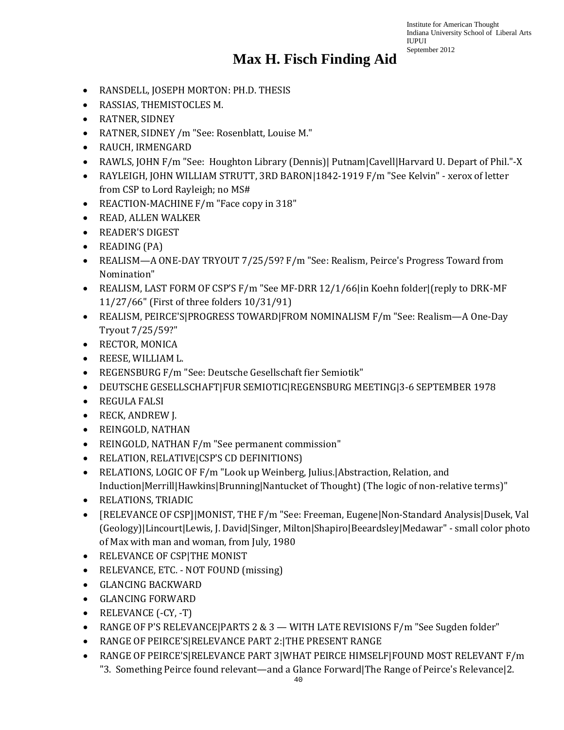- RANSDELL, JOSEPH MORTON: PH.D. THESIS
- RASSIAS, THEMISTOCLES M.
- RATNER, SIDNEY
- RATNER, SIDNEY /m "See: Rosenblatt, Louise M."
- RAUCH, IRMENGARD
- RAWLS, JOHN F/m "See: Houghton Library (Dennis)| Putnam|Cavell|Harvard U. Depart of Phil."-X
- RAYLEIGH, JOHN WILLIAM STRUTT, 3RD BARON|1842-1919 F/m "See Kelvin" xerox of letter from CSP to Lord Rayleigh; no MS#
- REACTION-MACHINE F/m "Face copy in 318"
- READ, ALLEN WALKER
- READER'S DIGEST
- READING (PA)
- REALISM—A ONE-DAY TRYOUT 7/25/59? F/m "See: Realism, Peirce's Progress Toward from Nomination"
- REALISM, LAST FORM OF CSP'S F/m "See MF-DRR 12/1/66|in Koehn folder|(reply to DRK-MF 11/27/66" (First of three folders 10/31/91)
- REALISM, PEIRCE'S|PROGRESS TOWARD|FROM NOMINALISM F/m "See: Realism—A One-Day Tryout 7/25/59?"
- RECTOR, MONICA
- REESE, WILLIAM L.
- REGENSBURG F/m "See: Deutsche Gesellschaft fier Semiotik"
- DEUTSCHE GESELLSCHAFT|FUR SEMIOTIC|REGENSBURG MEETING|3-6 SEPTEMBER 1978
- REGULA FALSI
- RECK, ANDREW J.
- REINGOLD, NATHAN
- REINGOLD, NATHAN F/m "See permanent commission"
- RELATION, RELATIVE|CSP'S CD DEFINITIONS)
- RELATIONS, LOGIC OF F/m "Look up Weinberg, Julius. Abstraction, Relation, and Induction|Merrill|Hawkins|Brunning|Nantucket of Thought) (The logic of non-relative terms)"
- RELATIONS, TRIADIC
- [RELEVANCE OF CSP]|MONIST, THE F/m "See: Freeman, Eugene|Non-Standard Analysis|Dusek, Val (Geology)|Lincourt|Lewis, J. David|Singer, Milton|Shapiro|Beeardsley|Medawar" - small color photo of Max with man and woman, from July, 1980
- RELEVANCE OF CSP|THE MONIST
- RELEVANCE, ETC. NOT FOUND (missing)
- GLANCING BACKWARD
- GLANCING FORWARD
- RELEVANCE (-CY, -T)
- RANGE OF P'S RELEVANCE|PARTS 2 & 3 WITH LATE REVISIONS F/m "See Sugden folder"
- RANGE OF PEIRCE'S|RELEVANCE PART 2:|THE PRESENT RANGE
- RANGE OF PEIRCE'S|RELEVANCE PART 3|WHAT PEIRCE HIMSELF|FOUND MOST RELEVANT F/m "3. Something Peirce found relevant—and a Glance Forward|The Range of Peirce's Relevance|2.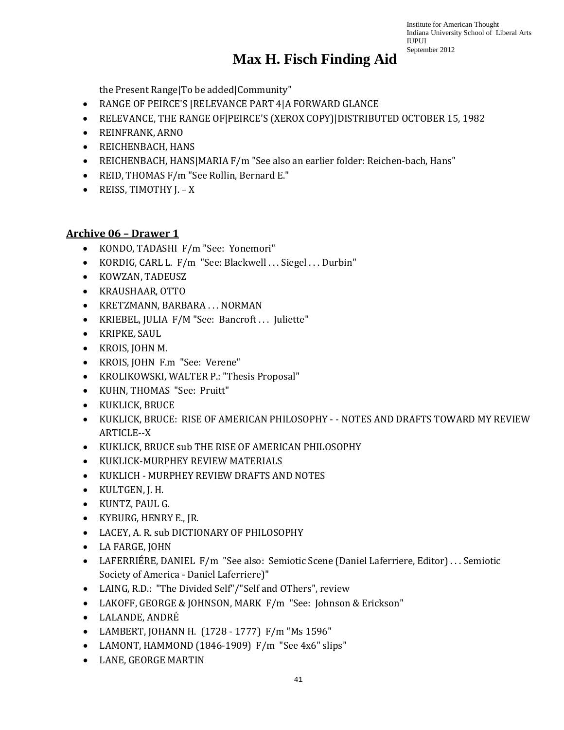the Present Range|To be added|Community"

- RANGE OF PEIRCE'S |RELEVANCE PART 4|A FORWARD GLANCE
- RELEVANCE, THE RANGE OF|PEIRCE'S (XEROX COPY)|DISTRIBUTED OCTOBER 15, 1982
- REINFRANK, ARNO
- REICHENBACH, HANS
- REICHENBACH, HANS|MARIA F/m "See also an earlier folder: Reichen-bach, Hans"
- REID, THOMAS F/m "See Rollin, Bernard E."
- REISS, TIMOTHY J. X

#### **Archive 06 – Drawer 1**

- KONDO, TADASHI F/m "See: Yonemori"
- KORDIG, CARL L. F/m "See: Blackwell ... Siegel ... Durbin"
- KOWZAN, TADEUSZ
- KRAUSHAAR, OTTO
- KRETZMANN, BARBARA . . . NORMAN
- KRIEBEL, JULIA F/M "See: Bancroft . . . Juliette"
- KRIPKE, SAUL
- KROIS, JOHN M.
- KROIS, JOHN F.m "See: Verene"
- KROLIKOWSKI, WALTER P.: "Thesis Proposal"
- KUHN, THOMAS "See: Pruitt"
- KUKLICK, BRUCE
- KUKLICK, BRUCE: RISE OF AMERICAN PHILOSOPHY - NOTES AND DRAFTS TOWARD MY REVIEW ARTICLE--X
- KUKLICK, BRUCE sub THE RISE OF AMERICAN PHILOSOPHY
- KUKLICK-MURPHEY REVIEW MATERIALS
- KUKLICH MURPHEY REVIEW DRAFTS AND NOTES
- KULTGEN, J. H.
- KUNTZ, PAUL G.
- KYBURG, HENRY E., JR.
- LACEY, A. R. sub DICTIONARY OF PHILOSOPHY
- LA FARGE, JOHN
- LAFERRIÉRE, DANIEL F/m "See also: Semiotic Scene (Daniel Laferriere, Editor) . . . Semiotic Society of America - Daniel Laferriere)"
- LAING, R.D.: "The Divided Self"/"Self and OThers", review
- LAKOFF, GEORGE & JOHNSON, MARK F/m "See: Johnson & Erickson"
- LALANDE, ANDRÉ
- LAMBERT, JOHANN H. (1728 1777) F/m "Ms 1596"
- LAMONT, HAMMOND (1846-1909) F/m "See 4x6" slips"
- LANE, GEORGE MARTIN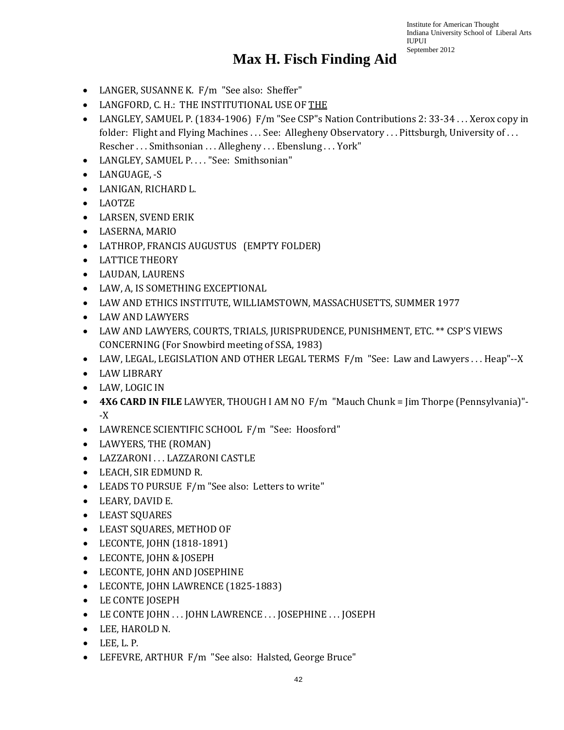- LANGER, SUSANNE K. F/m "See also: Sheffer"
- LANGFORD, C. H.: THE INSTITUTIONAL USE OF THE
- LANGLEY, SAMUEL P. (1834-1906) F/m "See CSP"s Nation Contributions 2: 33-34 . . . Xerox copy in folder: Flight and Flying Machines ... See: Allegheny Observatory ... Pittsburgh, University of ... Rescher . . . Smithsonian . . . Allegheny . . . Ebenslung . . . York"
- LANGLEY, SAMUEL P. . . . "See: Smithsonian"
- LANGUAGE, -S
- LANIGAN, RICHARD L.
- LAOTZE
- LARSEN, SVEND ERIK
- LASERNA, MARIO
- LATHROP, FRANCIS AUGUSTUS (EMPTY FOLDER)
- LATTICE THEORY
- LAUDAN, LAURENS
- LAW, A, IS SOMETHING EXCEPTIONAL
- LAW AND ETHICS INSTITUTE, WILLIAMSTOWN, MASSACHUSETTS, SUMMER 1977
- LAW AND LAWYERS
- LAW AND LAWYERS, COURTS, TRIALS, JURISPRUDENCE, PUNISHMENT, ETC. \*\* CSP'S VIEWS CONCERNING (For Snowbird meeting of SSA, 1983)
- LAW, LEGAL, LEGISLATION AND OTHER LEGAL TERMS F/m "See: Law and Lawyers . . . Heap"--X
- LAW LIBRARY
- LAW, LOGIC IN
- **4X6 CARD IN FILE** LAWYER, THOUGH I AM NO F/m "Mauch Chunk = Jim Thorpe (Pennsylvania)"- -X
- LAWRENCE SCIENTIFIC SCHOOL F/m "See: Hoosford"
- LAWYERS, THE (ROMAN)
- LAZZARONI . . . LAZZARONI CASTLE
- LEACH, SIR EDMUND R.
- LEADS TO PURSUE F/m "See also: Letters to write"
- LEARY, DAVID E.
- LEAST SQUARES
- LEAST SQUARES, METHOD OF
- LECONTE, JOHN (1818-1891)
- LECONTE, JOHN & JOSEPH
- LECONTE, JOHN AND JOSEPHINE
- LECONTE, JOHN LAWRENCE (1825-1883)
- LE CONTE JOSEPH
- LE CONTE JOHN ... JOHN LAWRENCE ... JOSEPHINE ... JOSEPH
- LEE, HAROLD N.
- $\bullet$  LEE, L. P.
- LEFEVRE, ARTHUR F/m "See also: Halsted, George Bruce"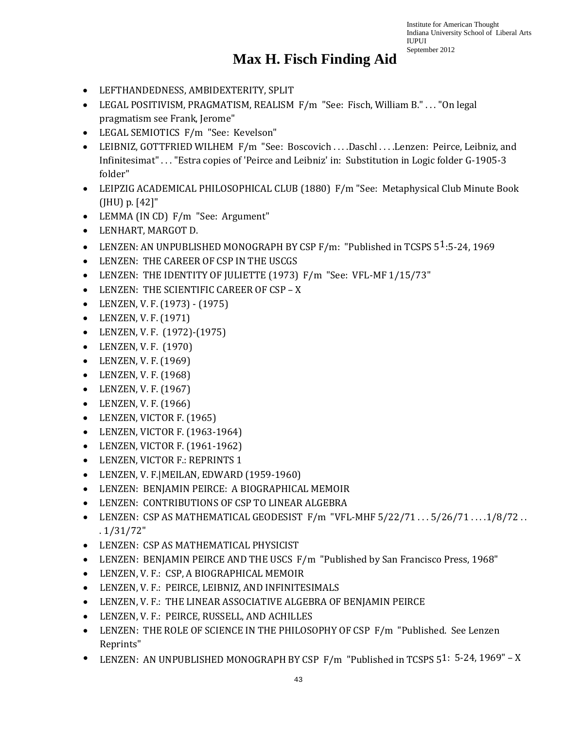- LEFTHANDEDNESS, AMBIDEXTERITY, SPLIT
- LEGAL POSITIVISM, PRAGMATISM, REALISM F/m "See: Fisch, William B." . . . "On legal pragmatism see Frank, Jerome"
- LEGAL SEMIOTICS F/m "See: Kevelson"
- LEIBNIZ, GOTTFRIED WILHEM F/m "See: Boscovich . . . .Daschl . . . .Lenzen: Peirce, Leibniz, and Infinitesimat" . . . "Estra copies of 'Peirce and Leibniz' in: Substitution in Logic folder G-1905-3 folder"
- LEIPZIG ACADEMICAL PHILOSOPHICAL CLUB (1880) F/m "See: Metaphysical Club Minute Book (JHU) p. [42]"
- LEMMA (IN CD) F/m "See: Argument"
- LENHART, MARGOT D.
- LENZEN: AN UNPUBLISHED MONOGRAPH BY CSP  $F/m$ : "Published in TCSPS 5<sup>1</sup>:5-24, 1969
- LENZEN: THE CAREER OF CSP IN THE USCGS
- LENZEN: THE IDENTITY OF JULIETTE (1973) F/m "See: VFL-MF 1/15/73"
- LENZEN: THE SCIENTIFIC CAREER OF CSP X
- LENZEN, V. F. (1973) (1975)
- LENZEN, V. F. (1971)
- LENZEN, V. F. (1972)-(1975)
- LENZEN, V. F. (1970)
- LENZEN, V. F. (1969)
- LENZEN, V. F. (1968)
- LENZEN, V. F. (1967)
- LENZEN, V. F. (1966)
- LENZEN, VICTOR F. (1965)
- LENZEN, VICTOR F. (1963-1964)
- LENZEN, VICTOR F. (1961-1962)
- LENZEN, VICTOR F.: REPRINTS 1
- LENZEN, V. F.|MEILAN, EDWARD (1959-1960)
- LENZEN: BENJAMIN PEIRCE: A BIOGRAPHICAL MEMOIR
- LENZEN: CONTRIBUTIONS OF CSP TO LINEAR ALGEBRA
- LENZEN: CSP AS MATHEMATICAL GEODESIST F/m "VFL-MHF 5/22/71 . . . 5/26/71 . . . .1/8/72 . . . 1/31/72"
- LENZEN: CSP AS MATHEMATICAL PHYSICIST
- LENZEN: BENJAMIN PEIRCE AND THE USCS F/m "Published by San Francisco Press, 1968"
- LENZEN, V. F.: CSP, A BIOGRAPHICAL MEMOIR
- LENZEN, V. F.: PEIRCE, LEIBNIZ, AND INFINITESIMALS
- LENZEN, V. F.: THE LINEAR ASSOCIATIVE ALGEBRA OF BENJAMIN PEIRCE
- LENZEN, V. F.: PEIRCE, RUSSELL, AND ACHILLES
- LENZEN: THE ROLE OF SCIENCE IN THE PHILOSOPHY OF CSP F/m "Published. See Lenzen Reprints"
- LENZEN: AN UNPUBLISHED MONOGRAPH BY CSP F/m "Published in TCSPS 51: 5-24, 1969" <sup>X</sup>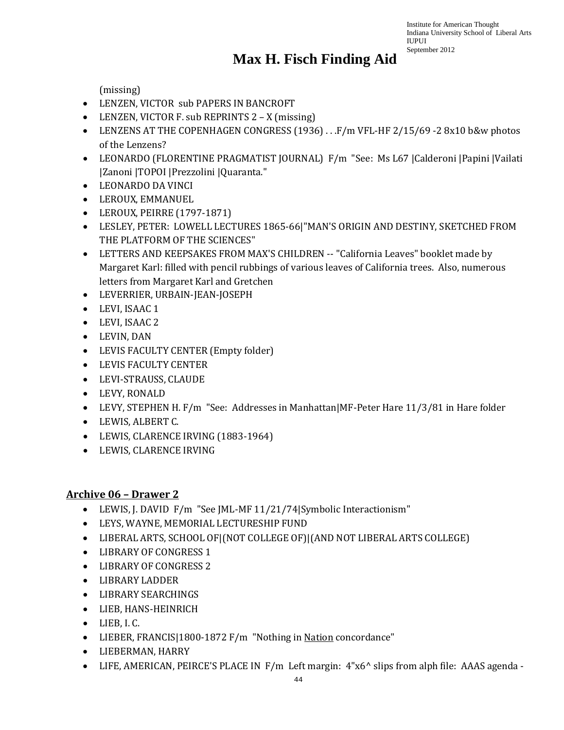### **Max H. Fisch Finding Aid**

(missing)

- LENZEN, VICTOR sub PAPERS IN BANCROFT
- LENZEN, VICTOR F. sub REPRINTS 2 X (missing)
- LENZENS AT THE COPENHAGEN CONGRESS (1936) . . .F/m VFL-HF 2/15/69 -2 8x10 b&w photos of the Lenzens?
- LEONARDO (FLORENTINE PRAGMATIST JOURNAL) F/m "See: Ms L67 |Calderoni |Papini |Vailati |Zanoni |TOPOI |Prezzolini |Quaranta."
- LEONARDO DA VINCI
- LEROUX, EMMANUEL
- LEROUX, PEIRRE (1797-1871)
- LESLEY, PETER: LOWELL LECTURES 1865-66|"MAN'S ORIGIN AND DESTINY, SKETCHED FROM THE PLATFORM OF THE SCIENCES"
- LETTERS AND KEEPSAKES FROM MAX'S CHILDREN -- "California Leaves" booklet made by Margaret Karl: filled with pencil rubbings of various leaves of California trees. Also, numerous letters from Margaret Karl and Gretchen
- LEVERRIER, URBAIN-JEAN-JOSEPH
- LEVI, ISAAC 1
- LEVI, ISAAC 2
- LEVIN, DAN
- LEVIS FACULTY CENTER (Empty folder)
- LEVIS FACULTY CENTER
- LEVI-STRAUSS, CLAUDE
- LEVY, RONALD
- LEVY, STEPHEN H. F/m "See: Addresses in Manhattan|MF-Peter Hare 11/3/81 in Hare folder
- LEWIS, ALBERT C.
- LEWIS, CLARENCE IRVING (1883-1964)
- LEWIS, CLARENCE IRVING

#### **Archive 06 – Drawer 2**

- LEWIS, J. DAVID F/m "See JML-MF 11/21/74|Symbolic Interactionism"
- LEYS, WAYNE, MEMORIAL LECTURESHIP FUND
- LIBERAL ARTS, SCHOOL OF|(NOT COLLEGE OF)|(AND NOT LIBERAL ARTS COLLEGE)
- LIBRARY OF CONGRESS 1
- LIBRARY OF CONGRESS 2
- LIBRARY LADDER
- LIBRARY SEARCHINGS
- LIEB, HANS-HEINRICH
- LIEB, I. C.
- LIEBER, FRANCIS|1800-1872 F/m "Nothing in Nation concordance"
- LIEBERMAN, HARRY
- LIFE, AMERICAN, PEIRCE'S PLACE IN F/m Left margin: 4"x6^ slips from alph file: AAAS agenda -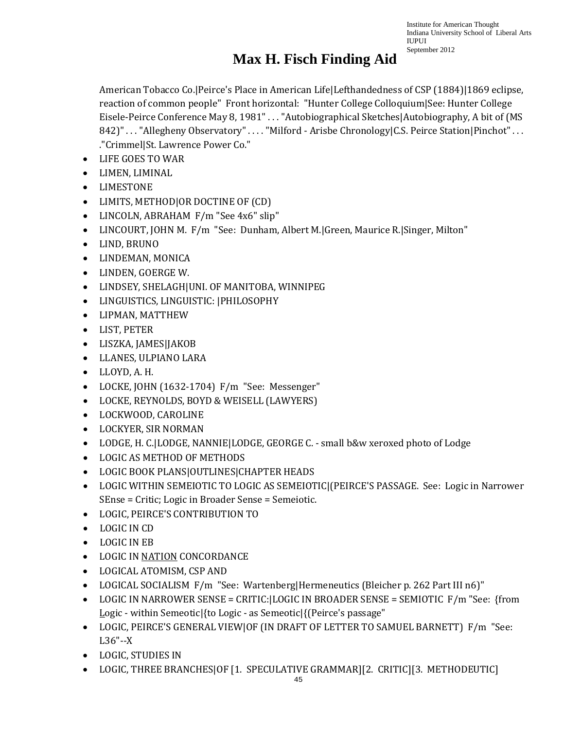# **Max H. Fisch Finding Aid**

American Tobacco Co.|Peirce's Place in American Life|Lefthandedness of CSP (1884)|1869 eclipse, reaction of common people" Front horizontal: "Hunter College Colloquium|See: Hunter College Eisele-Peirce Conference May 8, 1981" . . . "Autobiographical Sketches|Autobiography, A bit of (MS 842)" . . . "Allegheny Observatory" . . . . "Milford - Arisbe Chronology|C.S. Peirce Station|Pinchot" . . . ."Crimmel|St. Lawrence Power Co."

- LIFE GOES TO WAR
- LIMEN, LIMINAL
- LIMESTONE
- LIMITS, METHOD|OR DOCTINE OF (CD)
- LINCOLN, ABRAHAM F/m "See 4x6" slip"
- LINCOURT, JOHN M. F/m "See: Dunham, Albert M. Green, Maurice R. Singer, Milton"
- LIND, BRUNO
- LINDEMAN, MONICA
- LINDEN, GOERGE W.
- LINDSEY, SHELAGH|UNI. OF MANITOBA, WINNIPEG
- LINGUISTICS, LINGUISTIC: |PHILOSOPHY
- LIPMAN, MATTHEW
- LIST, PETER
- LISZKA, JAMES|JAKOB
- LLANES, ULPIANO LARA
- LLOYD, A. H.
- LOCKE, JOHN (1632-1704) F/m "See: Messenger"
- LOCKE, REYNOLDS, BOYD & WEISELL (LAWYERS)
- LOCKWOOD, CAROLINE
- LOCKYER, SIR NORMAN
- LODGE, H. C. LODGE, NANNIE LODGE, GEORGE C. small b&w xeroxed photo of Lodge
- LOGIC AS METHOD OF METHODS
- LOGIC BOOK PLANS|OUTLINES|CHAPTER HEADS
- LOGIC WITHIN SEMEIOTIC TO LOGIC AS SEMEIOTIC|(PEIRCE'S PASSAGE. See: Logic in Narrower SEnse = Critic; Logic in Broader Sense = Semeiotic.
- LOGIC, PEIRCE'S CONTRIBUTION TO
- LOGIC IN CD
- LOGIC IN EB
- LOGIC IN NATION CONCORDANCE
- LOGICAL ATOMISM, CSP AND
- LOGICAL SOCIALISM F/m "See: Wartenberg|Hermeneutics (Bleicher p. 262 Part III n6)"
- LOGIC IN NARROWER SENSE = CRITIC:|LOGIC IN BROADER SENSE = SEMIOTIC F/m "See: {from Logic - within Semeotic|{to Logic - as Semeotic|{(Peirce's passage"
- LOGIC, PEIRCE'S GENERAL VIEW|OF (IN DRAFT OF LETTER TO SAMUEL BARNETT) F/m "See: L36"--X
- LOGIC, STUDIES IN
- LOGIC, THREE BRANCHES|OF [1. SPECULATIVE GRAMMAR][2. CRITIC][3. METHODEUTIC]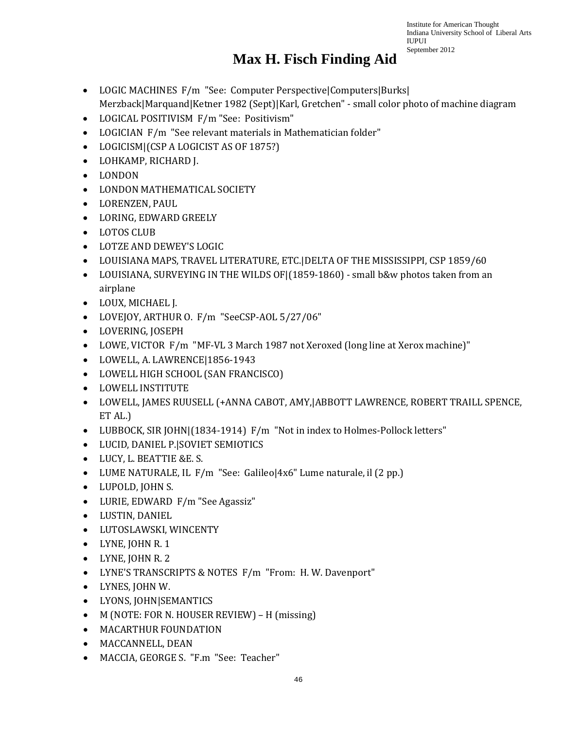- LOGIC MACHINES F/m "See: Computer Perspective|Computers|Burks| Merzback|Marquand|Ketner 1982 (Sept)|Karl, Gretchen" - small color photo of machine diagram
- LOGICAL POSITIVISM F/m "See: Positivism"
- LOGICIAN F/m "See relevant materials in Mathematician folder"
- LOGICISM|(CSP A LOGICIST AS OF 1875?)
- LOHKAMP, RICHARD J.
- LONDON
- LONDON MATHEMATICAL SOCIETY
- LORENZEN, PAUL
- LORING, EDWARD GREELY
- LOTOS CLUB
- LOTZE AND DEWEY'S LOGIC
- LOUISIANA MAPS, TRAVEL LITERATURE, ETC.|DELTA OF THE MISSISSIPPI, CSP 1859/60
- LOUISIANA, SURVEYING IN THE WILDS OF  $(1859-1860)$  small b&w photos taken from an airplane
- LOUX, MICHAEL J.
- LOVEJOY, ARTHUR O. F/m "SeeCSP-AOL 5/27/06"
- LOVERING, JOSEPH
- LOWE, VICTOR F/m "MF-VL 3 March 1987 not Xeroxed (long line at Xerox machine)"
- LOWELL, A. LAWRENCE|1856-1943
- LOWELL HIGH SCHOOL (SAN FRANCISCO)
- LOWELL INSTITUTE
- LOWELL, JAMES RUUSELL (+ANNA CABOT, AMY,|ABBOTT LAWRENCE, ROBERT TRAILL SPENCE, ET AL.)
- LUBBOCK, SIR JOHN|(1834-1914) F/m "Not in index to Holmes-Pollock letters"
- LUCID, DANIEL P.|SOVIET SEMIOTICS
- LUCY, L. BEATTIE &E. S.
- LUME NATURALE, IL F/m "See: Galileo|4x6" Lume naturale, il (2 pp.)
- LUPOLD, JOHN S.
- LURIE, EDWARD F/m "See Agassiz"
- LUSTIN, DANIEL
- LUTOSLAWSKI, WINCENTY
- LYNE, JOHN R. 1
- LYNE, JOHN R. 2
- LYNE'S TRANSCRIPTS & NOTES F/m "From: H. W. Davenport"
- LYNES, JOHN W.
- LYONS, JOHN|SEMANTICS
- M (NOTE: FOR N. HOUSER REVIEW) H (missing)
- MACARTHUR FOUNDATION
- MACCANNELL, DEAN
- MACCIA, GEORGE S. "F.m "See: Teacher"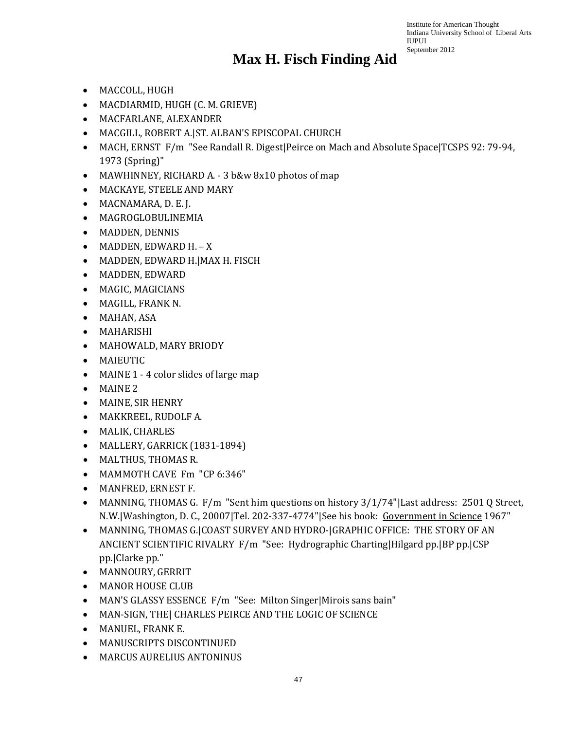- MACCOLL, HUGH
- MACDIARMID, HUGH (C. M. GRIEVE)
- MACFARLANE, ALEXANDER
- MACGILL, ROBERT A.|ST. ALBAN'S EPISCOPAL CHURCH
- MACH, ERNST F/m "See Randall R. Digest|Peirce on Mach and Absolute Space|TCSPS 92: 79-94, 1973 (Spring)"
- MAWHINNEY, RICHARD A. 3 b&w 8x10 photos of map
- MACKAYE, STEELE AND MARY
- MACNAMARA, D. E. J.
- MAGROGLOBULINEMIA
- MADDEN, DENNIS
- MADDEN, EDWARD H. X
- MADDEN, EDWARD H.|MAX H. FISCH
- MADDEN, EDWARD
- MAGIC, MAGICIANS
- MAGILL, FRANK N.
- MAHAN, ASA
- MAHARISHI
- MAHOWALD, MARY BRIODY
- MAIEUTIC
- MAINE 1 4 color slides of large map
- MAINE 2
- MAINE, SIR HENRY
- MAKKREEL, RUDOLF A.
- MALIK, CHARLES
- MALLERY, GARRICK (1831-1894)
- MALTHUS, THOMAS R.
- MAMMOTH CAVE Fm "CP 6:346"
- MANFRED, ERNEST F.
- MANNING, THOMAS G. F/m "Sent him questions on history 3/1/74" Last address: 2501 Q Street, N.W.|Washington, D. C., 20007|Tel. 202-337-4774"|See his book: Government in Science 1967"
- MANNING, THOMAS G.|COAST SURVEY AND HYDRO-|GRAPHIC OFFICE: THE STORY OF AN ANCIENT SCIENTIFIC RIVALRY F/m "See: Hydrographic Charting|Hilgard pp.|BP pp.|CSP pp.|Clarke pp."
- MANNOURY, GERRIT
- MANOR HOUSE CLUB
- MAN'S GLASSY ESSENCE F/m "See: Milton Singer|Mirois sans bain"
- MAN-SIGN, THE| CHARLES PEIRCE AND THE LOGIC OF SCIENCE
- MANUEL, FRANK E.
- MANUSCRIPTS DISCONTINUED
- MARCUS AURELIUS ANTONINUS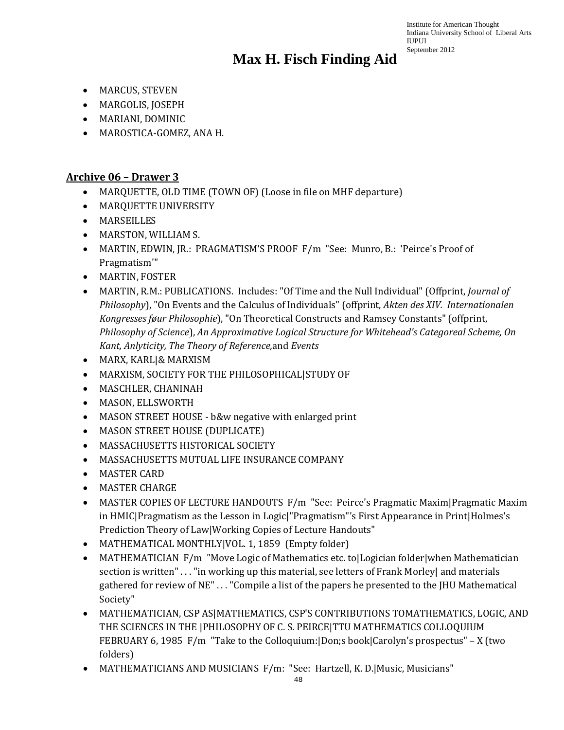- MARCUS, STEVEN
- MARGOLIS, JOSEPH
- MARIANI, DOMINIC
- MAROSTICA-GOMEZ, ANA H.

#### **Archive 06 – Drawer 3**

- MARQUETTE, OLD TIME (TOWN OF) (Loose in file on MHF departure)
- MARQUETTE UNIVERSITY
- MARSEILLES
- MARSTON, WILLIAM S.
- MARTIN, EDWIN, JR.: PRAGMATISM'S PROOF F/m "See: Munro, B.: 'Peirce's Proof of Pragmatism'"
- MARTIN, FOSTER
- MARTIN, R.M.: PUBLICATIONS. Includes: "Of Time and the Null Individual" (Offprint, *Journal of Philosophy*), "On Events and the Calculus of Individuals" (offprint, *Akten des XIV. Internationalen Kongresses føur Philosophie*), "On Theoretical Constructs and Ramsey Constants" (offprint, *Philosophy of Science*), *An Approximative Logical Structure for Whitehead's Categoreal Scheme, On Kant, Anlyticity, The Theory of Reference,*and *Events*
- MARX, KARL|& MARXISM
- MARXISM, SOCIETY FOR THE PHILOSOPHICAL|STUDY OF
- MASCHLER, CHANINAH
- MASON, ELLSWORTH
- MASON STREET HOUSE b&w negative with enlarged print
- MASON STREET HOUSE (DUPLICATE)
- MASSACHUSETTS HISTORICAL SOCIETY
- MASSACHUSETTS MUTUAL LIFE INSURANCE COMPANY
- MASTER CARD
- MASTER CHARGE
- MASTER COPIES OF LECTURE HANDOUTS F/m "See: Peirce's Pragmatic Maxim|Pragmatic Maxim in HMIC|Pragmatism as the Lesson in Logic|"Pragmatism"'s First Appearance in Print|Holmes's Prediction Theory of Law|Working Copies of Lecture Handouts"
- MATHEMATICAL MONTHLY|VOL. 1, 1859 (Empty folder)
- MATHEMATICIAN F/m "Move Logic of Mathematics etc. to|Logician folder|when Mathematician section is written" . . . "in working up this material, see letters of Frank Morley| and materials gathered for review of NE" . . . "Compile a list of the papers he presented to the JHU Mathematical Society"
- MATHEMATICIAN, CSP AS|MATHEMATICS, CSP'S CONTRIBUTIONS TOMATHEMATICS, LOGIC, AND THE SCIENCES IN THE |PHILOSOPHY OF C. S. PEIRCE|TTU MATHEMATICS COLLOQUIUM FEBRUARY 6, 1985 F/m "Take to the Colloquium:|Don;s book|Carolyn's prospectus" – X (two folders)
- MATHEMATICIANS AND MUSICIANS F/m: "See: Hartzell, K. D.|Music, Musicians"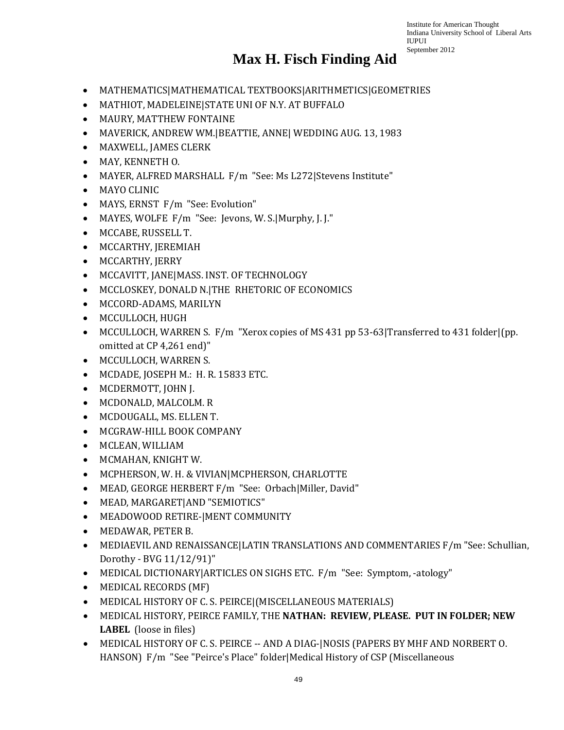- MATHEMATICS|MATHEMATICAL TEXTBOOKS|ARITHMETICS|GEOMETRIES
- MATHIOT, MADELEINE|STATE UNI OF N.Y. AT BUFFALO
- MAURY, MATTHEW FONTAINE
- MAVERICK, ANDREW WM.|BEATTIE, ANNE| WEDDING AUG. 13, 1983
- MAXWELL, JAMES CLERK
- MAY, KENNETH O.
- MAYER, ALFRED MARSHALL F/m "See: Ms L272|Stevens Institute"
- MAYO CLINIC
- MAYS, ERNST F/m "See: Evolution"
- MAYES, WOLFE F/m "See: Jevons, W. S.|Murphy, J. J."
- MCCABE, RUSSELL T.
- MCCARTHY, JEREMIAH
- MCCARTHY, JERRY
- MCCAVITT, JANE|MASS. INST. OF TECHNOLOGY
- MCCLOSKEY, DONALD N.|THE RHETORIC OF ECONOMICS
- MCCORD-ADAMS, MARILYN
- MCCULLOCH, HUGH
- MCCULLOCH, WARREN S. F/m "Xerox copies of MS 431 pp 53-63|Transferred to 431 folder|(pp. omitted at CP 4,261 end)"
- MCCULLOCH, WARREN S.
- MCDADE, JOSEPH M.: H. R. 15833 ETC.
- MCDERMOTT, JOHN J.
- MCDONALD, MALCOLM. R
- MCDOUGALL, MS. ELLEN T.
- MCGRAW-HILL BOOK COMPANY
- MCLEAN, WILLIAM
- MCMAHAN, KNIGHT W.
- MCPHERSON, W. H. & VIVIAN|MCPHERSON, CHARLOTTE
- MEAD, GEORGE HERBERT F/m "See: Orbach|Miller, David"
- MEAD, MARGARET|AND "SEMIOTICS"
- MEADOWOOD RETIRE-|MENT COMMUNITY
- MEDAWAR, PETER B.
- MEDIAEVIL AND RENAISSANCE|LATIN TRANSLATIONS AND COMMENTARIES F/m "See: Schullian, Dorothy - BVG 11/12/91)"
- MEDICAL DICTIONARY|ARTICLES ON SIGHS ETC. F/m "See: Symptom, -atology"
- MEDICAL RECORDS (MF)
- MEDICAL HISTORY OF C. S. PEIRCE|(MISCELLANEOUS MATERIALS)
- MEDICAL HISTORY, PEIRCE FAMILY, THE **NATHAN: REVIEW, PLEASE. PUT IN FOLDER; NEW LABEL** (loose in files)
- MEDICAL HISTORY OF C. S. PEIRCE -- AND A DIAG-|NOSIS (PAPERS BY MHF AND NORBERT O. HANSON) F/m "See "Peirce's Place" folder|Medical History of CSP (Miscellaneous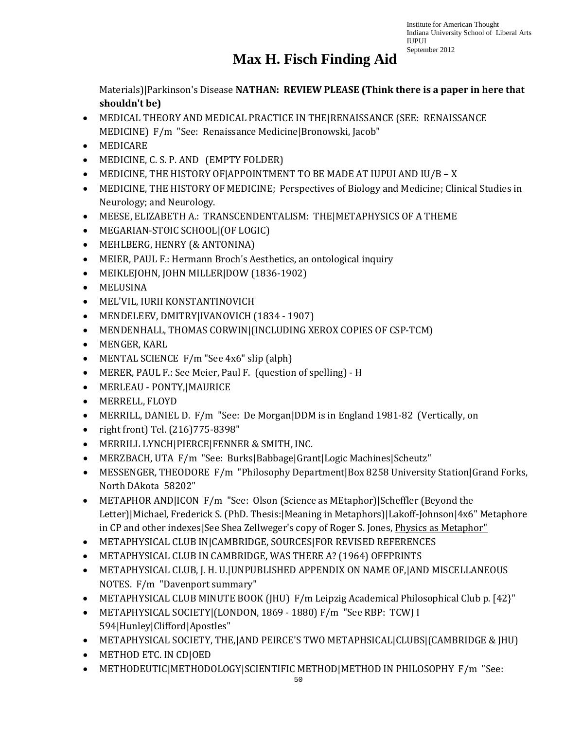# **Max H. Fisch Finding Aid**

Materials)|Parkinson's Disease **NATHAN: REVIEW PLEASE (Think there is a paper in here that shouldn't be)**

- MEDICAL THEORY AND MEDICAL PRACTICE IN THE|RENAISSANCE (SEE: RENAISSANCE MEDICINE) F/m "See: Renaissance Medicine|Bronowski, Jacob"
- MEDICARE
- MEDICINE, C. S. P. AND (EMPTY FOLDER)
- MEDICINE, THE HISTORY OF|APPOINTMENT TO BE MADE AT IUPUI AND IU/B X
- MEDICINE, THE HISTORY OF MEDICINE; Perspectives of Biology and Medicine; Clinical Studies in Neurology; and Neurology.
- MEESE, ELIZABETH A.: TRANSCENDENTALISM: THE|METAPHYSICS OF A THEME
- MEGARIAN-STOIC SCHOOL|(OF LOGIC)
- MEHLBERG, HENRY (& ANTONINA)
- MEIER, PAUL F.: Hermann Broch's Aesthetics, an ontological inquiry
- MEIKLEJOHN, JOHN MILLER|DOW (1836-1902)
- MELUSINA
- MEL'VIL, IURII KONSTANTINOVICH
- MENDELEEV, DMITRY|IVANOVICH (1834 1907)
- MENDENHALL, THOMAS CORWIN|(INCLUDING XEROX COPIES OF CSP-TCM)
- MENGER, KARL
- MENTAL SCIENCE F/m "See 4x6" slip (alph)
- MERER, PAUL F.: See Meier, Paul F. (question of spelling) H
- MERLEAU PONTY,|MAURICE
- MERRELL, FLOYD
- MERRILL, DANIEL D. F/m "See: De Morgan|DDM is in England 1981-82 (Vertically, on
- right front) Tel. (216)775-8398"
- MERRILL LYNCH|PIERCE|FENNER & SMITH, INC.
- MERZBACH, UTA F/m "See: Burks|Babbage|Grant|Logic Machines|Scheutz"
- MESSENGER, THEODORE F/m "Philosophy Department|Box 8258 University Station|Grand Forks, North DAkota 58202"
- METAPHOR AND|ICON F/m "See: Olson (Science as MEtaphor)|Scheffler (Beyond the Letter)|Michael, Frederick S. (PhD. Thesis:|Meaning in Metaphors)|Lakoff-Johnson|4x6" Metaphore in CP and other indexes|See Shea Zellweger's copy of Roger S. Jones, *Physics as Metaphor*"
- METAPHYSICAL CLUB IN|CAMBRIDGE, SOURCES|FOR REVISED REFERENCES
- METAPHYSICAL CLUB IN CAMBRIDGE, WAS THERE A? (1964) OFFPRINTS
- METAPHYSICAL CLUB, J. H. U.|UNPUBLISHED APPENDIX ON NAME OF,|AND MISCELLANEOUS NOTES. F/m "Davenport summary"
- METAPHYSICAL CLUB MINUTE BOOK (JHU) F/m Leipzig Academical Philosophical Club p. [42}"
- METAPHYSICAL SOCIETY|(LONDON, 1869 1880) F/m "See RBP: TCWJ I 594|Hunley|Clifford|Apostles"
- METAPHYSICAL SOCIETY, THE,|AND PEIRCE'S TWO METAPHSICAL|CLUBS|(CAMBRIDGE & JHU)
- METHOD ETC. IN CD|OED
- METHODEUTIC|METHODOLOGY|SCIENTIFIC METHOD|METHOD IN PHILOSOPHY F/m "See: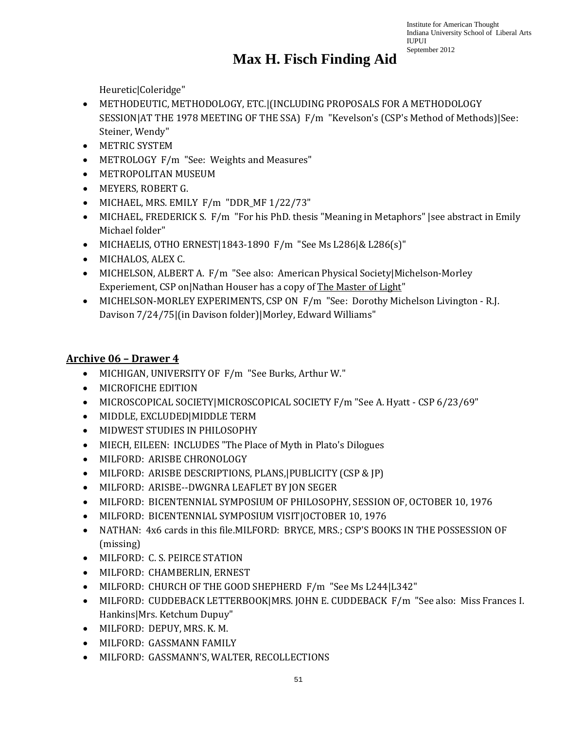Heuretic|Coleridge"

- METHODEUTIC, METHODOLOGY, ETC.|(INCLUDING PROPOSALS FOR A METHODOLOGY SESSION|AT THE 1978 MEETING OF THE SSA) F/m "Kevelson's (CSP's Method of Methods)|See: Steiner, Wendy"
- METRIC SYSTEM
- METROLOGY F/m "See: Weights and Measures"
- METROPOLITAN MUSEUM
- MEYERS, ROBERT G.
- MICHAEL, MRS. EMILY F/m "DDR\_MF 1/22/73"
- MICHAEL, FREDERICK S. F/m "For his PhD. thesis "Meaning in Metaphors" | see abstract in Emily Michael folder"
- MICHAELIS, OTHO ERNEST|1843-1890 F/m "See Ms L286|& L286(s)"
- MICHALOS, ALEX C.
- MICHELSON, ALBERT A. F/m "See also: American Physical Society|Michelson-Morley Experiement, CSP on|Nathan Houser has a copy of The Master of Light"
- MICHELSON-MORLEY EXPERIMENTS, CSP ON F/m "See: Dorothy Michelson Livington R.J. Davison 7/24/75|(in Davison folder)|Morley, Edward Williams"

#### **Archive 06 – Drawer 4**

- MICHIGAN, UNIVERSITY OF F/m "See Burks, Arthur W."
- MICROFICHE EDITION
- MICROSCOPICAL SOCIETY|MICROSCOPICAL SOCIETY F/m "See A. Hyatt CSP 6/23/69"
- MIDDLE, EXCLUDED|MIDDLE TERM
- MIDWEST STUDIES IN PHILOSOPHY
- MIECH, EILEEN: INCLUDES "The Place of Myth in Plato's Dilogues
- MILFORD: ARISBE CHRONOLOGY
- MILFORD: ARISBE DESCRIPTIONS, PLANS,|PUBLICITY (CSP & JP)
- MILFORD: ARISBE--DWGNRA LEAFLET BY JON SEGER
- MILFORD: BICENTENNIAL SYMPOSIUM OF PHILOSOPHY, SESSION OF, OCTOBER 10, 1976
- MILFORD: BICENTENNIAL SYMPOSIUM VISIT|OCTOBER 10, 1976
- NATHAN: 4x6 cards in this file.MILFORD: BRYCE, MRS.; CSP'S BOOKS IN THE POSSESSION OF (missing)
- MILFORD: C. S. PEIRCE STATION
- MILFORD: CHAMBERLIN, ERNEST
- MILFORD: CHURCH OF THE GOOD SHEPHERD F/m "See Ms L244|L342"
- MILFORD: CUDDEBACK LETTERBOOK|MRS. JOHN E. CUDDEBACK F/m "See also: Miss Frances I. Hankins|Mrs. Ketchum Dupuy"
- MILFORD: DEPUY, MRS. K. M.
- MILFORD: GASSMANN FAMILY
- MILFORD: GASSMANN'S, WALTER, RECOLLECTIONS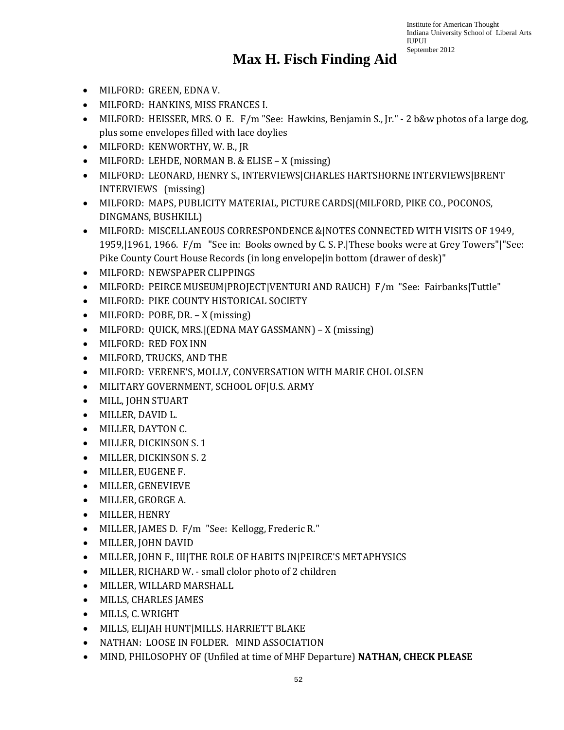- MILFORD: GREEN, EDNA V.
- MILFORD: HANKINS, MISS FRANCES I.
- MILFORD: HEISSER, MRS. O E. F/m "See: Hawkins, Benjamin S., Jr." 2 b&w photos of a large dog, plus some envelopes filled with lace doylies
- MILFORD: KENWORTHY, W. B., JR
- MILFORD: LEHDE, NORMAN B. & ELISE X (missing)
- MILFORD: LEONARD, HENRY S., INTERVIEWS|CHARLES HARTSHORNE INTERVIEWS|BRENT INTERVIEWS (missing)
- MILFORD: MAPS, PUBLICITY MATERIAL, PICTURE CARDS|(MILFORD, PIKE CO., POCONOS, DINGMANS, BUSHKILL)
- MILFORD: MISCELLANEOUS CORRESPONDENCE &|NOTES CONNECTED WITH VISITS OF 1949, 1959,|1961, 1966. F/m "See in: Books owned by C. S. P.|These books were at Grey Towers"|"See: Pike County Court House Records (in long envelope|in bottom (drawer of desk)"
- MILFORD: NEWSPAPER CLIPPINGS
- MILFORD: PEIRCE MUSEUM|PROJECT|VENTURI AND RAUCH) F/m "See: Fairbanks|Tuttle"
- MILFORD: PIKE COUNTY HISTORICAL SOCIETY
- MILFORD: POBE, DR. X (missing)
- MILFORD: QUICK, MRS.|(EDNA MAY GASSMANN) X (missing)
- MILFORD: RED FOX INN
- MILFORD, TRUCKS, AND THE
- MILFORD: VERENE'S, MOLLY, CONVERSATION WITH MARIE CHOL OLSEN
- MILITARY GOVERNMENT, SCHOOL OF|U.S. ARMY
- MILL, JOHN STUART
- MILLER, DAVID L.
- MILLER, DAYTON C.
- MILLER, DICKINSON S. 1
- MILLER, DICKINSON S. 2
- MILLER, EUGENE F.
- MILLER, GENEVIEVE
- MILLER, GEORGE A.
- MILLER, HENRY
- MILLER, JAMES D. F/m "See: Kellogg, Frederic R."
- MILLER, JOHN DAVID
- MILLER, JOHN F., III|THE ROLE OF HABITS IN|PEIRCE'S METAPHYSICS
- MILLER, RICHARD W. small clolor photo of 2 children
- MILLER, WILLARD MARSHALL
- MILLS, CHARLES JAMES
- MILLS, C. WRIGHT
- MILLS, ELIJAH HUNT|MILLS. HARRIETT BLAKE
- NATHAN: LOOSE IN FOLDER. MIND ASSOCIATION
- MIND, PHILOSOPHY OF (Unfiled at time of MHF Departure) **NATHAN, CHECK PLEASE**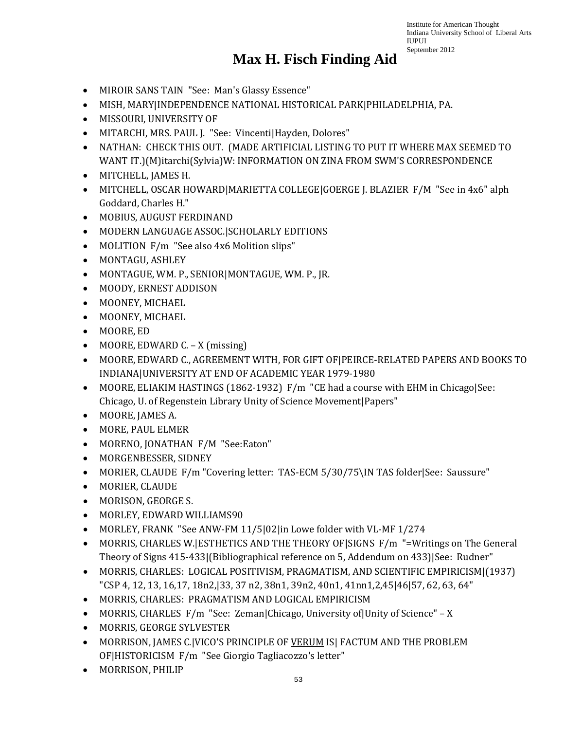- MIROIR SANS TAIN "See: Man's Glassy Essence"
- MISH, MARY|INDEPENDENCE NATIONAL HISTORICAL PARK|PHILADELPHIA, PA.
- MISSOURI, UNIVERSITY OF
- MITARCHI, MRS. PAUL J. "See: Vincenti|Hayden, Dolores"
- NATHAN: CHECK THIS OUT. (MADE ARTIFICIAL LISTING TO PUT IT WHERE MAX SEEMED TO WANT IT.)(M)itarchi(Sylvia)W: INFORMATION ON ZINA FROM SWM'S CORRESPONDENCE
- MITCHELL, JAMES H.
- MITCHELL, OSCAR HOWARD|MARIETTA COLLEGE|GOERGE J. BLAZIER F/M "See in 4x6" alph Goddard, Charles H."
- MOBIUS, AUGUST FERDINAND
- MODERN LANGUAGE ASSOC.|SCHOLARLY EDITIONS
- MOLITION F/m "See also 4x6 Molition slips"
- MONTAGU, ASHLEY
- MONTAGUE, WM. P., SENIOR|MONTAGUE, WM. P., JR.
- MOODY, ERNEST ADDISON
- MOONEY, MICHAEL
- MOONEY, MICHAEL
- MOORE, ED
- MOORE, EDWARD C. X (missing)
- MOORE, EDWARD C., AGREEMENT WITH, FOR GIFT OF|PEIRCE-RELATED PAPERS AND BOOKS TO INDIANA|UNIVERSITY AT END OF ACADEMIC YEAR 1979-1980
- MOORE, ELIAKIM HASTINGS (1862-1932) F/m "CE had a course with EHM in Chicago|See: Chicago, U. of Regenstein Library Unity of Science Movement|Papers"
- MOORE, JAMES A.
- MORE, PAUL ELMER
- MORENO, JONATHAN F/M "See:Eaton"
- MORGENBESSER, SIDNEY
- MORIER, CLAUDE F/m "Covering letter: TAS-ECM 5/30/75\IN TAS folder|See: Saussure"
- MORIER, CLAUDE
- MORISON, GEORGE S.
- MORLEY, EDWARD WILLIAMS90
- MORLEY, FRANK "See ANW-FM 11/5|02|in Lowe folder with VL-MF 1/274
- MORRIS, CHARLES W. ESTHETICS AND THE THEORY OF SIGNS F/m "=Writings on The General Theory of Signs 415-433|(Bibliographical reference on 5, Addendum on 433)|See: Rudner"
- MORRIS, CHARLES: LOGICAL POSITIVISM, PRAGMATISM, AND SCIENTIFIC EMPIRICISM|(1937) "CSP 4, 12, 13, 16,17, 18n2,|33, 37 n2, 38n1, 39n2, 40n1, 41nn1,2,45|46|57, 62, 63, 64"
- MORRIS, CHARLES: PRAGMATISM AND LOGICAL EMPIRICISM
- MORRIS, CHARLES F/m "See: Zeman|Chicago, University of|Unity of Science" X
- MORRIS, GEORGE SYLVESTER
- MORRISON, JAMES C.|VICO'S PRINCIPLE OF VERUM IS| FACTUM AND THE PROBLEM OF|HISTORICISM F/m "See Giorgio Tagliacozzo's letter"
- MORRISON, PHILIP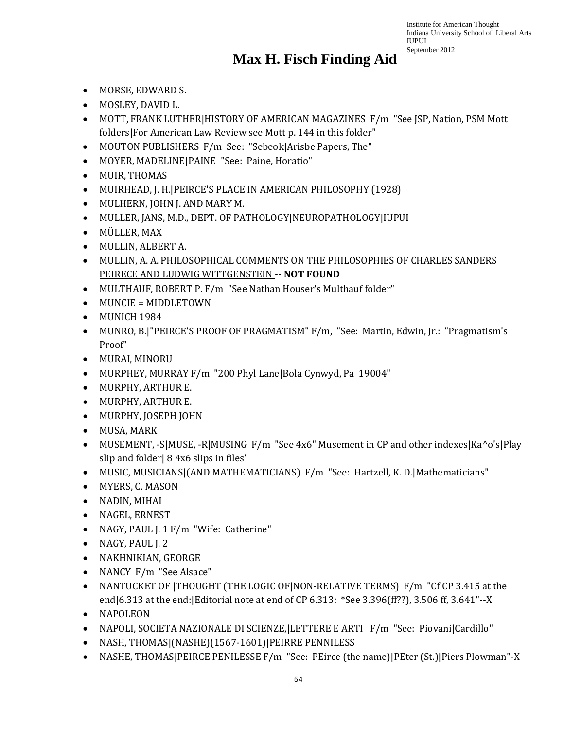- MORSE, EDWARD S.
- MOSLEY, DAVID L.
- MOTT, FRANK LUTHER|HISTORY OF AMERICAN MAGAZINES F/m "See JSP, Nation, PSM Mott folders|For American Law Review see Mott p. 144 in this folder"
- MOUTON PUBLISHERS F/m See: "Sebeok|Arisbe Papers, The"
- MOYER, MADELINE|PAINE "See: Paine, Horatio"
- MUIR, THOMAS
- MUIRHEAD, J. H.|PEIRCE'S PLACE IN AMERICAN PHILOSOPHY (1928)
- MULHERN, JOHN J. AND MARY M.
- MULLER, JANS, M.D., DEPT. OF PATHOLOGY|NEUROPATHOLOGY|IUPUI
- MÜLLER, MAX
- MULLIN, ALBERT A.
- MULLIN, A. A. PHILOSOPHICAL COMMENTS ON THE PHILOSOPHIES OF CHARLES SANDERS PEIRECE AND LUDWIG WITTGENSTEIN -- **NOT FOUND**
- MULTHAUF, ROBERT P. F/m "See Nathan Houser's Multhauf folder"
- MUNCIE = MIDDLETOWN
- MUNICH 1984
- MUNRO, B.|"PEIRCE'S PROOF OF PRAGMATISM" F/m, "See: Martin, Edwin, Jr.: "Pragmatism's Proof"
- MURAI, MINORU
- MURPHEY, MURRAY F/m "200 Phyl Lane|Bola Cynwyd, Pa 19004"
- MURPHY, ARTHUR E.
- MURPHY, ARTHUR E.
- MURPHY, JOSEPH JOHN
- MUSA, MARK
- MUSEMENT, -S|MUSE, -R|MUSING F/m "See 4x6" Musement in CP and other indexes|Ka^o's|Play slip and folder| 8 4x6 slips in files"
- MUSIC, MUSICIANS|(AND MATHEMATICIANS) F/m "See: Hartzell, K. D.|Mathematicians"
- MYERS, C. MASON
- NADIN, MIHAI
- NAGEL, ERNEST
- NAGY, PAUL J. 1 F/m "Wife: Catherine"
- NAGY, PAUL J. 2
- NAKHNIKIAN, GEORGE
- NANCY F/m "See Alsace"
- NANTUCKET OF |THOUGHT (THE LOGIC OF|NON-RELATIVE TERMS) F/m "Cf CP 3.415 at the end|6.313 at the end:|Editorial note at end of CP 6.313: \*See 3.396(ff??), 3.506 ff, 3.641"--X
- NAPOLEON
- NAPOLI, SOCIETA NAZIONALE DI SCIENZE,|LETTERE E ARTI F/m "See: Piovani|Cardillo"
- NASH, THOMAS|(NASHE)(1567-1601)|PEIRRE PENNILESS
- NASHE, THOMAS|PEIRCE PENILESSE F/m "See: PEirce (the name)|PEter (St.)|Piers Plowman"-X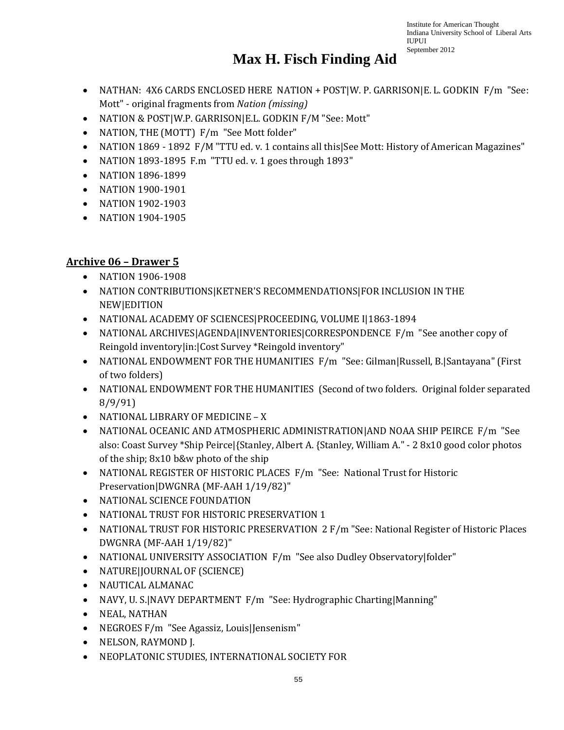# **Max H. Fisch Finding Aid**

- NATHAN: 4X6 CARDS ENCLOSED HERE NATION + POST|W. P. GARRISON|E. L. GODKIN F/m "See: Mott" - original fragments from *Nation (missing)*
- NATION & POST|W.P. GARRISON|E.L. GODKIN F/M "See: Mott"
- NATION, THE (MOTT) F/m "See Mott folder"
- NATION 1869 1892 F/M "TTU ed. v. 1 contains all this See Mott: History of American Magazines"
- NATION 1893-1895 F.m "TTU ed. v. 1 goes through 1893"
- NATION 1896-1899
- NATION 1900-1901
- NATION 1902-1903
- NATION 1904-1905

#### **Archive 06 – Drawer 5**

- NATION 1906-1908
- NATION CONTRIBUTIONS|KETNER'S RECOMMENDATIONS|FOR INCLUSION IN THE NEW|EDITION
- NATIONAL ACADEMY OF SCIENCES|PROCEEDING, VOLUME I|1863-1894
- NATIONAL ARCHIVES|AGENDA|INVENTORIES|CORRESPONDENCE F/m "See another copy of Reingold inventory|in:|Cost Survey \*Reingold inventory"
- NATIONAL ENDOWMENT FOR THE HUMANITIES F/m "See: Gilman|Russell, B.|Santayana" (First of two folders)
- NATIONAL ENDOWMENT FOR THE HUMANITIES (Second of two folders. Original folder separated 8/9/91)
- NATIONAL LIBRARY OF MEDICINE X
- NATIONAL OCEANIC AND ATMOSPHERIC ADMINISTRATION|AND NOAA SHIP PEIRCE F/m "See also: Coast Survey \*Ship Peirce|{Stanley, Albert A. {Stanley, William A." - 2 8x10 good color photos of the ship; 8x10 b&w photo of the ship
- NATIONAL REGISTER OF HISTORIC PLACES F/m "See: National Trust for Historic Preservation|DWGNRA (MF-AAH 1/19/82)"
- NATIONAL SCIENCE FOUNDATION
- NATIONAL TRUST FOR HISTORIC PRESERVATION 1
- NATIONAL TRUST FOR HISTORIC PRESERVATION 2 F/m "See: National Register of Historic Places DWGNRA (MF-AAH 1/19/82)"
- NATIONAL UNIVERSITY ASSOCIATION F/m "See also Dudley Observatory|folder"
- NATURE|JOURNAL OF (SCIENCE)
- NAUTICAL ALMANAC
- NAVY, U. S.|NAVY DEPARTMENT F/m "See: Hydrographic Charting|Manning"
- NEAL, NATHAN
- NEGROES F/m "See Agassiz, Louis|Jensenism"
- NELSON, RAYMOND J.
- NEOPLATONIC STUDIES, INTERNATIONAL SOCIETY FOR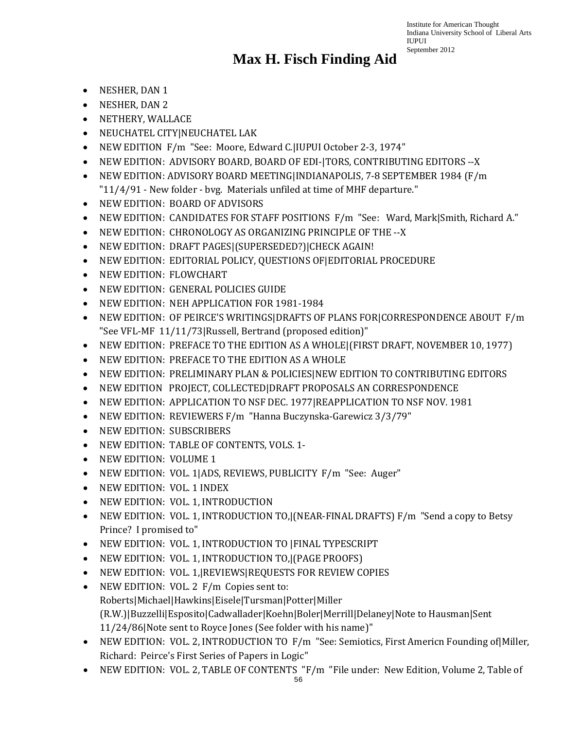- NESHER, DAN 1
- NESHER, DAN 2
- NETHERY, WALLACE
- NEUCHATEL CITY|NEUCHATEL LAK
- NEW EDITION F/m "See: Moore, Edward C.|IUPUI October 2-3, 1974"
- NEW EDITION: ADVISORY BOARD, BOARD OF EDI-|TORS, CONTRIBUTING EDITORS --X
- NEW EDITION: ADVISORY BOARD MEETING|INDIANAPOLIS, 7-8 SEPTEMBER 1984 (F/m "11/4/91 - New folder - bvg. Materials unfiled at time of MHF departure."
- NEW EDITION: BOARD OF ADVISORS
- NEW EDITION: CANDIDATES FOR STAFF POSITIONS F/m "See: Ward, Mark|Smith, Richard A."
- NEW EDITION: CHRONOLOGY AS ORGANIZING PRINCIPLE OF THE --X
- NEW EDITION: DRAFT PAGES|(SUPERSEDED?)|CHECK AGAIN!
- NEW EDITION: EDITORIAL POLICY, QUESTIONS OF|EDITORIAL PROCEDURE
- NEW EDITION: FLOWCHART
- NEW EDITION: GENERAL POLICIES GUIDE
- NEW EDITION: NEH APPLICATION FOR 1981-1984
- NEW EDITION: OF PEIRCE'S WRITINGS|DRAFTS OF PLANS FOR|CORRESPONDENCE ABOUT F/m "See VFL-MF 11/11/73|Russell, Bertrand (proposed edition)"
- NEW EDITION: PREFACE TO THE EDITION AS A WHOLE|(FIRST DRAFT, NOVEMBER 10, 1977)
- NEW EDITION: PREFACE TO THE EDITION AS A WHOLE
- NEW EDITION: PRELIMINARY PLAN & POLICIES|NEW EDITION TO CONTRIBUTING EDITORS
- NEW EDITION PROJECT, COLLECTED|DRAFT PROPOSALS AN CORRESPONDENCE
- NEW EDITION: APPLICATION TO NSF DEC. 1977|REAPPLICATION TO NSF NOV. 1981
- NEW EDITION: REVIEWERS F/m "Hanna Buczynska-Garewicz 3/3/79"
- NEW EDITION: SUBSCRIBERS
- NEW EDITION: TABLE OF CONTENTS, VOLS. 1-
- NEW EDITION: VOLUME 1
- NEW EDITION: VOL. 1|ADS, REVIEWS, PUBLICITY F/m "See: Auger"
- NEW EDITION: VOL. 1 INDEX
- NEW EDITION: VOL. 1, INTRODUCTION
- NEW EDITION: VOL. 1, INTRODUCTION TO,|(NEAR-FINAL DRAFTS) F/m "Send a copy to Betsy Prince? I promised to"
- NEW EDITION: VOL. 1, INTRODUCTION TO |FINAL TYPESCRIPT
- NEW EDITION: VOL. 1, INTRODUCTION TO,|(PAGE PROOFS)
- NEW EDITION: VOL. 1,|REVIEWS|REQUESTS FOR REVIEW COPIES
- NEW EDITION: VOL. 2 F/m Copies sent to: Roberts|Michael|Hawkins|Eisele|Tursman|Potter|Miller (R.W.)|Buzzelli|Esposito|Cadwallader|Koehn|Boler|Merrill|Delaney|Note to Hausman|Sent 11/24/86|Note sent to Royce Jones (See folder with his name)"
- NEW EDITION: VOL. 2, INTRODUCTION TO F/m "See: Semiotics, First Americn Founding of|Miller, Richard: Peirce's First Series of Papers in Logic"
- NEW EDITION: VOL. 2, TABLE OF CONTENTS "F/m "File under: New Edition, Volume 2, Table of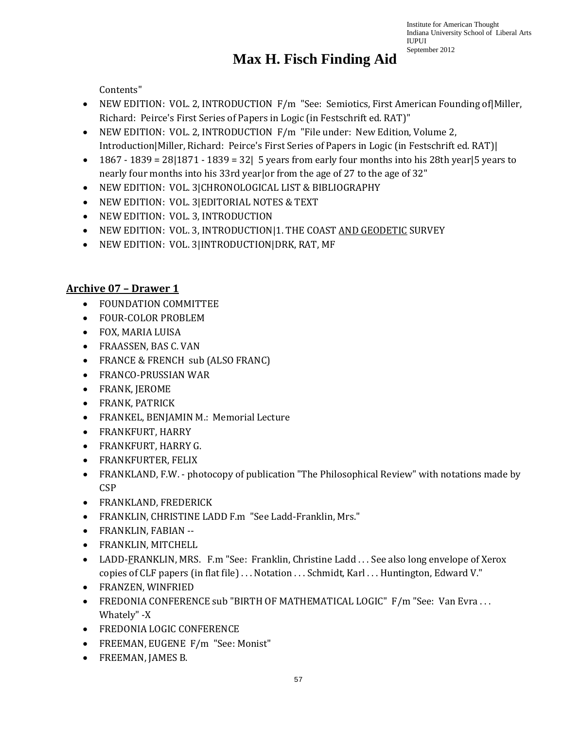# **Max H. Fisch Finding Aid**

Contents"

- NEW EDITION: VOL. 2, INTRODUCTION F/m "See: Semiotics, First American Founding of Miller, Richard: Peirce's First Series of Papers in Logic (in Festschrift ed. RAT)"
- NEW EDITION: VOL. 2, INTRODUCTION F/m "File under: New Edition, Volume 2, Introduction|Miller, Richard: Peirce's First Series of Papers in Logic (in Festschrift ed. RAT)|
- 1867 1839 = 28|1871 1839 = 32| 5 years from early four months into his 28th year|5 years to nearly four months into his 33rd year|or from the age of 27 to the age of 32"
- NEW EDITION: VOL. 3|CHRONOLOGICAL LIST & BIBLIOGRAPHY
- NEW EDITION: VOL. 3|EDITORIAL NOTES & TEXT
- NEW EDITION: VOL. 3, INTRODUCTION
- NEW EDITION: VOL. 3, INTRODUCTION|1. THE COAST AND GEODETIC SURVEY
- NEW EDITION: VOL. 3|INTRODUCTION|DRK, RAT, MF

#### **Archive 07 – Drawer 1**

- FOUNDATION COMMITTEE
- FOUR-COLOR PROBLEM
- FOX, MARIA LUISA
- FRAASSEN, BAS C. VAN
- FRANCE & FRENCH sub (ALSO FRANC)
- FRANCO-PRUSSIAN WAR
- FRANK, JEROME
- FRANK, PATRICK
- FRANKEL, BENJAMIN M.: Memorial Lecture
- FRANKFURT, HARRY
- FRANKFURT, HARRY G.
- FRANKFURTER, FELIX
- FRANKLAND, F.W. photocopy of publication "The Philosophical Review" with notations made by **CSP**
- FRANKLAND, FREDERICK
- FRANKLIN, CHRISTINE LADD F.m "See Ladd-Franklin, Mrs."
- FRANKLIN, FABIAN --
- FRANKLIN, MITCHELL
- LADD-FRANKLIN, MRS. F.m "See: Franklin, Christine Ladd ... See also long envelope of Xerox copies of CLF papers (in flat file) . . . Notation . . . Schmidt, Karl . . . Huntington, Edward V."
- FRANZEN, WINFRIED
- FREDONIA CONFERENCE sub "BIRTH OF MATHEMATICAL LOGIC" F/m "See: Van Evra ... Whately" -X
- FREDONIA LOGIC CONFERENCE
- FREEMAN, EUGENE F/m "See: Monist"
- FREEMAN, JAMES B.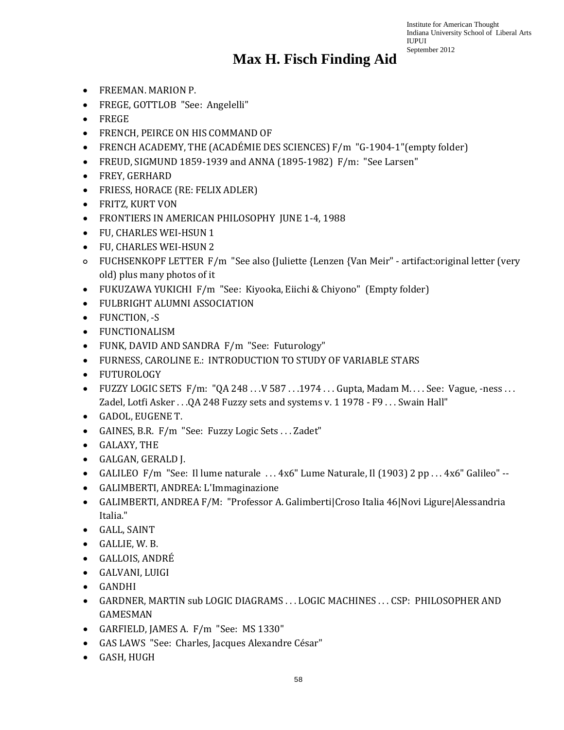- FREEMAN. MARION P.
- FREGE, GOTTLOB "See: Angelelli"
- FREGE
- FRENCH, PEIRCE ON HIS COMMAND OF
- FRENCH ACADEMY, THE (ACADÉMIE DES SCIENCES) F/m "G-1904-1"(empty folder)
- FREUD, SIGMUND 1859-1939 and ANNA (1895-1982) F/m: "See Larsen"
- FREY, GERHARD
- FRIESS, HORACE (RE: FELIX ADLER)
- FRITZ, KURT VON
- FRONTIERS IN AMERICAN PHILOSOPHY JUNE 1-4, 1988
- FU, CHARLES WEI-HSUN 1
- FU, CHARLES WEI-HSUN 2
- FUCHSENKOPF LETTER F/m "See also {Juliette {Lenzen {Van Meir" artifact:original letter (very old) plus many photos of it
- FUKUZAWA YUKICHI F/m "See: Kiyooka, Eiichi & Chiyono" (Empty folder)
- FULBRIGHT ALUMNI ASSOCIATION
- FUNCTION, -S
- FUNCTIONALISM
- FUNK, DAVID AND SANDRA F/m "See: Futurology"
- FURNESS, CAROLINE E.: INTRODUCTION TO STUDY OF VARIABLE STARS
- FUTUROLOGY
- FUZZY LOGIC SETS F/m:  $\sqrt{0.248...V}$  587 . . .1974 . . . Gupta, Madam M. . . . See: Vague, -ness . . . Zadel, Lotfi Asker . . .QA 248 Fuzzy sets and systems v. 1 1978 - F9 . . . Swain Hall"
- GADOL, EUGENE T.
- GAINES, B.R. F/m "See: Fuzzy Logic Sets . . . Zadet"
- GALAXY, THE
- GALGAN, GERALD J.
- GALILEO F/m "See: Il lume naturale ... 4x6" Lume Naturale, Il (1903) 2 pp ... 4x6" Galileo" --
- GALIMBERTI, ANDREA: L'Immaginazione
- GALIMBERTI, ANDREA F/M: "Professor A. Galimberti|Croso Italia 46|Novi Ligure|Alessandria Italia."
- GALL, SAINT
- GALLIE, W. B.
- GALLOIS, ANDRÉ
- GALVANI, LUIGI
- GANDHI
- GARDNER, MARTIN sub LOGIC DIAGRAMS . . . LOGIC MACHINES . . . CSP: PHILOSOPHER AND GAMESMAN
- GARFIELD, JAMES A. F/m "See: MS 1330"
- GAS LAWS "See: Charles, Jacques Alexandre César"
- GASH, HUGH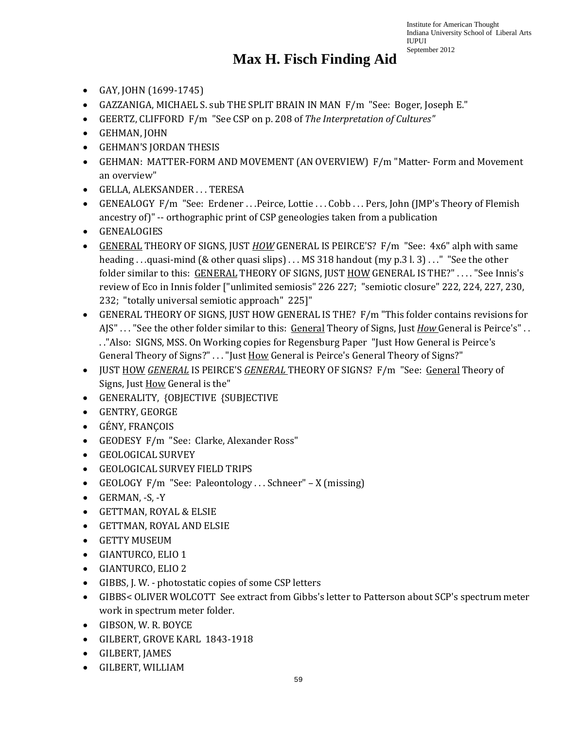- GAY, JOHN (1699-1745)
- GAZZANIGA, MICHAEL S. sub THE SPLIT BRAIN IN MAN F/m "See: Boger, Joseph E."
- GEERTZ, CLIFFORD F/m "See CSP on p. 208 of *The Interpretation of Cultures"*
- GEHMAN, JOHN
- GEHMAN'S JORDAN THESIS
- GEHMAN: MATTER-FORM AND MOVEMENT (AN OVERVIEW) F/m "Matter- Form and Movement an overview"
- GELLA, ALEKSANDER . . . TERESA
- GENEALOGY F/m "See: Erdener ... Peirce, Lottie ... Cobb ... Pers, John (JMP's Theory of Flemish ancestry of)" -- orthographic print of CSP geneologies taken from a publication
- GENEALOGIES
- GENERAL THEORY OF SIGNS, JUST *HOW* GENERAL IS PEIRCE'S? F/m "See: 4x6" alph with same heading . . .quasi-mind (& other quasi slips) . . . MS 318 handout (my p.3 l. 3) . . . " "See the other folder similar to this: GENERAL THEORY OF SIGNS, JUST HOW GENERAL IS THE?" ... . "See Innis's review of Eco in Innis folder ["unlimited semiosis" 226 227; "semiotic closure" 222, 224, 227, 230, 232; "totally universal semiotic approach" 225]"
- GENERAL THEORY OF SIGNS, JUST HOW GENERAL IS THE? F/m "This folder contains revisions for AJS" . . . "See the other folder similar to this: General Theory of Signs, Just *How* General is Peirce's" . . . ."Also: SIGNS, MSS. On Working copies for Regensburg Paper "Just How General is Peirce's General Theory of Signs?" . . . "Just How General is Peirce's General Theory of Signs?"
- JUST HOW *GENERAL* IS PEIRCE'S *GENERAL* THEORY OF SIGNS? F/m "See: General Theory of Signs, Just How General is the"
- GENERALITY, {OBJECTIVE {SUBJECTIVE
- GENTRY, GEORGE
- GÉNY, FRANÇOIS
- GEODESY F/m "See: Clarke, Alexander Ross"
- GEOLOGICAL SURVEY
- GEOLOGICAL SURVEY FIELD TRIPS
- GEOLOGY F/m "See: Paleontology...Schneer" X (missing)
- GERMAN, -S, -Y
- GETTMAN, ROYAL & ELSIE
- GETTMAN, ROYAL AND ELSIE
- GETTY MUSEUM
- GIANTURCO, ELIO 1
- GIANTURCO, ELIO 2
- GIBBS, J. W. photostatic copies of some CSP letters
- GIBBS< OLIVER WOLCOTT See extract from Gibbs's letter to Patterson about SCP's spectrum meter work in spectrum meter folder.
- GIBSON, W. R. BOYCE
- GILBERT, GROVE KARL 1843-1918
- GILBERT, JAMES
- GILBERT, WILLIAM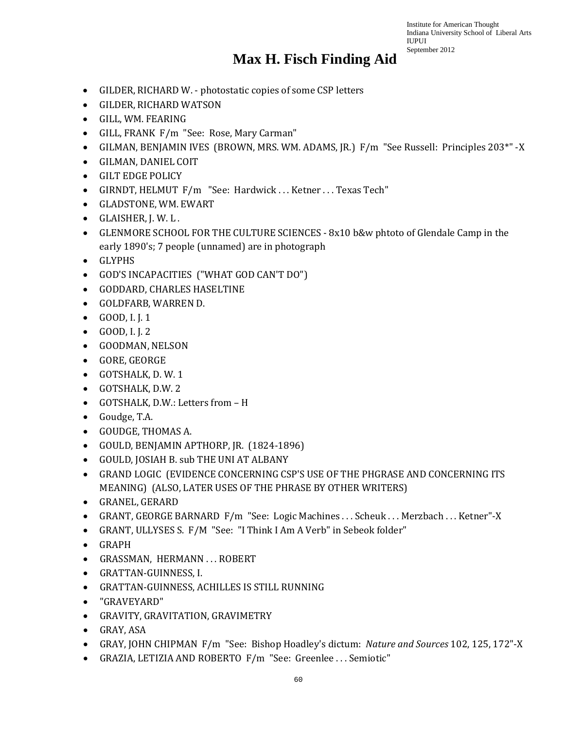- GILDER, RICHARD W. photostatic copies of some CSP letters
- GILDER, RICHARD WATSON
- GILL, WM. FEARING
- GILL, FRANK F/m "See: Rose, Mary Carman"
- GILMAN, BENJAMIN IVES (BROWN, MRS. WM. ADAMS, JR.) F/m "See Russell: Principles 203\*" -X
- GILMAN, DANIEL COIT
- GILT EDGE POLICY
- GIRNDT, HELMUT F/m "See: Hardwick ... Ketner ... Texas Tech"
- GLADSTONE, WM. EWART
- GLAISHER, J. W. L .
- GLENMORE SCHOOL FOR THE CULTURE SCIENCES 8x10 b&w phtoto of Glendale Camp in the early 1890's; 7 people (unnamed) are in photograph
- GLYPHS
- GOD'S INCAPACITIES ("WHAT GOD CAN'T DO")
- GODDARD, CHARLES HASELTINE
- GOLDFARB, WARREN D.
- GOOD, I. J. 1
- GOOD, I. J. 2
- GOODMAN, NELSON
- GORE, GEORGE
- GOTSHALK, D. W. 1
- GOTSHALK, D.W. 2
- GOTSHALK, D.W.: Letters from H
- Goudge, T.A.
- GOUDGE, THOMAS A.
- GOULD, BENJAMIN APTHORP, JR. (1824-1896)
- GOULD, JOSIAH B. sub THE UNI AT ALBANY
- GRAND LOGIC (EVIDENCE CONCERNING CSP'S USE OF THE PHGRASE AND CONCERNING ITS MEANING) (ALSO, LATER USES OF THE PHRASE BY OTHER WRITERS)
- GRANEL, GERARD
- GRANT, GEORGE BARNARD F/m "See: Logic Machines . . . Scheuk . . . Merzbach . . . Ketner"-X
- GRANT, ULLYSES S. F/M "See: "I Think I Am A Verb" in Sebeok folder"
- GRAPH
- GRASSMAN, HERMANN . . . ROBERT
- GRATTAN-GUINNESS, I.
- GRATTAN-GUINNESS, ACHILLES IS STILL RUNNING
- "GRAVEYARD"
- GRAVITY, GRAVITATION, GRAVIMETRY
- GRAY, ASA
- GRAY, JOHN CHIPMAN F/m "See: Bishop Hoadley's dictum: *Nature and Sources* 102, 125, 172"-X
- GRAZIA, LETIZIA AND ROBERTO F/m "See: Greenlee . . . Semiotic"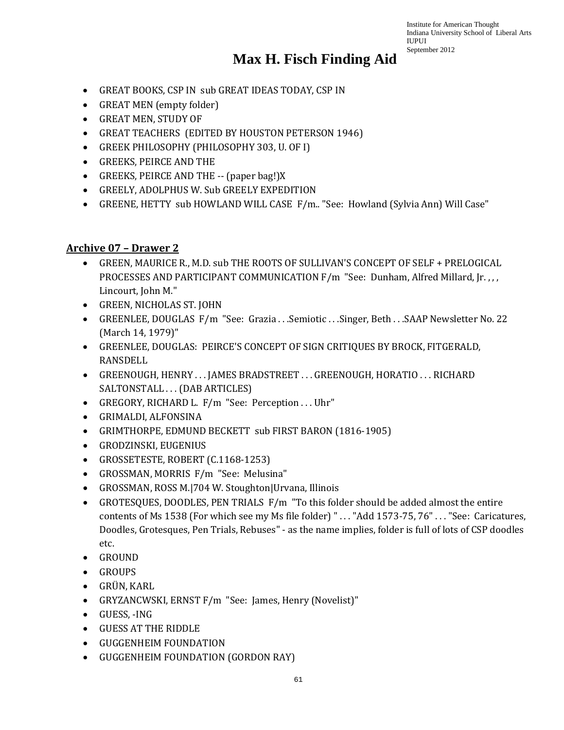#### **Max H. Fisch Finding Aid**

- GREAT BOOKS, CSP IN sub GREAT IDEAS TODAY, CSP IN
- GREAT MEN (empty folder)
- GREAT MEN, STUDY OF
- GREAT TEACHERS (EDITED BY HOUSTON PETERSON 1946)
- GREEK PHILOSOPHY (PHILOSOPHY 303, U. OF I)
- GREEKS, PEIRCE AND THE
- GREEKS, PEIRCE AND THE -- (paper bag!)X
- GREELY, ADOLPHUS W. Sub GREELY EXPEDITION
- GREENE, HETTY sub HOWLAND WILL CASE F/m.. "See: Howland (Sylvia Ann) Will Case"

#### **Archive 07 – Drawer 2**

- GREEN, MAURICE R., M.D. sub THE ROOTS OF SULLIVAN'S CONCEPT OF SELF + PRELOGICAL PROCESSES AND PARTICIPANT COMMUNICATION F/m "See: Dunham, Alfred Millard, Jr. , , , Lincourt, John M."
- GREEN, NICHOLAS ST. JOHN
- GREENLEE, DOUGLAS F/m "See: Grazia . . . Semiotic . . . Singer, Beth . . . SAAP Newsletter No. 22 (March 14, 1979)"
- GREENLEE, DOUGLAS: PEIRCE'S CONCEPT OF SIGN CRITIQUES BY BROCK, FITGERALD, RANSDELL
- GREENOUGH, HENRY . . . JAMES BRADSTREET . . . GREENOUGH, HORATIO . . . RICHARD SALTONSTALL . . . (DAB ARTICLES)
- GREGORY, RICHARD L. F/m "See: Perception . . . Uhr"
- GRIMALDI, ALFONSINA
- GRIMTHORPE, EDMUND BECKETT sub FIRST BARON (1816-1905)
- GRODZINSKI, EUGENIUS
- GROSSETESTE, ROBERT (C.1168-1253)
- GROSSMAN, MORRIS F/m "See: Melusina"
- GROSSMAN, ROSS M.|704 W. Stoughton|Urvana, Illinois
- GROTESQUES, DOODLES, PEN TRIALS F/m "To this folder should be added almost the entire contents of Ms 1538 (For which see my Ms file folder) " . . . "Add 1573-75, 76" . . . "See: Caricatures, Doodles, Grotesques, Pen Trials, Rebuses" - as the name implies, folder is full of lots of CSP doodles etc.
- GROUND
- GROUPS
- GRÜN, KARL
- GRYZANCWSKI, ERNST F/m "See: James, Henry (Novelist)"
- GUESS, -ING
- GUESS AT THE RIDDLE
- GUGGENHEIM FOUNDATION
- GUGGENHEIM FOUNDATION (GORDON RAY)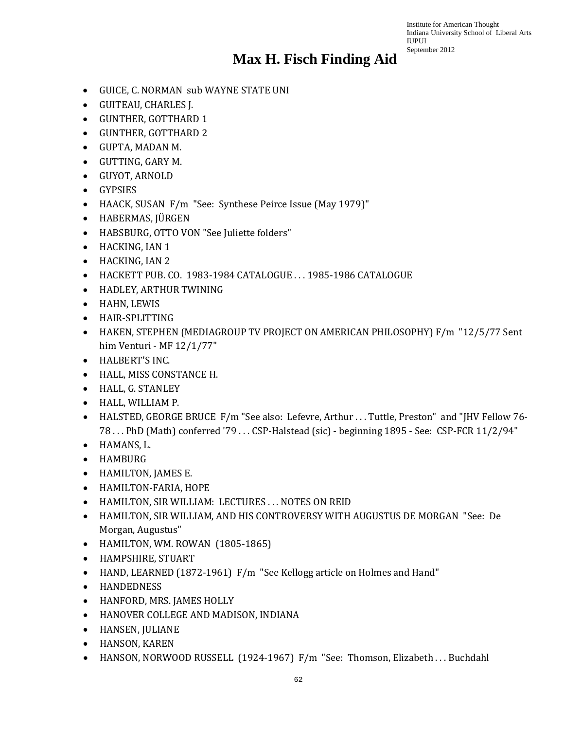- GUICE, C. NORMAN sub WAYNE STATE UNI
- GUITEAU, CHARLES J.
- GUNTHER, GOTTHARD 1
- GUNTHER, GOTTHARD 2
- GUPTA, MADAN M.
- GUTTING, GARY M.
- GUYOT, ARNOLD
- GYPSIES
- HAACK, SUSAN F/m "See: Synthese Peirce Issue (May 1979)"
- HABERMAS, JÜRGEN
- HABSBURG, OTTO VON "See Juliette folders"
- HACKING, IAN 1
- HACKING, IAN 2
- HACKETT PUB. CO. 1983-1984 CATALOGUE . . . 1985-1986 CATALOGUE
- HADLEY, ARTHUR TWINING
- HAHN, LEWIS
- HAIR-SPLITTING
- HAKEN, STEPHEN (MEDIAGROUP TV PROJECT ON AMERICAN PHILOSOPHY) F/m "12/5/77 Sent him Venturi - MF 12/1/77"
- HALBERT'S INC.
- HALL, MISS CONSTANCE H.
- HALL, G. STANLEY
- HALL, WILLIAM P.
- HALSTED, GEORGE BRUCE F/m "See also: Lefevre, Arthur . . . Tuttle, Preston" and "JHV Fellow 76- 78 . . . PhD (Math) conferred '79 . . . CSP-Halstead (sic) - beginning 1895 - See: CSP-FCR 11/2/94"
- HAMANS, L.
- HAMBURG
- HAMILTON, JAMES E.
- HAMILTON-FARIA, HOPE
- HAMILTON, SIR WILLIAM: LECTURES . . . NOTES ON REID
- HAMILTON, SIR WILLIAM, AND HIS CONTROVERSY WITH AUGUSTUS DE MORGAN "See: De Morgan, Augustus"
- HAMILTON, WM. ROWAN (1805-1865)
- HAMPSHIRE, STUART
- HAND, LEARNED (1872-1961) F/m "See Kellogg article on Holmes and Hand"
- HANDEDNESS
- HANFORD, MRS. JAMES HOLLY
- HANOVER COLLEGE AND MADISON, INDIANA
- HANSEN, JULIANE
- HANSON, KAREN
- HANSON, NORWOOD RUSSELL (1924-1967) F/m "See: Thomson, Elizabeth . . . Buchdahl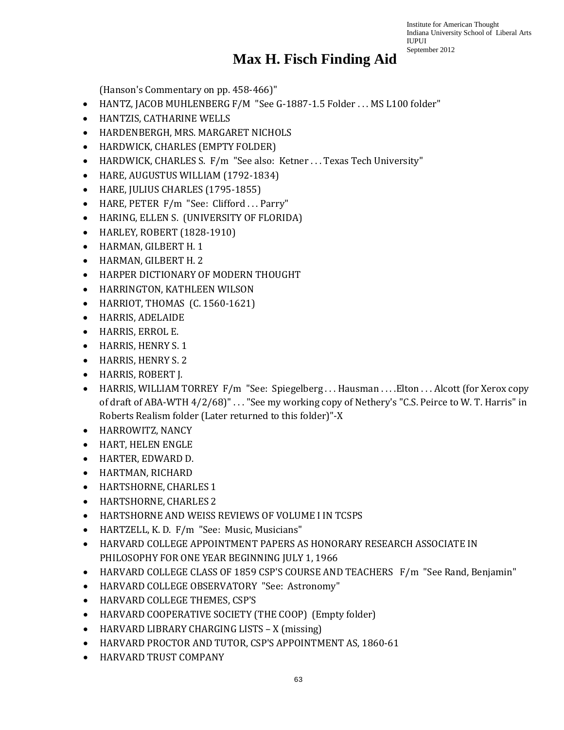#### **Max H. Fisch Finding Aid**

(Hanson's Commentary on pp. 458-466)"

- HANTZ, JACOB MUHLENBERG F/M "See G-1887-1.5 Folder . . . MS L100 folder"
- HANTZIS, CATHARINE WELLS
- HARDENBERGH, MRS. MARGARET NICHOLS
- HARDWICK, CHARLES (EMPTY FOLDER)
- HARDWICK, CHARLES S. F/m "See also: Ketner . . . Texas Tech University"
- HARE, AUGUSTUS WILLIAM (1792-1834)
- HARE, JULIUS CHARLES (1795-1855)
- HARE, PETER F/m "See: Clifford ... Parry"
- HARING, ELLEN S. (UNIVERSITY OF FLORIDA)
- HARLEY, ROBERT (1828-1910)
- HARMAN, GILBERT H. 1
- HARMAN, GILBERT H. 2
- HARPER DICTIONARY OF MODERN THOUGHT
- HARRINGTON, KATHLEEN WILSON
- HARRIOT, THOMAS (C. 1560-1621)
- HARRIS, ADELAIDE
- HARRIS, ERROL E.
- HARRIS, HENRY S. 1
- HARRIS, HENRY S. 2
- HARRIS, ROBERT J.
- HARRIS, WILLIAM TORREY F/m "See: Spiegelberg ... Hausman ... . Elton ... Alcott (for Xerox copy of draft of ABA-WTH 4/2/68)" . . . "See my working copy of Nethery's "C.S. Peirce to W. T. Harris" in Roberts Realism folder (Later returned to this folder)"-X
- HARROWITZ, NANCY
- HART, HELEN ENGLE
- HARTER, EDWARD D.
- HARTMAN, RICHARD
- HARTSHORNE, CHARLES 1
- HARTSHORNE, CHARLES 2
- HARTSHORNE AND WEISS REVIEWS OF VOLUME I IN TCSPS
- HARTZELL, K. D. F/m "See: Music, Musicians"
- HARVARD COLLEGE APPOINTMENT PAPERS AS HONORARY RESEARCH ASSOCIATE IN PHILOSOPHY FOR ONE YEAR BEGINNING JULY 1, 1966
- HARVARD COLLEGE CLASS OF 1859 CSP'S COURSE AND TEACHERS F/m "See Rand, Benjamin"
- HARVARD COLLEGE OBSERVATORY "See: Astronomy"
- HARVARD COLLEGE THEMES, CSP'S
- HARVARD COOPERATIVE SOCIETY (THE COOP) (Empty folder)
- HARVARD LIBRARY CHARGING LISTS X (missing)
- HARVARD PROCTOR AND TUTOR, CSP'S APPOINTMENT AS, 1860-61
- HARVARD TRUST COMPANY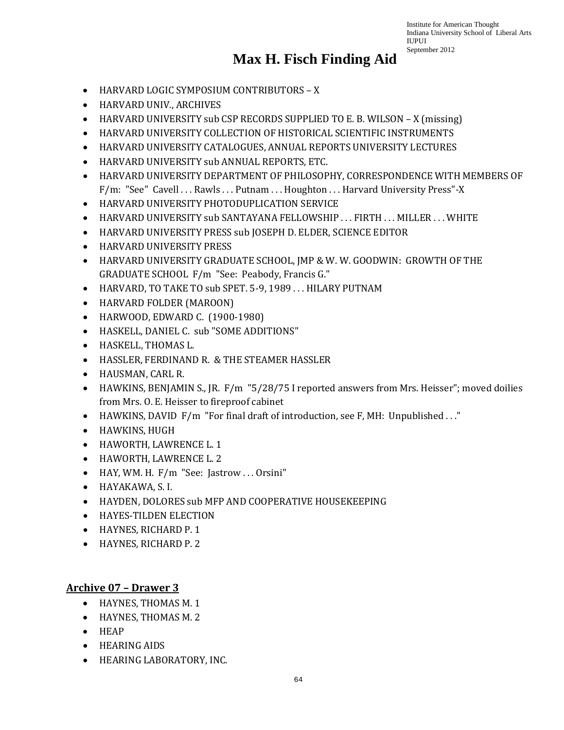# **Max H. Fisch Finding Aid**

- HARVARD LOGIC SYMPOSIUM CONTRIBUTORS X
- HARVARD UNIV., ARCHIVES
- HARVARD UNIVERSITY sub CSP RECORDS SUPPLIED TO E. B. WILSON X (missing)
- HARVARD UNIVERSITY COLLECTION OF HISTORICAL SCIENTIFIC INSTRUMENTS
- HARVARD UNIVERSITY CATALOGUES, ANNUAL REPORTS UNIVERSITY LECTURES
- HARVARD UNIVERSITY sub ANNUAL REPORTS, ETC.
- HARVARD UNIVERSITY DEPARTMENT OF PHILOSOPHY, CORRESPONDENCE WITH MEMBERS OF F/m: "See" Cavell . . . Rawls . . . Putnam . . . Houghton . . . Harvard University Press"-X
- HARVARD UNIVERSITY PHOTODUPLICATION SERVICE
- HARVARD UNIVERSITY sub SANTAYANA FELLOWSHIP ... FIRTH ... MILLER ... WHITE
- HARVARD UNIVERSITY PRESS sub JOSEPH D. ELDER, SCIENCE EDITOR
- HARVARD UNIVERSITY PRESS
- HARVARD UNIVERSITY GRADUATE SCHOOL, JMP & W. W. GOODWIN: GROWTH OF THE GRADUATE SCHOOL F/m "See: Peabody, Francis G."
- HARVARD, TO TAKE TO sub SPET. 5-9, 1989 . . . HILARY PUTNAM
- HARVARD FOLDER (MAROON)
- HARWOOD, EDWARD C. (1900-1980)
- HASKELL, DANIEL C. sub "SOME ADDITIONS"
- HASKELL, THOMAS L.
- HASSLER, FERDINAND R. & THE STEAMER HASSLER
- HAUSMAN, CARL R.
- HAWKINS, BENJAMIN S., JR. F/m "5/28/75 I reported answers from Mrs. Heisser"; moved doilies from Mrs. O. E. Heisser to fireproof cabinet
- HAWKINS, DAVID F/m "For final draft of introduction, see F, MH: Unpublished ..."
- HAWKINS, HUGH
- HAWORTH, LAWRENCE L. 1
- HAWORTH, LAWRENCE L. 2
- HAY, WM. H. F/m "See: Jastrow ... Orsini"
- HAYAKAWA, S. I.
- HAYDEN, DOLORES sub MFP AND COOPERATIVE HOUSEKEEPING
- HAYES-TILDEN ELECTION
- HAYNES, RICHARD P. 1
- HAYNES, RICHARD P. 2

#### **Archive 07 – Drawer 3**

- HAYNES, THOMAS M. 1
- HAYNES, THOMAS M. 2
- HEAP
- HEARING AIDS
- HEARING LABORATORY, INC.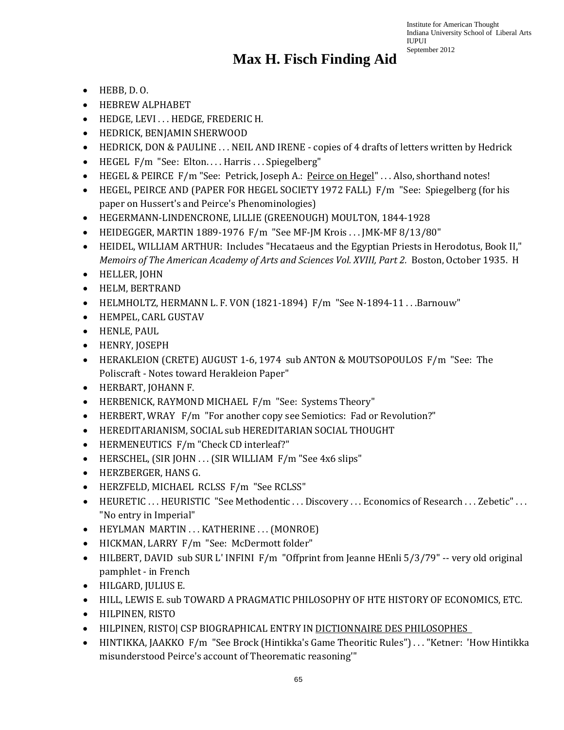- HEBB, D. O.
- HEBREW ALPHABET
- HEDGE, LEVI . . . HEDGE, FREDERIC H.
- HEDRICK, BENJAMIN SHERWOOD
- HEDRICK, DON & PAULINE . . . NEIL AND IRENE copies of 4 drafts of letters written by Hedrick
- HEGEL F/m "See: Elton.... Harris ... Spiegelberg"
- HEGEL & PEIRCE F/m "See: Petrick, Joseph A.: Peirce on Hegel" ... Also, shorthand notes!
- HEGEL, PEIRCE AND (PAPER FOR HEGEL SOCIETY 1972 FALL) F/m "See: Spiegelberg (for his paper on Hussert's and Peirce's Phenominologies)
- HEGERMANN-LINDENCRONE, LILLIE (GREENOUGH) MOULTON, 1844-1928
- HEIDEGGER, MARTIN 1889-1976 F/m "See MF-JM Krois . . . JMK-MF 8/13/80"
- HEIDEL, WILLIAM ARTHUR: Includes "Hecataeus and the Egyptian Priests in Herodotus, Book II," *Memoirs of The American Academy of Arts and Sciences Vol. XVIII, Part 2. Boston, October 1935. H*
- HELLER, JOHN
- HELM, BERTRAND
- HELMHOLTZ, HERMANN L. F. VON (1821-1894) F/m "See N-1894-11 . . . Barnouw"
- HEMPEL, CARL GUSTAV
- HENLE, PAUL
- HENRY, JOSEPH
- HERAKLEION (CRETE) AUGUST 1-6, 1974 sub ANTON & MOUTSOPOULOS F/m "See: The Poliscraft - Notes toward Herakleion Paper"
- HERBART, JOHANN F.
- HERBENICK, RAYMOND MICHAEL F/m "See: Systems Theory"
- HERBERT, WRAY F/m "For another copy see Semiotics: Fad or Revolution?"
- HEREDITARIANISM, SOCIAL sub HEREDITARIAN SOCIAL THOUGHT
- HERMENEUTICS F/m "Check CD interleaf?"
- HERSCHEL, (SIR JOHN . . . (SIR WILLIAM F/m "See 4x6 slips"
- HERZBERGER, HANS G.
- HERZFELD, MICHAEL RCLSS F/m "See RCLSS"
- HEURETIC ... HEURISTIC "See Methodentic ... Discovery ... Economics of Research ... Zebetic" ... "No entry in Imperial"
- HEYLMAN MARTIN ... KATHERINE ... (MONROE)
- HICKMAN, LARRY F/m "See: McDermott folder"
- HILBERT, DAVID sub SUR L'INFINI F/m "Offprint from Jeanne HEnli 5/3/79" -- very old original pamphlet - in French
- HILGARD, JULIUS E.
- HILL, LEWIS E. sub TOWARD A PRAGMATIC PHILOSOPHY OF HTE HISTORY OF ECONOMICS, ETC.
- HILPINEN, RISTO
- HILPINEN, RISTO| CSP BIOGRAPHICAL ENTRY IN DICTIONNAIRE DES PHILOSOPHES
- HINTIKKA, JAAKKO F/m "See Brock (Hintikka's Game Theoritic Rules") . . . "Ketner: 'How Hintikka misunderstood Peirce's account of Theorematic reasoning'"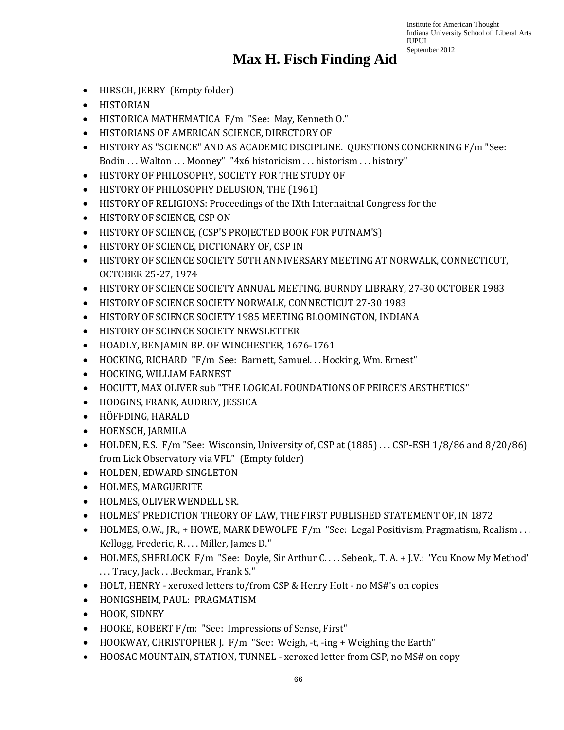- HIRSCH, JERRY (Empty folder)
- HISTORIAN
- HISTORICA MATHEMATICA F/m "See: May, Kenneth O."
- HISTORIANS OF AMERICAN SCIENCE, DIRECTORY OF
- HISTORY AS "SCIENCE" AND AS ACADEMIC DISCIPLINE. QUESTIONS CONCERNING F/m "See: Bodin ... Walton ... Mooney" "4x6 historicism ... historism ... history"
- HISTORY OF PHILOSOPHY, SOCIETY FOR THE STUDY OF
- HISTORY OF PHILOSOPHY DELUSION, THE (1961)
- HISTORY OF RELIGIONS: Proceedings of the IXth Internaitnal Congress for the
- HISTORY OF SCIENCE, CSP ON
- HISTORY OF SCIENCE, (CSP'S PROJECTED BOOK FOR PUTNAM'S)
- HISTORY OF SCIENCE, DICTIONARY OF, CSP IN
- HISTORY OF SCIENCE SOCIETY 50TH ANNIVERSARY MEETING AT NORWALK, CONNECTICUT, OCTOBER 25-27, 1974
- HISTORY OF SCIENCE SOCIETY ANNUAL MEETING, BURNDY LIBRARY, 27-30 OCTOBER 1983
- HISTORY OF SCIENCE SOCIETY NORWALK, CONNECTICUT 27-30 1983
- HISTORY OF SCIENCE SOCIETY 1985 MEETING BLOOMINGTON, INDIANA
- HISTORY OF SCIENCE SOCIETY NEWSLETTER
- HOADLY, BENJAMIN BP. OF WINCHESTER, 1676-1761
- HOCKING, RICHARD "F/m See: Barnett, Samuel. . . Hocking, Wm. Ernest"
- HOCKING, WILLIAM EARNEST
- HOCUTT, MAX OLIVER sub "THE LOGICAL FOUNDATIONS OF PEIRCE'S AESTHETICS"
- HODGINS, FRANK, AUDREY, JESSICA
- HÖFFDING, HARALD
- HOENSCH, JARMILA
- HOLDEN, E.S. F/m "See: Wisconsin, University of, CSP at (1885) . . . CSP-ESH 1/8/86 and 8/20/86) from Lick Observatory via VFL" (Empty folder)
- HOLDEN, EDWARD SINGLETON
- HOLMES, MARGUERITE
- HOLMES, OLIVER WENDELL SR.
- HOLMES' PREDICTION THEORY OF LAW, THE FIRST PUBLISHED STATEMENT OF, IN 1872
- HOLMES, O.W., JR., + HOWE, MARK DEWOLFE F/m "See: Legal Positivism, Pragmatism, Realism ... Kellogg, Frederic, R. . . . Miller, James D."
- HOLMES, SHERLOCK F/m "See: Doyle, Sir Arthur C. . . . Sebeok,. T. A. + J.V.: 'You Know My Method' . . . Tracy, Jack . . .Beckman, Frank S."
- HOLT, HENRY xeroxed letters to/from CSP & Henry Holt no MS#'s on copies
- HONIGSHEIM, PAUL: PRAGMATISM
- HOOK, SIDNEY
- HOOKE, ROBERT F/m: "See: Impressions of Sense, First"
- HOOKWAY, CHRISTOPHER J. F/m "See: Weigh, -t, -ing + Weighing the Earth"
- HOOSAC MOUNTAIN, STATION, TUNNEL xeroxed letter from CSP, no MS# on copy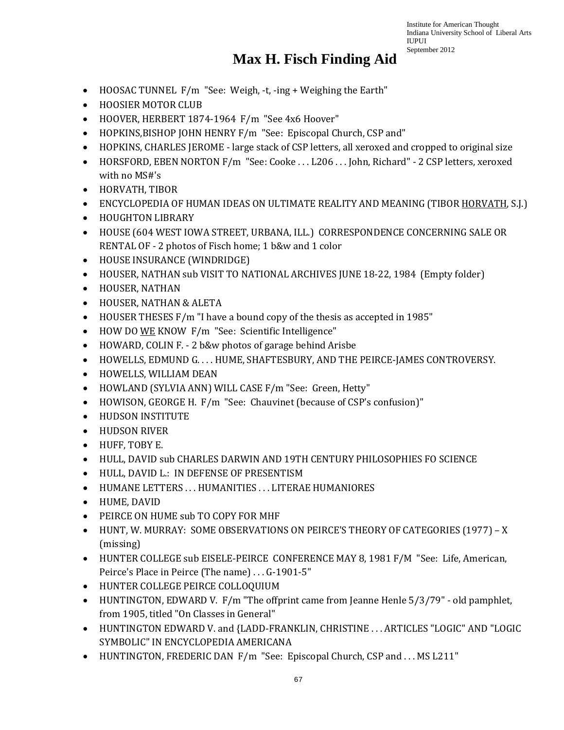- HOOSAC TUNNEL F/m "See: Weigh, -t, -ing + Weighing the Earth"
- HOOSIER MOTOR CLUB
- HOOVER, HERBERT 1874-1964 F/m "See 4x6 Hoover"
- HOPKINS,BISHOP JOHN HENRY F/m "See: Episcopal Church, CSP and"
- HOPKINS, CHARLES JEROME large stack of CSP letters, all xeroxed and cropped to original size
- HORSFORD, EBEN NORTON F/m "See: Cooke ... L206 ... John, Richard" 2 CSP letters, xeroxed with no MS#'s
- HORVATH, TIBOR
- ENCYCLOPEDIA OF HUMAN IDEAS ON ULTIMATE REALITY AND MEANING (TIBOR HORVATH, S.J.)
- HOUGHTON LIBRARY
- HOUSE (604 WEST IOWA STREET, URBANA, ILL.) CORRESPONDENCE CONCERNING SALE OR RENTAL OF - 2 photos of Fisch home; 1 b&w and 1 color
- HOUSE INSURANCE (WINDRIDGE)
- HOUSER, NATHAN sub VISIT TO NATIONAL ARCHIVES JUNE 18-22, 1984 (Empty folder)
- HOUSER, NATHAN
- HOUSER, NATHAN & ALETA
- HOUSER THESES F/m "I have a bound copy of the thesis as accepted in 1985"
- HOW DO WE KNOW F/m "See: Scientific Intelligence"
- HOWARD, COLIN F. 2 b&w photos of garage behind Arisbe
- HOWELLS, EDMUND G. . . . HUME, SHAFTESBURY, AND THE PEIRCE-JAMES CONTROVERSY.
- HOWELLS, WILLIAM DEAN
- HOWLAND (SYLVIA ANN) WILL CASE F/m "See: Green, Hetty"
- HOWISON, GEORGE H. F/m "See: Chauvinet (because of CSP's confusion)"
- HUDSON INSTITUTE
- HUDSON RIVER
- HUFF, TOBY E.
- HULL, DAVID sub CHARLES DARWIN AND 19TH CENTURY PHILOSOPHIES FO SCIENCE
- HULL, DAVID L.: IN DEFENSE OF PRESENTISM
- HUMANE LETTERS . . . HUMANITIES . . . LITERAE HUMANIORES
- HUME, DAVID
- PEIRCE ON HUME sub TO COPY FOR MHF
- HUNT, W. MURRAY: SOME OBSERVATIONS ON PEIRCE'S THEORY OF CATEGORIES (1977) X (missing)
- HUNTER COLLEGE sub EISELE-PEIRCE CONFERENCE MAY 8, 1981 F/M "See: Life, American, Peirce's Place in Peirce (The name) . . . G-1901-5"
- HUNTER COLLEGE PEIRCE COLLOQUIUM
- HUNTINGTON, EDWARD V. F/m "The offprint came from Jeanne Henle 5/3/79" old pamphlet, from 1905, titled "On Classes in General"
- HUNTINGTON EDWARD V. and {LADD-FRANKLIN, CHRISTINE . . . ARTICLES "LOGIC" AND "LOGIC SYMBOLIC" IN ENCYCLOPEDIA AMERICANA
- HUNTINGTON, FREDERIC DAN F/m "See: Episcopal Church, CSP and ... MS L211"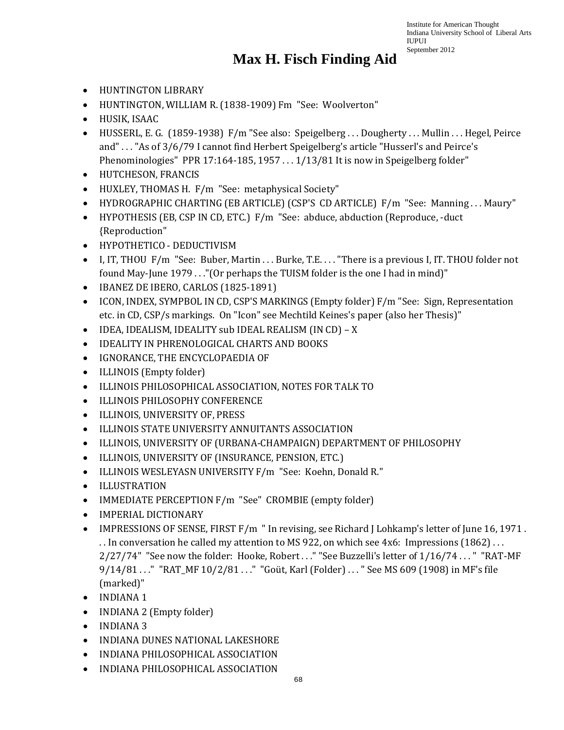- HUNTINGTON LIBRARY
- HUNTINGTON, WILLIAM R. (1838-1909) Fm "See: Woolverton"
- HUSIK, ISAAC
- HUSSERL, E. G. (1859-1938) F/m "See also: Speigelberg ... Dougherty ... Mullin ... Hegel, Peirce and" . . . "As of 3/6/79 I cannot find Herbert Speigelberg's article "Husserl's and Peirce's Phenominologies" PPR 17:164-185, 1957 . . . 1/13/81 It is now in Speigelberg folder"
- HUTCHESON, FRANCIS
- HUXLEY, THOMAS H. F/m "See: metaphysical Society"
- HYDROGRAPHIC CHARTING (EB ARTICLE) (CSP'S CD ARTICLE) F/m "See: Manning ... Maury"
- HYPOTHESIS (EB, CSP IN CD, ETC.) F/m "See: abduce, abduction (Reproduce, -duct {Reproduction"
- HYPOTHETICO DEDUCTIVISM
- I, IT, THOU F/m "See: Buber, Martin . . . Burke, T.E. . . . "There is a previous I, IT. THOU folder not found May-June 1979 . . ."(Or perhaps the TUISM folder is the one I had in mind)"
- IBANEZ DE IBERO, CARLOS (1825-1891)
- ICON, INDEX, SYMPBOL IN CD, CSP'S MARKINGS (Empty folder) F/m "See: Sign, Representation etc. in CD, CSP/s markings. On "Icon" see Mechtild Keines's paper (also her Thesis)"
- IDEA, IDEALISM, IDEALITY sub IDEAL REALISM (IN CD) X
- IDEALITY IN PHRENOLOGICAL CHARTS AND BOOKS
- IGNORANCE, THE ENCYCLOPAEDIA OF
- ILLINOIS (Empty folder)
- ILLINOIS PHILOSOPHICAL ASSOCIATION, NOTES FOR TALK TO
- ILLINOIS PHILOSOPHY CONFERENCE
- ILLINOIS, UNIVERSITY OF, PRESS
- ILLINOIS STATE UNIVERSITY ANNUITANTS ASSOCIATION
- ILLINOIS, UNIVERSITY OF (URBANA-CHAMPAIGN) DEPARTMENT OF PHILOSOPHY
- ILLINOIS, UNIVERSITY OF (INSURANCE, PENSION, ETC.)
- ILLINOIS WESLEYASN UNIVERSITY F/m "See: Koehn, Donald R."
- ILLUSTRATION
- IMMEDIATE PERCEPTION F/m "See" CROMBIE (empty folder)
- IMPERIAL DICTIONARY
- IMPRESSIONS OF SENSE, FIRST F/m " In revising, see Richard J Lohkamp's letter of June 16, 1971. . . In conversation he called my attention to MS 922, on which see 4x6: Impressions (1862) . . . 2/27/74" "See now the folder: Hooke, Robert ..." "See Buzzelli's letter of 1/16/74 ... " "RAT-MF 9/14/81 . . . " "RAT\_MF 10/2/81 . . . " "Goüt, Karl (Folder) . . . " See MS 609 (1908) in MF's file (marked)"
- INDIANA 1
- INDIANA 2 (Empty folder)
- INDIANA 3
- INDIANA DUNES NATIONAL LAKESHORE
- INDIANA PHILOSOPHICAL ASSOCIATION
- INDIANA PHILOSOPHICAL ASSOCIATION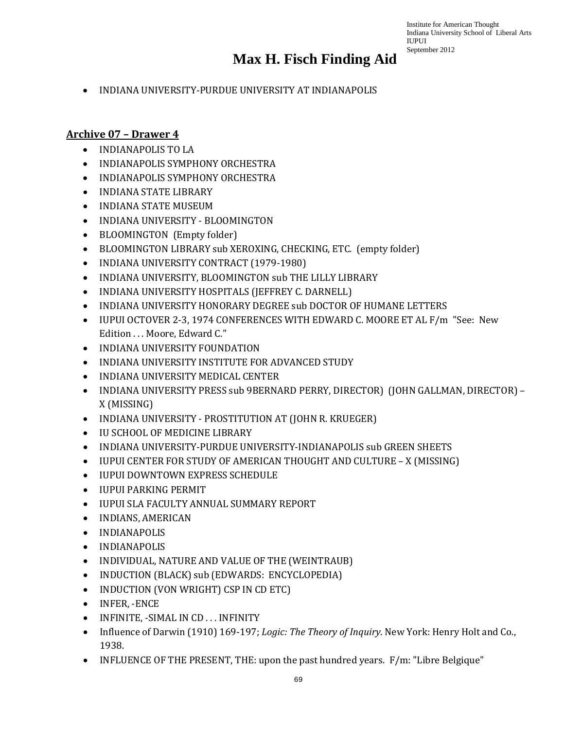• INDIANA UNIVERSITY-PURDUE UNIVERSITY AT INDIANAPOLIS

#### **Archive 07 – Drawer 4**

- INDIANAPOLIS TO LA
- INDIANAPOLIS SYMPHONY ORCHESTRA
- INDIANAPOLIS SYMPHONY ORCHESTRA
- INDIANA STATE LIBRARY
- INDIANA STATE MUSEUM
- INDIANA UNIVERSITY BLOOMINGTON
- BLOOMINGTON (Empty folder)
- BLOOMINGTON LIBRARY sub XEROXING, CHECKING, ETC. (empty folder)
- INDIANA UNIVERSITY CONTRACT (1979-1980)
- INDIANA UNIVERSITY, BLOOMINGTON sub THE LILLY LIBRARY
- INDIANA UNIVERSITY HOSPITALS (JEFFREY C. DARNELL)
- INDIANA UNIVERSITY HONORARY DEGREE sub DOCTOR OF HUMANE LETTERS
- IUPUI OCTOVER 2-3, 1974 CONFERENCES WITH EDWARD C. MOORE ET AL F/m "See: New Edition . . . Moore, Edward C."
- INDIANA UNIVERSITY FOUNDATION
- INDIANA UNIVERSITY INSTITUTE FOR ADVANCED STUDY
- INDIANA UNIVERSITY MEDICAL CENTER
- INDIANA UNIVERSITY PRESS sub 9BERNARD PERRY, DIRECTOR) (JOHN GALLMAN, DIRECTOR) X (MISSING)
- INDIANA UNIVERSITY PROSTITUTION AT (JOHN R. KRUEGER)
- IU SCHOOL OF MEDICINE LIBRARY
- INDIANA UNIVERSITY-PURDUE UNIVERSITY-INDIANAPOLIS sub GREEN SHEETS
- IUPUI CENTER FOR STUDY OF AMERICAN THOUGHT AND CULTURE X (MISSING)
- IUPUI DOWNTOWN EXPRESS SCHEDULE
- IUPUI PARKING PERMIT
- IUPUI SLA FACULTY ANNUAL SUMMARY REPORT
- INDIANS, AMERICAN
- INDIANAPOLIS
- INDIANAPOLIS
- INDIVIDUAL, NATURE AND VALUE OF THE (WEINTRAUB)
- INDUCTION (BLACK) sub (EDWARDS: ENCYCLOPEDIA)
- INDUCTION (VON WRIGHT) CSP IN CD ETC)
- INFER, -ENCE
- INFINITE, -SIMAL IN CD . . . INFINITY
- Influence of Darwin (1910) 169-197; *Logic: The Theory of Inquiry*. New York: Henry Holt and Co., 1938.
- INFLUENCE OF THE PRESENT, THE: upon the past hundred years. F/m: "Libre Belgique"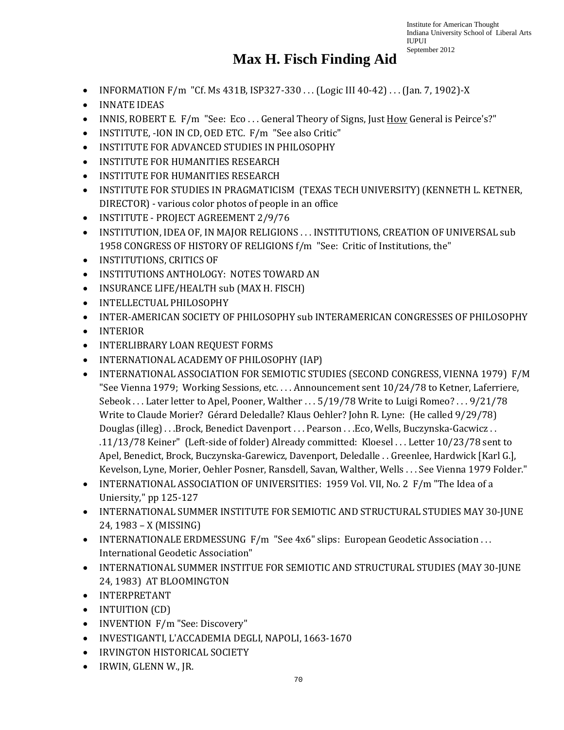- INFORMATION F/m "Cf. Ms 431B, ISP327-330 . . . (Logic III 40-42) . . . (Jan. 7, 1902)-X
- INNATE IDEAS
- INNIS, ROBERT E. F/m "See: Eco... General Theory of Signs, Just How General is Peirce's?"
- INSTITUTE, -ION IN CD, OED ETC. F/m "See also Critic"
- INSTITUTE FOR ADVANCED STUDIES IN PHILOSOPHY
- INSTITUTE FOR HUMANITIES RESEARCH
- INSTITUTE FOR HUMANITIES RESEARCH
- INSTITUTE FOR STUDIES IN PRAGMATICISM (TEXAS TECH UNIVERSITY) (KENNETH L. KETNER, DIRECTOR) - various color photos of people in an office
- INSTITUTE PROJECT AGREEMENT 2/9/76
- INSTITUTION, IDEA OF, IN MAJOR RELIGIONS . . . INSTITUTIONS, CREATION OF UNIVERSAL sub 1958 CONGRESS OF HISTORY OF RELIGIONS f/m "See: Critic of Institutions, the"
- INSTITUTIONS, CRITICS OF
- INSTITUTIONS ANTHOLOGY: NOTES TOWARD AN
- INSURANCE LIFE/HEALTH sub (MAX H. FISCH)
- INTELLECTUAL PHILOSOPHY
- INTER-AMERICAN SOCIETY OF PHILOSOPHY sub INTERAMERICAN CONGRESSES OF PHILOSOPHY
- INTERIOR
- INTERLIBRARY LOAN REQUEST FORMS
- INTERNATIONAL ACADEMY OF PHILOSOPHY (IAP)
- INTERNATIONAL ASSOCIATION FOR SEMIOTIC STUDIES (SECOND CONGRESS, VIENNA 1979) F/M "See Vienna 1979; Working Sessions, etc. . . . Announcement sent 10/24/78 to Ketner, Laferriere, Sebeok . . . Later letter to Apel, Pooner, Walther . . . 5/19/78 Write to Luigi Romeo? . . . 9/21/78 Write to Claude Morier? Gérard Deledalle? Klaus Oehler? John R. Lyne: (He called 9/29/78) Douglas (illeg) . . .Brock, Benedict Davenport . . . Pearson . . .Eco, Wells, Buczynska-Gacwicz . . .11/13/78 Keiner" (Left-side of folder) Already committed: Kloesel . . . Letter 10/23/78 sent to Apel, Benedict, Brock, Buczynska-Garewicz, Davenport, Deledalle . . Greenlee, Hardwick [Karl G.], Kevelson, Lyne, Morier, Oehler Posner, Ransdell, Savan, Walther, Wells . . . See Vienna 1979 Folder."
- INTERNATIONAL ASSOCIATION OF UNIVERSITIES: 1959 Vol. VII, No. 2 F/m "The Idea of a Uniersity," pp 125-127
- INTERNATIONAL SUMMER INSTITUTE FOR SEMIOTIC AND STRUCTURAL STUDIES MAY 30-JUNE 24, 1983 – X (MISSING)
- INTERNATIONALE ERDMESSUNG F/m "See 4x6" slips: European Geodetic Association . . . International Geodetic Association"
- INTERNATIONAL SUMMER INSTITUE FOR SEMIOTIC AND STRUCTURAL STUDIES (MAY 30-JUNE 24, 1983) AT BLOOMINGTON
- INTERPRETANT
- INTUITION (CD)
- INVENTION F/m "See: Discovery"
- INVESTIGANTI, L'ACCADEMIA DEGLI, NAPOLI, 1663-1670
- IRVINGTON HISTORICAL SOCIETY
- IRWIN, GLENN W., JR.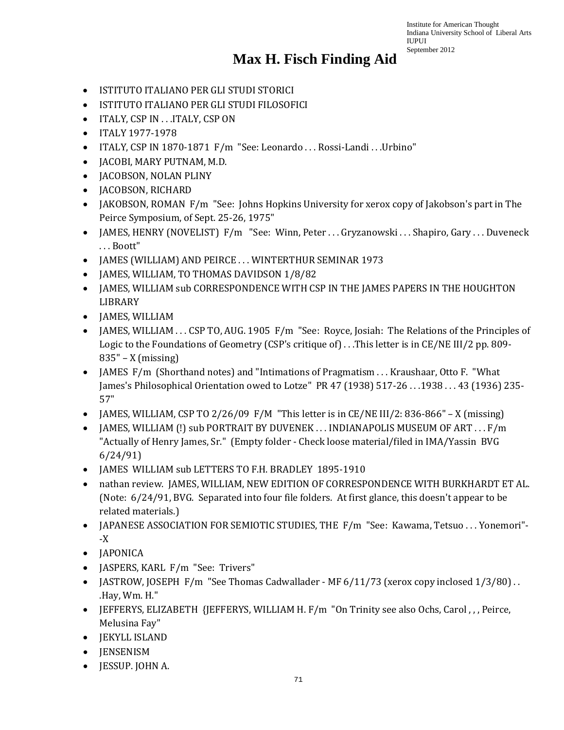- ISTITUTO ITALIANO PER GLI STUDI STORICI
- ISTITUTO ITALIANO PER GLI STUDI FILOSOFICI
- ITALY, CSP IN . . .ITALY, CSP ON
- ITALY 1977-1978
- ITALY, CSP IN 1870-1871 F/m "See: Leonardo . . . Rossi-Landi . . .Urbino"
- JACOBI, MARY PUTNAM, M.D.
- JACOBSON, NOLAN PLINY
- JACOBSON, RICHARD
- JAKOBSON, ROMAN F/m "See: Johns Hopkins University for xerox copy of Jakobson's part in The Peirce Symposium, of Sept. 25-26, 1975"
- JAMES, HENRY (NOVELIST) F/m "See: Winn, Peter . . . Gryzanowski . . . Shapiro, Gary . . . Duveneck . . . Boott"
- JAMES (WILLIAM) AND PEIRCE ... WINTERTHUR SEMINAR 1973
- JAMES, WILLIAM, TO THOMAS DAVIDSON 1/8/82
- JAMES, WILLIAM sub CORRESPONDENCE WITH CSP IN THE JAMES PAPERS IN THE HOUGHTON LIBRARY
- JAMES, WILLIAM
- JAMES, WILLIAM . . . CSP TO, AUG. 1905 F/m "See: Royce, Josiah: The Relations of the Principles of Logic to the Foundations of Geometry (CSP's critique of) . . .This letter is in CE/NE III/2 pp. 809- 835" – X (missing)
- IAMES F/m (Shorthand notes) and "Intimations of Pragmatism . . . Kraushaar, Otto F. "What James's Philosophical Orientation owed to Lotze" PR 47 (1938) 517-26 . . .1938 . . . 43 (1936) 235- 57"
- JAMES, WILLIAM, CSP TO 2/26/09 F/M "This letter is in CE/NE III/2: 836-866" X (missing)
- JAMES, WILLIAM (!) sub PORTRAIT BY DUVENEK ... INDIANAPOLIS MUSEUM OF ART ... F/m "Actually of Henry James, Sr." (Empty folder - Check loose material/filed in IMA/Yassin BVG 6/24/91)
- JAMES WILLIAM sub LETTERS TO F.H. BRADLEY 1895-1910
- nathan review. JAMES, WILLIAM, NEW EDITION OF CORRESPONDENCE WITH BURKHARDT ET AL. (Note: 6/24/91, BVG. Separated into four file folders. At first glance, this doesn't appear to be related materials.)
- JAPANESE ASSOCIATION FOR SEMIOTIC STUDIES, THE F/m "See: Kawama, Tetsuo . . . Yonemori"--X
- JAPONICA
- JASPERS, KARL F/m "See: Trivers"
- JASTROW, JOSEPH F/m "See Thomas Cadwallader MF 6/11/73 (xerox copy inclosed 1/3/80). .Hay, Wm. H."
- JEFFERYS, ELIZABETH {JEFFERYS, WILLIAM H. F/m "On Trinity see also Ochs, Carol , , , Peirce, Melusina Fay"
- JEKYLL ISLAND
- JENSENISM
- JESSUP. JOHN A.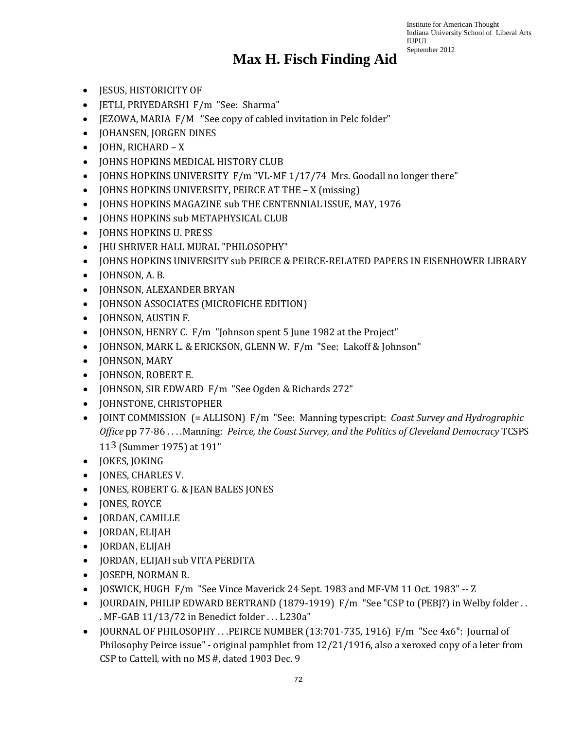- JESUS, HISTORICITY OF
- JETLI, PRIYEDARSHI F/m "See: Sharma"
- JEZOWA, MARIA F/M "See copy of cabled invitation in Pelc folder"
- JOHANSEN, JORGEN DINES
- JOHN, RICHARD X
- JOHNS HOPKINS MEDICAL HISTORY CLUB
- JOHNS HOPKINS UNIVERSITY F/m "VL-MF 1/17/74 Mrs. Goodall no longer there"
- JOHNS HOPKINS UNIVERSITY, PEIRCE AT THE X (missing)
- JOHNS HOPKINS MAGAZINE sub THE CENTENNIAL ISSUE, MAY, 1976
- JOHNS HOPKINS sub METAPHYSICAL CLUB
- JOHNS HOPKINS U. PRESS
- JHU SHRIVER HALL MURAL "PHILOSOPHY"
- JOHNS HOPKINS UNIVERSITY sub PEIRCE & PEIRCE-RELATED PAPERS IN EISENHOWER LIBRARY
- JOHNSON, A. B.
- JOHNSON, ALEXANDER BRYAN
- JOHNSON ASSOCIATES (MICROFICHE EDITION)
- JOHNSON, AUSTIN F.
- JOHNSON, HENRY C. F/m "Johnson spent 5 June 1982 at the Project"
- JOHNSON, MARK L. & ERICKSON, GLENN W. F/m "See: Lakoff & Johnson"
- JOHNSON, MARY
- JOHNSON, ROBERT E.
- JOHNSON, SIR EDWARD F/m "See Ogden & Richards 272"
- JOHNSTONE, CHRISTOPHER
- JOINT COMMISSION (= ALLISON) F/m "See: Manning typescript: *Coast Survey and Hydrographic Office* pp 77-86 . . . .Manning: *Peirce, the Coast Survey, and the Politics of Cleveland Democracy* TCSPS 113 (Summer 1975) at 191"
- JOKES, JOKING
- JONES, CHARLES V.
- JONES, ROBERT G. & JEAN BALES JONES
- JONES, ROYCE
- JORDAN, CAMILLE
- JORDAN, ELIJAH
- JORDAN, ELIJAH
- JORDAN, ELIJAH sub VITA PERDITA
- JOSEPH, NORMAN R.
- JOSWICK, HUGH F/m "See Vince Maverick 24 Sept. 1983 and MF-VM 11 Oct. 1983" -- Z
- JOURDAIN, PHILIP EDWARD BERTRAND (1879-1919) F/m "See "CSP to (PEBJ?) in Welby folder . . . MF-GAB 11/13/72 in Benedict folder . . . L230a"
- JOURNAL OF PHILOSOPHY . . .PEIRCE NUMBER (13:701-735, 1916) F/m "See 4x6": Journal of Philosophy Peirce issue" - original pamphlet from 12/21/1916, also a xeroxed copy of a leter from CSP to Cattell, with no MS #, dated 1903 Dec. 9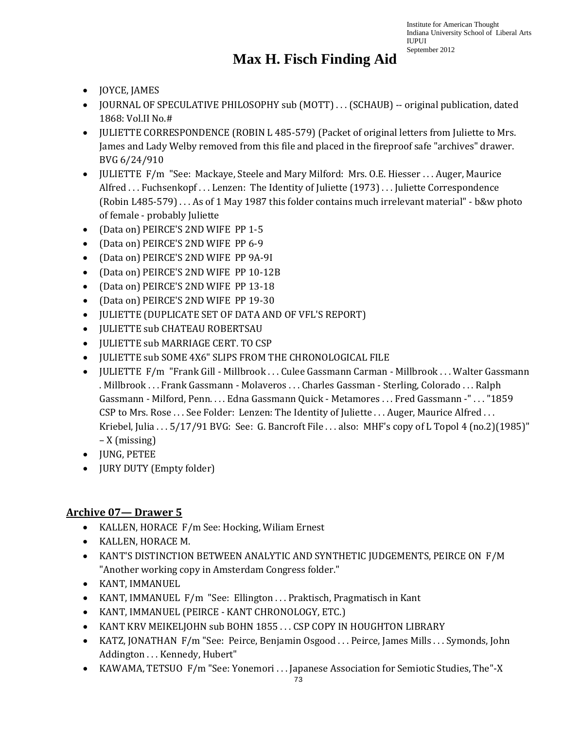### **Max H. Fisch Finding Aid**

- JOYCE, JAMES
- JOURNAL OF SPECULATIVE PHILOSOPHY sub (MOTT) ... (SCHAUB) -- original publication, dated 1868: Vol.II No.#
- JULIETTE CORRESPONDENCE (ROBIN L 485-579) (Packet of original letters from Juliette to Mrs. James and Lady Welby removed from this file and placed in the fireproof safe "archives" drawer. BVG 6/24/910
- JULIETTE F/m "See: Mackaye, Steele and Mary Milford: Mrs. O.E. Hiesser . . . Auger, Maurice Alfred ... Fuchsenkopf ... Lenzen: The Identity of Juliette (1973) ... Juliette Correspondence (Robin L485-579) . . . As of 1 May 1987 this folder contains much irrelevant material" - b&w photo of female - probably Juliette
- (Data on) PEIRCE'S 2ND WIFE PP 1-5
- (Data on) PEIRCE'S 2ND WIFE PP 6-9
- (Data on) PEIRCE'S 2ND WIFE PP 9A-9I
- (Data on) PEIRCE'S 2ND WIFE PP 10-12B
- (Data on) PEIRCE'S 2ND WIFE PP 13-18
- (Data on) PEIRCE'S 2ND WIFE PP 19-30
- JULIETTE (DUPLICATE SET OF DATA AND OF VFL'S REPORT)
- JULIETTE sub CHATEAU ROBERTSAU
- JULIETTE sub MARRIAGE CERT. TO CSP
- JULIETTE sub SOME 4X6" SLIPS FROM THE CHRONOLOGICAL FILE
- JULIETTE F/m "Frank Gill Millbrook . . . Culee Gassmann Carman Millbrook . . . Walter Gassmann . Millbrook . . . Frank Gassmann - Molaveros . . . Charles Gassman - Sterling, Colorado . . . Ralph Gassmann - Milford, Penn. . . . Edna Gassmann Quick - Metamores . . . Fred Gassmann -" . . . "1859 CSP to Mrs. Rose . . . See Folder: Lenzen: The Identity of Juliette . . . Auger, Maurice Alfred . . . Kriebel, Julia . . . 5/17/91 BVG: See: G. Bancroft File . . . also: MHF's copy of L Topol 4 (no.2)(1985)" – X (missing)
- JUNG, PETEE
- JURY DUTY (Empty folder)

#### **Archive 07— Drawer 5**

- KALLEN, HORACE F/m See: Hocking, Wiliam Ernest
- KALLEN, HORACE M.
- KANT'S DISTINCTION BETWEEN ANALYTIC AND SYNTHETIC JUDGEMENTS, PEIRCE ON F/M "Another working copy in Amsterdam Congress folder."
- KANT, IMMANUEL
- KANT, IMMANUEL F/m "See: Ellington ... Praktisch, Pragmatisch in Kant
- KANT, IMMANUEL (PEIRCE KANT CHRONOLOGY, ETC.)
- KANT KRV MEIKELJOHN sub BOHN 1855 . . . CSP COPY IN HOUGHTON LIBRARY
- KATZ, JONATHAN F/m "See: Peirce, Benjamin Osgood . . . Peirce, James Mills . . . Symonds, John Addington . . . Kennedy, Hubert"
- KAWAMA, TETSUO F/m "See: Yonemori . . . Japanese Association for Semiotic Studies, The "-X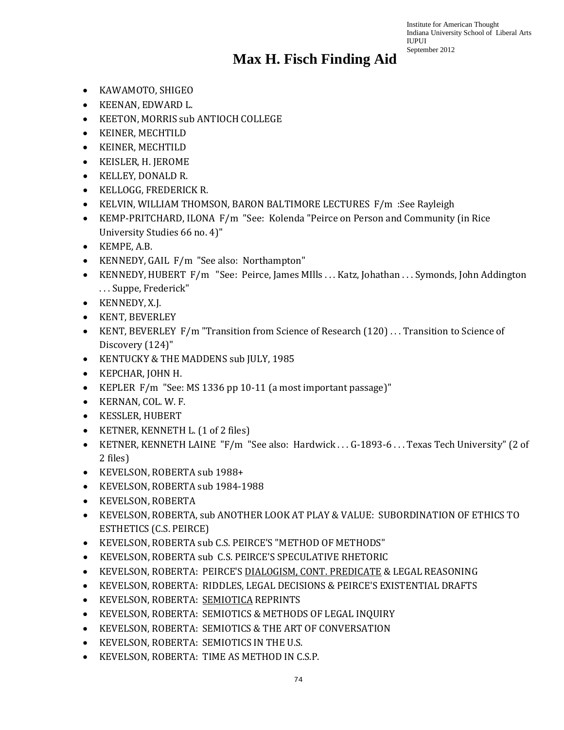- KAWAMOTO, SHIGEO
- KEENAN, EDWARD L.
- KEETON, MORRIS sub ANTIOCH COLLEGE
- KEINER, MECHTILD
- KEINER, MECHTILD
- KEISLER, H. JEROME
- KELLEY, DONALD R.
- KELLOGG, FREDERICK R.
- KELVIN, WILLIAM THOMSON, BARON BALTIMORE LECTURES F/m :See Rayleigh
- KEMP-PRITCHARD, ILONA F/m "See: Kolenda "Peirce on Person and Community (in Rice University Studies 66 no. 4)"
- KEMPE, A.B.
- KENNEDY, GAIL F/m "See also: Northampton"
- KENNEDY, HUBERT F/m "See: Peirce, James MIlls . . . Katz, Johathan . . . Symonds, John Addington . . . Suppe, Frederick"
- KENNEDY, X.J.
- KENT, BEVERLEY
- KENT, BEVERLEY F/m "Transition from Science of Research (120) ... Transition to Science of Discovery (124)"
- KENTUCKY & THE MADDENS sub JULY, 1985
- KEPCHAR, JOHN H.
- KEPLER F/m "See: MS 1336 pp 10-11 (a most important passage)"
- KERNAN, COL. W. F.
- KESSLER, HUBERT
- KETNER, KENNETH L. (1 of 2 files)
- KETNER, KENNETH LAINE "F/m "See also: Hardwick . . . G-1893-6 . . . Texas Tech University" (2 of 2 files)
- KEVELSON, ROBERTA sub 1988+
- KEVELSON, ROBERTA sub 1984-1988
- KEVELSON, ROBERTA
- KEVELSON, ROBERTA, sub ANOTHER LOOK AT PLAY & VALUE: SUBORDINATION OF ETHICS TO ESTHETICS (C.S. PEIRCE)
- KEVELSON, ROBERTA sub C.S. PEIRCE'S "METHOD OF METHODS"
- KEVELSON, ROBERTA sub C.S. PEIRCE'S SPECULATIVE RHETORIC
- KEVELSON, ROBERTA: PEIRCE'S DIALOGISM, CONT. PREDICATE & LEGAL REASONING
- KEVELSON, ROBERTA: RIDDLES, LEGAL DECISIONS & PEIRCE'S EXISTENTIAL DRAFTS
- KEVELSON, ROBERTA: SEMIOTICA REPRINTS
- KEVELSON, ROBERTA: SEMIOTICS & METHODS OF LEGAL INQUIRY
- KEVELSON, ROBERTA: SEMIOTICS & THE ART OF CONVERSATION
- KEVELSON, ROBERTA: SEMIOTICS IN THE U.S.
- KEVELSON, ROBERTA: TIME AS METHOD IN C.S.P.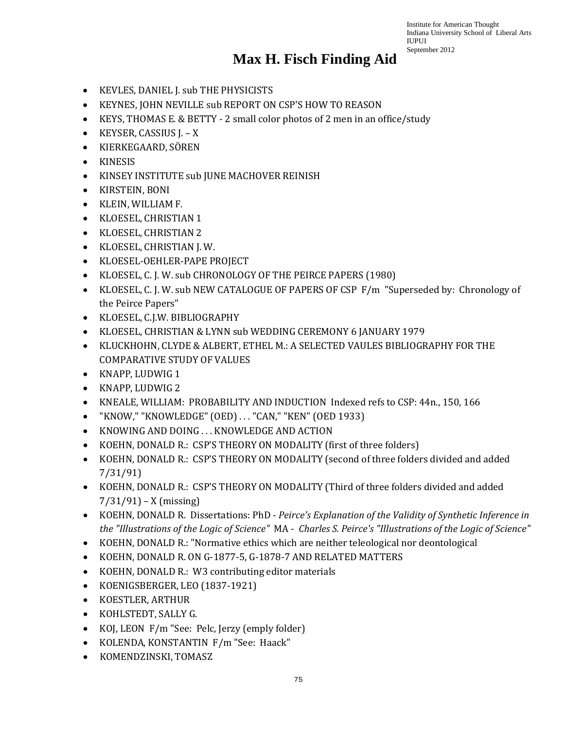- KEVLES, DANIEL J. sub THE PHYSICISTS
- KEYNES, JOHN NEVILLE sub REPORT ON CSP'S HOW TO REASON
- KEYS, THOMAS E. & BETTY 2 small color photos of 2 men in an office/study
- KEYSER, CASSIUS J. X
- KIERKEGAARD, SÖREN
- KINESIS
- KINSEY INSTITUTE sub JUNE MACHOVER REINISH
- KIRSTEIN, BONI
- KLEIN, WILLIAM F.
- KLOESEL, CHRISTIAN 1
- KLOESEL, CHRISTIAN 2
- KLOESEL, CHRISTIAN J. W.
- KLOESEL-OEHLER-PAPE PROJECT
- KLOESEL, C. J. W. sub CHRONOLOGY OF THE PEIRCE PAPERS (1980)
- KLOESEL, C. J. W. sub NEW CATALOGUE OF PAPERS OF CSP F/m "Superseded by: Chronology of the Peirce Papers"
- KLOESEL, C.J.W. BIBLIOGRAPHY
- KLOESEL, CHRISTIAN & LYNN sub WEDDING CEREMONY 6 JANUARY 1979
- KLUCKHOHN, CLYDE & ALBERT, ETHEL M.: A SELECTED VAULES BIBLIOGRAPHY FOR THE COMPARATIVE STUDY OF VALUES
- KNAPP, LUDWIG 1
- KNAPP, LUDWIG 2
- KNEALE, WILLIAM: PROBABILITY AND INDUCTION Indexed refs to CSP: 44n., 150, 166
- "KNOW," "KNOWLEDGE" (OED) . . . "CAN," "KEN" (OED 1933)
- KNOWING AND DOING . . . KNOWLEDGE AND ACTION
- KOEHN, DONALD R.: CSP'S THEORY ON MODALITY (first of three folders)
- KOEHN, DONALD R.: CSP'S THEORY ON MODALITY (second of three folders divided and added 7/31/91)
- KOEHN, DONALD R.: CSP'S THEORY ON MODALITY (Third of three folders divided and added  $7/31/91$  – X (missing)
- KOEHN, DONALD R. Dissertations: PhD *Peirce's Explanation of the Validity of Synthetic Inference in the "Illustrations of the Logic of Science"* MA - *Charles S. Peirce's "Illustrations of the Logic of Science"*
- KOEHN, DONALD R.: "Normative ethics which are neither teleological nor deontological
- KOEHN, DONALD R. ON G-1877-5, G-1878-7 AND RELATED MATTERS
- KOEHN, DONALD R.: W3 contributing editor materials
- KOENIGSBERGER, LEO (1837-1921)
- KOESTLER, ARTHUR
- KOHLSTEDT, SALLY G.
- KOJ, LEON F/m "See: Pelc, Jerzy (emply folder)
- KOLENDA, KONSTANTIN F/m "See: Haack"
- KOMENDZINSKI, TOMASZ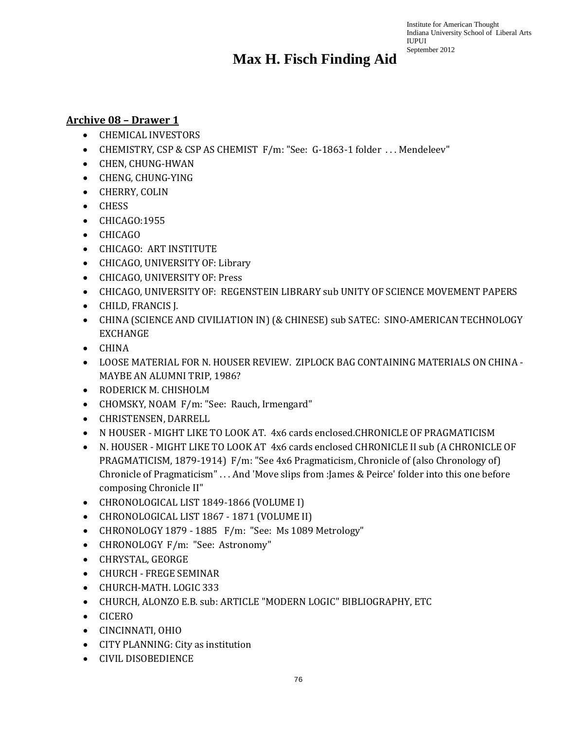#### **Archive 08 – Drawer 1**

- CHEMICAL INVESTORS
- CHEMISTRY, CSP & CSP AS CHEMIST F/m: "See: G-1863-1 folder . . . Mendeleev"
- CHEN, CHUNG-HWAN
- CHENG, CHUNG-YING
- CHERRY, COLIN
- CHESS
- CHICAGO:1955
- CHICAGO
- CHICAGO: ART INSTITUTE
- CHICAGO, UNIVERSITY OF: Library
- CHICAGO, UNIVERSITY OF: Press
- CHICAGO, UNIVERSITY OF: REGENSTEIN LIBRARY sub UNITY OF SCIENCE MOVEMENT PAPERS
- CHILD, FRANCIS J.
- CHINA (SCIENCE AND CIVILIATION IN) (& CHINESE) sub SATEC: SINO-AMERICAN TECHNOLOGY EXCHANGE
- CHINA
- LOOSE MATERIAL FOR N. HOUSER REVIEW. ZIPLOCK BAG CONTAINING MATERIALS ON CHINA MAYBE AN ALUMNI TRIP, 1986?
- RODERICK M. CHISHOLM
- CHOMSKY, NOAM F/m: "See: Rauch, Irmengard"
- CHRISTENSEN, DARRELL
- N HOUSER MIGHT LIKE TO LOOK AT. 4x6 cards enclosed.CHRONICLE OF PRAGMATICISM
- N. HOUSER MIGHT LIKE TO LOOK AT 4x6 cards enclosed CHRONICLE II sub (A CHRONICLE OF PRAGMATICISM, 1879-1914) F/m: "See 4x6 Pragmaticism, Chronicle of (also Chronology of) Chronicle of Pragmaticism" . . . And 'Move slips from :James & Peirce' folder into this one before composing Chronicle II"
- CHRONOLOGICAL LIST 1849-1866 (VOLUME I)
- CHRONOLOGICAL LIST 1867 1871 (VOLUME II)
- CHRONOLOGY 1879 1885 F/m: "See: Ms 1089 Metrology"
- CHRONOLOGY F/m: "See: Astronomy"
- CHRYSTAL, GEORGE
- CHURCH FREGE SEMINAR
- CHURCH-MATH. LOGIC 333
- CHURCH, ALONZO E.B. sub: ARTICLE "MODERN LOGIC" BIBLIOGRAPHY, ETC
- CICERO
- CINCINNATI, OHIO
- CITY PLANNING: City as institution
- CIVIL DISOBEDIENCE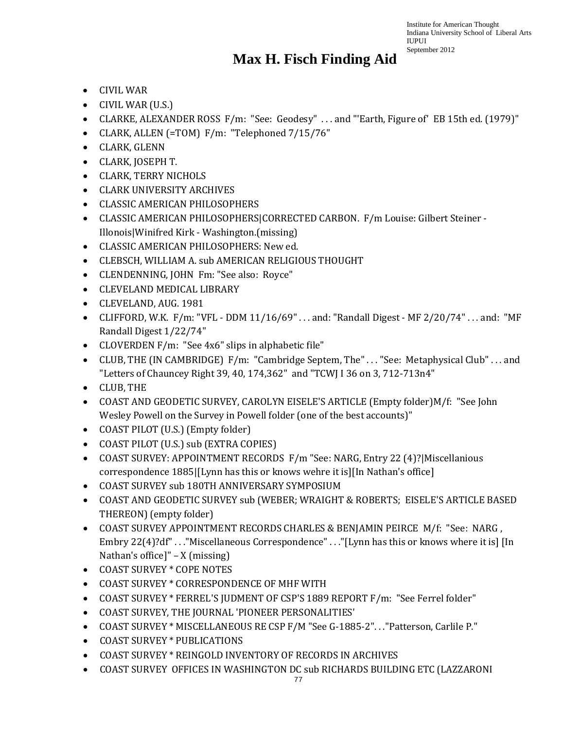- CIVIL WAR
- CIVIL WAR (U.S.)
- CLARKE, ALEXANDER ROSS F/m: "See: Geodesy" . . . and "'Earth, Figure of' EB 15th ed. (1979)"
- CLARK, ALLEN (=TOM) F/m: "Telephoned 7/15/76"
- CLARK, GLENN
- CLARK, JOSEPH T.
- CLARK, TERRY NICHOLS
- CLARK UNIVERSITY ARCHIVES
- CLASSIC AMERICAN PHILOSOPHERS
- CLASSIC AMERICAN PHILOSOPHERS|CORRECTED CARBON. F/m Louise: Gilbert Steiner Illonois|Winifred Kirk - Washington.(missing)
- CLASSIC AMERICAN PHILOSOPHERS: New ed.
- CLEBSCH, WILLIAM A. sub AMERICAN RELIGIOUS THOUGHT
- CLENDENNING, JOHN Fm: "See also: Royce"
- CLEVELAND MEDICAL LIBRARY
- CLEVELAND, AUG. 1981
- CLIFFORD, W.K.  $F/m$ : "VFL DDM 11/16/69" ... and: "Randall Digest MF 2/20/74" ... and: "MF Randall Digest 1/22/74"
- CLOVERDEN F/m: "See 4x6" slips in alphabetic file"
- CLUB, THE (IN CAMBRIDGE) F/m: "Cambridge Septem, The" . . . "See: Metaphysical Club" . . . and "Letters of Chauncey Right 39, 40, 174,362" and "TCWJ I 36 on 3, 712-713n4"
- CLUB, THE
- COAST AND GEODETIC SURVEY, CAROLYN EISELE'S ARTICLE (Empty folder)M/f: "See John Wesley Powell on the Survey in Powell folder (one of the best accounts)"
- COAST PILOT (U.S.) (Empty folder)
- COAST PILOT (U.S.) sub (EXTRA COPIES)
- COAST SURVEY: APPOINTMENT RECORDS F/m "See: NARG, Entry 22 (4)? Miscellanious correspondence 1885|[Lynn has this or knows wehre it is][In Nathan's office]
- COAST SURVEY sub 180TH ANNIVERSARY SYMPOSIUM
- COAST AND GEODETIC SURVEY sub (WEBER; WRAIGHT & ROBERTS; EISELE'S ARTICLE BASED THEREON) (empty folder)
- COAST SURVEY APPOINTMENT RECORDS CHARLES & BENJAMIN PEIRCE M/f: "See: NARG , Embry 22(4)?df" . . . "Miscellaneous Correspondence" . . . "[Lynn has this or knows where it is] [In Nathan's office]" – X (missing)
- COAST SURVEY \* COPE NOTES
- COAST SURVEY \* CORRESPONDENCE OF MHF WITH
- COAST SURVEY \* FERREL'S JUDMENT OF CSP'S 1889 REPORT F/m: "See Ferrel folder"
- COAST SURVEY, THE JOURNAL 'PIONEER PERSONALITIES'
- COAST SURVEY \* MISCELLANEOUS RE CSP F/M "See G-1885-2". . ."Patterson, Carlile P."
- COAST SURVEY \* PUBLICATIONS
- COAST SURVEY \* REINGOLD INVENTORY OF RECORDS IN ARCHIVES
- COAST SURVEY OFFICES IN WASHINGTON DC sub RICHARDS BUILDING ETC (LAZZARONI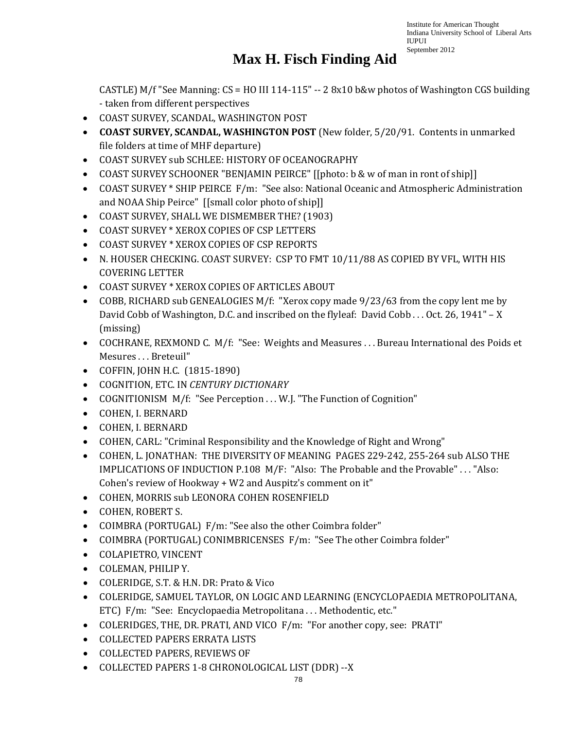### **Max H. Fisch Finding Aid**

CASTLE) M/f "See Manning:  $CS = HO III 114-115" - 28x10 b&w$  photos of Washington CGS building - taken from different perspectives

- COAST SURVEY, SCANDAL, WASHINGTON POST
- **COAST SURVEY, SCANDAL, WASHINGTON POST** (New folder, 5/20/91. Contents in unmarked file folders at time of MHF departure)
- COAST SURVEY sub SCHLEE: HISTORY OF OCEANOGRAPHY
- COAST SURVEY SCHOONER "BENJAMIN PEIRCE" [[photo: b & w of man in ront of ship]]
- COAST SURVEY \* SHIP PEIRCE F/m: "See also: National Oceanic and Atmospheric Administration and NOAA Ship Peirce" [[small color photo of ship]]
- COAST SURVEY, SHALL WE DISMEMBER THE? (1903)
- COAST SURVEY \* XEROX COPIES OF CSP LETTERS
- COAST SURVEY \* XEROX COPIES OF CSP REPORTS
- N. HOUSER CHECKING. COAST SURVEY: CSP TO FMT 10/11/88 AS COPIED BY VFL, WITH HIS COVERING LETTER
- COAST SURVEY \* XEROX COPIES OF ARTICLES ABOUT
- COBB, RICHARD sub GENEALOGIES M/f: "Xerox copy made 9/23/63 from the copy lent me by David Cobb of Washington, D.C. and inscribed on the flyleaf: David Cobb . . . Oct. 26, 1941" – X (missing)
- COCHRANE, REXMOND C. M/f: "See: Weights and Measures ... Bureau International des Poids et Mesures . . . Breteuil"
- COFFIN, JOHN H.C. (1815-1890)
- COGNITION, ETC. IN *CENTURY DICTIONARY*
- COGNITIONISM M/f: "See Perception ... W.J. "The Function of Cognition"
- COHEN, I. BERNARD
- COHEN, I. BERNARD
- COHEN, CARL: "Criminal Responsibility and the Knowledge of Right and Wrong"
- COHEN, L. JONATHAN: THE DIVERSITY OF MEANING PAGES 229-242, 255-264 sub ALSO THE IMPLICATIONS OF INDUCTION P.108 M/F: "Also: The Probable and the Provable" . . . "Also: Cohen's review of Hookway + W2 and Auspitz's comment on it"
- COHEN, MORRIS sub LEONORA COHEN ROSENFIELD
- COHEN, ROBERT S.
- COIMBRA (PORTUGAL) F/m: "See also the other Coimbra folder"
- COIMBRA (PORTUGAL) CONIMBRICENSES F/m: "See The other Coimbra folder"
- COLAPIETRO, VINCENT
- COLEMAN, PHILIP Y.
- COLERIDGE, S.T. & H.N. DR: Prato & Vico
- COLERIDGE, SAMUEL TAYLOR, ON LOGIC AND LEARNING (ENCYCLOPAEDIA METROPOLITANA, ETC) F/m: "See: Encyclopaedia Metropolitana . . . Methodentic, etc."
- COLERIDGES, THE, DR. PRATI, AND VICO F/m: "For another copy, see: PRATI"
- COLLECTED PAPERS ERRATA LISTS
- COLLECTED PAPERS, REVIEWS OF
- COLLECTED PAPERS 1-8 CHRONOLOGICAL LIST (DDR) --X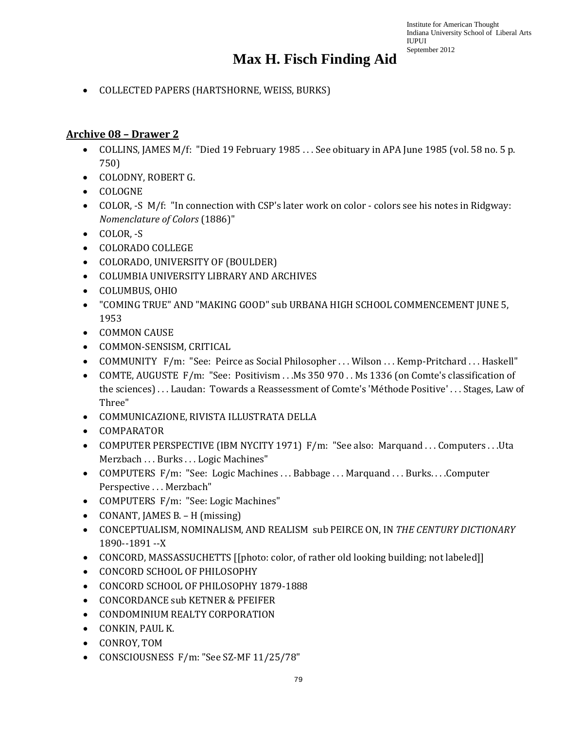• COLLECTED PAPERS (HARTSHORNE, WEISS, BURKS)

#### **Archive 08 – Drawer 2**

- COLLINS, JAMES M/f: "Died 19 February 1985 . . . See obituary in APA June 1985 (vol. 58 no. 5 p. 750)
- COLODNY, ROBERT G.
- COLOGNE
- COLOR, -S M/f: "In connection with CSP's later work on color colors see his notes in Ridgway: *Nomenclature of Colors* (1886)"
- COLOR, -S
- COLORADO COLLEGE
- COLORADO, UNIVERSITY OF (BOULDER)
- COLUMBIA UNIVERSITY LIBRARY AND ARCHIVES
- COLUMBUS, OHIO
- "COMING TRUE" AND "MAKING GOOD" sub URBANA HIGH SCHOOL COMMENCEMENT JUNE 5, 1953
- COMMON CAUSE
- COMMON-SENSISM, CRITICAL
- COMMUNITY F/m: "See: Peirce as Social Philosopher . . . Wilson . . . Kemp-Pritchard . . . Haskell"
- COMTE, AUGUSTE F/m: "See: Positivism . . .Ms 350 970 . . Ms 1336 (on Comte's classification of the sciences) . . . Laudan: Towards a Reassessment of Comte's 'Méthode Positive' . . . Stages, Law of Three"
- COMMUNICAZIONE, RIVISTA ILLUSTRATA DELLA
- COMPARATOR
- COMPUTER PERSPECTIVE (IBM NYCITY 1971) F/m: "See also: Marquand . . . Computers . . .Uta Merzbach . . . Burks . . . Logic Machines"
- COMPUTERS F/m: "See: Logic Machines ... Babbage ... Marquand ... Burks... Computer Perspective . . . Merzbach"
- COMPUTERS F/m: "See: Logic Machines"
- CONANT, JAMES B. H (missing)
- CONCEPTUALISM, NOMINALISM, AND REALISM sub PEIRCE ON, IN *THE CENTURY DICTIONARY* 1890--1891 --X
- CONCORD, MASSASSUCHETTS [[photo: color, of rather old looking building; not labeled]]
- CONCORD SCHOOL OF PHILOSOPHY
- CONCORD SCHOOL OF PHILOSOPHY 1879-1888
- CONCORDANCE sub KETNER & PFEIFER
- CONDOMINIUM REALTY CORPORATION
- CONKIN, PAUL K.
- CONROY, TOM
- CONSCIOUSNESS F/m: "See SZ-MF 11/25/78"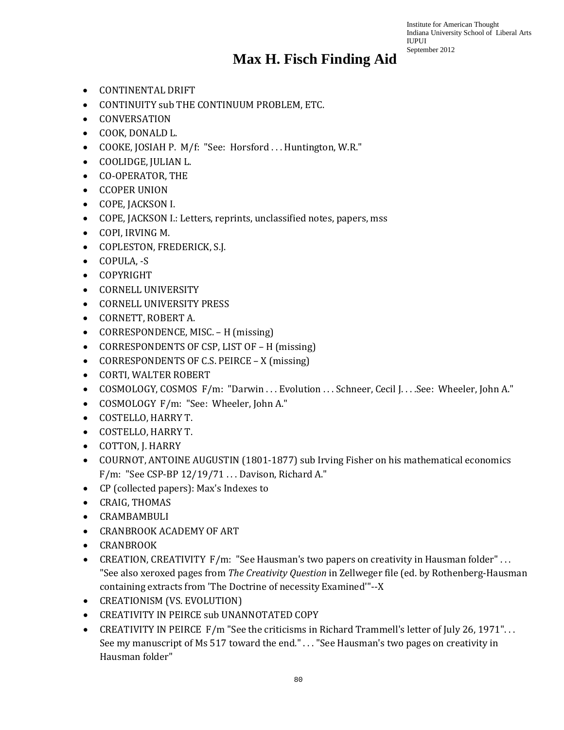- CONTINENTAL DRIFT
- CONTINUITY sub THE CONTINUUM PROBLEM, ETC.
- CONVERSATION
- COOK, DONALD L.
- COOKE, JOSIAH P. M/f: "See: Horsford ... Huntington, W.R."
- COOLIDGE, JULIAN L.
- CO-OPERATOR, THE
- CCOPER UNION
- COPE, JACKSON I.
- COPE, JACKSON I.: Letters, reprints, unclassified notes, papers, mss
- COPI, IRVING M.
- COPLESTON, FREDERICK, S.J.
- COPULA, -S
- COPYRIGHT
- CORNELL UNIVERSITY
- CORNELL UNIVERSITY PRESS
- CORNETT, ROBERT A.
- CORRESPONDENCE, MISC. H (missing)
- CORRESPONDENTS OF CSP, LIST OF H (missing)
- CORRESPONDENTS OF C.S. PEIRCE X (missing)
- CORTI, WALTER ROBERT
- COSMOLOGY, COSMOS F/m: "Darwin ... Evolution ... Schneer, Cecil J... See: Wheeler, John A."
- COSMOLOGY F/m: "See: Wheeler, John A."
- COSTELLO, HARRY T.
- COSTELLO, HARRY T.
- COTTON, J. HARRY
- COURNOT, ANTOINE AUGUSTIN (1801-1877) sub Irving Fisher on his mathematical economics F/m: "See CSP-BP  $12/19/71$  ... Davison, Richard A."
- CP (collected papers): Max's Indexes to
- CRAIG, THOMAS
- CRAMBAMBULI
- CRANBROOK ACADEMY OF ART
- CRANBROOK
- CREATION, CREATIVITY F/m: "See Hausman's two papers on creativity in Hausman folder"... "See also xeroxed pages from *The Creativity Question* in Zellweger file (ed. by Rothenberg-Hausman containing extracts from 'The Doctrine of necessity Examined'"--X
- CREATIONISM (VS. EVOLUTION)
- CREATIVITY IN PEIRCE sub UNANNOTATED COPY
- CREATIVITY IN PEIRCE F/m "See the criticisms in Richard Trammell's letter of July 26, 1971"... See my manuscript of Ms 517 toward the end." . . . "See Hausman's two pages on creativity in Hausman folder"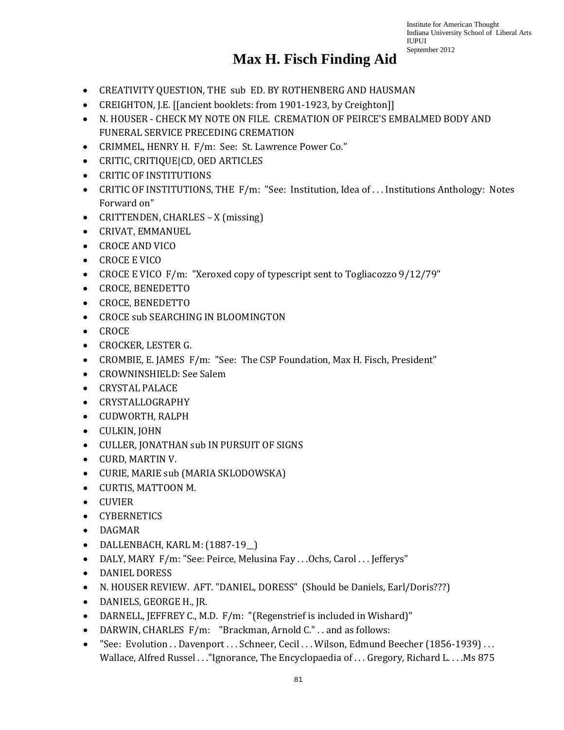- CREATIVITY QUESTION, THE sub ED. BY ROTHENBERG AND HAUSMAN
- CREIGHTON, J.E. [[ancient booklets: from 1901-1923, by Creighton]]
- N. HOUSER CHECK MY NOTE ON FILE. CREMATION OF PEIRCE'S EMBALMED BODY AND FUNERAL SERVICE PRECEDING CREMATION
- CRIMMEL, HENRY H. F/m: See: St. Lawrence Power Co."
- CRITIC, CRITIQUE|CD, OED ARTICLES
- CRITIC OF INSTITUTIONS
- CRITIC OF INSTITUTIONS, THE F/m: "See: Institution, Idea of . . . Institutions Anthology: Notes Forward on"
- CRITTENDEN, CHARLES X (missing)
- CRIVAT, EMMANUEL
- CROCE AND VICO
- CROCE E VICO
- CROCE E VICO F/m: "Xeroxed copy of typescript sent to Togliacozzo 9/12/79"
- CROCE, BENEDETTO
- CROCE, BENEDETTO
- CROCE sub SEARCHING IN BLOOMINGTON
- CROCE
- CROCKER, LESTER G.
- CROMBIE, E. JAMES F/m: "See: The CSP Foundation, Max H. Fisch, President"
- CROWNINSHIELD: See Salem
- CRYSTAL PALACE
- CRYSTALLOGRAPHY
- CUDWORTH, RALPH
- CULKIN, JOHN
- CULLER, JONATHAN sub IN PURSUIT OF SIGNS
- CURD, MARTIN V.
- CURIE, MARIE sub (MARIA SKLODOWSKA)
- CURTIS, MATTOON M.
- CUVIER
- CYBERNETICS
- DAGMAR
- DALLENBACH, KARL M: (1887-19\_\_)
- DALY, MARY F/m: "See: Peirce, Melusina Fay ... Ochs, Carol ... Jefferys"
- DANIEL DORESS
- N. HOUSER REVIEW. AFT. "DANIEL, DORESS" (Should be Daniels, Earl/Doris???)
- DANIELS, GEORGE H., JR.
- DARNELL, JEFFREY C., M.D. F/m: "(Regenstrief is included in Wishard)"
- DARWIN, CHARLES F/m: "Brackman, Arnold C.". . and as follows:
- "See: Evolution . . Davenport . . . Schneer, Cecil . . . Wilson, Edmund Beecher (1856-1939) . . . Wallace, Alfred Russel . . ."Ignorance, The Encyclopaedia of . . . Gregory, Richard L. . . .Ms 875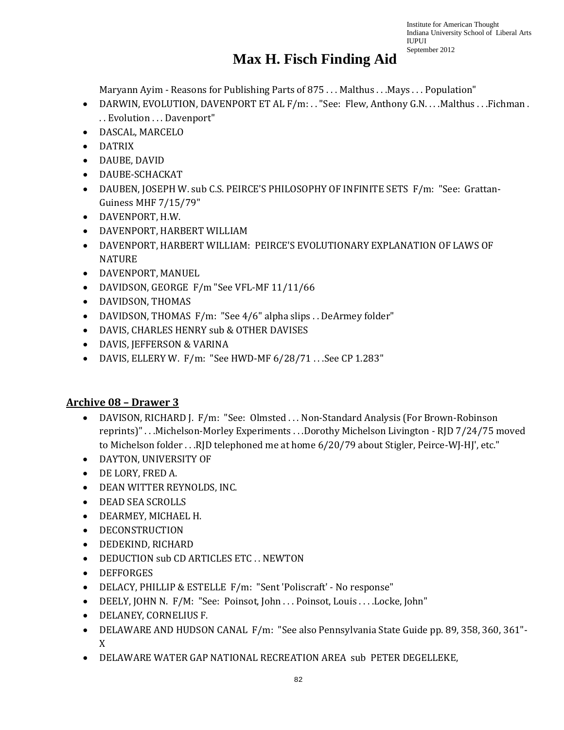### **Max H. Fisch Finding Aid**

Maryann Ayim - Reasons for Publishing Parts of 875 ... Malthus ... Mays ... Population"

- DARWIN, EVOLUTION, DAVENPORT ET AL F/m: . . "See: Flew, Anthony G.N. . . . Malthus . . . Fichman . . . Evolution . . . Davenport"
- DASCAL, MARCELO
- DATRIX
- DAUBE, DAVID
- DAUBE-SCHACKAT
- DAUBEN, JOSEPH W. sub C.S. PEIRCE'S PHILOSOPHY OF INFINITE SETS F/m: "See: Grattan-Guiness MHF 7/15/79"
- DAVENPORT, H.W.
- DAVENPORT, HARBERT WILLIAM
- DAVENPORT, HARBERT WILLIAM: PEIRCE'S EVOLUTIONARY EXPLANATION OF LAWS OF **NATURE**
- DAVENPORT, MANUEL
- DAVIDSON, GEORGE F/m "See VFL-MF 11/11/66
- DAVIDSON, THOMAS
- DAVIDSON, THOMAS F/m: "See 4/6" alpha slips . . DeArmey folder"
- DAVIS, CHARLES HENRY sub & OTHER DAVISES
- DAVIS, JEFFERSON & VARINA
- DAVIS, ELLERY W. F/m: "See HWD-MF 6/28/71...See CP 1.283"

#### **Archive 08 – Drawer 3**

- DAVISON, RICHARD J. F/m: "See: Olmsted ... Non-Standard Analysis (For Brown-Robinson reprints)" . . .Michelson-Morley Experiments . . .Dorothy Michelson Livington - RJD 7/24/75 moved to Michelson folder . . .RJD telephoned me at home 6/20/79 about Stigler, Peirce-WJ-HJ', etc."
- DAYTON, UNIVERSITY OF
- DE LORY, FRED A.
- DEAN WITTER REYNOLDS, INC.
- DEAD SEA SCROLLS
- DEARMEY, MICHAEL H.
- DECONSTRUCTION
- DEDEKIND, RICHARD
- DEDUCTION sub CD ARTICLES ETC . . NEWTON
- DEFFORGES
- DELACY, PHILLIP & ESTELLE F/m: "Sent 'Poliscraft' No response"
- DEELY, JOHN N. F/M: "See: Poinsot, John . . . Poinsot, Louis . . . .Locke, John"
- DELANEY, CORNELIUS F.
- DELAWARE AND HUDSON CANAL F/m: "See also Pennsylvania State Guide pp. 89, 358, 360, 361"- X
- DELAWARE WATER GAP NATIONAL RECREATION AREA sub PETER DEGELLEKE,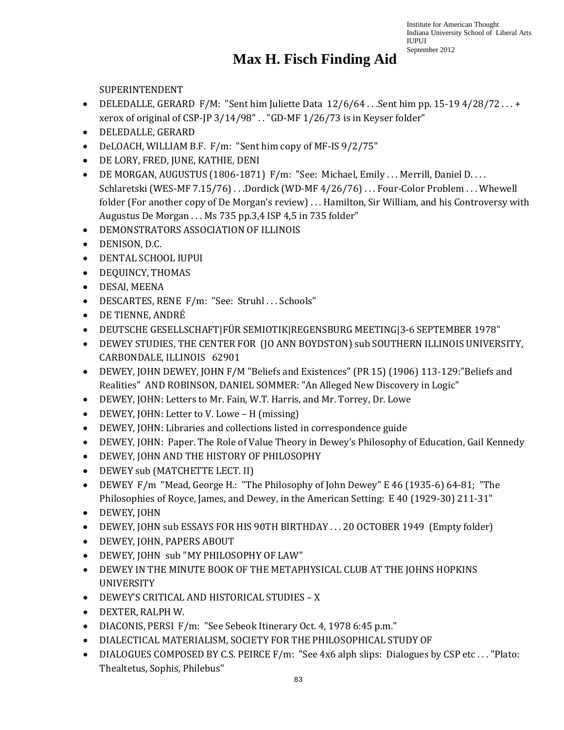#### **Max H. Fisch Finding Aid**

SUPERINTENDENT

- DELEDALLE, GERARD F/M: "Sent him Juliette Data  $12/6/64$ ...Sent him pp. 15-19 4/28/72...+ xerox of original of CSP-JP 3/14/98" . . "GD-MF 1/26/73 is in Keyser folder"
- DELEDALLE, GERARD
- DeLOACH, WILLIAM B.F. F/m: "Sent him copy of MF-IS 9/2/75"
- DE LORY, FRED, JUNE, KATHIE, DENI
- DE MORGAN, AUGUSTUS (1806-1871) F/m: "See: Michael, Emily . . . Merrill, Daniel D. . . . Schlaretski (WES-MF 7.15/76) . . .Dordick (WD-MF 4/26/76) . . . Four-Color Problem . . . Whewell folder (For another copy of De Morgan's review) . . . Hamilton, Sir William, and his Controversy with Augustus De Morgan . . . Ms 735 pp.3,4 ISP 4,5 in 735 folder"
- DEMONSTRATORS ASSOCIATION OF ILLINOIS
- DENISON, D.C.
- DENTAL SCHOOL IUPUI
- DEQUINCY, THOMAS
- DESAI, MEENA
- DESCARTES, RENE F/m: "See: Struhl . . . Schools"
- DE TIENNE, ANDRÉ
- DEUTSCHE GESELLSCHAFT|FÜR SEMIOTIK|REGENSBURG MEETING|3-6 SEPTEMBER 1978"
- DEWEY STUDIES, THE CENTER FOR (JO ANN BOYDSTON) sub SOUTHERN ILLINOIS UNIVERSITY, CARBONDALE, ILLINOIS 62901
- DEWEY, JOHN DEWEY, JOHN F/M "Beliefs and Existences" (PR 15) (1906) 113-129:"Beliefs and Realities" AND ROBINSON, DANIEL SOMMER: "An Alleged New Discovery in Logic"
- DEWEY, JOHN: Letters to Mr. Fain, W.T. Harris, and Mr. Torrey, Dr. Lowe
- DEWEY, JOHN: Letter to V. Lowe H (missing)
- DEWEY, JOHN: Libraries and collections listed in correspondence guide
- DEWEY, JOHN: Paper. The Role of Value Theory in Dewey's Philosophy of Education, Gail Kennedy
- DEWEY, JOHN AND THE HISTORY OF PHILOSOPHY
- DEWEY sub (MATCHETTE LECT. II)
- DEWEY F/m "Mead, George H.: "The Philosophy of John Dewey" E 46 (1935-6) 64-81; "The Philosophies of Royce, James, and Dewey, in the American Setting: E 40 (1929-30) 211-31"
- DEWEY, JOHN
- DEWEY, JOHN sub ESSAYS FOR HIS 90TH BIRTHDAY . . . 20 OCTOBER 1949 (Empty folder)
- DEWEY, JOHN, PAPERS ABOUT
- DEWEY, JOHN sub "MY PHILOSOPHY OF LAW"
- DEWEY IN THE MINUTE BOOK OF THE METAPHYSICAL CLUB AT THE JOHNS HOPKINS UNIVERSITY
- DEWEY'S CRITICAL AND HISTORICAL STUDIES X
- DEXTER, RALPH W.
- DIACONIS, PERSI F/m: "See Sebeok Itinerary Oct. 4, 1978 6:45 p.m."
- DIALECTICAL MATERIALISM, SOCIETY FOR THE PHILOSOPHICAL STUDY OF
- DIALOGUES COMPOSED BY C.S. PEIRCE F/m: "See 4x6 alph slips: Dialogues by CSP etc..."Plato: Thealtetus, Sophis, Philebus"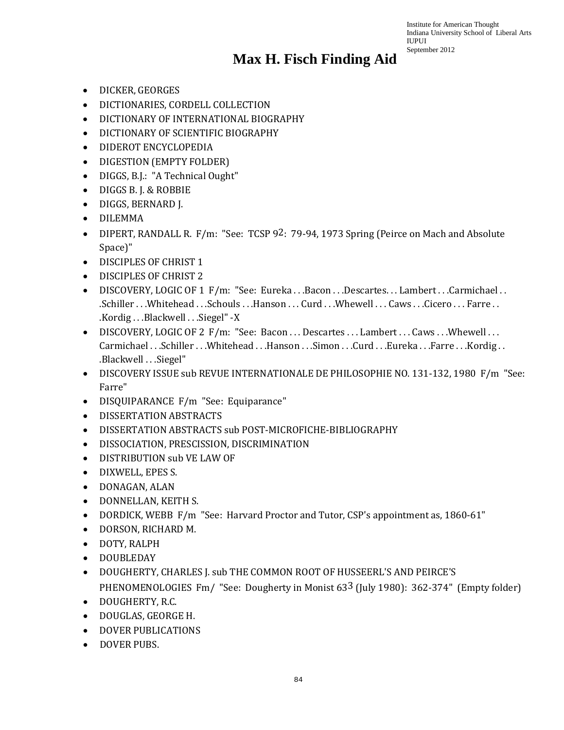- DICKER, GEORGES
- DICTIONARIES, CORDELL COLLECTION
- DICTIONARY OF INTERNATIONAL BIOGRAPHY
- DICTIONARY OF SCIENTIFIC BIOGRAPHY
- DIDEROT ENCYCLOPEDIA
- DIGESTION (EMPTY FOLDER)
- DIGGS, B.J.: "A Technical Ought"
- DIGGS B. J. & ROBBIE
- DIGGS, BERNARD J.
- DILEMMA
- DIPERT, RANDALL R. F/m: "See: TCSP 92: 79-94, 1973 Spring (Peirce on Mach and Absolute Space)"
- DISCIPLES OF CHRIST 1
- DISCIPLES OF CHRIST 2
- DISCOVERY, LOGIC OF 1 F/m: "See: Eureka . . . Bacon . . . Descartes. . . Lambert . . . Carmichael . . .Schiller . . .Whitehead . . .Schouls . . .Hanson . . . Curd . . .Whewell . . . Caws . . .Cicero . . . Farre . . .Kordig . . .Blackwell . . .Siegel" -X
- DISCOVERY, LOGIC OF 2 F/m: "See: Bacon ... Descartes ... Lambert ... Caws ... Whewell ... Carmichael . . .Schiller . . .Whitehead . . .Hanson . . .Simon . . .Curd . . .Eureka . . .Farre . . .Kordig . . .Blackwell . . .Siegel"
- DISCOVERY ISSUE sub REVUE INTERNATIONALE DE PHILOSOPHIE NO. 131-132, 1980 F/m "See: Farre"
- DISQUIPARANCE F/m "See: Equiparance"
- DISSERTATION ABSTRACTS
- DISSERTATION ABSTRACTS sub POST-MICROFICHE-BIBLIOGRAPHY
- DISSOCIATION, PRESCISSION, DISCRIMINATION
- DISTRIBUTION sub VE LAW OF
- DIXWELL, EPES S.
- DONAGAN, ALAN
- DONNELLAN, KEITH S.
- DORDICK, WEBB F/m "See: Harvard Proctor and Tutor, CSP's appointment as, 1860-61"
- DORSON, RICHARD M.
- DOTY, RALPH
- DOUBLEDAY
- DOUGHERTY, CHARLES J. sub THE COMMON ROOT OF HUSSEERL'S AND PEIRCE'S PHENOMENOLOGIES Fm/ "See: Dougherty in Monist 63<sup>3</sup> (July 1980): 362-374" (Empty folder)
- DOUGHERTY, R.C.
- DOUGLAS, GEORGE H.
- DOVER PUBLICATIONS
- DOVER PUBS.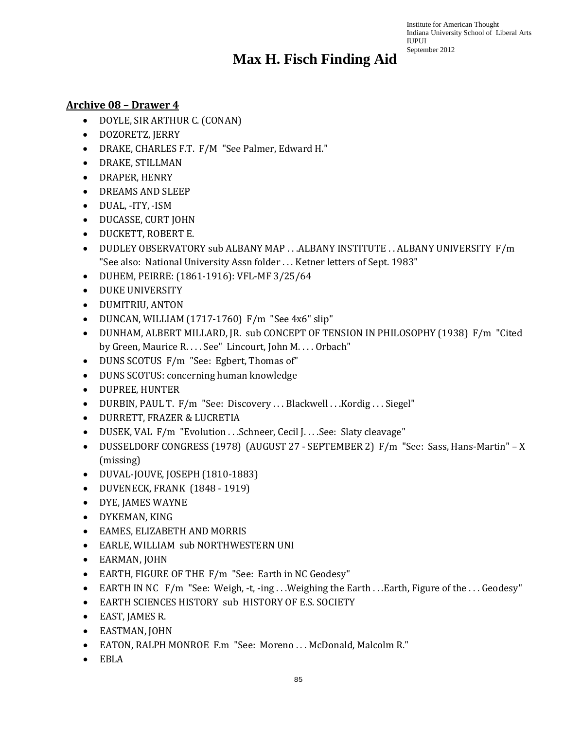#### **Archive 08 – Drawer 4**

- DOYLE, SIR ARTHUR C. (CONAN)
- DOZORETZ, JERRY
- DRAKE, CHARLES F.T. F/M "See Palmer, Edward H."
- DRAKE, STILLMAN
- DRAPER, HENRY
- DREAMS AND SLEEP
- DUAL, -ITY, -ISM
- DUCASSE, CURT JOHN
- DUCKETT, ROBERT E.
- DUDLEY OBSERVATORY sub ALBANY MAP . . . ALBANY INSTITUTE . . ALBANY UNIVERSITY F/m "See also: National University Assn folder . . . Ketner letters of Sept. 1983"
- DUHEM, PEIRRE: (1861-1916): VFL-MF 3/25/64
- DUKE UNIVERSITY
- DUMITRIU, ANTON
- DUNCAN, WILLIAM (1717-1760) F/m "See 4x6" slip"
- DUNHAM, ALBERT MILLARD, JR. sub CONCEPT OF TENSION IN PHILOSOPHY (1938) F/m "Cited by Green, Maurice R. . . . See" Lincourt, John M. . . . Orbach"
- DUNS SCOTUS F/m "See: Egbert, Thomas of"
- DUNS SCOTUS: concerning human knowledge
- DUPREE, HUNTER
- DURBIN, PAUL T. F/m "See: Discovery ... Blackwell ... Kordig ... Siegel"
- DURRETT, FRAZER & LUCRETIA
- DUSEK, VAL F/m "Evolution . . .Schneer, Cecil J. . . . See: Slaty cleavage"
- DUSSELDORF CONGRESS (1978) (AUGUST 27 SEPTEMBER 2) F/m "See: Sass, Hans-Martin" X (missing)
- DUVAL-JOUVE, JOSEPH (1810-1883)
- DUVENECK, FRANK (1848 1919)
- DYE, JAMES WAYNE
- DYKEMAN, KING
- EAMES, ELIZABETH AND MORRIS
- EARLE, WILLIAM sub NORTHWESTERN UNI
- EARMAN, JOHN
- EARTH, FIGURE OF THE F/m "See: Earth in NC Geodesy"
- EARTH IN NC F/m "See: Weigh, -t, -ing ... Weighing the Earth ... Earth, Figure of the ... Geodesy"
- EARTH SCIENCES HISTORY sub HISTORY OF E.S. SOCIETY
- EAST, JAMES R.
- EASTMAN, JOHN
- EATON, RALPH MONROE F.m "See: Moreno . . . McDonald, Malcolm R."
- EBLA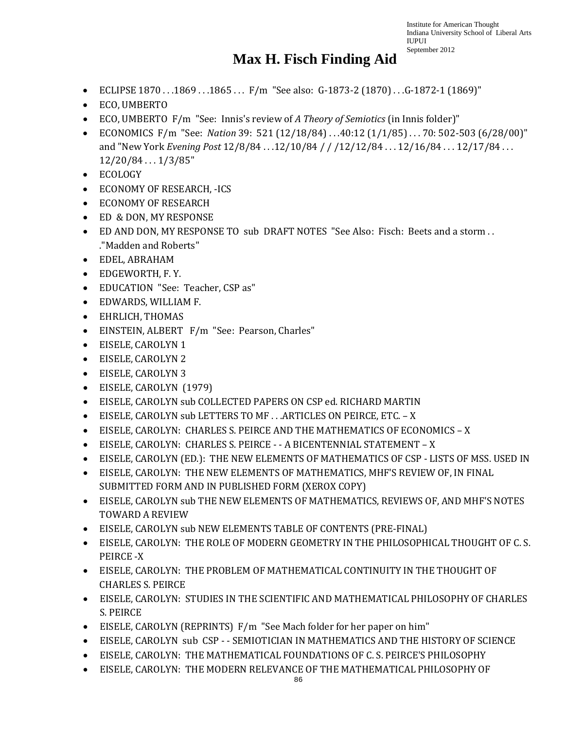- ECLIPSE 1870 . . .1869 . . .1865 . . . F/m "See also: G-1873-2 (1870) . . .G-1872-1 (1869)"
- ECO, UMBERTO
- ECO, UMBERTO F/m "See: Innis's review of *A Theory of Semiotics* (in Innis folder)"
- ECONOMICS F/m "See: *Nation* 39: 521 (12/18/84) . . .40:12 (1/1/85) . . . 70: 502-503 (6/28/00)" and "New York *Evening Post* 12/8/84 . . .12/10/84 / / /12/12/84 . . . 12/16/84 . . . 12/17/84 . . . 12/20/84 . . . 1/3/85"
- ECOLOGY
- ECONOMY OF RESEARCH, -ICS
- ECONOMY OF RESEARCH
- ED & DON, MY RESPONSE
- ED AND DON, MY RESPONSE TO sub DRAFT NOTES "See Also: Fisch: Beets and a storm . . ."Madden and Roberts"
- EDEL, ABRAHAM
- EDGEWORTH, F. Y.
- EDUCATION "See: Teacher, CSP as"
- EDWARDS, WILLIAM F.
- EHRLICH, THOMAS
- EINSTEIN, ALBERT F/m "See: Pearson, Charles"
- EISELE, CAROLYN 1
- EISELE, CAROLYN 2
- EISELE, CAROLYN 3
- EISELE, CAROLYN (1979)
- EISELE, CAROLYN sub COLLECTED PAPERS ON CSP ed. RICHARD MARTIN
- EISELE, CAROLYN sub LETTERS TO MF . . .ARTICLES ON PEIRCE, ETC. X
- EISELE, CAROLYN: CHARLES S. PEIRCE AND THE MATHEMATICS OF ECONOMICS X
- EISELE, CAROLYN: CHARLES S. PEIRCE - A BICENTENNIAL STATEMENT X
- EISELE, CAROLYN (ED.): THE NEW ELEMENTS OF MATHEMATICS OF CSP LISTS OF MSS. USED IN
- EISELE, CAROLYN: THE NEW ELEMENTS OF MATHEMATICS, MHF'S REVIEW OF, IN FINAL SUBMITTED FORM AND IN PUBLISHED FORM (XEROX COPY)
- EISELE, CAROLYN sub THE NEW ELEMENTS OF MATHEMATICS, REVIEWS OF, AND MHF'S NOTES TOWARD A REVIEW
- EISELE, CAROLYN sub NEW ELEMENTS TABLE OF CONTENTS (PRE-FINAL)
- EISELE, CAROLYN: THE ROLE OF MODERN GEOMETRY IN THE PHILOSOPHICAL THOUGHT OF C. S. PEIRCE -X
- EISELE, CAROLYN: THE PROBLEM OF MATHEMATICAL CONTINUITY IN THE THOUGHT OF CHARLES S. PEIRCE
- EISELE, CAROLYN: STUDIES IN THE SCIENTIFIC AND MATHEMATICAL PHILOSOPHY OF CHARLES S. PEIRCE
- EISELE, CAROLYN (REPRINTS) F/m "See Mach folder for her paper on him"
- EISELE, CAROLYN sub CSP - SEMIOTICIAN IN MATHEMATICS AND THE HISTORY OF SCIENCE
- EISELE, CAROLYN: THE MATHEMATICAL FOUNDATIONS OF C. S. PEIRCE'S PHILOSOPHY
- EISELE, CAROLYN: THE MODERN RELEVANCE OF THE MATHEMATICAL PHILOSOPHY OF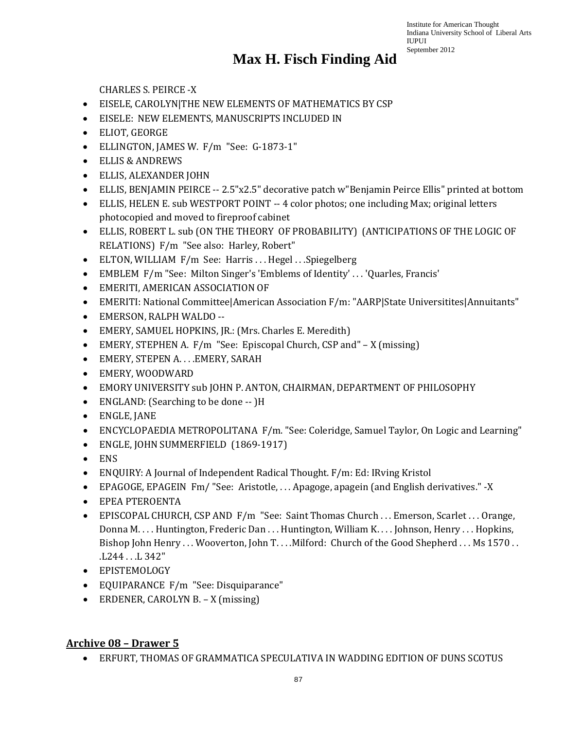### **Max H. Fisch Finding Aid**

CHARLES S. PEIRCE -X

- EISELE, CAROLYN|THE NEW ELEMENTS OF MATHEMATICS BY CSP
- EISELE: NEW ELEMENTS, MANUSCRIPTS INCLUDED IN
- ELIOT, GEORGE
- ELLINGTON, JAMES W. F/m "See: G-1873-1"
- ELLIS & ANDREWS
- ELLIS, ALEXANDER JOHN
- ELLIS, BENJAMIN PEIRCE -- 2.5"x2.5" decorative patch w"Benjamin Peirce Ellis" printed at bottom
- ELLIS, HELEN E. sub WESTPORT POINT -- 4 color photos; one including Max; original letters photocopied and moved to fireproof cabinet
- ELLIS, ROBERT L. sub (ON THE THEORY OF PROBABILITY) (ANTICIPATIONS OF THE LOGIC OF RELATIONS) F/m "See also: Harley, Robert"
- ELTON, WILLIAM F/m See: Harris ... Hegel ... Spiegelberg
- EMBLEM F/m "See: Milton Singer's 'Emblems of Identity' ... 'Quarles, Francis'
- EMERITI, AMERICAN ASSOCIATION OF
- EMERITI: National Committee|American Association F/m: "AARP|State Universitites|Annuitants"
- EMERSON, RALPH WALDO --
- EMERY, SAMUEL HOPKINS, JR.: (Mrs. Charles E. Meredith)
- EMERY, STEPHEN A. F/m "See: Episcopal Church, CSP and" X (missing)
- EMERY, STEPEN A. . . .EMERY, SARAH
- EMERY, WOODWARD
- EMORY UNIVERSITY sub JOHN P. ANTON, CHAIRMAN, DEPARTMENT OF PHILOSOPHY
- ENGLAND: (Searching to be done -- )H
- ENGLE, JANE
- ENCYCLOPAEDIA METROPOLITANA F/m. "See: Coleridge, Samuel Taylor, On Logic and Learning"
- ENGLE, JOHN SUMMERFIELD (1869-1917)
- ENS
- ENQUIRY: A Journal of Independent Radical Thought. F/m: Ed: IRving Kristol
- EPAGOGE, EPAGEIN Fm/ "See: Aristotle, . . . Apagoge, apagein (and English derivatives." -X
- EPEA PTEROENTA
- EPISCOPAL CHURCH, CSP AND F/m "See: Saint Thomas Church . . . Emerson, Scarlet . . . Orange, Donna M. . . . Huntington, Frederic Dan . . . Huntington, William K. . . . Johnson, Henry . . . Hopkins, Bishop John Henry ... Wooverton, John T... . Milford: Church of the Good Shepherd ... Ms 1570.. .L244 . . .L 342"
- EPISTEMOLOGY
- EQUIPARANCE F/m "See: Disquiparance"
- ERDENER, CAROLYN B. X (missing)

#### **Archive 08 – Drawer 5**

• ERFURT, THOMAS OF GRAMMATICA SPECULATIVA IN WADDING EDITION OF DUNS SCOTUS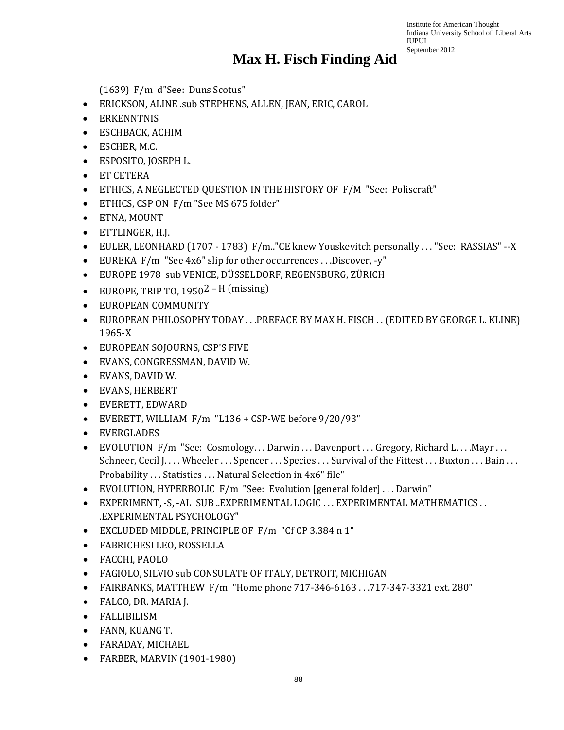(1639) F/m d"See: Duns Scotus"

- ERICKSON, ALINE .sub STEPHENS, ALLEN, JEAN, ERIC, CAROL
- ERKENNTNIS
- ESCHBACK, ACHIM
- ESCHER, M.C.
- ESPOSITO, JOSEPH L.
- ET CETERA
- ETHICS, A NEGLECTED QUESTION IN THE HISTORY OF F/M "See: Poliscraft"
- ETHICS, CSP ON F/m "See MS 675 folder"
- ETNA, MOUNT
- ETTLINGER, H.J.
- EULER, LEONHARD (1707 1783) F/m.."CE knew Youskevitch personally . . . "See: RASSIAS" --X
- EUREKA F/m "See 4x6" slip for other occurrences ...Discover, -y"
- EUROPE 1978 sub VENICE, DÜSSELDORF, REGENSBURG, ZÜRICH
- EUROPE, TRIP TO,  $1950^2$  H (missing)
- EUROPEAN COMMUNITY
- EUROPEAN PHILOSOPHY TODAY . . . PREFACE BY MAX H. FISCH . . (EDITED BY GEORGE L. KLINE) 1965-X
- EUROPEAN SOJOURNS, CSP'S FIVE
- EVANS, CONGRESSMAN, DAVID W.
- EVANS, DAVID W.
- EVANS, HERBERT
- EVERETT, EDWARD
- EVERETT, WILLIAM F/m "L136 + CSP-WE before 9/20/93"
- EVERGLADES
- EVOLUTION F/m "See: Cosmology...Darwin...Davenport...Gregory, Richard L....Mayr... Schneer, Cecil J. . . . Wheeler . . . Spencer . . . Species . . . Survival of the Fittest . . . Buxton . . . Bain . . . Probability . . . Statistics . . . Natural Selection in 4x6" file"
- EVOLUTION, HYPERBOLIC F/m "See: Evolution [general folder] . . . Darwin"
- EXPERIMENT, -S, -AL SUB ..EXPERIMENTAL LOGIC . . . EXPERIMENTAL MATHEMATICS . . .EXPERIMENTAL PSYCHOLOGY"
- EXCLUDED MIDDLE, PRINCIPLE OF F/m "Cf CP 3.384 n 1"
- FABRICHESI LEO, ROSSELLA
- FACCHI, PAOLO
- FAGIOLO, SILVIO sub CONSULATE OF ITALY, DETROIT, MICHIGAN
- FAIRBANKS, MATTHEW F/m "Home phone 717-346-6163 . . .717-347-3321 ext. 280"
- FALCO, DR. MARIA J.
- FALLIBILISM
- FANN, KUANG T.
- FARADAY, MICHAEL
- FARBER, MARVIN (1901-1980)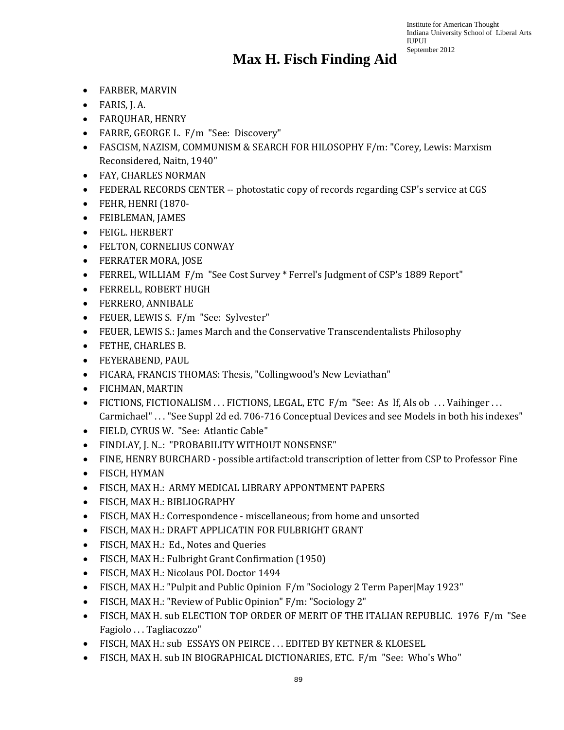- FARBER, MARVIN
- FARIS, J. A.
- FARQUHAR, HENRY
- FARRE, GEORGE L. F/m "See: Discovery"
- FASCISM, NAZISM, COMMUNISM & SEARCH FOR HILOSOPHY F/m: "Corey, Lewis: Marxism Reconsidered, Naitn, 1940"
- FAY, CHARLES NORMAN
- FEDERAL RECORDS CENTER -- photostatic copy of records regarding CSP's service at CGS
- FEHR, HENRI (1870-
- FEIBLEMAN, JAMES
- FEIGL. HERBERT
- FELTON, CORNELIUS CONWAY
- FERRATER MORA, JOSE
- FERREL, WILLIAM F/m "See Cost Survey \* Ferrel's Judgment of CSP's 1889 Report"
- FERRELL, ROBERT HUGH
- FERRERO, ANNIBALE
- FEUER, LEWIS S. F/m "See: Sylvester"
- FEUER, LEWIS S.: James March and the Conservative Transcendentalists Philosophy
- FETHE, CHARLES B.
- FEYERABEND, PAUL
- FICARA, FRANCIS THOMAS: Thesis, "Collingwood's New Leviathan"
- FICHMAN, MARTIN
- FICTIONS, FICTIONALISM . . . FICTIONS, LEGAL, ETC F/m "See: As If, Als ob . . . Vaihinger . . . Carmichael" . . . "See Suppl 2d ed. 706-716 Conceptual Devices and see Models in both his indexes"
- FIELD, CYRUS W. "See: Atlantic Cable"
- FINDLAY, J. N..: "PROBABILITY WITHOUT NONSENSE"
- FINE, HENRY BURCHARD possible artifact:old transcription of letter from CSP to Professor Fine
- FISCH, HYMAN
- FISCH, MAX H.: ARMY MEDICAL LIBRARY APPONTMENT PAPERS
- FISCH, MAX H.: BIBLIOGRAPHY
- FISCH, MAX H.: Correspondence miscellaneous; from home and unsorted
- FISCH, MAX H.: DRAFT APPLICATIN FOR FULBRIGHT GRANT
- FISCH, MAX H.: Ed., Notes and Queries
- FISCH, MAX H.: Fulbright Grant Confirmation (1950)
- FISCH, MAX H.: Nicolaus POL Doctor 1494
- FISCH, MAX H.: "Pulpit and Public Opinion F/m "Sociology 2 Term Paper|May 1923"
- FISCH, MAX H.: "Review of Public Opinion" F/m: "Sociology 2"
- FISCH, MAX H. sub ELECTION TOP ORDER OF MERIT OF THE ITALIAN REPUBLIC. 1976 F/m "See Fagiolo . . . Tagliacozzo"
- FISCH, MAX H.: sub ESSAYS ON PEIRCE . . . EDITED BY KETNER & KLOESEL
- FISCH, MAX H. sub IN BIOGRAPHICAL DICTIONARIES, ETC. F/m "See: Who's Who"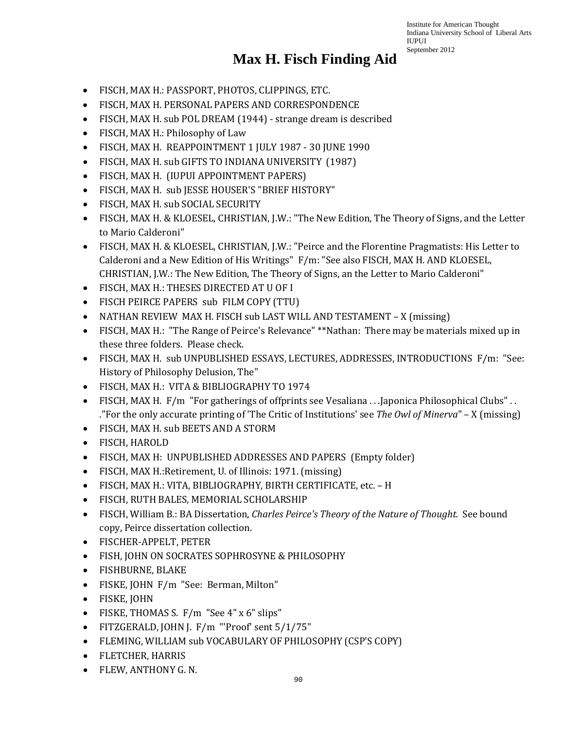- FISCH, MAX H.: PASSPORT, PHOTOS, CLIPPINGS, ETC.
- FISCH, MAX H. PERSONAL PAPERS AND CORRESPONDENCE
- FISCH, MAX H. sub POL DREAM (1944) strange dream is described
- FISCH, MAX H.: Philosophy of Law
- FISCH, MAX H. REAPPOINTMENT 1 JULY 1987 30 JUNE 1990
- FISCH, MAX H. sub GIFTS TO INDIANA UNIVERSITY (1987)
- FISCH, MAX H. (IUPUI APPOINTMENT PAPERS)
- FISCH, MAX H. sub JESSE HOUSER'S "BRIEF HISTORY"
- FISCH, MAX H. sub SOCIAL SECURITY
- FISCH, MAX H. & KLOESEL, CHRISTIAN, J.W.: "The New Edition, The Theory of Signs, and the Letter to Mario Calderoni"
- FISCH, MAX H. & KLOESEL, CHRISTIAN, J.W.: "Peirce and the Florentine Pragmatists: His Letter to Calderoni and a New Edition of His Writings" F/m: "See also FISCH, MAX H. AND KLOESEL, CHRISTIAN, J.W.: The New Edition, The Theory of Signs, an the Letter to Mario Calderoni"
- FISCH, MAX H.: THESES DIRECTED AT U OF I
- FISCH PEIRCE PAPERS sub FILM COPY (TTU)
- NATHAN REVIEW MAX H. FISCH sub LAST WILL AND TESTAMENT X (missing)
- FISCH, MAX H.:"The Range of Peirce's Relevance" \*\*Nathan: There may be materials mixed up in these three folders. Please check.
- FISCH, MAX H. sub UNPUBLISHED ESSAYS, LECTURES, ADDRESSES, INTRODUCTIONS F/m: "See: History of Philosophy Delusion, The"
- FISCH, MAX H.: VITA & BIBLIOGRAPHY TO 1974
- FISCH, MAX H. F/m "For gatherings of offprints see Vesaliana . . . Japonica Philosophical Clubs" . . ."For the only accurate printing of 'The Critic of Institutions' see *The Owl of Minerva*" – X (missing)
- FISCH, MAX H. sub BEETS AND A STORM
- FISCH, HAROLD
- FISCH, MAX H: UNPUBLISHED ADDRESSES AND PAPERS (Empty folder)
- FISCH, MAX H.:Retirement, U. of Illinois: 1971. (missing)
- FISCH, MAX H.: VITA, BIBLIOGRAPHY, BIRTH CERTIFICATE, etc. H
- FISCH, RUTH BALES, MEMORIAL SCHOLARSHIP
- FISCH, William B.: BA Dissertation, *Charles Peirce's Theory of the Nature of Thought.* See bound copy, Peirce dissertation collection.
- FISCHER-APPELT, PETER
- FISH, JOHN ON SOCRATES SOPHROSYNE & PHILOSOPHY
- FISHBURNE, BLAKE
- FISKE, JOHN F/m "See: Berman, Milton"
- FISKE, JOHN
- FISKE, THOMAS S. F/m "See 4" x 6" slips"
- FITZGERALD, JOHN J. F/m "'Proof' sent 5/1/75"
- FLEMING, WILLIAM sub VOCABULARY OF PHILOSOPHY (CSP'S COPY)
- FLETCHER, HARRIS
- FLEW, ANTHONY G. N.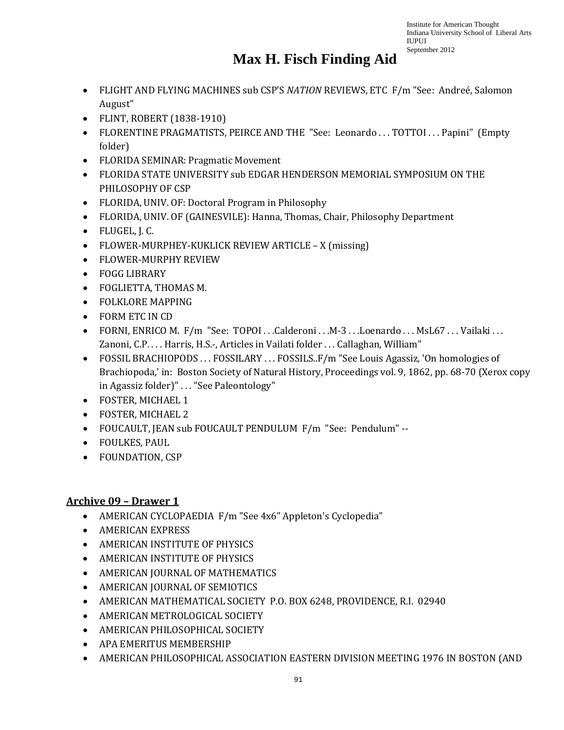### **Max H. Fisch Finding Aid**

- FLIGHT AND FLYING MACHINES sub CSP'S *NATION* REVIEWS, ETC F/m "See: Andreé, Salomon August"
- FLINT, ROBERT (1838-1910)
- FLORENTINE PRAGMATISTS, PEIRCE AND THE "See: Leonardo ... TOTTOI ... Papini" (Empty folder)
- FLORIDA SEMINAR: Pragmatic Movement
- FLORIDA STATE UNIVERSITY sub EDGAR HENDERSON MEMORIAL SYMPOSIUM ON THE PHILOSOPHY OF CSP
- FLORIDA, UNIV. OF: Doctoral Program in Philosophy
- FLORIDA, UNIV. OF (GAINESVILE): Hanna, Thomas, Chair, Philosophy Department
- FLUGEL, J. C.
- FLOWER-MURPHEY-KUKLICK REVIEW ARTICLE X (missing)
- FLOWER-MURPHY REVIEW
- FOGG LIBRARY
- FOGLIETTA, THOMAS M.
- FOLKLORE MAPPING
- FORM ETC IN CD
- FORNI, ENRICO M. F/m "See: TOPOI ...Calderoni ... M-3 ...Loenardo ... MsL67 ... Vailaki ... Zanoni, C.P. . . . Harris, H.S.-, Articles in Vailati folder . . . Callaghan, William"
- FOSSIL BRACHIOPODS . . . FOSSILARY . . . FOSSILS.. F/m "See Louis Agassiz, 'On homologies of Brachiopoda,' in: Boston Society of Natural History, Proceedings vol. 9, 1862, pp. 68-70 (Xerox copy in Agassiz folder)" . . . "See Paleontology"
- FOSTER, MICHAEL 1
- FOSTER, MICHAEL 2
- FOUCAULT, JEAN sub FOUCAULT PENDULUM F/m "See: Pendulum" --
- FOULKES, PAUL
- FOUNDATION, CSP

#### **Archive 09 – Drawer 1**

- AMERICAN CYCLOPAEDIA F/m "See 4x6" Appleton's Cyclopedia"
- AMERICAN EXPRESS
- AMERICAN INSTITUTE OF PHYSICS
- AMERICAN INSTITUTE OF PHYSICS
- AMERICAN JOURNAL OF MATHEMATICS
- AMERICAN JOURNAL OF SEMIOTICS
- AMERICAN MATHEMATICAL SOCIETY P.O. BOX 6248, PROVIDENCE, R.I. 02940
- AMERICAN METROLOGICAL SOCIETY
- AMERICAN PHILOSOPHICAL SOCIETY
- APA EMERITUS MEMBERSHIP
- AMERICAN PHILOSOPHICAL ASSOCIATION EASTERN DIVISION MEETING 1976 IN BOSTON (AND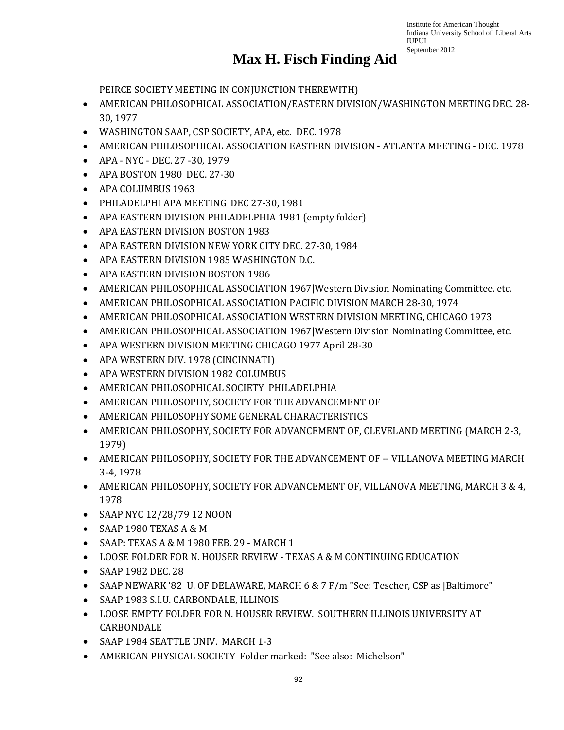#### **Max H. Fisch Finding Aid**

PEIRCE SOCIETY MEETING IN CONJUNCTION THEREWITH)

- AMERICAN PHILOSOPHICAL ASSOCIATION/EASTERN DIVISION/WASHINGTON MEETING DEC. 28- 30, 1977
- WASHINGTON SAAP, CSP SOCIETY, APA, etc. DEC. 1978
- AMERICAN PHILOSOPHICAL ASSOCIATION EASTERN DIVISION ATLANTA MEETING DEC. 1978
- APA NYC DEC. 27 -30, 1979
- APA BOSTON 1980 DEC. 27-30
- APA COLUMBUS 1963
- PHILADELPHI APA MEETING DEC 27-30, 1981
- APA EASTERN DIVISION PHILADELPHIA 1981 (empty folder)
- APA EASTERN DIVISION BOSTON 1983
- APA EASTERN DIVISION NEW YORK CITY DEC. 27-30, 1984
- APA EASTERN DIVISION 1985 WASHINGTON D.C.
- APA EASTERN DIVISION BOSTON 1986
- AMERICAN PHILOSOPHICAL ASSOCIATION 1967|Western Division Nominating Committee, etc.
- AMERICAN PHILOSOPHICAL ASSOCIATION PACIFIC DIVISION MARCH 28-30, 1974
- AMERICAN PHILOSOPHICAL ASSOCIATION WESTERN DIVISION MEETING, CHICAGO 1973
- AMERICAN PHILOSOPHICAL ASSOCIATION 1967|Western Division Nominating Committee, etc.
- APA WESTERN DIVISION MEETING CHICAGO 1977 April 28-30
- APA WESTERN DIV. 1978 (CINCINNATI)
- APA WESTERN DIVISION 1982 COLUMBUS
- AMERICAN PHILOSOPHICAL SOCIETY PHILADELPHIA
- AMERICAN PHILOSOPHY, SOCIETY FOR THE ADVANCEMENT OF
- AMERICAN PHILOSOPHY SOME GENERAL CHARACTERISTICS
- AMERICAN PHILOSOPHY, SOCIETY FOR ADVANCEMENT OF, CLEVELAND MEETING (MARCH 2-3, 1979)
- AMERICAN PHILOSOPHY, SOCIETY FOR THE ADVANCEMENT OF -- VILLANOVA MEETING MARCH 3-4, 1978
- AMERICAN PHILOSOPHY, SOCIETY FOR ADVANCEMENT OF, VILLANOVA MEETING, MARCH 3 & 4, 1978
- SAAP NYC 12/28/79 12 NOON
- SAAP 1980 TEXAS A & M
- SAAP: TEXAS A & M 1980 FEB. 29 MARCH 1
- LOOSE FOLDER FOR N. HOUSER REVIEW TEXAS A & M CONTINUING EDUCATION
- SAAP 1982 DEC. 28
- SAAP NEWARK '82 U. OF DELAWARE, MARCH 6 & 7 F/m "See: Tescher, CSP as |Baltimore"
- SAAP 1983 S.I.U. CARBONDALE, ILLINOIS
- LOOSE EMPTY FOLDER FOR N. HOUSER REVIEW. SOUTHERN ILLINOIS UNIVERSITY AT **CARBONDALE**
- SAAP 1984 SEATTLE UNIV. MARCH 1-3
- AMERICAN PHYSICAL SOCIETY Folder marked: "See also: Michelson"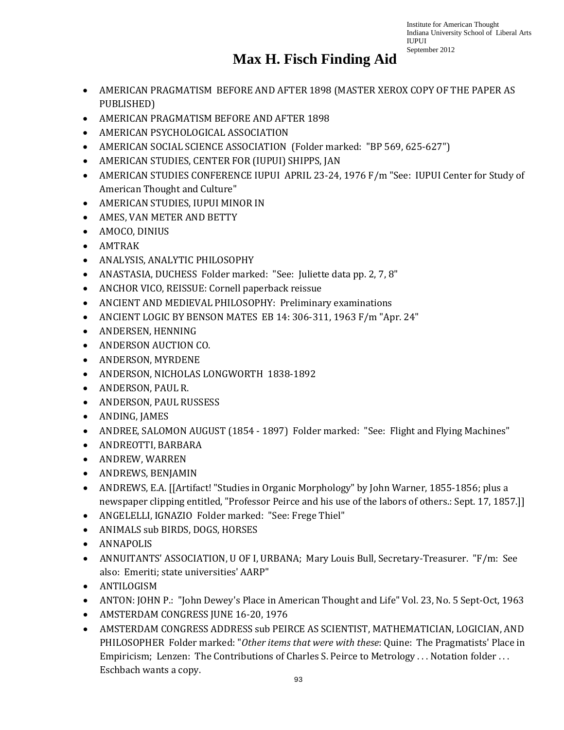- AMERICAN PRAGMATISM BEFORE AND AFTER 1898 (MASTER XEROX COPY OF THE PAPER AS PUBLISHED)
- AMERICAN PRAGMATISM BEFORE AND AFTER 1898
- AMERICAN PSYCHOLOGICAL ASSOCIATION
- AMERICAN SOCIAL SCIENCE ASSOCIATION (Folder marked: "BP 569, 625-627")
- AMERICAN STUDIES, CENTER FOR (IUPUI) SHIPPS, JAN
- AMERICAN STUDIES CONFERENCE IUPUI APRIL 23-24, 1976 F/m "See: IUPUI Center for Study of American Thought and Culture"
- AMERICAN STUDIES, IUPUI MINOR IN
- AMES, VAN METER AND BETTY
- AMOCO, DINIUS
- AMTRAK
- ANALYSIS, ANALYTIC PHILOSOPHY
- ANASTASIA, DUCHESS Folder marked: "See: Juliette data pp. 2, 7, 8"
- ANCHOR VICO, REISSUE: Cornell paperback reissue
- ANCIENT AND MEDIEVAL PHILOSOPHY: Preliminary examinations
- ANCIENT LOGIC BY BENSON MATES EB 14: 306-311, 1963 F/m "Apr. 24"
- ANDERSEN, HENNING
- ANDERSON AUCTION CO.
- ANDERSON, MYRDENE
- ANDERSON, NICHOLAS LONGWORTH 1838-1892
- ANDERSON, PAUL R.
- ANDERSON, PAUL RUSSESS
- ANDING, JAMES
- ANDREE, SALOMON AUGUST (1854 1897) Folder marked: "See: Flight and Flying Machines"
- ANDREOTTI, BARBARA
- ANDREW, WARREN
- ANDREWS, BENJAMIN
- ANDREWS, E.A. [[Artifact! "Studies in Organic Morphology" by John Warner, 1855-1856; plus a newspaper clipping entitled, "Professor Peirce and his use of the labors of others.: Sept. 17, 1857.]]
- ANGELELLI, IGNAZIO Folder marked: "See: Frege Thiel"
- ANIMALS sub BIRDS, DOGS, HORSES
- ANNAPOLIS
- ANNUITANTS' ASSOCIATION, U OF I, URBANA; Mary Louis Bull, Secretary-Treasurer. "F/m: See also: Emeriti; state universities' AARP"
- ANTILOGISM
- ANTON: JOHN P.: "John Dewey's Place in American Thought and Life" Vol. 23, No. 5 Sept-Oct, 1963
- AMSTERDAM CONGRESS JUNE 16-20, 1976
- AMSTERDAM CONGRESS ADDRESS sub PEIRCE AS SCIENTIST, MATHEMATICIAN, LOGICIAN, AND PHILOSOPHER Folder marked: "*Other items that were with these*: Quine: The Pragmatists' Place in Empiricism; Lenzen: The Contributions of Charles S. Peirce to Metrology . . . Notation folder . . . Eschbach wants a copy.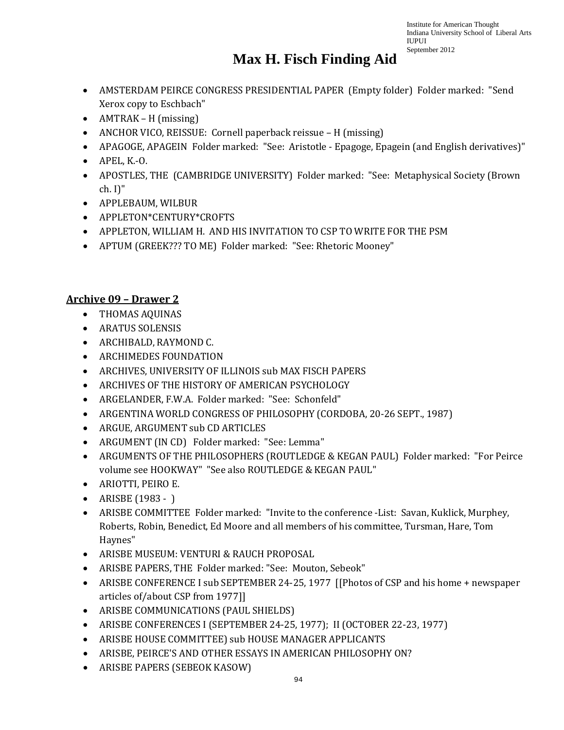### **Max H. Fisch Finding Aid**

- AMSTERDAM PEIRCE CONGRESS PRESIDENTIAL PAPER (Empty folder) Folder marked: "Send Xerox copy to Eschbach"
- AMTRAK H (missing)
- ANCHOR VICO, REISSUE: Cornell paperback reissue H (missing)
- APAGOGE, APAGEIN Folder marked: "See: Aristotle Epagoge, Epagein (and English derivatives)"
- APEL, K.-O.
- APOSTLES, THE (CAMBRIDGE UNIVERSITY) Folder marked: "See: Metaphysical Society (Brown ch. I)"
- APPLEBAUM, WILBUR
- APPLETON\*CENTURY\*CROFTS
- APPLETON, WILLIAM H. AND HIS INVITATION TO CSP TO WRITE FOR THE PSM
- APTUM (GREEK??? TO ME) Folder marked: "See: Rhetoric Mooney"

#### **Archive 09 – Drawer 2**

- THOMAS AQUINAS
- ARATUS SOLENSIS
- ARCHIBALD, RAYMOND C.
- ARCHIMEDES FOUNDATION
- ARCHIVES, UNIVERSITY OF ILLINOIS sub MAX FISCH PAPERS
- ARCHIVES OF THE HISTORY OF AMERICAN PSYCHOLOGY
- ARGELANDER, F.W.A. Folder marked: "See: Schonfeld"
- ARGENTINA WORLD CONGRESS OF PHILOSOPHY (CORDOBA, 20-26 SEPT., 1987)
- ARGUE, ARGUMENT sub CD ARTICLES
- ARGUMENT (IN CD) Folder marked: "See: Lemma"
- ARGUMENTS OF THE PHILOSOPHERS (ROUTLEDGE & KEGAN PAUL) Folder marked: "For Peirce volume see HOOKWAY" "See also ROUTLEDGE & KEGAN PAUL"
- ARIOTTI, PEIRO E.
- ARISBE (1983 )
- ARISBE COMMITTEE Folder marked: "Invite to the conference -List: Savan, Kuklick, Murphey, Roberts, Robin, Benedict, Ed Moore and all members of his committee, Tursman, Hare, Tom Haynes"
- ARISBE MUSEUM: VENTURI & RAUCH PROPOSAL
- ARISBE PAPERS, THE Folder marked: "See: Mouton, Sebeok"
- ARISBE CONFERENCE I sub SEPTEMBER 24-25, 1977 [[Photos of CSP and his home + newspaper articles of/about CSP from 1977]]
- ARISBE COMMUNICATIONS (PAUL SHIELDS)
- ARISBE CONFERENCES I (SEPTEMBER 24-25, 1977); II (OCTOBER 22-23, 1977)
- ARISBE HOUSE COMMITTEE) sub HOUSE MANAGER APPLICANTS
- ARISBE, PEIRCE'S AND OTHER ESSAYS IN AMERICAN PHILOSOPHY ON?
- ARISBE PAPERS (SEBEOK KASOW)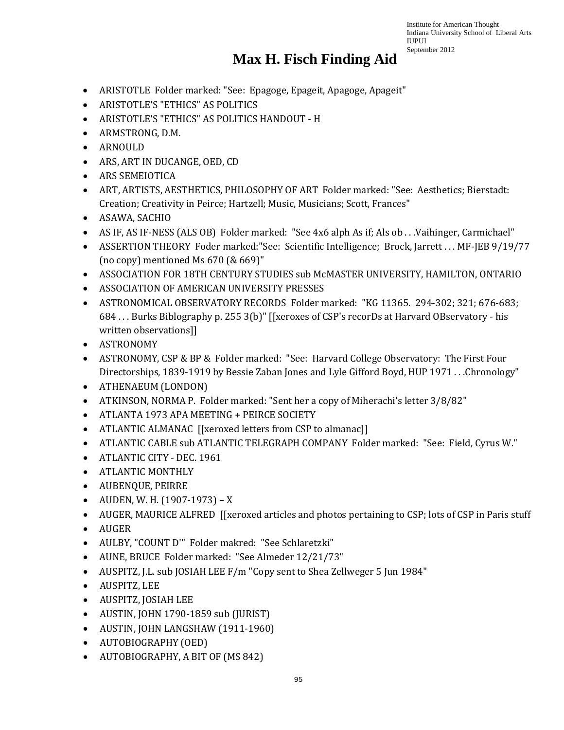- ARISTOTLE Folder marked: "See: Epagoge, Epageit, Apagoge, Apageit"
- ARISTOTLE'S "ETHICS" AS POLITICS
- ARISTOTLE'S "ETHICS" AS POLITICS HANDOUT H
- ARMSTRONG, D.M.
- ARNOULD
- ARS, ART IN DUCANGE, OED, CD
- ARS SEMEIOTICA
- ART, ARTISTS, AESTHETICS, PHILOSOPHY OF ART Folder marked: "See: Aesthetics; Bierstadt: Creation; Creativity in Peirce; Hartzell; Music, Musicians; Scott, Frances"
- ASAWA, SACHIO
- AS IF, AS IF-NESS (ALS OB) Folder marked: "See 4x6 alph As if; Als ob . . . Vaihinger, Carmichael"
- ASSERTION THEORY Foder marked: "See: Scientific Intelligence: Brock, Jarrett ... MF-JEB 9/19/77 (no copy) mentioned Ms 670 (& 669)"
- ASSOCIATION FOR 18TH CENTURY STUDIES sub McMASTER UNIVERSITY, HAMILTON, ONTARIO
- ASSOCIATION OF AMERICAN UNIVERSITY PRESSES
- ASTRONOMICAL OBSERVATORY RECORDS Folder marked: "KG 11365. 294-302; 321; 676-683; 684 . . . Burks Biblography p. 255 3(b)" [[xeroxes of CSP's recorDs at Harvard OBservatory - his written observations]]
- ASTRONOMY
- ASTRONOMY, CSP & BP & Folder marked: "See: Harvard College Observatory: The First Four Directorships, 1839-1919 by Bessie Zaban Jones and Lyle Gifford Boyd, HUP 1971 . . .Chronology"
- ATHENAEUM (LONDON)
- ATKINSON, NORMA P. Folder marked: "Sent her a copy of Miherachi's letter 3/8/82"
- ATLANTA 1973 APA MEETING + PEIRCE SOCIETY
- ATLANTIC ALMANAC [[xeroxed letters from CSP to almanac]]
- ATLANTIC CABLE sub ATLANTIC TELEGRAPH COMPANY Folder marked: "See: Field, Cyrus W."
- ATLANTIC CITY DEC. 1961
- ATLANTIC MONTHLY
- AUBENQUE, PEIRRE
- AUDEN, W. H. (1907-1973) X
- AUGER, MAURICE ALFRED [[xeroxed articles and photos pertaining to CSP; lots of CSP in Paris stuff
- AUGER
- AULBY, "COUNT D'" Folder makred: "See Schlaretzki"
- AUNE, BRUCE Folder marked: "See Almeder 12/21/73"
- AUSPITZ, J.L. sub JOSIAH LEE F/m "Copy sent to Shea Zellweger 5 Jun 1984"
- AUSPITZ, LEE
- AUSPITZ, JOSIAH LEE
- AUSTIN, JOHN 1790-1859 sub (JURIST)
- AUSTIN, JOHN LANGSHAW (1911-1960)
- AUTOBIOGRAPHY (OED)
- AUTOBIOGRAPHY, A BIT OF (MS 842)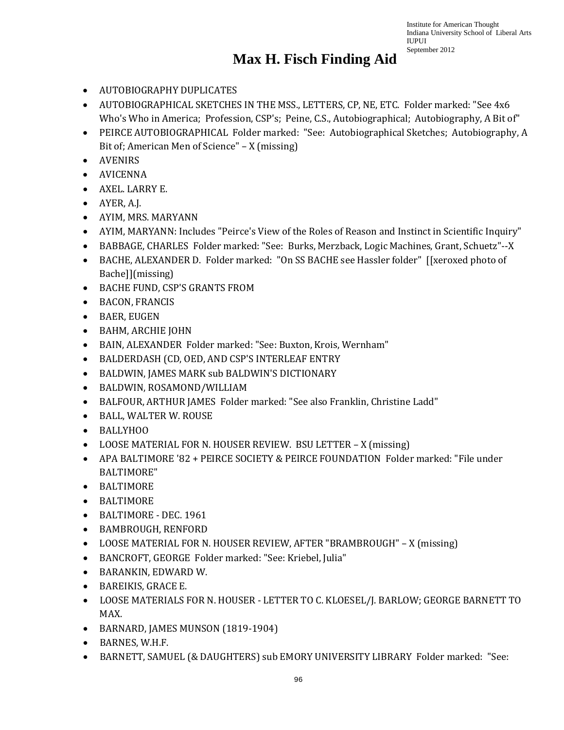- AUTOBIOGRAPHY DUPLICATES
- AUTOBIOGRAPHICAL SKETCHES IN THE MSS., LETTERS, CP, NE, ETC. Folder marked: "See 4x6 Who's Who in America; Profession, CSP's; Peine, C.S., Autobiographical; Autobiography, A Bit of"
- PEIRCE AUTOBIOGRAPHICAL Folder marked: "See: Autobiographical Sketches; Autobiography, A Bit of; American Men of Science" – X (missing)
- AVENIRS
- AVICENNA
- AXEL. LARRY E.
- AYER, A.J.
- AYIM, MRS. MARYANN
- AYIM, MARYANN: Includes "Peirce's View of the Roles of Reason and Instinct in Scientific Inquiry"
- BABBAGE, CHARLES Folder marked: "See: Burks, Merzback, Logic Machines, Grant, Schuetz"--X
- BACHE, ALEXANDER D. Folder marked: "On SS BACHE see Hassler folder" [[xeroxed photo of Bache]](missing)
- BACHE FUND, CSP'S GRANTS FROM
- BACON, FRANCIS
- BAER, EUGEN
- BAHM, ARCHIE JOHN
- BAIN, ALEXANDER Folder marked: "See: Buxton, Krois, Wernham"
- BALDERDASH (CD, OED, AND CSP'S INTERLEAF ENTRY
- BALDWIN, JAMES MARK sub BALDWIN'S DICTIONARY
- BALDWIN, ROSAMOND/WILLIAM
- BALFOUR, ARTHUR JAMES Folder marked: "See also Franklin, Christine Ladd"
- BALL, WALTER W. ROUSE
- BALLYHOO
- LOOSE MATERIAL FOR N. HOUSER REVIEW. BSU LETTER X (missing)
- APA BALTIMORE '82 + PEIRCE SOCIETY & PEIRCE FOUNDATION Folder marked: "File under BALTIMORE"
- BALTIMORE
- BALTIMORE
- BALTIMORE DEC. 1961
- BAMBROUGH, RENFORD
- LOOSE MATERIAL FOR N. HOUSER REVIEW, AFTER "BRAMBROUGH" X (missing)
- BANCROFT, GEORGE Folder marked: "See: Kriebel, Julia"
- BARANKIN, EDWARD W.
- BAREIKIS, GRACE E.
- LOOSE MATERIALS FOR N. HOUSER LETTER TO C. KLOESEL/J. BARLOW; GEORGE BARNETT TO MAX.
- BARNARD, JAMES MUNSON (1819-1904)
- BARNES, W.H.F.
- BARNETT, SAMUEL (& DAUGHTERS) sub EMORY UNIVERSITY LIBRARY Folder marked: "See: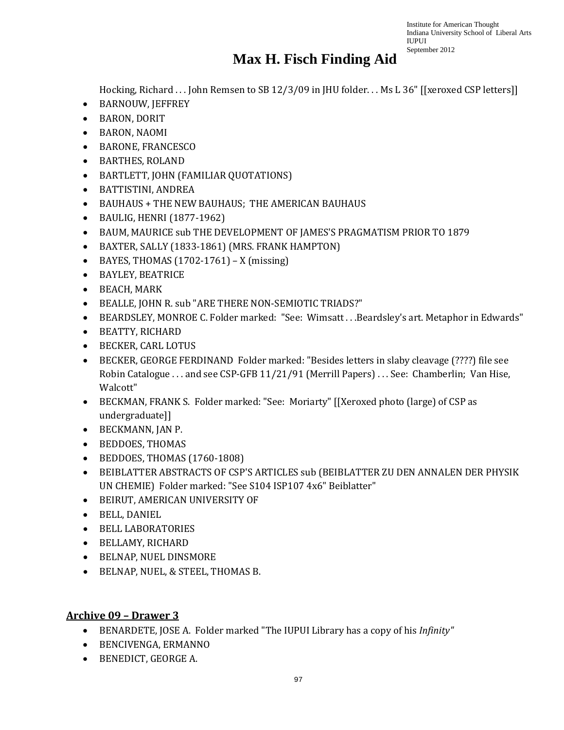### **Max H. Fisch Finding Aid**

Hocking, Richard . . . John Remsen to SB 12/3/09 in JHU folder. . . Ms L 36" [[xeroxed CSP letters]]

- BARNOUW, JEFFREY
- BARON, DORIT
- BARON, NAOMI
- BARONE, FRANCESCO
- BARTHES, ROLAND
- BARTLETT, JOHN (FAMILIAR QUOTATIONS)
- BATTISTINI, ANDREA
- BAUHAUS + THE NEW BAUHAUS; THE AMERICAN BAUHAUS
- BAULIG, HENRI (1877-1962)
- BAUM, MAURICE sub THE DEVELOPMENT OF JAMES'S PRAGMATISM PRIOR TO 1879
- BAXTER, SALLY (1833-1861) (MRS. FRANK HAMPTON)
- BAYES, THOMAS  $(1702-1761) X$  (missing)
- BAYLEY, BEATRICE
- BEACH, MARK
- BEALLE, JOHN R. sub "ARE THERE NON-SEMIOTIC TRIADS?"
- BEARDSLEY, MONROE C. Folder marked: "See: Wimsatt . . .Beardsley's art. Metaphor in Edwards"
- BEATTY, RICHARD
- BECKER, CARL LOTUS
- BECKER, GEORGE FERDINAND Folder marked: "Besides letters in slaby cleavage (????) file see Robin Catalogue . . . and see CSP-GFB 11/21/91 (Merrill Papers) . . . See: Chamberlin; Van Hise, Walcott"
- BECKMAN, FRANK S. Folder marked: "See: Moriarty" [[Xeroxed photo (large) of CSP as undergraduate]]
- BECKMANN, JAN P.
- BEDDOES, THOMAS
- BEDDOES, THOMAS (1760-1808)
- BEIBLATTER ABSTRACTS OF CSP'S ARTICLES sub (BEIBLATTER ZU DEN ANNALEN DER PHYSIK UN CHEMIE) Folder marked: "See S104 ISP107 4x6" Beiblatter"
- BEIRUT, AMERICAN UNIVERSITY OF
- BELL, DANIEL
- BELL LABORATORIES
- BELLAMY, RICHARD
- BELNAP, NUEL DINSMORE
- BELNAP, NUEL, & STEEL, THOMAS B.

#### **Archive 09 – Drawer 3**

- BENARDETE, JOSE A. Folder marked "The IUPUI Library has a copy of his *Infinity"*
- BENCIVENGA, ERMANNO
- BENEDICT, GEORGE A.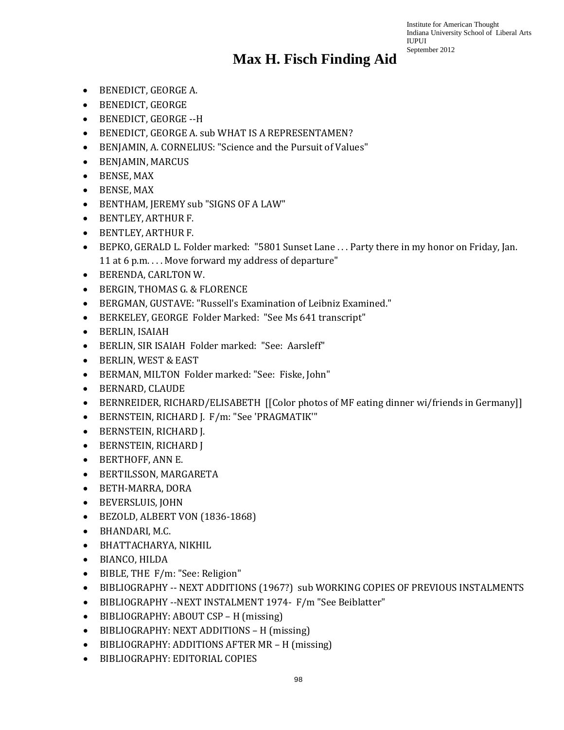- BENEDICT, GEORGE A.
- BENEDICT, GEORGE
- BENEDICT, GEORGE --H
- BENEDICT, GEORGE A. sub WHAT IS A REPRESENTAMEN?
- BENJAMIN, A. CORNELIUS: "Science and the Pursuit of Values"
- BENJAMIN, MARCUS
- BENSE, MAX
- BENSE, MAX
- BENTHAM, JEREMY sub "SIGNS OF A LAW"
- BENTLEY, ARTHUR F.
- BENTLEY, ARTHUR F.
- BEPKO, GERALD L. Folder marked: "5801 Sunset Lane . . . Party there in my honor on Friday, Jan. 11 at 6 p.m. . . . Move forward my address of departure"
- BERENDA, CARLTON W.
- BERGIN, THOMAS G. & FLORENCE
- BERGMAN, GUSTAVE: "Russell's Examination of Leibniz Examined."
- BERKELEY, GEORGE Folder Marked: "See Ms 641 transcript"
- BERLIN, ISAIAH
- BERLIN, SIR ISAIAH Folder marked: "See: Aarsleff"
- BERLIN, WEST & EAST
- BERMAN, MILTON Folder marked: "See: Fiske, John"
- BERNARD, CLAUDE
- BERNREIDER, RICHARD/ELISABETH [[Color photos of MF eating dinner wi/friends in Germany]]
- BERNSTEIN, RICHARD J. F/m: "See 'PRAGMATIK'"
- BERNSTEIN, RICHARD J.
- BERNSTEIN, RICHARD J
- BERTHOFF, ANN E.
- BERTILSSON, MARGARETA
- BETH-MARRA, DORA
- BEVERSLUIS, JOHN
- BEZOLD, ALBERT VON (1836-1868)
- BHANDARI, M.C.
- BHATTACHARYA, NIKHIL
- BIANCO, HILDA
- BIBLE, THE F/m: "See: Religion"
- BIBLIOGRAPHY -- NEXT ADDITIONS (1967?) sub WORKING COPIES OF PREVIOUS INSTALMENTS
- BIBLIOGRAPHY --NEXT INSTALMENT 1974- F/m "See Beiblatter"
- BIBLIOGRAPHY: ABOUT CSP H (missing)
- BIBLIOGRAPHY: NEXT ADDITIONS H (missing)
- BIBLIOGRAPHY: ADDITIONS AFTER MR H (missing)
- BIBLIOGRAPHY: EDITORIAL COPIES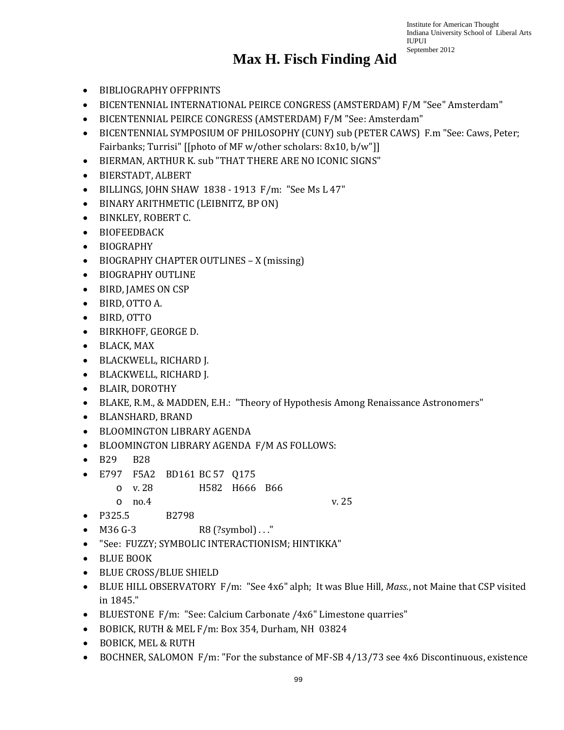- BIBLIOGRAPHY OFFPRINTS
- BICENTENNIAL INTERNATIONAL PEIRCE CONGRESS (AMSTERDAM) F/M "See" Amsterdam"
- BICENTENNIAL PEIRCE CONGRESS (AMSTERDAM) F/M "See: Amsterdam"
- BICENTENNIAL SYMPOSIUM OF PHILOSOPHY (CUNY) sub (PETER CAWS) F.m "See: Caws, Peter; Fairbanks; Turrisi" [[photo of MF w/other scholars: 8x10, b/w"]]
- BIERMAN, ARTHUR K. sub "THAT THERE ARE NO ICONIC SIGNS"
- BIERSTADT, ALBERT
- BILLINGS, JOHN SHAW 1838 1913 F/m: "See Ms L 47"
- BINARY ARITHMETIC (LEIBNITZ, BP ON)
- BINKLEY, ROBERT C.
- BIOFEEDBACK
- BIOGRAPHY
- BIOGRAPHY CHAPTER OUTLINES X (missing)
- BIOGRAPHY OUTLINE
- BIRD, JAMES ON CSP
- BIRD, OTTO A.
- BIRD, OTTO
- BIRKHOFF, GEORGE D.
- BLACK, MAX
- BLACKWELL, RICHARD J.
- BLACKWELL, RICHARD J.
- BLAIR, DOROTHY
- BLAKE, R.M., & MADDEN, E.H.: "Theory of Hypothesis Among Renaissance Astronomers"
- BLANSHARD, BRAND
- BLOOMINGTON LIBRARY AGENDA
- BLOOMINGTON LIBRARY AGENDA F/M AS FOLLOWS:
- B29 B28
- E797 F5A2 BD161 BC 57 Q175
	- o v. 28 H582 H666 B66
	- o no.4 v. 25

- P325.5 B2798
- $M36 G-3$  R8 (?symbol) ..."
- "See: FUZZY; SYMBOLIC INTERACTIONISM; HINTIKKA"
- BLUE BOOK
- BLUE CROSS/BLUE SHIELD
- BLUE HILL OBSERVATORY F/m: "See 4x6" alph; It was Blue Hill, *Mass.*, not Maine that CSP visited in 1845."
- BLUESTONE F/m: "See: Calcium Carbonate /4x6" Limestone quarries"
- BOBICK, RUTH & MEL F/m: Box 354, Durham, NH 03824
- BOBICK, MEL & RUTH
- BOCHNER, SALOMON F/m: "For the substance of MF-SB 4/13/73 see 4x6 Discontinuous, existence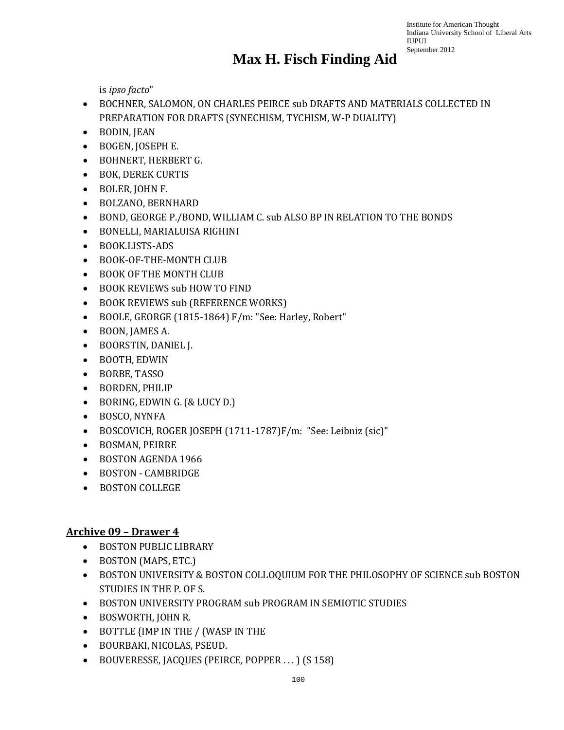#### **Max H. Fisch Finding Aid**

is *ipso facto*"

- BOCHNER, SALOMON, ON CHARLES PEIRCE sub DRAFTS AND MATERIALS COLLECTED IN PREPARATION FOR DRAFTS (SYNECHISM, TYCHISM, W-P DUALITY)
- BODIN, JEAN
- BOGEN, JOSEPH E.
- BOHNERT, HERBERT G.
- BOK, DEREK CURTIS
- BOLER, JOHN F.
- BOLZANO, BERNHARD
- BOND, GEORGE P./BOND, WILLIAM C. sub ALSO BP IN RELATION TO THE BONDS
- BONELLI, MARIALUISA RIGHINI
- BOOK.LISTS-ADS
- BOOK-OF-THE-MONTH CLUB
- BOOK OF THE MONTH CLUB
- BOOK REVIEWS sub HOW TO FIND
- BOOK REVIEWS sub (REFERENCE WORKS)
- BOOLE, GEORGE (1815-1864) F/m: "See: Harley, Robert"
- BOON, JAMES A.
- BOORSTIN, DANIEL J.
- BOOTH, EDWIN
- BORBE, TASSO
- BORDEN, PHILIP
- BORING, EDWIN G. (& LUCY D.)
- BOSCO, NYNFA
- BOSCOVICH, ROGER JOSEPH (1711-1787)F/m: "See: Leibniz (sic)"
- BOSMAN, PEIRRE
- BOSTON AGENDA 1966
- BOSTON CAMBRIDGE
- BOSTON COLLEGE

#### **Archive 09 – Drawer 4**

- BOSTON PUBLIC LIBRARY
- BOSTON (MAPS, ETC.)
- BOSTON UNIVERSITY & BOSTON COLLOQUIUM FOR THE PHILOSOPHY OF SCIENCE sub BOSTON STUDIES IN THE P. OF S.
- BOSTON UNIVERSITY PROGRAM sub PROGRAM IN SEMIOTIC STUDIES
- BOSWORTH, JOHN R.
- BOTTLE {IMP IN THE / {WASP IN THE
- BOURBAKI, NICOLAS, PSEUD.
- BOUVERESSE, JACQUES (PEIRCE, POPPER . . . ) (S 158)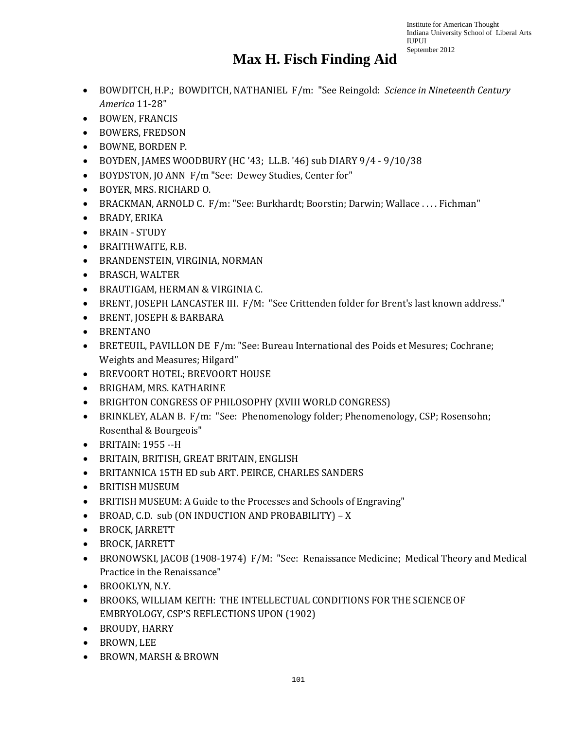- BOWDITCH, H.P.; BOWDITCH, NATHANIEL F/m: "See Reingold: *Science in Nineteenth Century America* 11-28"
- BOWEN, FRANCIS
- BOWERS, FREDSON
- BOWNE, BORDEN P.
- BOYDEN, JAMES WOODBURY (HC '43; LL.B. '46) sub DIARY 9/4 9/10/38
- BOYDSTON, JO ANN F/m "See: Dewey Studies, Center for"
- BOYER, MRS. RICHARD O.
- BRACKMAN, ARNOLD C. F/m: "See: Burkhardt; Boorstin; Darwin; Wallace . . . . Fichman"
- BRADY, ERIKA
- BRAIN STUDY
- BRAITHWAITE, R.B.
- BRANDENSTEIN, VIRGINIA, NORMAN
- BRASCH, WALTER
- BRAUTIGAM, HERMAN & VIRGINIA C.
- BRENT, JOSEPH LANCASTER III. F/M: "See Crittenden folder for Brent's last known address."
- BRENT, JOSEPH & BARBARA
- BRENTANO
- BRETEUIL, PAVILLON DE F/m: "See: Bureau International des Poids et Mesures; Cochrane; Weights and Measures; Hilgard"
- BREVOORT HOTEL; BREVOORT HOUSE
- BRIGHAM, MRS. KATHARINE
- BRIGHTON CONGRESS OF PHILOSOPHY (XVIII WORLD CONGRESS)
- BRINKLEY, ALAN B. F/m: "See: Phenomenology folder; Phenomenology, CSP; Rosensohn; Rosenthal & Bourgeois"
- BRITAIN: 1955 --H
- BRITAIN, BRITISH, GREAT BRITAIN, ENGLISH
- BRITANNICA 15TH ED sub ART. PEIRCE, CHARLES SANDERS
- BRITISH MUSEUM
- BRITISH MUSEUM: A Guide to the Processes and Schools of Engraving"
- BROAD, C.D. sub (ON INDUCTION AND PROBABILITY) X
- BROCK, JARRETT
- BROCK, JARRETT
- BRONOWSKI, JACOB (1908-1974) F/M: "See: Renaissance Medicine; Medical Theory and Medical Practice in the Renaissance"
- BROOKLYN, N.Y.
- BROOKS, WILLIAM KEITH: THE INTELLECTUAL CONDITIONS FOR THE SCIENCE OF EMBRYOLOGY, CSP'S REFLECTIONS UPON (1902)
- BROUDY, HARRY
- BROWN, LEE
- BROWN, MARSH & BROWN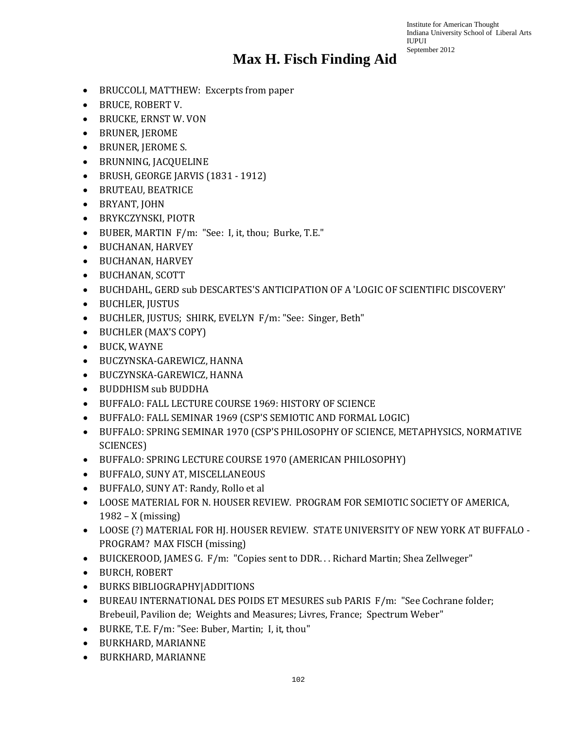- BRUCCOLI, MATTHEW: Excerpts from paper
- BRUCE, ROBERT V.
- BRUCKE, ERNST W. VON
- BRUNER, JEROME
- BRUNER, JEROME S.
- BRUNNING, JACQUELINE
- BRUSH, GEORGE JARVIS (1831 1912)
- BRUTEAU, BEATRICE
- BRYANT, JOHN
- BRYKCZYNSKI, PIOTR
- BUBER, MARTIN F/m: "See: I, it, thou; Burke, T.E."
- BUCHANAN, HARVEY
- BUCHANAN, HARVEY
- BUCHANAN, SCOTT
- BUCHDAHL, GERD sub DESCARTES'S ANTICIPATION OF A 'LOGIC OF SCIENTIFIC DISCOVERY'
- BUCHLER, JUSTUS
- BUCHLER, JUSTUS; SHIRK, EVELYN F/m: "See: Singer, Beth"
- BUCHLER (MAX'S COPY)
- BUCK, WAYNE
- BUCZYNSKA-GAREWICZ, HANNA
- BUCZYNSKA-GAREWICZ, HANNA
- BUDDHISM sub BUDDHA
- BUFFALO: FALL LECTURE COURSE 1969: HISTORY OF SCIENCE
- BUFFALO: FALL SEMINAR 1969 (CSP'S SEMIOTIC AND FORMAL LOGIC)
- BUFFALO: SPRING SEMINAR 1970 (CSP'S PHILOSOPHY OF SCIENCE, METAPHYSICS, NORMATIVE SCIENCES)
- BUFFALO: SPRING LECTURE COURSE 1970 (AMERICAN PHILOSOPHY)
- BUFFALO, SUNY AT, MISCELLANEOUS
- BUFFALO, SUNY AT: Randy, Rollo et al
- LOOSE MATERIAL FOR N. HOUSER REVIEW. PROGRAM FOR SEMIOTIC SOCIETY OF AMERICA, 1982 – X (missing)
- LOOSE (?) MATERIAL FOR HJ. HOUSER REVIEW. STATE UNIVERSITY OF NEW YORK AT BUFFALO PROGRAM? MAX FISCH (missing)
- BUICKEROOD, JAMES G. F/m: "Copies sent to DDR... Richard Martin; Shea Zellweger"
- BURCH, ROBERT
- BURKS BIBLIOGRAPHY|ADDITIONS
- BUREAU INTERNATIONAL DES POIDS ET MESURES sub PARIS F/m: "See Cochrane folder; Brebeuil, Pavilion de; Weights and Measures; Livres, France; Spectrum Weber"
- BURKE, T.E. F/m: "See: Buber, Martin; I, it, thou"
- BURKHARD, MARIANNE
- BURKHARD, MARIANNE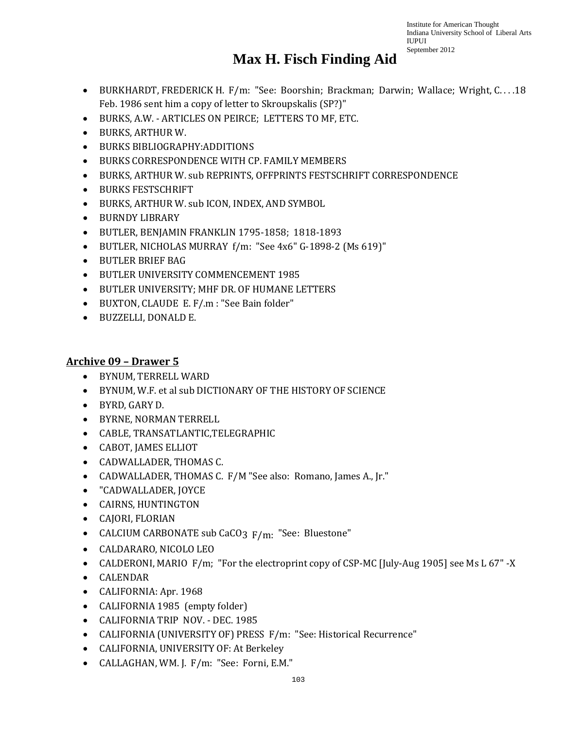#### **Max H. Fisch Finding Aid**

- BURKHARDT, FREDERICK H. F/m: "See: Boorshin; Brackman; Darwin; Wallace; Wright, C. . . .18 Feb. 1986 sent him a copy of letter to Skroupskalis (SP?)"
- BURKS, A.W. ARTICLES ON PEIRCE; LETTERS TO MF, ETC.
- BURKS, ARTHUR W.
- BURKS BIBLIOGRAPHY:ADDITIONS
- BURKS CORRESPONDENCE WITH CP. FAMILY MEMBERS
- BURKS, ARTHUR W. sub REPRINTS, OFFPRINTS FESTSCHRIFT CORRESPONDENCE
- BURKS FESTSCHRIFT
- BURKS, ARTHUR W. sub ICON, INDEX, AND SYMBOL
- BURNDY LIBRARY
- BUTLER, BENJAMIN FRANKLIN 1795-1858; 1818-1893
- BUTLER, NICHOLAS MURRAY f/m: "See 4x6" G-1898-2 (Ms 619)"
- BUTLER BRIEF BAG
- BUTLER UNIVERSITY COMMENCEMENT 1985
- BUTLER UNIVERSITY; MHF DR. OF HUMANE LETTERS
- BUXTON, CLAUDE E. F/.m : "See Bain folder"
- BUZZELLI, DONALD E.

#### **Archive 09 – Drawer 5**

- BYNUM, TERRELL WARD
- BYNUM, W.F. et al sub DICTIONARY OF THE HISTORY OF SCIENCE
- BYRD, GARY D.
- BYRNE, NORMAN TERRELL
- CABLE, TRANSATLANTIC,TELEGRAPHIC
- CABOT, JAMES ELLIOT
- CADWALLADER, THOMAS C.
- CADWALLADER, THOMAS C. F/M "See also: Romano, James A., Jr."
- "CADWALLADER, JOYCE
- CAIRNS, HUNTINGTON
- CAJORI, FLORIAN
- CALCIUM CARBONATE sub CaCO3  $F/m$ : "See: Bluestone"
- CALDARARO, NICOLO LEO
- CALDERONI, MARIO F/m; "For the electroprint copy of CSP-MC [July-Aug 1905] see Ms L 67" -X
- CALENDAR
- CALIFORNIA: Apr. 1968
- CALIFORNIA 1985 (empty folder)
- CALIFORNIA TRIP NOV. DEC. 1985
- CALIFORNIA (UNIVERSITY OF) PRESS F/m: "See: Historical Recurrence"
- CALIFORNIA, UNIVERSITY OF: At Berkeley
- CALLAGHAN, WM. J. F/m: "See: Forni, E.M."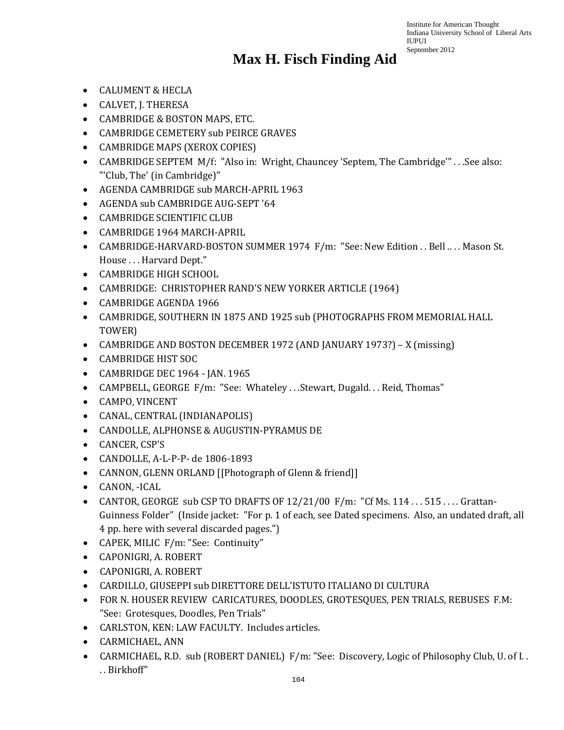- CALUMENT & HECLA
- CALVET, J. THERESA
- CAMBRIDGE & BOSTON MAPS, ETC.
- CAMBRIDGE CEMETERY sub PEIRCE GRAVES
- CAMBRIDGE MAPS (XEROX COPIES)
- CAMBRIDGE SEPTEM M/f: "Also in: Wright, Chauncey 'Septem, The Cambridge'" . . .See also: "'Club, The' (in Cambridge)"
- AGENDA CAMBRIDGE sub MARCH-APRIL 1963
- AGENDA sub CAMBRIDGE AUG-SEPT '64
- CAMBRIDGE SCIENTIFIC CLUB
- CAMBRIDGE 1964 MARCH-APRIL
- CAMBRIDGE-HARVARD-BOSTON SUMMER 1974 F/m: "See: New Edition . . Bell ... . Mason St. House . . . Harvard Dept."
- CAMBRIDGE HIGH SCHOOL
- CAMBRIDGE: CHRISTOPHER RAND'S NEW YORKER ARTICLE (1964)
- CAMBRIDGE AGENDA 1966
- CAMBRIDGE, SOUTHERN IN 1875 AND 1925 sub (PHOTOGRAPHS FROM MEMORIAL HALL TOWER)
- CAMBRIDGE AND BOSTON DECEMBER 1972 (AND JANUARY 1973?) X (missing)
- CAMBRIDGE HIST SOC
- CAMBRIDGE DEC 1964 JAN. 1965
- CAMPBELL, GEORGE F/m: "See: Whateley . . .Stewart, Dugald. . . Reid, Thomas"
- CAMPO, VINCENT
- CANAL, CENTRAL (INDIANAPOLIS)
- CANDOLLE, ALPHONSE & AUGUSTIN-PYRAMUS DE
- CANCER, CSP'S
- CANDOLLE, A-L-P-P- de 1806-1893
- CANNON, GLENN ORLAND [[Photograph of Glenn & friend]]
- CANON, -ICAL
- CANTOR, GEORGE sub CSP TO DRAFTS OF 12/21/00 F/m: "Cf Ms. 114 . . . 515 . . . . Grattan-Guinness Folder" (Inside jacket: "For p. 1 of each, see Dated specimens. Also, an undated draft, all 4 pp. here with several discarded pages.")
- CAPEK, MILIC F/m: "See: Continuity"
- CAPONIGRI, A. ROBERT
- CAPONIGRI, A. ROBERT
- CARDILLO, GIUSEPPI sub DIRETTORE DELL'ISTUTO ITALIANO DI CULTURA
- FOR N. HOUSER REVIEW CARICATURES, DOODLES, GROTESQUES, PEN TRIALS, REBUSES F.M: "See: Grotesques, Doodles, Pen Trials"
- CARLSTON, KEN: LAW FACULTY. Includes articles.
- CARMICHAEL, ANN
- CARMICHAEL, R.D. sub (ROBERT DANIEL) F/m: "See: Discovery, Logic of Philosophy Club, U. of I.. . . Birkhoff"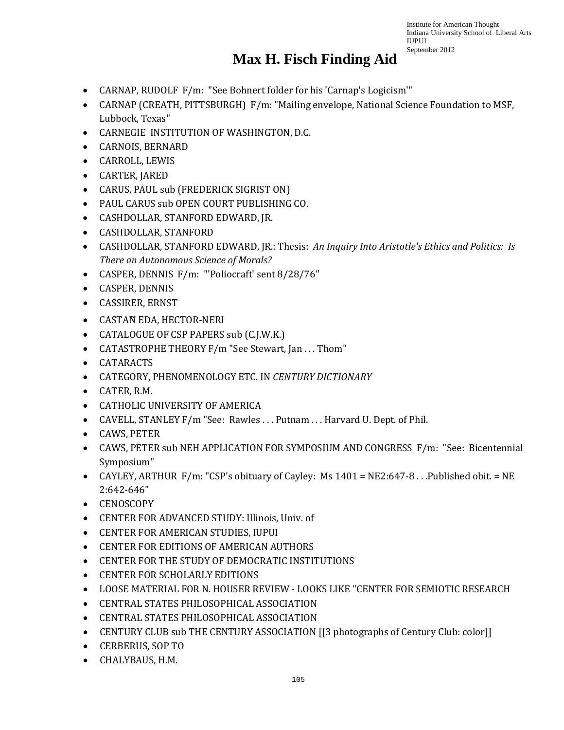- CARNAP, RUDOLF F/m: "See Bohnert folder for his 'Carnap's Logicism'"
- CARNAP (CREATH, PITTSBURGH) F/m: "Mailing envelope, National Science Foundation to MSF, Lubbock, Texas"
- CARNEGIE INSTITUTION OF WASHINGTON, D.C.
- CARNOIS, BERNARD
- CARROLL, LEWIS
- CARTER, JARED
- CARUS, PAUL sub (FREDERICK SIGRIST ON)
- PAUL CARUS sub OPEN COURT PUBLISHING CO.
- CASHDOLLAR, STANFORD EDWARD, JR.
- CASHDOLLAR, STANFORD
- CASHDOLLAR, STANFORD EDWARD, JR.: Thesis: *An Inquiry Into Aristotle's Ethics and Politics: Is There an Autonomous Science of Morals?*
- CASPER, DENNIS F/m: "'Poliocraft' sent 8/28/76"
- CASPER, DENNIS
- CASSIRER, ERNST
- CASTAN EDA, HECTOR-NERI
- CATALOGUE OF CSP PAPERS sub (C.J.W.K.)
- CATASTROPHE THEORY F/m "See Stewart, Jan . . . Thom"
- CATARACTS
- CATEGORY, PHENOMENOLOGY ETC. IN *CENTURY DICTIONARY*
- CATER, R.M.
- CATHOLIC UNIVERSITY OF AMERICA
- CAVELL, STANLEY F/m "See: Rawles ... Putnam ... Harvard U. Dept. of Phil.
- CAWS, PETER
- CAWS, PETER sub NEH APPLICATION FOR SYMPOSIUM AND CONGRESS F/m: "See: Bicentennial Symposium"
- CAYLEY, ARTHUR F/m: "CSP's obituary of Cayley: Ms 1401 = NE2:647-8 . . .Published obit. = NE 2:642-646"
- CENOSCOPY
- CENTER FOR ADVANCED STUDY: Illinois, Univ. of
- CENTER FOR AMERICAN STUDIES, IUPUI
- CENTER FOR EDITIONS OF AMERICAN AUTHORS
- CENTER FOR THE STUDY OF DEMOCRATIC INSTITUTIONS
- CENTER FOR SCHOLARLY EDITIONS
- LOOSE MATERIAL FOR N. HOUSER REVIEW LOOKS LIKE "CENTER FOR SEMIOTIC RESEARCH
- CENTRAL STATES PHILOSOPHICAL ASSOCIATION
- CENTRAL STATES PHILOSOPHICAL ASSOCIATION
- CENTURY CLUB sub THE CENTURY ASSOCIATION [[3 photographs of Century Club: color]]
- CERBERUS, SOP TO
- CHALYBAUS, H.M.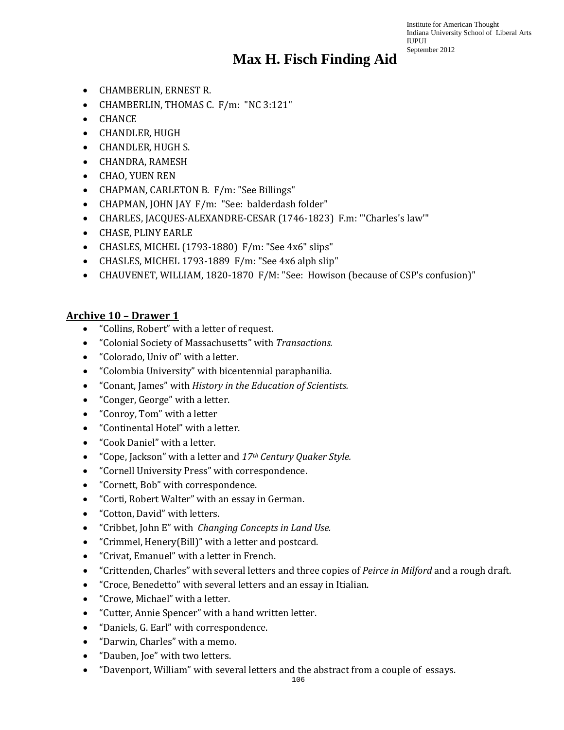- CHAMBERLIN, ERNEST R.
- CHAMBERLIN, THOMAS C. F/m: "NC 3:121"
- CHANCE
- CHANDLER, HUGH
- CHANDLER, HUGH S.
- CHANDRA, RAMESH
- CHAO, YUEN REN
- CHAPMAN, CARLETON B. F/m: "See Billings"
- CHAPMAN, JOHN JAY F/m: "See: balderdash folder"
- CHARLES, JACQUES-ALEXANDRE-CESAR (1746-1823) F.m: "'Charles's law'"
- CHASE, PLINY EARLE
- CHASLES, MICHEL (1793-1880) F/m: "See 4x6" slips"
- CHASLES, MICHEL 1793-1889 F/m: "See 4x6 alph slip"
- CHAUVENET, WILLIAM, 1820-1870 F/M: "See: Howison (because of CSP's confusion)"

#### **Archive 10 – Drawer 1**

- "Collins, Robert" with a letter of request.
- "Colonial Society of Massachusetts" with *Transactions.*
- "Colorado, Univ of" with a letter.
- "Colombia University" with bicentennial paraphanilia.
- "Conant, James" with *History in the Education of Scientists.*
- "Conger, George" with a letter.
- "Conroy, Tom" with a letter
- "Continental Hotel" with a letter.
- "Cook Daniel" with a letter.
- "Cope, Jackson" with a letter and *17th Century Quaker Style.*
- "Cornell University Press" with correspondence.
- "Cornett, Bob" with correspondence.
- "Corti, Robert Walter" with an essay in German.
- "Cotton, David" with letters.
- "Cribbet, John E" with *Changing Concepts in Land Use.*
- "Crimmel, Henery(Bill)" with a letter and postcard.
- "Crivat, Emanuel" with a letter in French.
- "Crittenden, Charles" with several letters and three copies of *Peirce in Milford* and a rough draft.
- "Croce, Benedetto" with several letters and an essay in Itialian.
- "Crowe, Michael" with a letter.
- "Cutter, Annie Spencer" with a hand written letter.
- "Daniels, G. Earl" with correspondence.
- "Darwin, Charles" with a memo.
- "Dauben, Joe" with two letters.
- "Davenport, William" with several letters and the abstract from a couple of essays.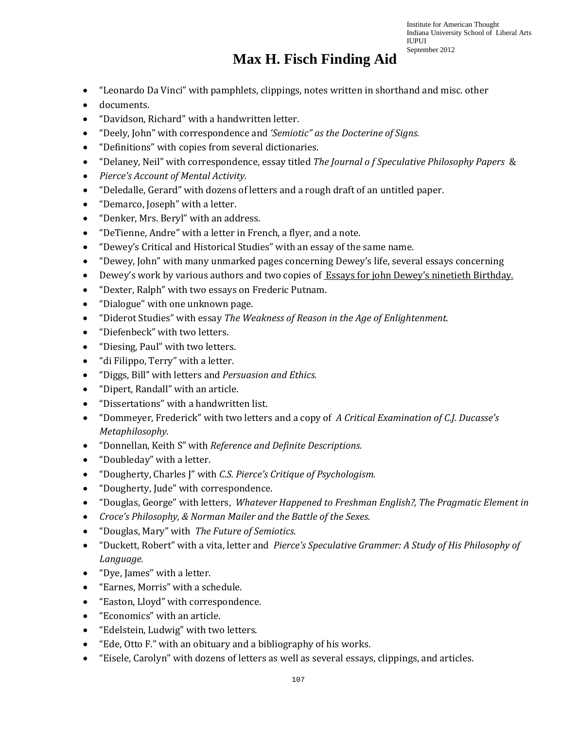- "Leonardo Da Vinci" with pamphlets, clippings, notes written in shorthand and misc. other
- documents.
- "Davidson, Richard" with a handwritten letter.
- "Deely, John" with correspondence and *'Semiotic" as the Docterine of Signs.*
- "Definitions" with copies from several dictionaries.
- "Delaney, Neil" with correspondence, essay titled *The Journal o f Speculative Philosophy Papers* &
- *Pierce's Account of Mental Activity.*
- "Deledalle, Gerard" with dozens of letters and a rough draft of an untitled paper.
- "Demarco, Joseph" with a letter.
- "Denker, Mrs. Beryl" with an address.
- "DeTienne, Andre" with a letter in French, a flyer, and a note.
- "Dewey's Critical and Historical Studies" with an essay of the same name.
- "Dewey, John" with many unmarked pages concerning Dewey's life, several essays concerning
- Dewey's work by various authors and two copies of Essays for john Dewey's ninetieth Birthday.
- "Dexter, Ralph" with two essays on Frederic Putnam.
- "Dialogue" with one unknown page.
- "Diderot Studies" with essay *The Weakness of Reason in the Age of Enlightenment.*
- "Diefenbeck" with two letters.
- "Diesing, Paul" with two letters.
- "di Filippo, Terry" with a letter.
- "Diggs, Bill" with letters and *Persuasion and Ethics.*
- "Dipert, Randall" with an article.
- "Dissertations" with a handwritten list.
- "Dommeyer, Frederick" with two letters and a copy of *A Critical Examination of C.J. Ducasse's Metaphilosophy.*
- "Donnellan, Keith S" with *Reference and Definite Descriptions.*
- "Doubleday" with a letter.
- "Dougherty, Charles J" with *C.S. Pierce's Critique of Psychologism.*
- "Dougherty, Jude" with correspondence.
- "Douglas, George" with letters, *Whatever Happened to Freshman English?, The Pragmatic Element in*
- *Croce's Philosophy, & Norman Mailer and the Battle of the Sexes.*
- "Douglas, Mary" with *The Future of Semiotics.*
- "Duckett, Robert" with a vita, letter and *Pierce's Speculative Grammer: A Study of His Philosophy of Language.*
- "Dye, James" with a letter.
- "Earnes, Morris" with a schedule.
- "Easton, Lloyd" with correspondence.
- "Economics" with an article.
- "Edelstein, Ludwig" with two letters.
- "Ede, Otto F." with an obituary and a bibliography of his works.
- "Eisele, Carolyn" with dozens of letters as well as several essays, clippings, and articles.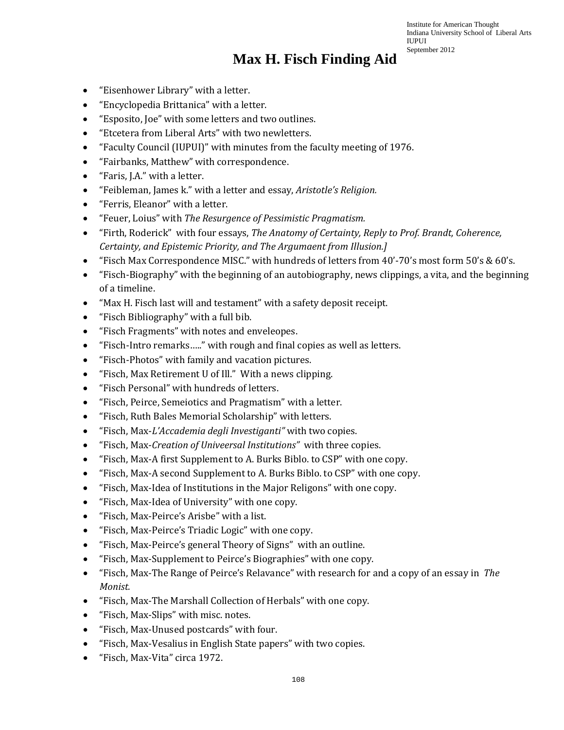- "Eisenhower Library" with a letter.
- "Encyclopedia Brittanica" with a letter.
- "Esposito, Joe" with some letters and two outlines.
- "Etcetera from Liberal Arts" with two newletters.
- "Faculty Council (IUPUI)" with minutes from the faculty meeting of 1976.
- "Fairbanks, Matthew" with correspondence.
- "Faris, J.A." with a letter.
- "Feibleman, James k." with a letter and essay, *Aristotle's Religion.*
- "Ferris, Eleanor" with a letter.
- "Feuer, Loius" with *The Resurgence of Pessimistic Pragmatism.*
- "Firth, Roderick" with four essays, *The Anatomy of Certainty, Reply to Prof. Brandt, Coherence, Certainty, and Epistemic Priority, and The Argumaent from Illusion.]*
- "Fisch Max Correspondence MISC." with hundreds of letters from 40'-70's most form 50's & 60's.
- "Fisch-Biography" with the beginning of an autobiography, news clippings, a vita, and the beginning of a timeline.
- "Max H. Fisch last will and testament" with a safety deposit receipt.
- "Fisch Bibliography" with a full bib.
- "Fisch Fragments" with notes and enveleopes.
- "Fisch-Intro remarks….." with rough and final copies as well as letters.
- "Fisch-Photos" with family and vacation pictures.
- "Fisch, Max Retirement U of Ill." With a news clipping.
- "Fisch Personal" with hundreds of letters.
- "Fisch, Peirce, Semeiotics and Pragmatism" with a letter.
- "Fisch, Ruth Bales Memorial Scholarship" with letters.
- "Fisch, Max-*L'Accademia degli Investiganti"* with two copies.
- "Fisch, Max-*Creation of Univeersal Institutions"* with three copies.
- "Fisch, Max-A first Supplement to A. Burks Biblo. to CSP" with one copy.
- "Fisch, Max-A second Supplement to A. Burks Biblo. to CSP" with one copy.
- "Fisch, Max-Idea of Institutions in the Major Religons" with one copy.
- "Fisch, Max-Idea of University" with one copy.
- "Fisch, Max-Peirce's Arisbe" with a list.
- "Fisch, Max-Peirce's Triadic Logic" with one copy.
- "Fisch, Max-Peirce's general Theory of Signs" with an outline.
- "Fisch, Max-Supplement to Peirce's Biographies" with one copy.
- "Fisch, Max-The Range of Peirce's Relavance" with research for and a copy of an essay in *The Monist.*
- "Fisch, Max-The Marshall Collection of Herbals" with one copy.
- "Fisch, Max-Slips" with misc. notes.
- "Fisch, Max-Unused postcards" with four.
- "Fisch, Max-Vesalius in English State papers" with two copies.
- "Fisch, Max-Vita" circa 1972.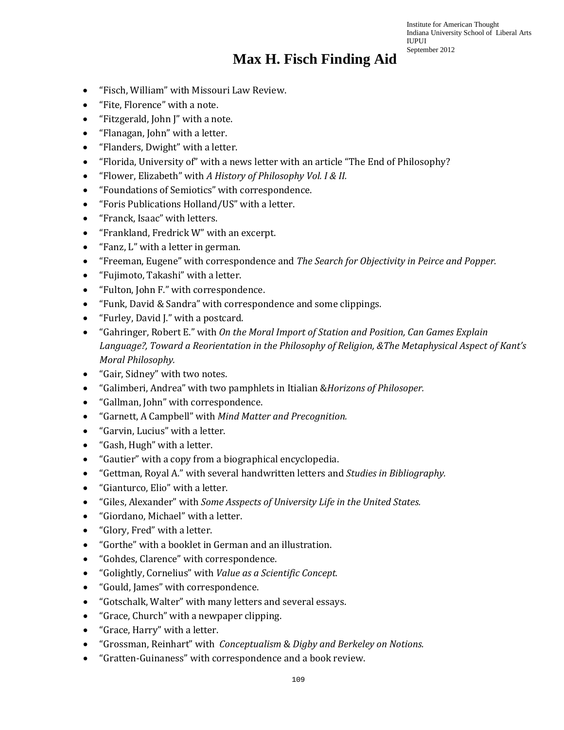- "Fisch, William" with Missouri Law Review.
- "Fite, Florence" with a note.
- "Fitzgerald, John J" with a note.
- "Flanagan, John" with a letter.
- "Flanders, Dwight" with a letter.
- "Florida, University of" with a news letter with an article "The End of Philosophy?
- "Flower, Elizabeth" with *A History of Philosophy Vol. I & II.*
- "Foundations of Semiotics" with correspondence.
- "Foris Publications Holland/US" with a letter.
- "Franck, Isaac" with letters.
- "Frankland, Fredrick W" with an excerpt.
- "Fanz, L" with a letter in german.
- "Freeman, Eugene" with correspondence and *The Search for Objectivity in Peirce and Popper.*
- "Fujimoto, Takashi" with a letter.
- "Fulton, John F." with correspondence.
- "Funk, David & Sandra" with correspondence and some clippings.
- "Furley, David J." with a postcard.
- "Gahringer, Robert E." with *On the Moral Import of Station and Position, Can Games Explain Language?, Toward a Reorientation in the Philosophy of Religion, &The Metaphysical Aspect of Kant's Moral Philosophy.*
- "Gair, Sidney" with two notes.
- "Galimberi, Andrea" with two pamphlets in Itialian &*Horizons of Philosoper.*
- "Gallman, John" with correspondence.
- "Garnett, A Campbell" with *Mind Matter and Precognition.*
- "Garvin, Lucius" with a letter.
- "Gash, Hugh" with a letter.
- "Gautier" with a copy from a biographical encyclopedia.
- "Gettman, Royal A." with several handwritten letters and *Studies in Bibliography.*
- "Gianturco, Elio" with a letter.
- "Giles, Alexander" with *Some Asspects of University Life in the United States.*
- "Giordano, Michael" with a letter.
- "Glory, Fred" with a letter.
- "Gorthe" with a booklet in German and an illustration.
- "Gohdes, Clarence" with correspondence.
- "Golightly, Cornelius" with *Value as a Scientific Concept.*
- "Gould, James" with correspondence.
- "Gotschalk, Walter" with many letters and several essays.
- "Grace, Church" with a newpaper clipping.
- "Grace, Harry" with a letter.
- "Grossman, Reinhart" with *Conceptualism* & *Digby and Berkeley on Notions.*
- "Gratten-Guinaness" with correspondence and a book review.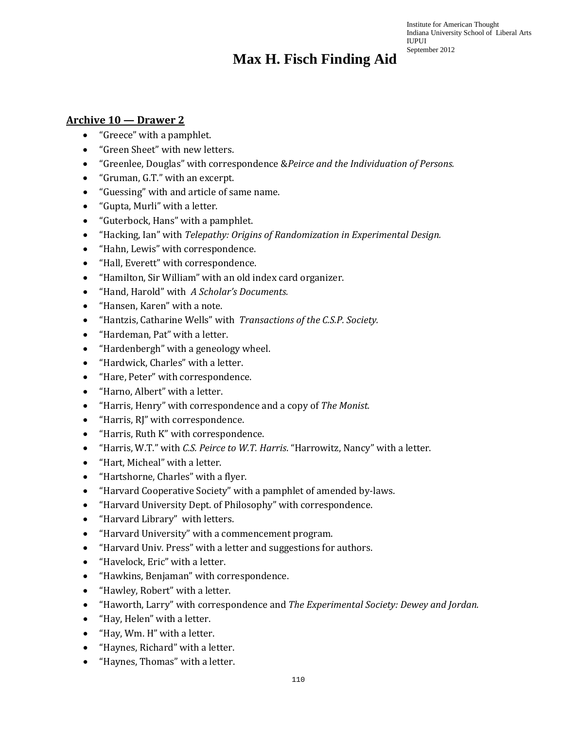#### **Archive 10 — Drawer 2**

- "Greece" with a pamphlet.
- "Green Sheet" with new letters.
- "Greenlee, Douglas" with correspondence &*Peirce and the Individuation of Persons.*
- "Gruman, G.T." with an excerpt.
- "Guessing" with and article of same name.
- "Gupta, Murli" with a letter.
- "Guterbock, Hans" with a pamphlet.
- "Hacking, Ian" with *Telepathy: Origins of Randomization in Experimental Design.*
- "Hahn, Lewis" with correspondence.
- "Hall, Everett" with correspondence.
- "Hamilton, Sir William" with an old index card organizer.
- "Hand, Harold" with *A Scholar's Documents.*
- "Hansen, Karen" with a note.
- "Hantzis, Catharine Wells" with *Transactions of the C.S.P. Society.*
- "Hardeman, Pat" with a letter.
- "Hardenbergh" with a geneology wheel.
- "Hardwick, Charles" with a letter.
- "Hare, Peter" with correspondence.
- "Harno, Albert" with a letter.
- "Harris, Henry" with correspondence and a copy of *The Monist.*
- "Harris, RJ" with correspondence.
- "Harris, Ruth K" with correspondence.
- "Harris, W.T." with *C.S. Peirce to W.T. Harris*. "Harrowitz, Nancy" with a letter.
- "Hart, Micheal" with a letter.
- "Hartshorne, Charles" with a flyer.
- "Harvard Cooperative Society" with a pamphlet of amended by-laws.
- "Harvard University Dept. of Philosophy" with correspondence.
- "Harvard Library" with letters.
- "Harvard University" with a commencement program.
- "Harvard Univ. Press" with a letter and suggestions for authors.
- "Havelock, Eric" with a letter.
- "Hawkins, Benjaman" with correspondence.
- "Hawley, Robert" with a letter.
- "Haworth, Larry" with correspondence and *The Experimental Society: Dewey and Jordan.*
- "Hay, Helen" with a letter.
- "Hay, Wm. H" with a letter.
- "Haynes, Richard" with a letter.
- "Haynes, Thomas" with a letter.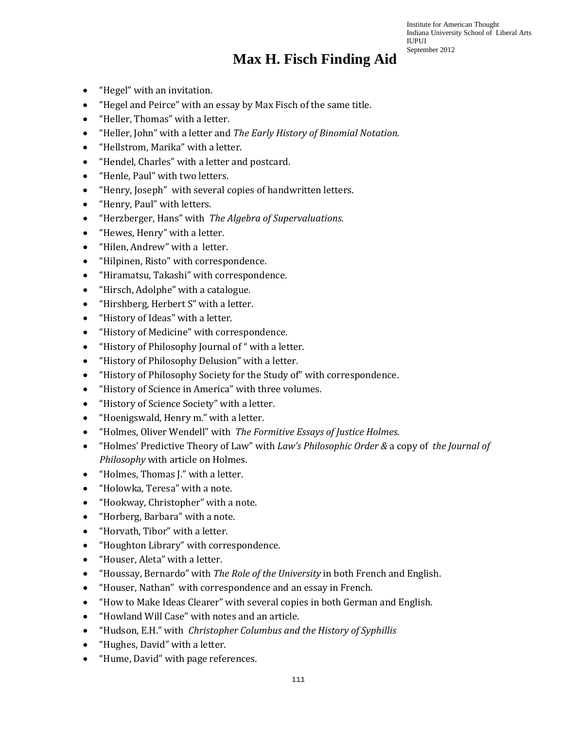- "Hegel" with an invitation.
- "Hegel and Peirce" with an essay by Max Fisch of the same title.
- "Heller, Thomas" with a letter.
- "Heller, John" with a letter and *The Early History of Binomial Notation.*
- "Hellstrom, Marika" with a letter.
- "Hendel, Charles" with a letter and postcard.
- "Henle, Paul" with two letters.
- "Henry, Joseph" with several copies of handwritten letters.
- "Henry, Paul" with letters.
- "Herzberger, Hans" with *The Algebra of Supervaluations.*
- "Hewes, Henry" with a letter.
- "Hilen, Andrew" with a letter.
- "Hilpinen, Risto" with correspondence.
- "Hiramatsu, Takashi" with correspondence.
- "Hirsch, Adolphe" with a catalogue.
- "Hirshberg, Herbert S" with a letter.
- "History of Ideas" with a letter.
- "History of Medicine" with correspondence.
- "History of Philosophy Journal of " with a letter.
- "History of Philosophy Delusion" with a letter.
- "History of Philosophy Society for the Study of" with correspondence.
- "History of Science in America" with three volumes.
- "History of Science Society" with a letter.
- "Hoenigswald, Henry m." with a letter.
- "Holmes, Oliver Wendell" with *The Formitive Essays of Justice Holmes.*
- "Holmes' Predictive Theory of Law" with *Law's Philosophic Order &* a copy of *the Journal of Philosophy* with article on Holmes.
- "Holmes, Thomas J." with a letter.
- "Holowka, Teresa" with a note.
- "Hookway, Christopher" with a note.
- "Horberg, Barbara" with a note.
- "Horvath, Tibor" with a letter.
- "Houghton Library" with correspondence.
- "Houser, Aleta" with a letter.
- "Houssay, Bernardo" with *The Role of the University* in both French and English.
- "Houser, Nathan" with correspondence and an essay in French.
- "How to Make Ideas Clearer" with several copies in both German and English.
- "Howland Will Case" with notes and an article.
- "Hudson, E.H." with *Christopher Columbus and the History of Syphillis*
- "Hughes, David" with a letter.
- "Hume, David" with page references.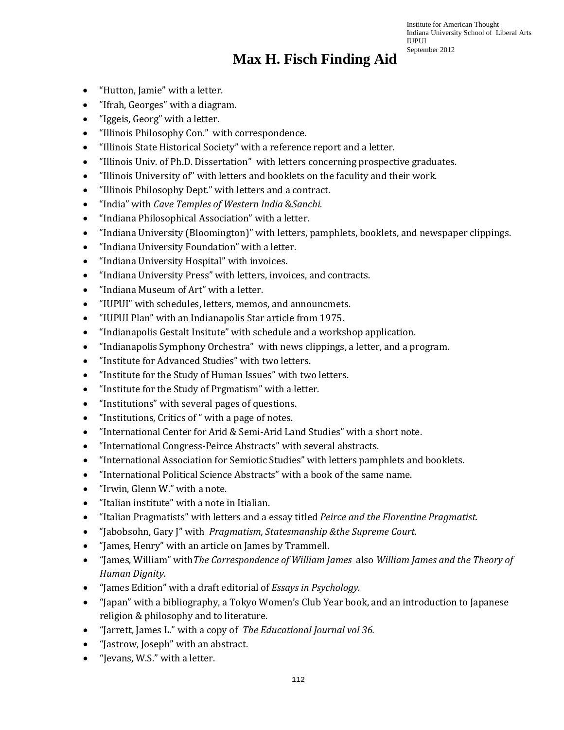- "Hutton, Jamie" with a letter.
- "Ifrah, Georges" with a diagram.
- "Iggeis, Georg" with a letter.
- "Illinois Philosophy Con." with correspondence.
- "Illinois State Historical Society" with a reference report and a letter.
- "Illinois Univ. of Ph.D. Dissertation" with letters concerning prospective graduates.
- "Illinois University of" with letters and booklets on the faculity and their work.
- "Illinois Philosophy Dept." with letters and a contract.
- "India" with *Cave Temples of Western India* &*Sanchi.*
- "Indiana Philosophical Association" with a letter.
- "Indiana University (Bloomington)" with letters, pamphlets, booklets, and newspaper clippings.
- "Indiana University Foundation" with a letter.
- "Indiana University Hospital" with invoices.
- "Indiana University Press" with letters, invoices, and contracts.
- "Indiana Museum of Art" with a letter.
- "IUPUI" with schedules, letters, memos, and announcmets.
- "IUPUI Plan" with an Indianapolis Star article from 1975.
- "Indianapolis Gestalt Insitute" with schedule and a workshop application.
- "Indianapolis Symphony Orchestra" with news clippings, a letter, and a program.
- "Institute for Advanced Studies" with two letters.
- "Institute for the Study of Human Issues" with two letters.
- "Institute for the Study of Prgmatism" with a letter.
- "Institutions" with several pages of questions.
- "Institutions, Critics of " with a page of notes.
- "International Center for Arid & Semi-Arid Land Studies" with a short note.
- "International Congress-Peirce Abstracts" with several abstracts.
- "International Association for Semiotic Studies" with letters pamphlets and booklets.
- "International Political Science Abstracts" with a book of the same name.
- "Irwin, Glenn W." with a note.
- "Italian institute" with a note in Itialian.
- "Italian Pragmatists" with letters and a essay titled *Peirce and the Florentine Pragmatist.*
- "Jabobsohn, Gary J" with *Pragmatism, Statesmanship &the Supreme Court.*
- "James, Henry" with an article on James by Trammell.
- "James, William" with*The Correspondence of William James* also *William James and the Theory of Human Dignity.*
- "James Edition" with a draft editorial of *Essays in Psychology.*
- "Japan" with a bibliography, a Tokyo Women's Club Year book, and an introduction to Japanese religion & philosophy and to literature.
- "Jarrett, James L." with a copy of *The Educational Journal vol 36.*
- "Jastrow, Joseph" with an abstract.
- "Jevans, W.S." with a letter.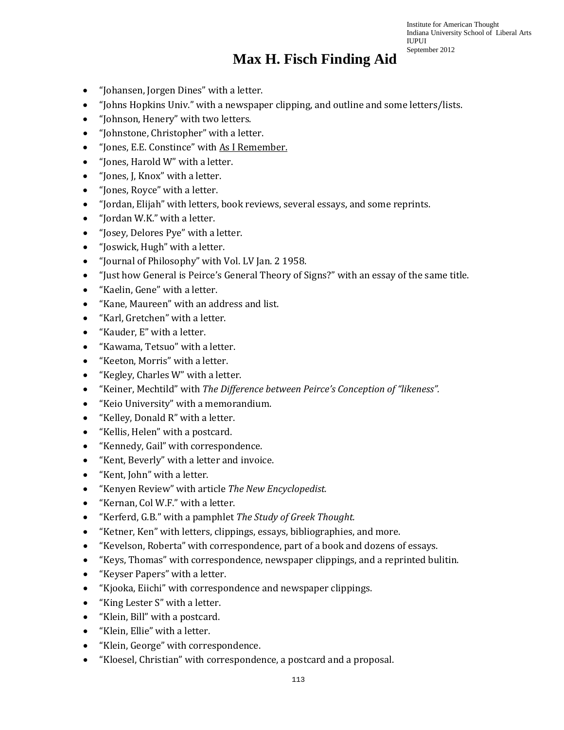- "Johansen, Jorgen Dines" with a letter.
- "Johns Hopkins Univ." with a newspaper clipping, and outline and some letters/lists.
- "Johnson, Henery" with two letters.
- "Johnstone, Christopher" with a letter.
- "Jones, E.E. Constince" with As I Remember.
- "Jones, Harold W" with a letter.
- "Jones, J, Knox" with a letter.
- "Jones, Royce" with a letter.
- "Jordan, Elijah" with letters, book reviews, several essays, and some reprints.
- "Jordan W.K." with a letter.
- "Josey, Delores Pye" with a letter.
- "Joswick, Hugh" with a letter.
- "Journal of Philosophy" with Vol. LV Jan. 2 1958.
- "Just how General is Peirce's General Theory of Signs?" with an essay of the same title.
- "Kaelin, Gene" with a letter.
- "Kane, Maureen" with an address and list.
- "Karl, Gretchen" with a letter.
- "Kauder, E" with a letter.
- "Kawama, Tetsuo" with a letter.
- "Keeton, Morris" with a letter.
- "Kegley, Charles W" with a letter.
- "Keiner, Mechtild" with *The Difference between Peirce's Conception of "likeness".*
- "Keio University" with a memorandium.
- "Kelley, Donald R" with a letter.
- "Kellis, Helen" with a postcard.
- "Kennedy, Gail" with correspondence.
- "Kent, Beverly" with a letter and invoice.
- "Kent, John" with a letter.
- "Kenyen Review" with article *The New Encyclopedist.*
- "Kernan, Col W.F." with a letter.
- "Kerferd, G.B." with a pamphlet *The Study of Greek Thought.*
- "Ketner, Ken" with letters, clippings, essays, bibliographies, and more.
- "Kevelson, Roberta" with correspondence, part of a book and dozens of essays.
- "Keys, Thomas" with correspondence, newspaper clippings, and a reprinted bulitin.
- "Keyser Papers" with a letter.
- "Kjooka, Eiichi" with correspondence and newspaper clippings.
- "King Lester S" with a letter.
- "Klein, Bill" with a postcard.
- "Klein, Ellie" with a letter.
- "Klein, George" with correspondence.
- "Kloesel, Christian" with correspondence, a postcard and a proposal.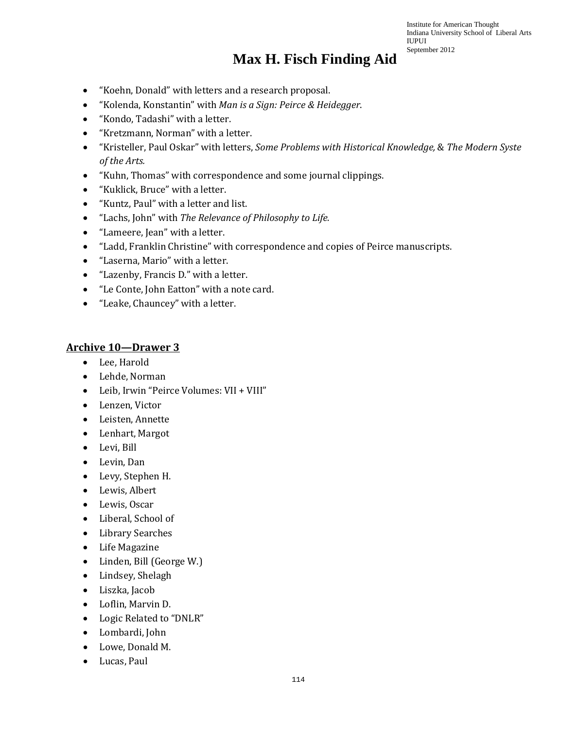#### **Max H. Fisch Finding Aid**

- "Koehn, Donald" with letters and a research proposal.
- "Kolenda, Konstantin" with *Man is a Sign: Peirce & Heidegger*.
- "Kondo, Tadashi" with a letter.
- "Kretzmann, Norman" with a letter.
- "Kristeller, Paul Oskar" with letters, *Some Problems with Historical Knowledge,* & *The Modern Syste of the Arts.*
- "Kuhn, Thomas" with correspondence and some journal clippings.
- "Kuklick, Bruce" with a letter.
- "Kuntz, Paul" with a letter and list.
- "Lachs, John" with *The Relevance of Philosophy to Life.*
- "Lameere, Jean" with a letter.
- "Ladd, Franklin Christine" with correspondence and copies of Peirce manuscripts.
- "Laserna, Mario" with a letter.
- "Lazenby, Francis D." with a letter.
- "Le Conte, John Eatton" with a note card.
- "Leake, Chauncey" with a letter.

#### **Archive 10—Drawer 3**

- Lee, Harold
- Lehde, Norman
- Leib, Irwin "Peirce Volumes: VII + VIII"
- Lenzen, Victor
- Leisten, Annette
- Lenhart, Margot
- Levi, Bill
- Levin, Dan
- Levy, Stephen H.
- Lewis, Albert
- Lewis, Oscar
- Liberal, School of
- Library Searches
- Life Magazine
- Linden, Bill (George W.)
- Lindsey, Shelagh
- Liszka, Jacob
- Loflin, Marvin D.
- Logic Related to "DNLR"
- Lombardi, John
- Lowe, Donald M.
- Lucas, Paul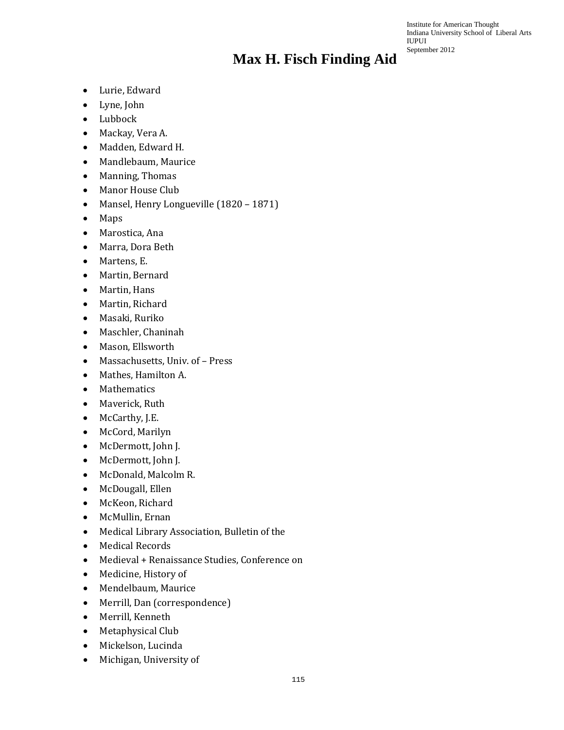- Lurie, Edward
- Lyne, John
- Lubbock
- Mackay, Vera A.
- Madden, Edward H.
- Mandlebaum, Maurice
- Manning, Thomas
- Manor House Club
- Mansel, Henry Longueville (1820 1871)
- Maps
- Marostica, Ana
- Marra, Dora Beth
- Martens, E.
- Martin, Bernard
- Martin, Hans
- Martin, Richard
- Masaki, Ruriko
- Maschler, Chaninah
- Mason, Ellsworth
- Massachusetts, Univ. of Press
- Mathes, Hamilton A.
- Mathematics
- Maverick, Ruth
- McCarthy, J.E.
- McCord, Marilyn
- McDermott, John J.
- McDermott, John J.
- McDonald, Malcolm R.
- McDougall, Ellen
- McKeon, Richard
- McMullin, Ernan
- Medical Library Association, Bulletin of the
- Medical Records
- Medieval + Renaissance Studies, Conference on
- Medicine, History of
- Mendelbaum, Maurice
- Merrill, Dan (correspondence)
- Merrill, Kenneth
- Metaphysical Club
- Mickelson, Lucinda
- Michigan, University of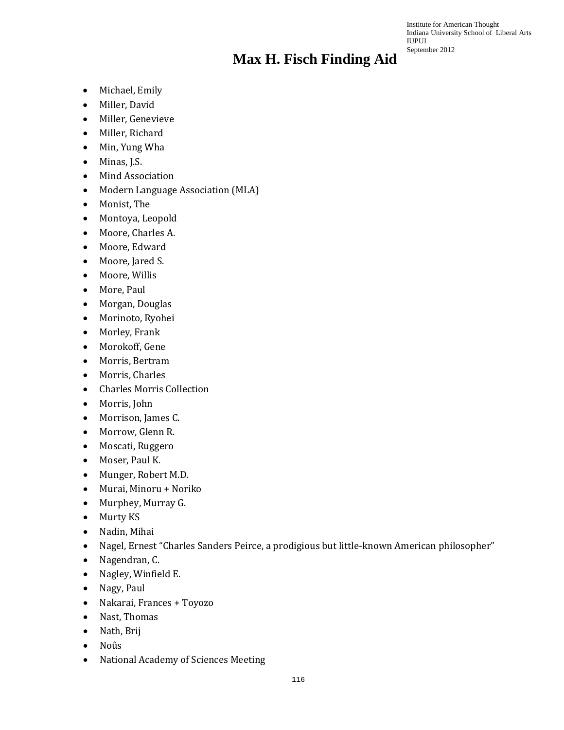- Michael, Emily
- Miller, David
- Miller, Genevieve
- Miller, Richard
- Min, Yung Wha
- Minas, J.S.
- Mind Association
- Modern Language Association (MLA)
- Monist, The
- Montoya, Leopold
- Moore, Charles A.
- Moore, Edward
- Moore, Jared S.
- Moore, Willis
- More, Paul
- Morgan, Douglas
- Morinoto, Ryohei
- Morley, Frank
- Morokoff, Gene
- Morris, Bertram
- Morris, Charles
- Charles Morris Collection
- Morris, John
- Morrison, James C.
- Morrow, Glenn R.
- Moscati, Ruggero
- Moser, Paul K.
- Munger, Robert M.D.
- Murai, Minoru + Noriko
- Murphey, Murray G.
- Murty KS
- Nadin, Mihai
- Nagel, Ernest "Charles Sanders Peirce, a prodigious but little-known American philosopher"
- Nagendran, C.
- Nagley, Winfield E.
- Nagy, Paul
- Nakarai, Frances + Toyozo
- Nast, Thomas
- Nath, Brij
- Noûs
- National Academy of Sciences Meeting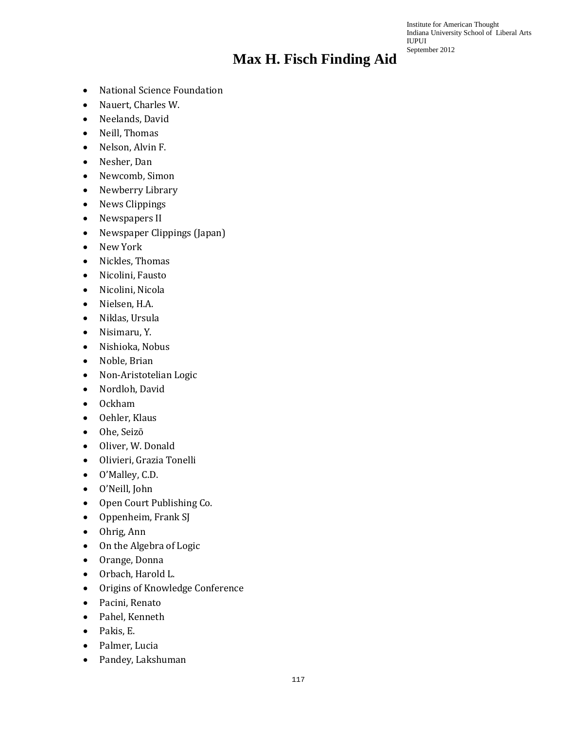- National Science Foundation
- Nauert, Charles W.
- Neelands, David
- Neill, Thomas
- Nelson, Alvin F.
- Nesher, Dan
- Newcomb, Simon
- Newberry Library
- News Clippings
- Newspapers II
- Newspaper Clippings (Japan)
- New York
- Nickles, Thomas
- Nicolini, Fausto
- Nicolini, Nicola
- Nielsen, H.A.
- Niklas, Ursula
- Nisimaru, Y.
- Nishioka, Nobus
- Noble, Brian
- Non-Aristotelian Logic
- Nordloh, David
- Ockham
- Oehler, Klaus
- Ohe, Seizō
- Oliver, W. Donald
- Olivieri, Grazia Tonelli
- O'Malley, C.D.
- O'Neill, John
- Open Court Publishing Co.
- Oppenheim, Frank SJ
- Ohrig, Ann
- On the Algebra of Logic
- Orange, Donna
- Orbach, Harold L.
- Origins of Knowledge Conference
- Pacini, Renato
- Pahel, Kenneth
- Pakis, E.
- Palmer, Lucia
- Pandey, Lakshuman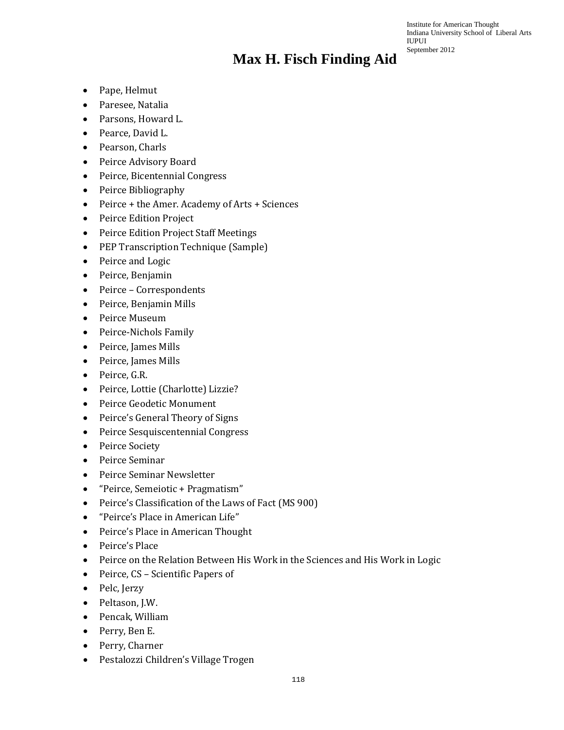- Pape, Helmut
- Paresee, Natalia
- Parsons, Howard L.
- Pearce, David L.
- Pearson, Charls
- Peirce Advisory Board
- Peirce, Bicentennial Congress
- Peirce Bibliography
- Peirce + the Amer. Academy of Arts + Sciences
- Peirce Edition Project
- Peirce Edition Project Staff Meetings
- PEP Transcription Technique (Sample)
- Peirce and Logic
- Peirce, Benjamin
- Peirce Correspondents
- Peirce, Benjamin Mills
- Peirce Museum
- Peirce-Nichols Family
- Peirce, James Mills
- Peirce, James Mills
- Peirce, G.R.
- Peirce, Lottie (Charlotte) Lizzie?
- Peirce Geodetic Monument
- Peirce's General Theory of Signs
- Peirce Sesquiscentennial Congress
- Peirce Society
- Peirce Seminar
- Peirce Seminar Newsletter
- "Peirce, Semeiotic + Pragmatism"
- Peirce's Classification of the Laws of Fact (MS 900)
- "Peirce's Place in American Life"
- Peirce's Place in American Thought
- Peirce's Place
- Peirce on the Relation Between His Work in the Sciences and His Work in Logic
- Peirce, CS Scientific Papers of
- Pelc, Jerzy
- Peltason, J.W.
- Pencak, William
- Perry, Ben E.
- Perry, Charner
- Pestalozzi Children's Village Trogen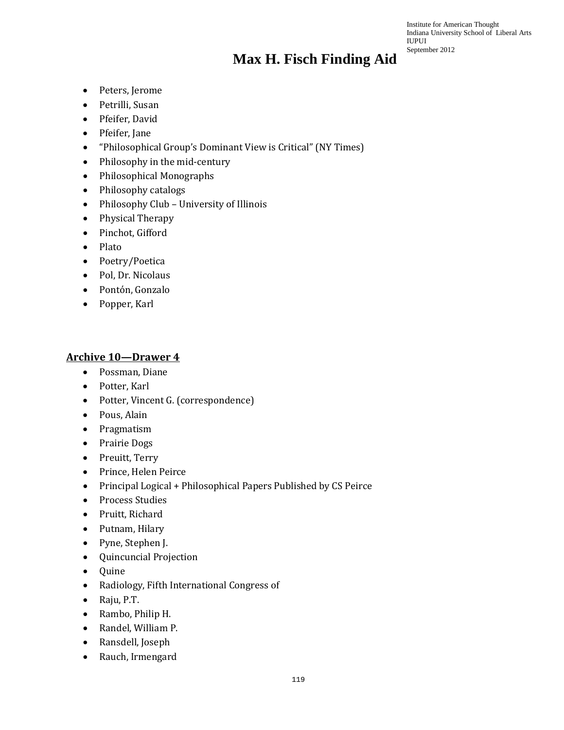Institute for American Thought Indiana University School of Liberal Arts IUPUI September 2012

- Peters, Jerome
- Petrilli, Susan
- Pfeifer, David
- Pfeifer, Jane
- "Philosophical Group's Dominant View is Critical" (NY Times)
- Philosophy in the mid-century
- Philosophical Monographs
- Philosophy catalogs
- Philosophy Club University of Illinois
- Physical Therapy
- Pinchot, Gifford
- Plato
- Poetry/Poetica
- Pol, Dr. Nicolaus
- Pontόn, Gonzalo
- Popper, Karl

#### **Archive 10—Drawer 4**

- Possman, Diane
- Potter, Karl
- Potter, Vincent G. (correspondence)
- Pous, Alain
- Pragmatism
- Prairie Dogs
- Preuitt, Terry
- Prince, Helen Peirce
- Principal Logical + Philosophical Papers Published by CS Peirce
- Process Studies
- Pruitt, Richard
- Putnam, Hilary
- Pyne, Stephen J.
- Quincuncial Projection
- Quine
- Radiology, Fifth International Congress of
- Raju, P.T.
- Rambo, Philip H.
- Randel, William P.
- Ransdell, Joseph
- Rauch, Irmengard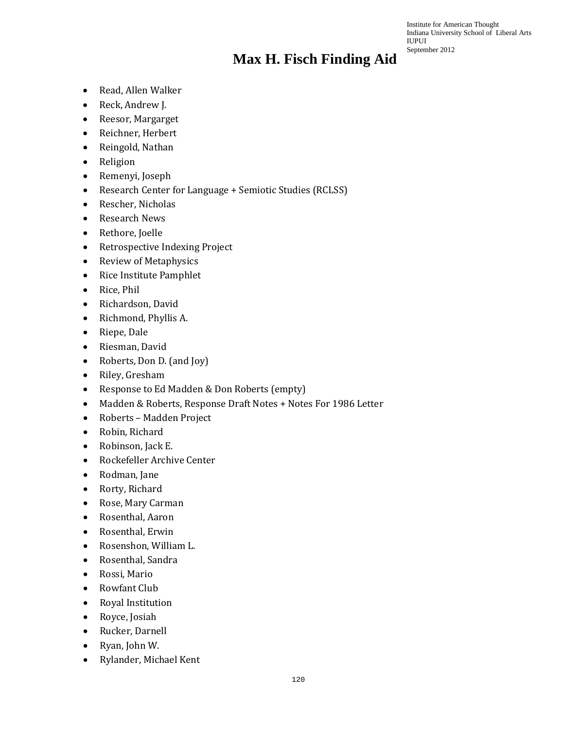- Read, Allen Walker
- Reck, Andrew J.
- Reesor, Margarget
- Reichner, Herbert
- Reingold, Nathan
- Religion
- Remenyi, Joseph
- Research Center for Language + Semiotic Studies (RCLSS)
- Rescher, Nicholas
- Research News
- Rethore, Joelle
- Retrospective Indexing Project
- Review of Metaphysics
- Rice Institute Pamphlet
- Rice, Phil
- Richardson, David
- Richmond, Phyllis A.
- Riepe, Dale
- Riesman, David
- Roberts, Don D. (and Joy)
- Riley, Gresham
- Response to Ed Madden & Don Roberts (empty)
- Madden & Roberts, Response Draft Notes + Notes For 1986 Letter
- Roberts Madden Project
- Robin, Richard
- Robinson, Jack E.
- Rockefeller Archive Center
- Rodman, Jane
- Rorty, Richard
- Rose, Mary Carman
- Rosenthal, Aaron
- Rosenthal, Erwin
- Rosenshon, William L.
- Rosenthal, Sandra
- Rossi, Mario
- Rowfant Club
- Royal Institution
- Royce, Josiah
- Rucker, Darnell
- Ryan, John W.
- Rylander, Michael Kent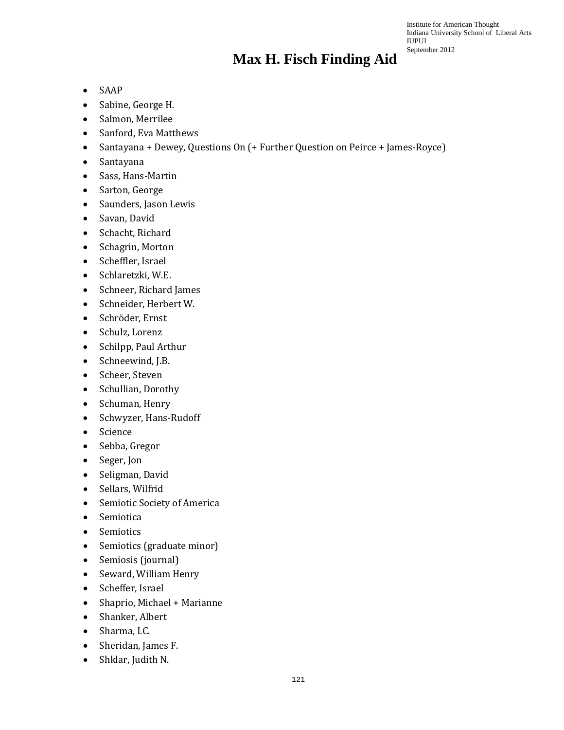- SAAP
- Sabine, George H.
- Salmon, Merrilee
- Sanford, Eva Matthews
- Santayana + Dewey, Questions On (+ Further Question on Peirce + James-Royce)
- Santayana
- Sass, Hans-Martin
- Sarton, George
- Saunders, Jason Lewis
- Savan, David
- Schacht, Richard
- Schagrin, Morton
- Scheffler, Israel
- Schlaretzki, W.E.
- Schneer, Richard James
- Schneider, Herbert W.
- Schröder, Ernst
- Schulz, Lorenz
- Schilpp, Paul Arthur
- Schneewind, J.B.
- Scheer, Steven
- Schullian, Dorothy
- Schuman, Henry
- Schwyzer, Hans-Rudoff
- Science
- Sebba, Gregor
- Seger, Jon
- Seligman, David
- Sellars, Wilfrid
- Semiotic Society of America
- Semiotica
- Semiotics
- Semiotics (graduate minor)
- Semiosis (journal)
- Seward, William Henry
- Scheffer, Israel
- Shaprio, Michael + Marianne
- Shanker, Albert
- Sharma, I.C.
- Sheridan, James F.
- Shklar, Judith N.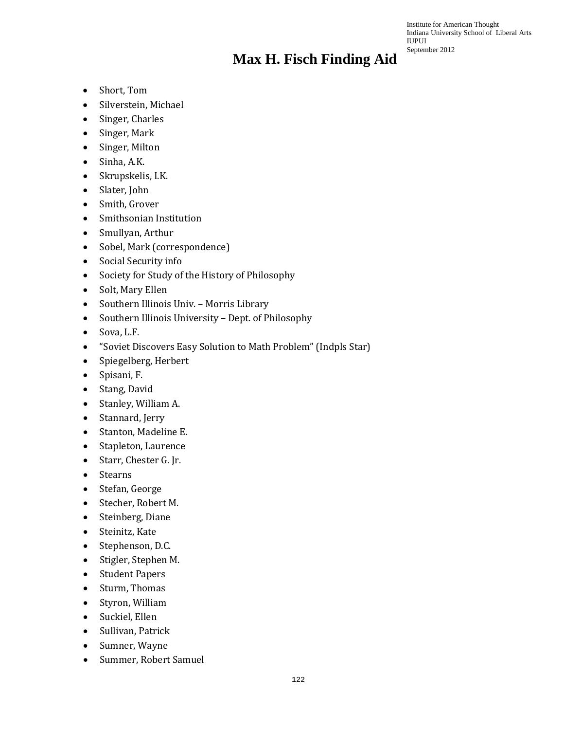- Short, Tom
- Silverstein, Michael
- Singer, Charles
- Singer, Mark
- Singer, Milton
- Sinha, A.K.
- Skrupskelis, I.K.
- Slater, John
- Smith, Grover
- Smithsonian Institution
- Smullyan, Arthur
- Sobel, Mark (correspondence)
- Social Security info
- Society for Study of the History of Philosophy
- Solt, Mary Ellen
- Southern Illinois Univ. Morris Library
- Southern Illinois University Dept. of Philosophy
- Sova, L.F.
- "Soviet Discovers Easy Solution to Math Problem" (Indpls Star)
- Spiegelberg, Herbert
- Spisani, F.
- Stang, David
- Stanley, William A.
- Stannard, Jerry
- Stanton, Madeline E.
- Stapleton, Laurence
- Starr, Chester G. Jr.
- Stearns
- Stefan, George
- Stecher, Robert M.
- Steinberg, Diane
- Steinitz, Kate
- Stephenson, D.C.
- Stigler, Stephen M.
- Student Papers
- Sturm, Thomas
- Styron, William
- Suckiel, Ellen
- Sullivan, Patrick
- Sumner, Wayne
- Summer, Robert Samuel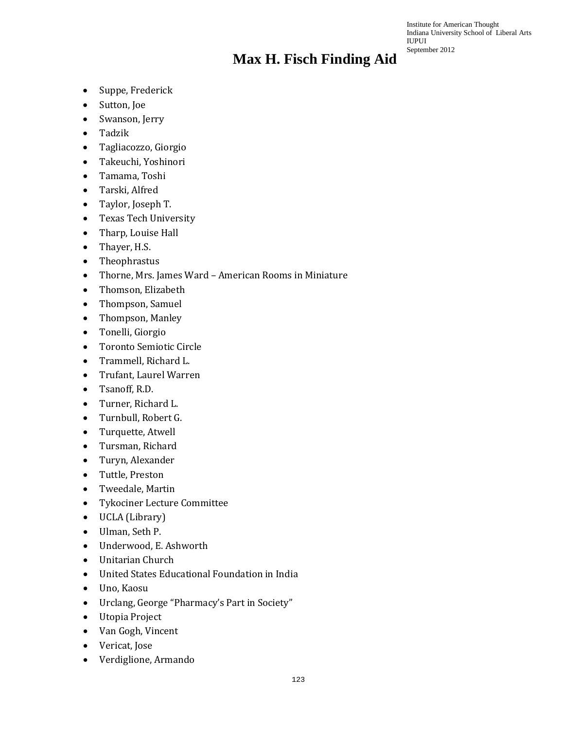- Suppe, Frederick
- Sutton, Joe
- Swanson, Jerry
- Tadzik
- Tagliacozzo, Giorgio
- Takeuchi, Yoshinori
- Tamama, Toshi
- Tarski, Alfred
- Taylor, Joseph T.
- Texas Tech University
- Tharp, Louise Hall
- Thayer, H.S.
- Theophrastus
- Thorne, Mrs. James Ward American Rooms in Miniature
- Thomson, Elizabeth
- Thompson, Samuel
- Thompson, Manley
- Tonelli, Giorgio
- Toronto Semiotic Circle
- Trammell, Richard L.
- Trufant, Laurel Warren
- Tsanoff, R.D.
- Turner, Richard L.
- Turnbull, Robert G.
- Turquette, Atwell
- Tursman, Richard
- Turyn, Alexander
- Tuttle, Preston
- Tweedale, Martin
- Tykociner Lecture Committee
- UCLA (Library)
- Ulman, Seth P.
- Underwood, E. Ashworth
- Unitarian Church
- United States Educational Foundation in India
- Uno, Kaosu
- Urclang, George "Pharmacy's Part in Society"
- Utopia Project
- Van Gogh, Vincent
- Vericat, Jose
- Verdiglione, Armando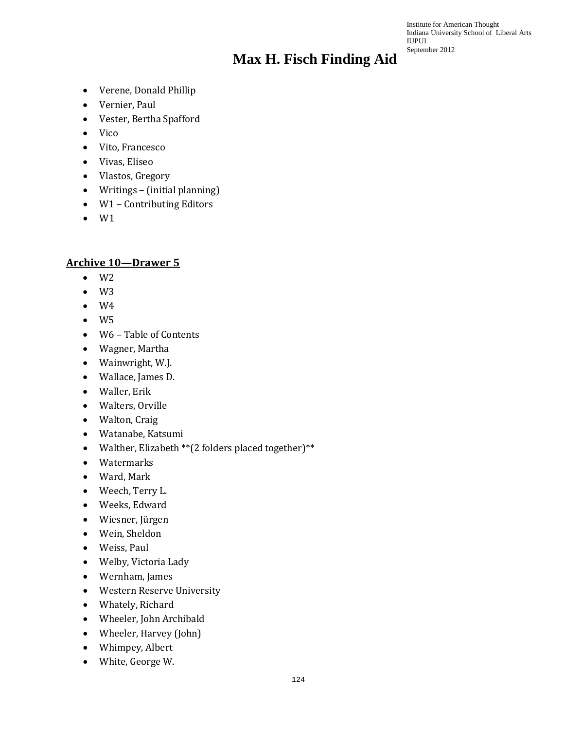Institute for American Thought Indiana University School of Liberal Arts IUPUI September 2012

- Verene, Donald Phillip
- Vernier, Paul
- Vester, Bertha Spafford
- Vico
- Vito, Francesco
- Vivas, Eliseo
- Vlastos, Gregory
- Writings (initial planning)
- W1 Contributing Editors
- W1

#### **Archive 10—Drawer 5**

- $\bullet$  W<sub>2</sub>
- $\bullet$  W3
- $\bullet$  W4
- $\bullet$  W<sub>5</sub>
- W6 Table of Contents
- Wagner, Martha
- Wainwright, W.J.
- Wallace, James D.
- Waller, Erik
- Walters, Orville
- Walton, Craig
- Watanabe, Katsumi
- Walther, Elizabeth \*\*(2 folders placed together)\*\*
- Watermarks
- Ward, Mark
- Weech, Terry L.
- Weeks, Edward
- Wiesner, Jürgen
- Wein, Sheldon
- Weiss, Paul
- Welby, Victoria Lady
- Wernham, James
- Western Reserve University
- Whately, Richard
- Wheeler, John Archibald
- Wheeler, Harvey (John)
- Whimpey, Albert
- White, George W.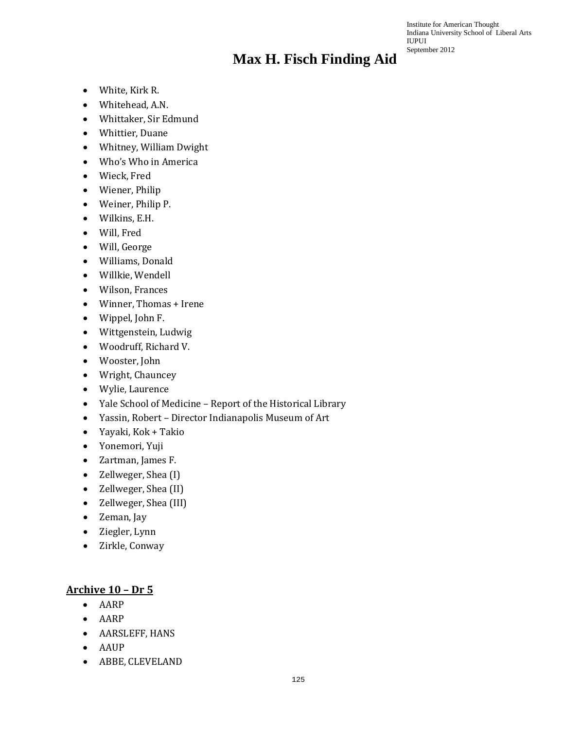Institute for American Thought Indiana University School of Liberal Arts IUPUI September 2012

- White, Kirk R.
- Whitehead, A.N.
- Whittaker, Sir Edmund
- Whittier, Duane
- Whitney, William Dwight
- Who's Who in America
- Wieck, Fred
- Wiener, Philip
- Weiner, Philip P.
- Wilkins, E.H.
- Will, Fred
- Will, George
- Williams, Donald
- Willkie, Wendell
- Wilson, Frances
- Winner, Thomas + Irene
- Wippel, John F.
- Wittgenstein, Ludwig
- Woodruff, Richard V.
- Wooster, John
- Wright, Chauncey
- Wylie, Laurence
- Yale School of Medicine Report of the Historical Library
- Yassin, Robert Director Indianapolis Museum of Art
- Yayaki, Kok + Takio
- Yonemori, Yuji
- Zartman, James F.
- Zellweger, Shea (I)
- Zellweger, Shea (II)
- Zellweger, Shea (III)
- Zeman, Jay
- Ziegler, Lynn
- Zirkle, Conway

#### **Archive 10 – Dr 5**

- AARP
- AARP
- AARSLEFF, HANS
- AAUP
- ABBE, CLEVELAND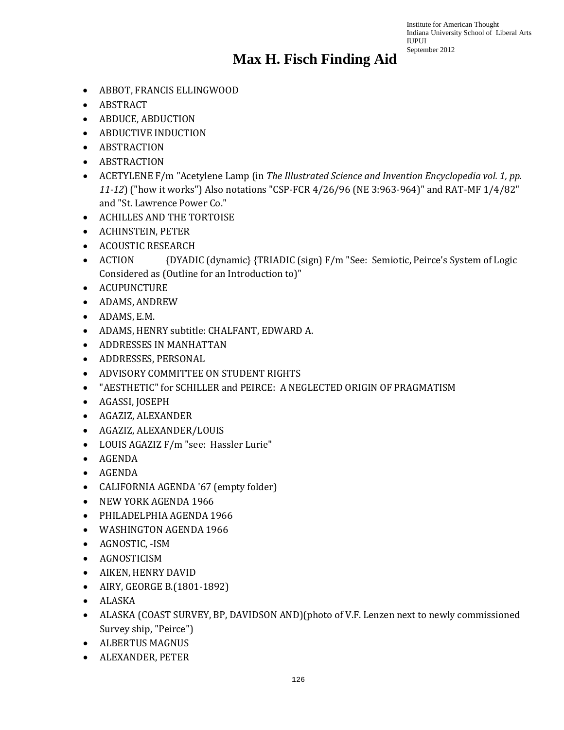- ABBOT, FRANCIS ELLINGWOOD
- ABSTRACT
- ABDUCE, ABDUCTION
- ABDUCTIVE INDUCTION
- ABSTRACTION
- ABSTRACTION
- ACETYLENE F/m "Acetylene Lamp (in *The Illustrated Science and Invention Encyclopedia vol. 1, pp. 11-12*) ("how it works") Also notations "CSP-FCR 4/26/96 (NE 3:963-964)" and RAT-MF 1/4/82" and "St. Lawrence Power Co."
- ACHILLES AND THE TORTOISE
- ACHINSTEIN, PETER
- ACOUSTIC RESEARCH
- ACTION {DYADIC (dynamic) {TRIADIC (sign) F/m "See: Semiotic, Peirce's System of Logic Considered as (Outline for an Introduction to)"
- ACUPUNCTURE
- ADAMS, ANDREW
- ADAMS, E.M.
- ADAMS, HENRY subtitle: CHALFANT, EDWARD A.
- ADDRESSES IN MANHATTAN
- ADDRESSES, PERSONAL
- ADVISORY COMMITTEE ON STUDENT RIGHTS
- "AESTHETIC" for SCHILLER and PEIRCE: A NEGLECTED ORIGIN OF PRAGMATISM
- AGASSI, JOSEPH
- AGAZIZ, ALEXANDER
- AGAZIZ, ALEXANDER/LOUIS
- LOUIS AGAZIZ F/m "see: Hassler Lurie"
- AGENDA
- AGENDA
- CALIFORNIA AGENDA '67 (empty folder)
- NEW YORK AGENDA 1966
- PHILADELPHIA AGENDA 1966
- WASHINGTON AGENDA 1966
- AGNOSTIC, -ISM
- AGNOSTICISM
- AIKEN, HENRY DAVID
- AIRY, GEORGE B.(1801-1892)
- ALASKA
- ALASKA (COAST SURVEY, BP, DAVIDSON AND)(photo of V.F. Lenzen next to newly commissioned Survey ship, "Peirce")
- ALBERTUS MAGNUS
- ALEXANDER, PETER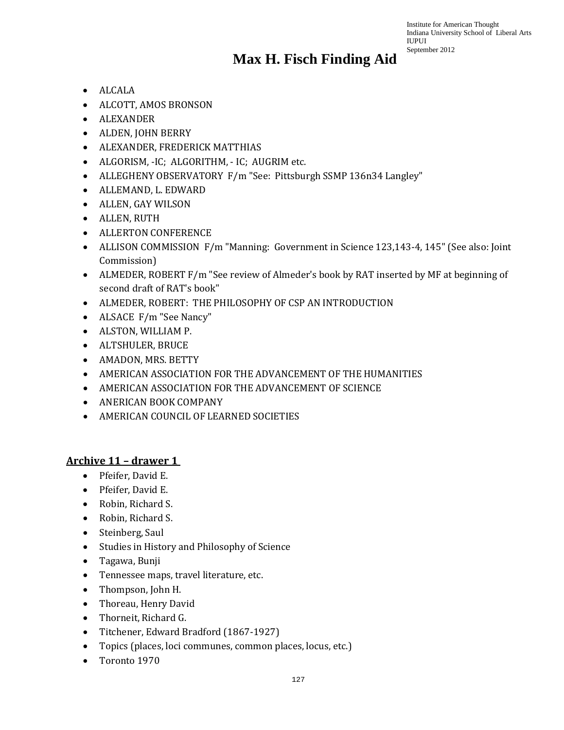#### **Max H. Fisch Finding Aid**

- ALCALA
- ALCOTT, AMOS BRONSON
- ALEXANDER
- ALDEN, JOHN BERRY
- ALEXANDER, FREDERICK MATTHIAS
- ALGORISM, -IC; ALGORITHM, IC; AUGRIM etc.
- ALLEGHENY OBSERVATORY F/m "See: Pittsburgh SSMP 136n34 Langley"
- ALLEMAND, L. EDWARD
- ALLEN, GAY WILSON
- ALLEN, RUTH
- ALLERTON CONFERENCE
- ALLISON COMMISSION F/m "Manning: Government in Science 123,143-4, 145" (See also: Joint Commission)
- ALMEDER, ROBERT F/m "See review of Almeder's book by RAT inserted by MF at beginning of second draft of RAT's book"
- ALMEDER, ROBERT: THE PHILOSOPHY OF CSP AN INTRODUCTION
- ALSACE F/m "See Nancy"
- ALSTON, WILLIAM P.
- ALTSHULER, BRUCE
- AMADON, MRS. BETTY
- AMERICAN ASSOCIATION FOR THE ADVANCEMENT OF THE HUMANITIES
- AMERICAN ASSOCIATION FOR THE ADVANCEMENT OF SCIENCE
- ANERICAN BOOK COMPANY
- AMERICAN COUNCIL OF LEARNED SOCIETIES

#### **Archive 11 – drawer 1**

- Pfeifer, David E.
- Pfeifer, David E.
- Robin, Richard S.
- Robin, Richard S.
- Steinberg, Saul
- Studies in History and Philosophy of Science
- Tagawa, Bunji
- Tennessee maps, travel literature, etc.
- Thompson, John H.
- Thoreau, Henry David
- Thorneit, Richard G.
- Titchener, Edward Bradford (1867-1927)
- Topics (places, loci communes, common places, locus, etc.)
- Toronto 1970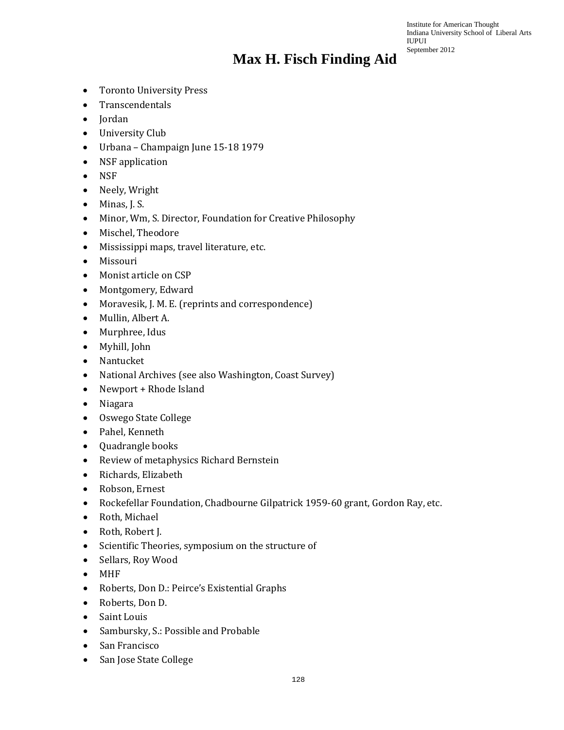- Toronto University Press
- Transcendentals
- Jordan
- University Club
- Urbana Champaign June 15-18 1979
- NSF application
- NSF
- Neely, Wright
- Minas, J. S.
- Minor, Wm, S. Director, Foundation for Creative Philosophy
- Mischel, Theodore
- Mississippi maps, travel literature, etc.
- Missouri
- Monist article on CSP
- Montgomery, Edward
- Moravesik, J. M. E. (reprints and correspondence)
- Mullin, Albert A.
- Murphree, Idus
- Myhill, John
- Nantucket
- National Archives (see also Washington, Coast Survey)
- Newport + Rhode Island
- Niagara
- Oswego State College
- Pahel, Kenneth
- Quadrangle books
- Review of metaphysics Richard Bernstein
- Richards, Elizabeth
- Robson, Ernest
- Rockefellar Foundation, Chadbourne Gilpatrick 1959-60 grant, Gordon Ray, etc.
- Roth, Michael
- Roth, Robert J.
- Scientific Theories, symposium on the structure of
- Sellars, Roy Wood
- MHF
- Roberts, Don D.: Peirce's Existential Graphs
- Roberts, Don D.
- Saint Louis
- Sambursky, S.: Possible and Probable
- San Francisco
- San Jose State College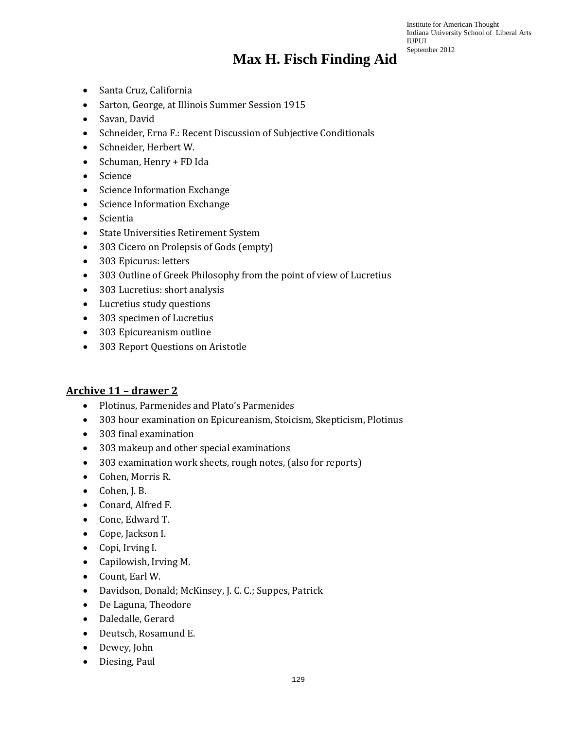- Santa Cruz, California
- Sarton, George, at Illinois Summer Session 1915
- Savan, David
- Schneider, Erna F.: Recent Discussion of Subjective Conditionals
- Schneider, Herbert W.
- Schuman, Henry + FD Ida
- Science
- Science Information Exchange
- Science Information Exchange
- Scientia
- State Universities Retirement System
- 303 Cicero on Prolepsis of Gods (empty)
- 303 Epicurus: letters
- 303 Outline of Greek Philosophy from the point of view of Lucretius
- 303 Lucretius: short analysis
- Lucretius study questions
- 303 specimen of Lucretius
- 303 Epicureanism outline
- 303 Report Questions on Aristotle

#### **Archive 11 – drawer 2**

- Plotinus, Parmenides and Plato's Parmenides
- 303 hour examination on Epicureanism, Stoicism, Skepticism, Plotinus
- 303 final examination
- 303 makeup and other special examinations
- 303 examination work sheets, rough notes, (also for reports)
- Cohen, Morris R.
- Cohen, J. B.
- Conard, Alfred F.
- Cone, Edward T.
- Cope, Jackson I.
- Copi, Irving I.
- Capilowish, Irving M.
- Count, Earl W.
- Davidson, Donald; McKinsey, J. C. C.; Suppes, Patrick
- De Laguna, Theodore
- Daledalle, Gerard
- Deutsch, Rosamund E.
- Dewey, John
- Diesing, Paul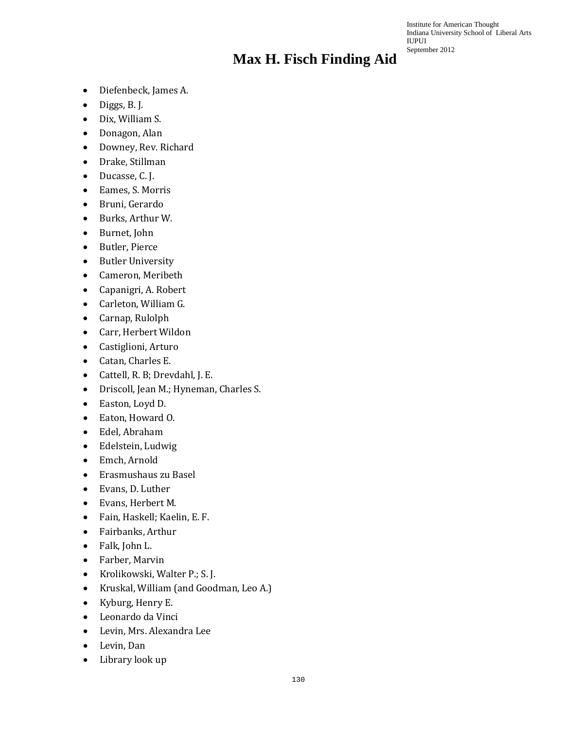- Diefenbeck, James A.
- Diggs, B. J.
- Dix, William S.
- Donagon, Alan
- Downey, Rev. Richard
- Drake, Stillman
- Ducasse, C. J.
- Eames, S. Morris
- Bruni, Gerardo
- Burks, Arthur W.
- Burnet, John
- Butler, Pierce
- Butler University
- Cameron, Meribeth
- Capanigri, A. Robert
- Carleton, William G.
- Carnap, Rulolph
- Carr, Herbert Wildon
- Castiglioni, Arturo
- Catan, Charles E.
- Cattell, R. B; Drevdahl, J. E.
- Driscoll, Jean M.; Hyneman, Charles S.
- Easton, Loyd D.
- Eaton, Howard O.
- Edel, Abraham
- Edelstein, Ludwig
- Emch, Arnold
- Erasmushaus zu Basel
- Evans, D. Luther
- Evans, Herbert M.
- Fain, Haskell; Kaelin, E. F.
- Fairbanks, Arthur
- Falk, John L.
- Farber, Marvin
- Krolikowski, Walter P.; S. J.
- Kruskal, William (and Goodman, Leo A.)
- Kyburg, Henry E.
- Leonardo da Vinci
- Levin, Mrs. Alexandra Lee
- Levin, Dan
- Library look up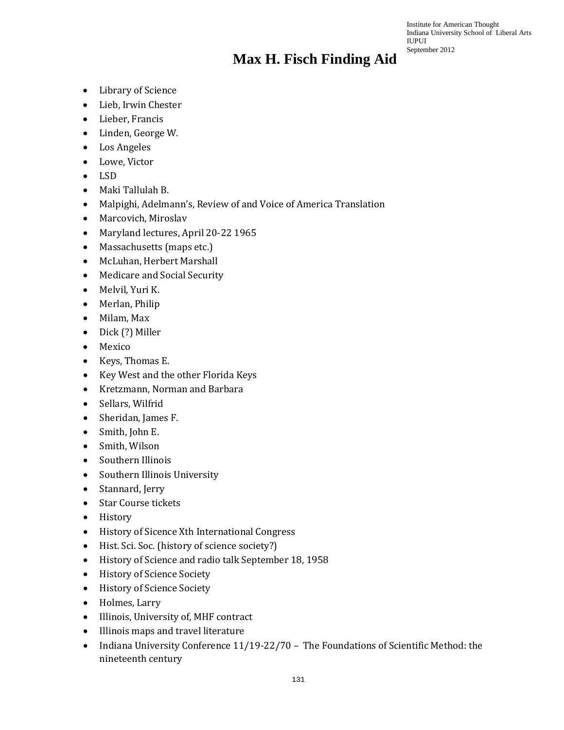- Library of Science
- Lieb, Irwin Chester
- Lieber, Francis
- Linden, George W.
- Los Angeles
- Lowe, Victor
- LSD
- Maki Tallulah B.
- Malpighi, Adelmann's, Review of and Voice of America Translation
- Marcovich, Miroslav
- Maryland lectures, April 20-22 1965
- Massachusetts (maps etc.)
- McLuhan, Herbert Marshall
- Medicare and Social Security
- Melvil, Yuri K.
- Merlan, Philip
- Milam, Max
- Dick (?) Miller
- Mexico
- Keys, Thomas E.
- Key West and the other Florida Keys
- Kretzmann, Norman and Barbara
- Sellars, Wilfrid
- Sheridan, James F.
- Smith, John E.
- Smith, Wilson
- Southern Illinois
- Southern Illinois University
- Stannard, Jerry
- Star Course tickets
- History
- History of Sicence Xth International Congress
- Hist. Sci. Soc. (history of science society?)
- History of Science and radio talk September 18, 1958
- History of Science Society
- History of Science Society
- Holmes, Larry
- Illinois, University of, MHF contract
- Illinois maps and travel literature
- Indiana University Conference 11/19-22/70 The Foundations of Scientific Method: the nineteenth century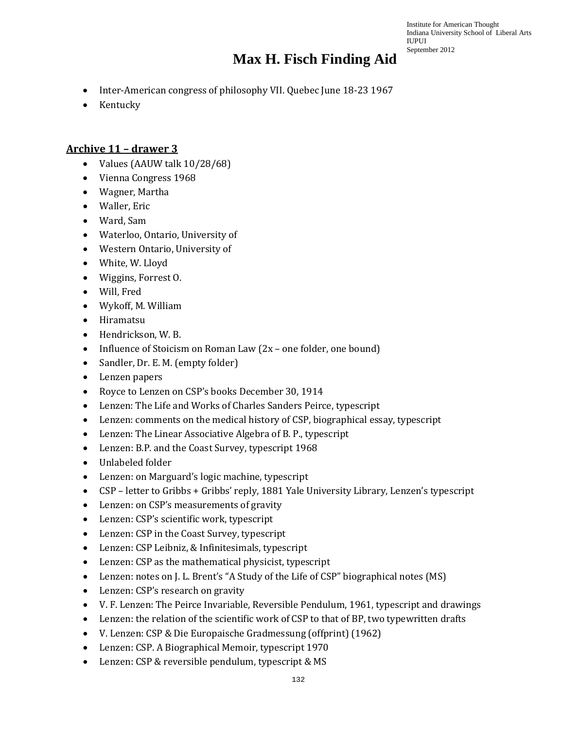#### **Max H. Fisch Finding Aid**

- Inter-American congress of philosophy VII. Quebec June 18-23 1967
- Kentucky

#### **Archive 11 – drawer 3**

- Values (AAUW talk 10/28/68)
- Vienna Congress 1968
- Wagner, Martha
- Waller, Eric
- Ward, Sam
- Waterloo, Ontario, University of
- Western Ontario, University of
- White, W. Lloyd
- Wiggins, Forrest O.
- Will, Fred
- Wykoff, M. William
- Hiramatsu
- Hendrickson, W. B.
- Influence of Stoicism on Roman Law (2x one folder, one bound)
- Sandler, Dr. E. M. (empty folder)
- Lenzen papers
- Royce to Lenzen on CSP's books December 30, 1914
- Lenzen: The Life and Works of Charles Sanders Peirce, typescript
- Lenzen: comments on the medical history of CSP, biographical essay, typescript
- Lenzen: The Linear Associative Algebra of B. P., typescript
- Lenzen: B.P. and the Coast Survey, typescript 1968
- Unlabeled folder
- Lenzen: on Marguard's logic machine, typescript
- CSP letter to Gribbs + Gribbs' reply, 1881 Yale University Library, Lenzen's typescript
- Lenzen: on CSP's measurements of gravity
- Lenzen: CSP's scientific work, typescript
- Lenzen: CSP in the Coast Survey, typescript
- Lenzen: CSP Leibniz, & Infinitesimals, typescript
- Lenzen: CSP as the mathematical physicist, typescript
- Lenzen: notes on J. L. Brent's "A Study of the Life of CSP" biographical notes (MS)
- Lenzen: CSP's research on gravity
- V. F. Lenzen: The Peirce Invariable, Reversible Pendulum, 1961, typescript and drawings
- Lenzen: the relation of the scientific work of CSP to that of BP, two typewritten drafts
- V. Lenzen: CSP & Die Europaische Gradmessung (offprint) (1962)
- Lenzen: CSP. A Biographical Memoir, typescript 1970
- Lenzen: CSP & reversible pendulum, typescript & MS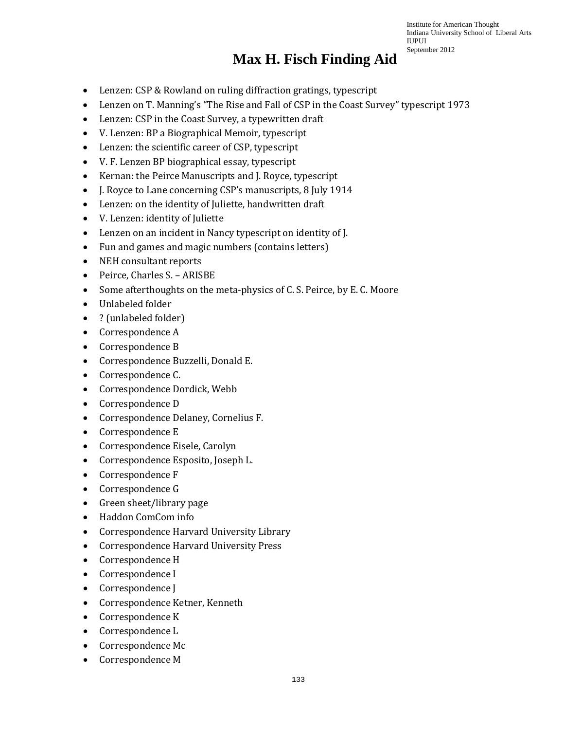- Lenzen: CSP & Rowland on ruling diffraction gratings, typescript
- Lenzen on T. Manning's "The Rise and Fall of CSP in the Coast Survey" typescript 1973
- Lenzen: CSP in the Coast Survey, a typewritten draft
- V. Lenzen: BP a Biographical Memoir, typescript
- Lenzen: the scientific career of CSP, typescript
- V. F. Lenzen BP biographical essay, typescript
- Kernan: the Peirce Manuscripts and J. Royce, typescript
- J. Royce to Lane concerning CSP's manuscripts, 8 July 1914
- Lenzen: on the identity of Juliette, handwritten draft
- V. Lenzen: identity of Juliette
- Lenzen on an incident in Nancy typescript on identity of J.
- Fun and games and magic numbers (contains letters)
- NEH consultant reports
- Peirce, Charles S. ARISBE
- Some afterthoughts on the meta-physics of C. S. Peirce, by E. C. Moore
- Unlabeled folder
- ? (unlabeled folder)
- Correspondence A
- Correspondence B
- Correspondence Buzzelli, Donald E.
- Correspondence C.
- Correspondence Dordick, Webb
- Correspondence D
- Correspondence Delaney, Cornelius F.
- Correspondence E
- Correspondence Eisele, Carolyn
- Correspondence Esposito, Joseph L.
- Correspondence F
- Correspondence G
- Green sheet/library page
- Haddon ComCom info
- Correspondence Harvard University Library
- Correspondence Harvard University Press
- Correspondence H
- Correspondence I
- Correspondence J
- Correspondence Ketner, Kenneth
- Correspondence K
- Correspondence L
- Correspondence Mc
- Correspondence M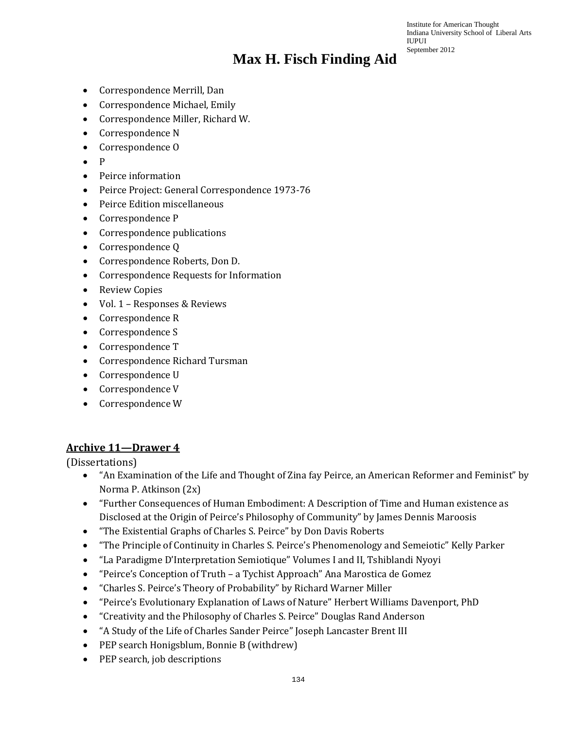Institute for American Thought Indiana University School of Liberal Arts IUPUI September 2012

- Correspondence Merrill, Dan
- Correspondence Michael, Emily
- Correspondence Miller, Richard W.
- Correspondence N
- Correspondence O
- P
- Peirce information
- Peirce Project: General Correspondence 1973-76
- Peirce Edition miscellaneous
- Correspondence P
- Correspondence publications
- Correspondence Q
- Correspondence Roberts, Don D.
- Correspondence Requests for Information
- Review Copies
- Vol. 1 Responses & Reviews
- Correspondence R
- Correspondence S
- Correspondence T
- Correspondence Richard Tursman
- Correspondence U
- Correspondence V
- Correspondence W

#### **Archive 11—Drawer 4**

(Dissertations)

- "An Examination of the Life and Thought of Zina fay Peirce, an American Reformer and Feminist" by Norma P. Atkinson (2x)
- "Further Consequences of Human Embodiment: A Description of Time and Human existence as Disclosed at the Origin of Peirce's Philosophy of Community" by James Dennis Maroosis
- "The Existential Graphs of Charles S. Peirce" by Don Davis Roberts
- "The Principle of Continuity in Charles S. Peirce's Phenomenology and Semeiotic" Kelly Parker
- "La Paradigme D'Interpretation Semiotique" Volumes I and II, Tshiblandi Nyoyi
- "Peirce's Conception of Truth a Tychist Approach" Ana Marostica de Gomez
- "Charles S. Peirce's Theory of Probability" by Richard Warner Miller
- "Peirce's Evolutionary Explanation of Laws of Nature" Herbert Williams Davenport, PhD
- "Creativity and the Philosophy of Charles S. Peirce" Douglas Rand Anderson
- "A Study of the Life of Charles Sander Peirce" Joseph Lancaster Brent III
- PEP search Honigsblum, Bonnie B (withdrew)
- PEP search, job descriptions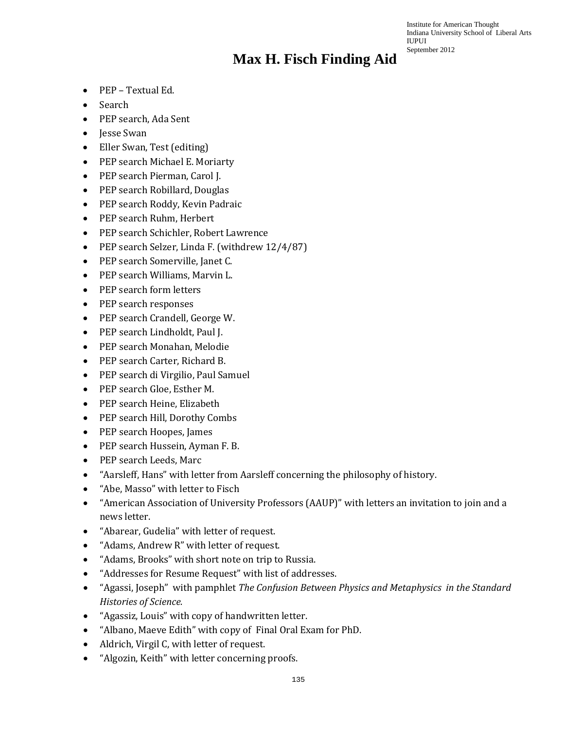- PEP Textual Ed.
- Search
- PEP search, Ada Sent
- Jesse Swan
- Eller Swan, Test (editing)
- PEP search Michael E. Moriarty
- PEP search Pierman, Carol J.
- PEP search Robillard, Douglas
- PEP search Roddy, Kevin Padraic
- PEP search Ruhm, Herbert
- PEP search Schichler, Robert Lawrence
- PEP search Selzer, Linda F. (withdrew 12/4/87)
- PEP search Somerville, Janet C.
- PEP search Williams, Marvin L.
- PEP search form letters
- PEP search responses
- PEP search Crandell, George W.
- PEP search Lindholdt, Paul J.
- PEP search Monahan, Melodie
- PEP search Carter, Richard B.
- PEP search di Virgilio, Paul Samuel
- PEP search Gloe, Esther M.
- PEP search Heine, Elizabeth
- PEP search Hill, Dorothy Combs
- PEP search Hoopes, James
- PEP search Hussein, Ayman F. B.
- PEP search Leeds, Marc
- "Aarsleff, Hans" with letter from Aarsleff concerning the philosophy of history.
- "Abe, Masso" with letter to Fisch
- "American Association of University Professors (AAUP)" with letters an invitation to join and a news letter.
- "Abarear, Gudelia" with letter of request.
- "Adams, Andrew R" with letter of request.
- "Adams, Brooks" with short note on trip to Russia.
- "Addresses for Resume Request" with list of addresses.
- "Agassi, Joseph" with pamphlet *The Confusion Between Physics and Metaphysics in the Standard Histories of Science.*
- "Agassiz, Louis" with copy of handwritten letter.
- "Albano, Maeve Edith" with copy of Final Oral Exam for PhD.
- Aldrich, Virgil C, with letter of request.
- "Algozin, Keith" with letter concerning proofs.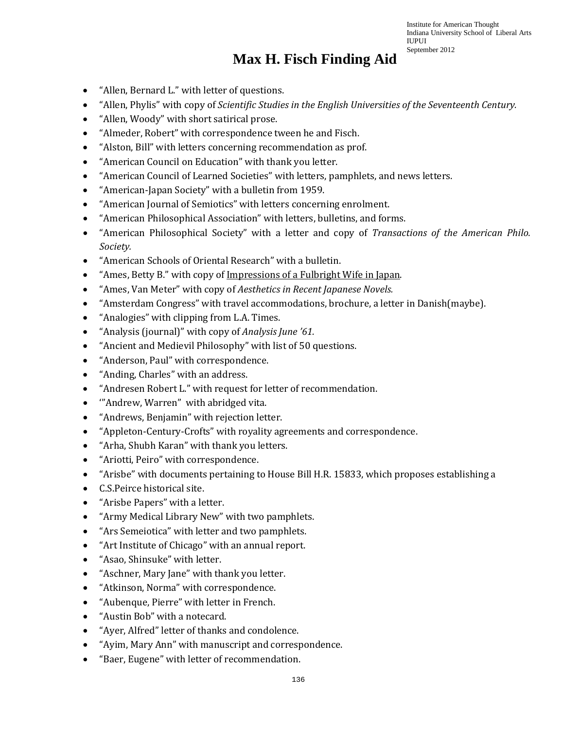- "Allen, Bernard L." with letter of questions.
- "Allen, Phylis" with copy of *Scientific Studies in the English Universities of the Seventeenth Century.*
- "Allen, Woody" with short satirical prose.
- "Almeder, Robert" with correspondence tween he and Fisch.
- "Alston, Bill" with letters concerning recommendation as prof.
- "American Council on Education" with thank you letter.
- "American Council of Learned Societies" with letters, pamphlets, and news letters.
- "American-Japan Society" with a bulletin from 1959.
- "American Journal of Semiotics" with letters concerning enrolment.
- "American Philosophical Association" with letters, bulletins, and forms.
- "American Philosophical Society" with a letter and copy of *Transactions of the American Philo. Society.*
- "American Schools of Oriental Research" with a bulletin.
- "Ames, Betty B." with copy of Impressions of a Fulbright Wife in Japan.
- "Ames, Van Meter" with copy of *Aesthetics in Recent Japanese Novels.*
- "Amsterdam Congress" with travel accommodations, brochure, a letter in Danish(maybe).
- "Analogies" with clipping from L.A. Times.
- "Analysis (journal)" with copy of *Analysis June '61.*
- "Ancient and Medievil Philosophy" with list of 50 questions.
- "Anderson, Paul" with correspondence.
- "Anding, Charles" with an address.
- "Andresen Robert L." with request for letter of recommendation.
- '"Andrew, Warren" with abridged vita.
- "Andrews, Benjamin" with rejection letter.
- "Appleton-Century-Crofts" with royality agreements and correspondence.
- "Arha, Shubh Karan" with thank you letters.
- "Ariotti, Peiro" with correspondence.
- "Arisbe" with documents pertaining to House Bill H.R. 15833, which proposes establishing a
- C.S.Peirce historical site.
- "Arisbe Papers" with a letter.
- "Army Medical Library New" with two pamphlets.
- "Ars Semeiotica" with letter and two pamphlets.
- "Art Institute of Chicago" with an annual report.
- "Asao, Shinsuke" with letter.
- "Aschner, Mary Jane" with thank you letter.
- "Atkinson, Norma" with correspondence.
- "Aubenque, Pierre" with letter in French.
- "Austin Bob" with a notecard.
- "Ayer, Alfred" letter of thanks and condolence.
- "Ayim, Mary Ann" with manuscript and correspondence.
- "Baer, Eugene" with letter of recommendation.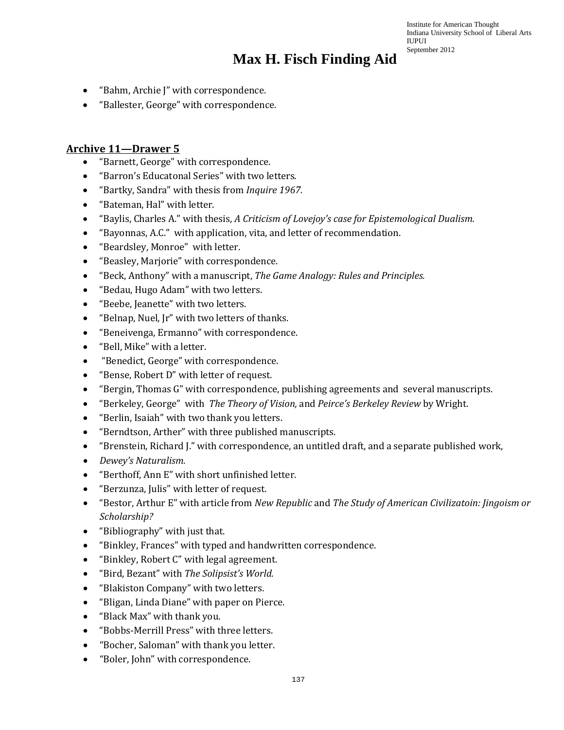### **Max H. Fisch Finding Aid**

- "Bahm, Archie J" with correspondence.
- "Ballester, George" with correspondence.

#### **Archive 11—Drawer 5**

- "Barnett, George" with correspondence.
- "Barron's Educatonal Series" with two letters.
- "Bartky, Sandra" with thesis from *Inquire 1967.*
- "Bateman, Hal" with letter.
- "Baylis, Charles A." with thesis, *A Criticism of Lovejoy's case for Epistemological Dualism.*
- "Bayonnas, A.C." with application, vita, and letter of recommendation.
- "Beardsley, Monroe" with letter.
- "Beasley, Marjorie" with correspondence.
- "Beck, Anthony" with a manuscript, *The Game Analogy: Rules and Principles.*
- "Bedau, Hugo Adam" with two letters.
- "Beebe, Jeanette" with two letters.
- "Belnap, Nuel, Jr" with two letters of thanks.
- "Beneivenga, Ermanno" with correspondence.
- "Bell, Mike" with a letter.
- "Benedict, George" with correspondence.
- "Bense, Robert D" with letter of request.
- "Bergin, Thomas G" with correspondence, publishing agreements and several manuscripts.
- "Berkeley, George" with *The Theory of Vision,* and *Peirce's Berkeley Review* by Wright.
- "Berlin, Isaiah" with two thank you letters.
- "Berndtson, Arther" with three published manuscripts.
- "Brenstein, Richard J." with correspondence, an untitled draft, and a separate published work,
- *Dewey's Naturalism.*
- "Berthoff, Ann E" with short unfinished letter.
- "Berzunza, Julis" with letter of request.
- "Bestor, Arthur E" with article from *New Republic* and *The Study of American Civilizatoin: Jingoism or Scholarship?*
- "Bibliography" with just that.
- "Binkley, Frances" with typed and handwritten correspondence.
- "Binkley, Robert C" with legal agreement.
- "Bird, Bezant" with *The Solipsist's World.*
- "Blakiston Company" with two letters.
- "Bligan, Linda Diane" with paper on Pierce.
- "Black Max" with thank you.
- "Bobbs-Merrill Press" with three letters.
- "Bocher, Saloman" with thank you letter.
- "Boler, John" with correspondence.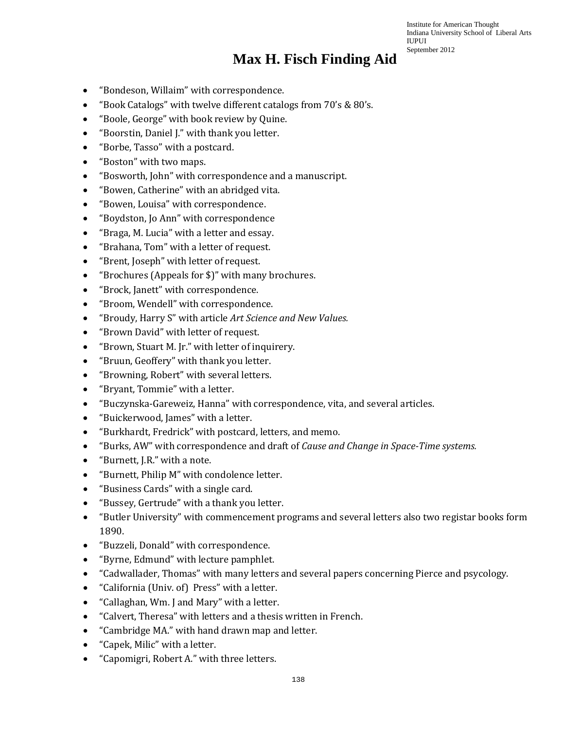- "Bondeson, Willaim" with correspondence.
- "Book Catalogs" with twelve different catalogs from 70's & 80's.
- "Boole, George" with book review by Quine.
- "Boorstin, Daniel J." with thank you letter.
- "Borbe, Tasso" with a postcard.
- "Boston" with two maps.
- "Bosworth, John" with correspondence and a manuscript.
- "Bowen, Catherine" with an abridged vita.
- "Bowen, Louisa" with correspondence.
- "Boydston, Jo Ann" with correspondence
- "Braga, M. Lucia" with a letter and essay.
- "Brahana, Tom" with a letter of request.
- "Brent, Joseph" with letter of request.
- "Brochures (Appeals for \$)" with many brochures.
- "Brock, Janett" with correspondence.
- "Broom, Wendell" with correspondence.
- "Broudy, Harry S" with article *Art Science and New Values.*
- "Brown David" with letter of request.
- "Brown, Stuart M. Jr." with letter of inquirery.
- "Bruun, Geoffery" with thank you letter.
- "Browning, Robert" with several letters.
- "Bryant, Tommie" with a letter.
- "Buczynska-Gareweiz, Hanna" with correspondence, vita, and several articles.
- "Buickerwood, James" with a letter.
- "Burkhardt, Fredrick" with postcard, letters, and memo.
- "Burks, AW" with correspondence and draft of *Cause and Change in Space-Time systems.*
- "Burnett, J.R." with a note.
- "Burnett, Philip M" with condolence letter.
- "Business Cards" with a single card.
- "Bussey, Gertrude" with a thank you letter.
- "Butler University" with commencement programs and several letters also two registar books form 1890.
- "Buzzeli, Donald" with correspondence.
- "Byrne, Edmund" with lecture pamphlet.
- "Cadwallader, Thomas" with many letters and several papers concerning Pierce and psycology.
- "California (Univ. of) Press" with a letter.
- "Callaghan, Wm. J and Mary" with a letter.
- "Calvert, Theresa" with letters and a thesis written in French.
- "Cambridge MA." with hand drawn map and letter.
- "Capek, Milic" with a letter.
- "Capomigri, Robert A." with three letters.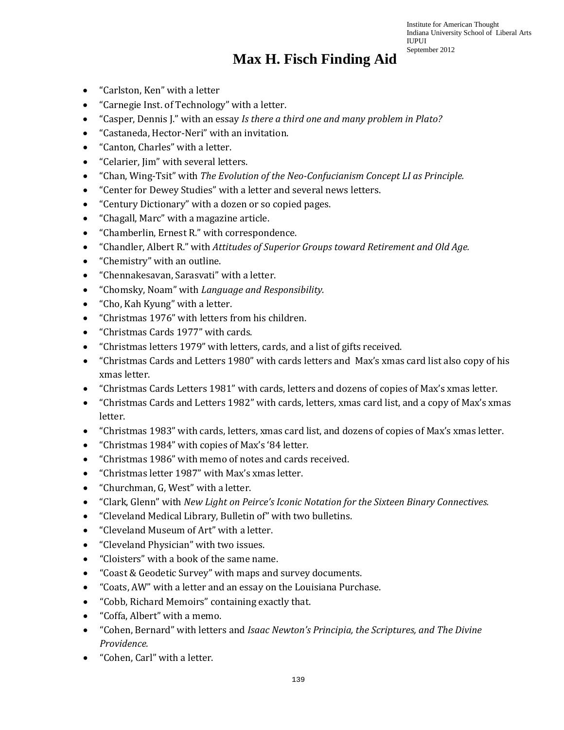- "Carlston, Ken" with a letter
- "Carnegie Inst. of Technology" with a letter.
- "Casper, Dennis J." with an essay *Is there a third one and many problem in Plato?*
- "Castaneda, Hector-Neri" with an invitation.
- "Canton, Charles" with a letter.
- "Celarier, Jim" with several letters.
- "Chan, Wing-Tsit" with *The Evolution of the Neo-Confucianism Concept LI as Principle.*
- "Center for Dewey Studies" with a letter and several news letters.
- "Century Dictionary" with a dozen or so copied pages.
- "Chagall, Marc" with a magazine article.
- "Chamberlin, Ernest R." with correspondence.
- "Chandler, Albert R." with *Attitudes of Superior Groups toward Retirement and Old Age.*
- "Chemistry" with an outline.
- "Chennakesavan, Sarasvati" with a letter.
- "Chomsky, Noam" with *Language and Responsibility.*
- "Cho, Kah Kyung" with a letter.
- "Christmas 1976" with letters from his children.
- "Christmas Cards 1977" with cards.
- "Christmas letters 1979" with letters, cards, and a list of gifts received.
- "Christmas Cards and Letters 1980" with cards letters and Max's xmas card list also copy of his xmas letter.
- "Christmas Cards Letters 1981" with cards, letters and dozens of copies of Max's xmas letter.
- "Christmas Cards and Letters 1982" with cards, letters, xmas card list, and a copy of Max's xmas letter.
- "Christmas 1983" with cards, letters, xmas card list, and dozens of copies of Max's xmas letter.
- "Christmas 1984" with copies of Max's '84 letter.
- "Christmas 1986" with memo of notes and cards received.
- "Christmas letter 1987" with Max's xmas letter.
- "Churchman, G, West" with a letter.
- "Clark, Glenn" with *New Light on Peirce's Iconic Notation for the Sixteen Binary Connectives.*
- "Cleveland Medical Library, Bulletin of" with two bulletins.
- "Cleveland Museum of Art" with a letter.
- "Cleveland Physician" with two issues.
- "Cloisters" with a book of the same name.
- "Coast & Geodetic Survey" with maps and survey documents.
- "Coats, AW" with a letter and an essay on the Louisiana Purchase.
- "Cobb, Richard Memoirs" containing exactly that.
- "Coffa, Albert" with a memo.
- "Cohen, Bernard" with letters and *Isaac Newton's Principia, the Scriptures, and The Divine Providence.*
- "Cohen, Carl" with a letter.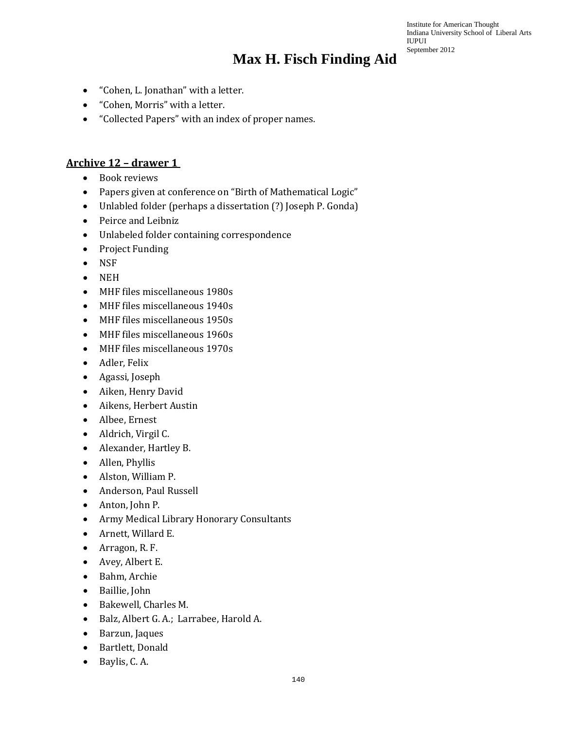Institute for American Thought Indiana University School of Liberal Arts IUPUI September 2012

- "Cohen, L. Jonathan" with a letter.
- "Cohen, Morris" with a letter.
- "Collected Papers" with an index of proper names.

#### **Archive 12 – drawer 1**

- Book reviews
- Papers given at conference on "Birth of Mathematical Logic"
- Unlabled folder (perhaps a dissertation (?) Joseph P. Gonda)
- Peirce and Leibniz
- Unlabeled folder containing correspondence
- Project Funding
- NSF
- NEH
- MHF files miscellaneous 1980s
- MHF files miscellaneous 1940s
- MHF files miscellaneous 1950s
- MHF files miscellaneous 1960s
- MHF files miscellaneous 1970s
- Adler, Felix
- Agassi, Joseph
- Aiken, Henry David
- Aikens, Herbert Austin
- Albee, Ernest
- Aldrich, Virgil C.
- Alexander, Hartley B.
- Allen, Phyllis
- Alston, William P.
- Anderson, Paul Russell
- Anton, John P.
- Army Medical Library Honorary Consultants
- Arnett, Willard E.
- Arragon, R. F.
- Avey, Albert E.
- Bahm, Archie
- Baillie, John
- Bakewell, Charles M.
- Balz, Albert G. A.; Larrabee, Harold A.
- Barzun, Jaques
- Bartlett, Donald
- Baylis, C. A.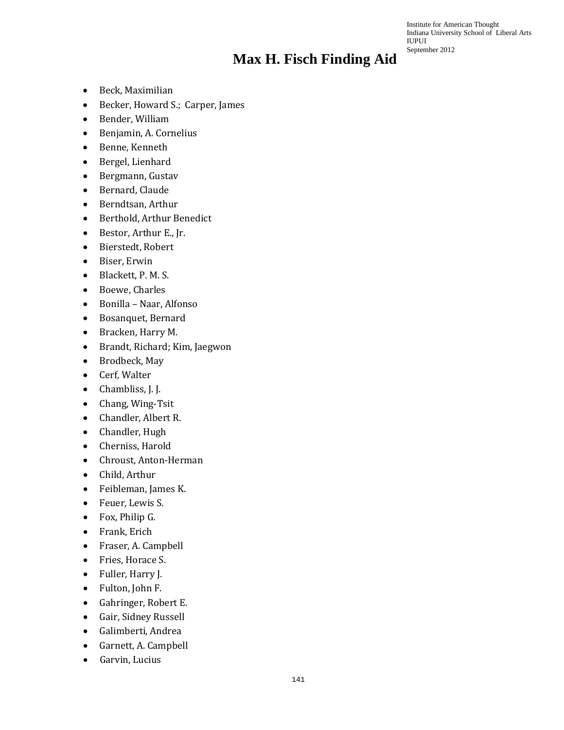- Beck, Maximilian
- Becker, Howard S.; Carper, James
- Bender, William
- Benjamin, A. Cornelius
- Benne, Kenneth
- Bergel, Lienhard
- Bergmann, Gustav
- Bernard, Claude
- Berndtsan, Arthur
- Berthold, Arthur Benedict
- Bestor, Arthur E., Jr.
- Bierstedt, Robert
- Biser, Erwin
- Blackett, P. M. S.
- Boewe, Charles
- Bonilla Naar, Alfonso
- Bosanquet, Bernard
- Bracken, Harry M.
- Brandt, Richard; Kim, Jaegwon
- Brodbeck, May
- Cerf, Walter
- Chambliss, J. J.
- Chang, Wing-Tsit
- Chandler, Albert R.
- Chandler, Hugh
- Cherniss, Harold
- Chroust, Anton-Herman
- Child, Arthur
- Feibleman, James K.
- Feuer, Lewis S.
- Fox, Philip G.
- Frank, Erich
- Fraser, A. Campbell
- Fries, Horace S.
- Fuller, Harry J.
- Fulton, John F.
- Gahringer, Robert E.
- Gair, Sidney Russell
- Galimberti, Andrea
- Garnett, A. Campbell
- Garvin, Lucius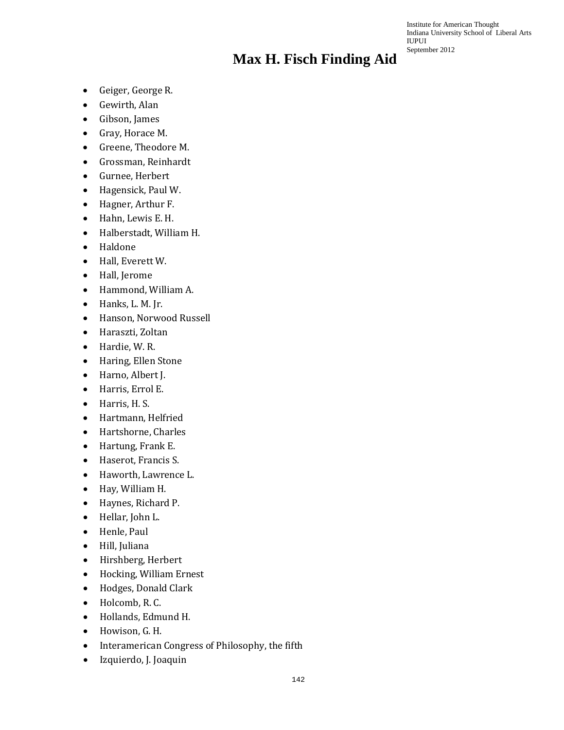- Geiger, George R.
- Gewirth, Alan
- Gibson, James
- Gray, Horace M.
- Greene, Theodore M.
- Grossman, Reinhardt
- Gurnee, Herbert
- Hagensick, Paul W.
- Hagner, Arthur F.
- Hahn, Lewis E. H.
- Halberstadt, William H.
- Haldone
- Hall, Everett W.
- Hall, Jerome
- Hammond, William A.
- Hanks, L. M. Jr.
- Hanson, Norwood Russell
- Haraszti, Zoltan
- Hardie, W. R.
- Haring, Ellen Stone
- Harno, Albert J.
- Harris, Errol E.
- Harris, H. S.
- Hartmann, Helfried
- Hartshorne, Charles
- Hartung, Frank E.
- Haserot, Francis S.
- Haworth, Lawrence L.
- Hay, William H.
- Haynes, Richard P.
- Hellar, John L.
- Henle, Paul
- Hill, Juliana
- Hirshberg, Herbert
- Hocking, William Ernest
- Hodges, Donald Clark
- Holcomb, R. C.
- Hollands, Edmund H.
- Howison, G. H.
- Interamerican Congress of Philosophy, the fifth
- Izquierdo, J. Joaquin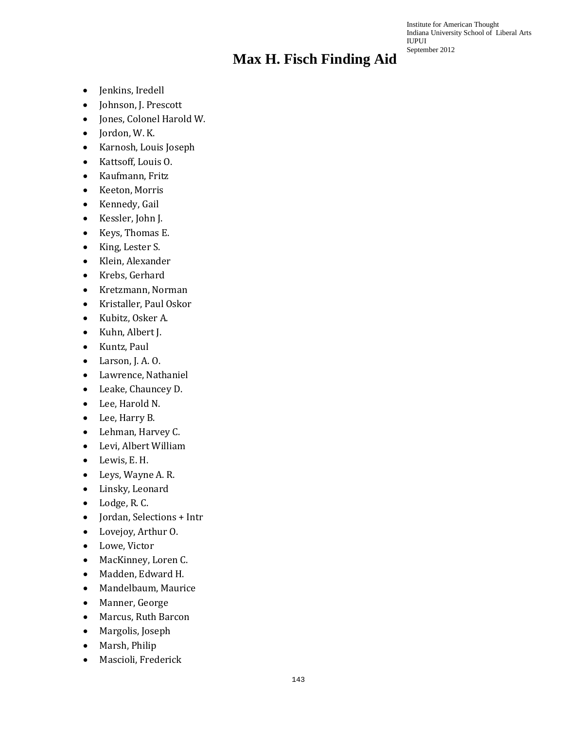- Jenkins, Iredell
- Johnson, J. Prescott
- Jones, Colonel Harold W.
- Jordon, W. K.
- Karnosh, Louis Joseph
- Kattsoff, Louis O.
- Kaufmann, Fritz
- Keeton, Morris
- Kennedy, Gail
- Kessler, John J.
- Keys, Thomas E.
- King, Lester S.
- Klein, Alexander
- Krebs, Gerhard
- Kretzmann, Norman
- Kristaller, Paul Oskor
- Kubitz, Osker A.
- Kuhn, Albert J.
- Kuntz, Paul
- Larson, J. A. O.
- Lawrence, Nathaniel
- Leake, Chauncey D.
- Lee, Harold N.
- Lee, Harry B.
- Lehman, Harvey C.
- Levi, Albert William
- Lewis, E. H.
- Leys, Wayne A. R.
- Linsky, Leonard
- Lodge, R. C.
- Jordan, Selections + Intr
- Lovejoy, Arthur O.
- Lowe, Victor
- MacKinney, Loren C.
- Madden, Edward H.
- Mandelbaum, Maurice
- Manner, George
- Marcus, Ruth Barcon
- Margolis, Joseph
- Marsh, Philip
- Mascioli, Frederick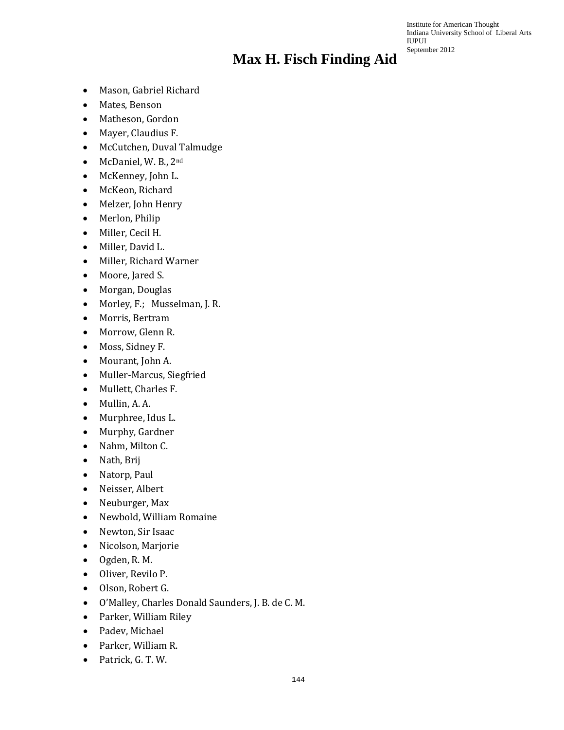- Mason, Gabriel Richard
- Mates, Benson
- Matheson, Gordon
- Mayer, Claudius F.
- McCutchen, Duval Talmudge
- McDaniel, W. B., 2nd
- McKenney, John L.
- McKeon, Richard
- Melzer, John Henry
- Merlon, Philip
- Miller, Cecil H.
- Miller, David L.
- Miller, Richard Warner
- Moore, Jared S.
- Morgan, Douglas
- Morley, F.; Musselman, J. R.
- Morris, Bertram
- Morrow, Glenn R.
- Moss, Sidney F.
- Mourant, John A.
- Muller-Marcus, Siegfried
- Mullett, Charles F.
- Mullin, A. A.
- Murphree, Idus L.
- Murphy, Gardner
- Nahm, Milton C.
- Nath, Brij
- Natorp, Paul
- Neisser, Albert
- Neuburger, Max
- Newbold, William Romaine
- Newton, Sir Isaac
- Nicolson, Marjorie
- Ogden, R. M.
- Oliver, Revilo P.
- Olson, Robert G.
- O'Malley, Charles Donald Saunders, J. B. de C. M.
- Parker, William Riley
- Padev, Michael
- Parker, William R.
- Patrick, G. T. W.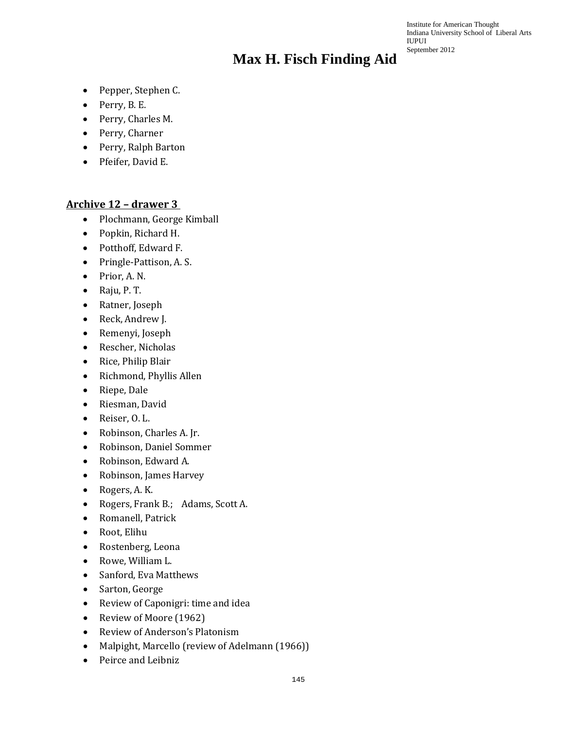Institute for American Thought Indiana University School of Liberal Arts IUPUI September 2012

- Pepper, Stephen C.
- Perry, B. E.
- Perry, Charles M.
- Perry, Charner
- Perry, Ralph Barton
- Pfeifer, David E.

#### **Archive 12 – drawer 3**

- Plochmann, George Kimball
- Popkin, Richard H.
- Potthoff, Edward F.
- Pringle-Pattison, A. S.
- Prior, A. N.
- Raju, P. T.
- Ratner, Joseph
- Reck, Andrew J.
- Remenyi, Joseph
- Rescher, Nicholas
- Rice, Philip Blair
- Richmond, Phyllis Allen
- Riepe, Dale
- Riesman, David
- Reiser, O. L.
- Robinson, Charles A. Jr.
- Robinson, Daniel Sommer
- Robinson, Edward A.
- Robinson, James Harvey
- Rogers, A. K.
- Rogers, Frank B.; Adams, Scott A.
- Romanell, Patrick
- Root, Elihu
- Rostenberg, Leona
- Rowe, William L.
- Sanford, Eva Matthews
- Sarton, George
- Review of Caponigri: time and idea
- Review of Moore (1962)
- Review of Anderson's Platonism
- Malpight, Marcello (review of Adelmann (1966))
- Peirce and Leibniz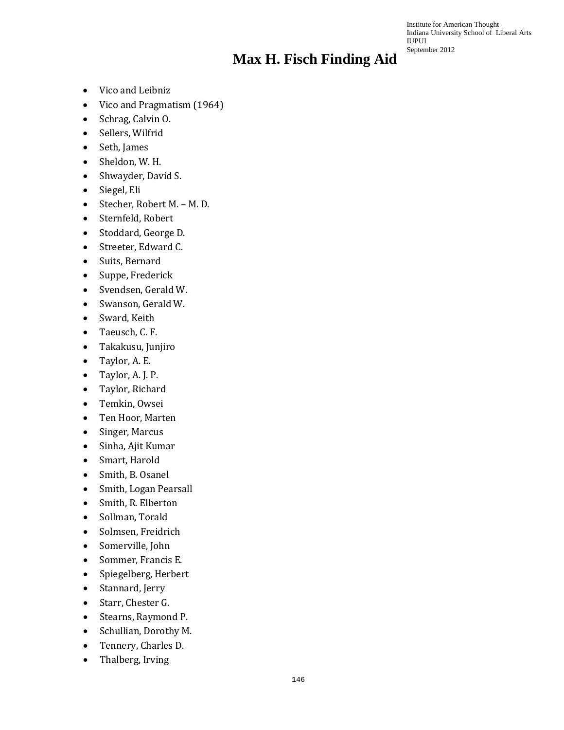Institute for American Thought Indiana University School of Liberal Arts IUPUI September 2012

- Vico and Leibniz
- Vico and Pragmatism (1964)
- Schrag, Calvin O.
- Sellers, Wilfrid
- Seth, James
- Sheldon, W. H.
- Shwayder, David S.
- Siegel, Eli
- Stecher, Robert M. M. D.
- Sternfeld, Robert
- Stoddard, George D.
- Streeter, Edward C.
- Suits, Bernard
- Suppe, Frederick
- Svendsen, Gerald W.
- Swanson, Gerald W.
- Sward, Keith
- Taeusch, C. F.
- Takakusu, Junjiro
- Taylor, A. E.
- Taylor, A. J. P.
- Taylor, Richard
- Temkin, Owsei
- Ten Hoor, Marten
- Singer, Marcus
- Sinha, Ajit Kumar
- Smart, Harold
- Smith, B. Osanel
- Smith, Logan Pearsall
- Smith, R. Elberton
- Sollman, Torald
- Solmsen, Freidrich
- Somerville, John
- Sommer, Francis E.
- Spiegelberg, Herbert
- Stannard, Jerry
- Starr, Chester G.
- Stearns, Raymond P.
- Schullian, Dorothy M.
- Tennery, Charles D.
- Thalberg, Irving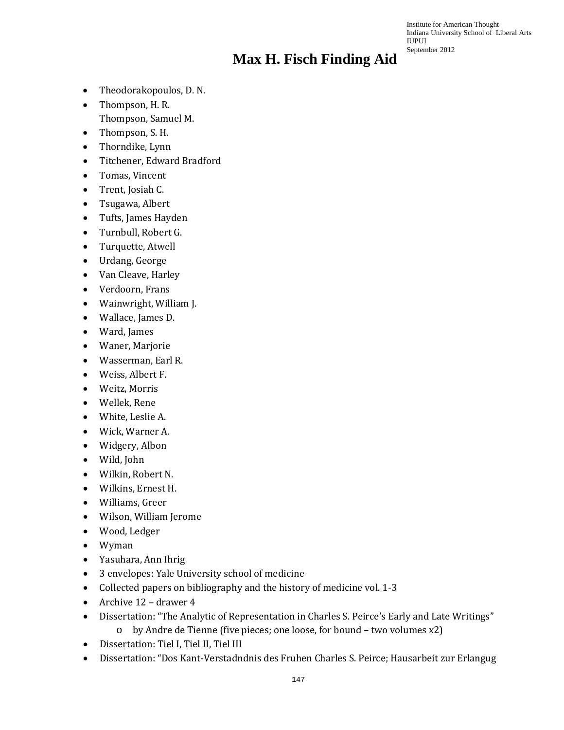Institute for American Thought Indiana University School of Liberal Arts IUPUI September 2012

- Theodorakopoulos, D. N.
- Thompson, H. R. Thompson, Samuel M.
- 
- Thompson, S. H. • Thorndike, Lynn
- Titchener, Edward Bradford
- Tomas, Vincent
- Trent, Josiah C.
- Tsugawa, Albert
- Tufts, James Hayden
- Turnbull, Robert G.
- Turquette, Atwell
- Urdang, George
- Van Cleave, Harley
- Verdoorn, Frans
- Wainwright, William J.
- Wallace, James D.
- Ward, James
- Waner, Marjorie
- Wasserman, Earl R.
- Weiss, Albert F.
- Weitz, Morris
- Wellek, Rene
- White, Leslie A.
- Wick, Warner A.
- Widgery, Albon
- Wild, John
- Wilkin, Robert N.
- Wilkins, Ernest H.
- Williams, Greer
- Wilson, William Jerome
- Wood, Ledger
- Wyman
- Yasuhara, Ann Ihrig
- 3 envelopes: Yale University school of medicine
- Collected papers on bibliography and the history of medicine vol. 1-3
- Archive 12 drawer 4
- Dissertation: "The Analytic of Representation in Charles S. Peirce's Early and Late Writings"
	- o by Andre de Tienne (five pieces; one loose, for bound two volumes x2)
- Dissertation: Tiel I, Tiel II, Tiel III
- Dissertation: "Dos Kant-Verstadndnis des Fruhen Charles S. Peirce; Hausarbeit zur Erlangug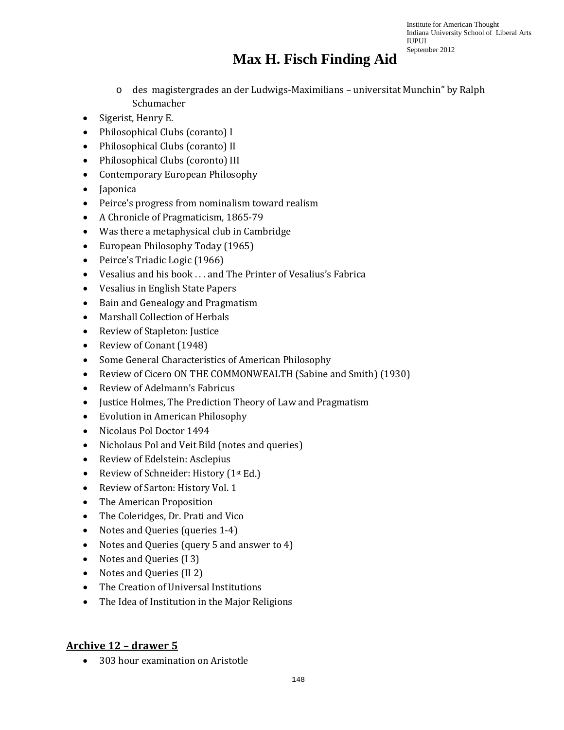Institute for American Thought Indiana University School of Liberal Arts IUPUI September 2012

## **Max H. Fisch Finding Aid**

- o des magistergrades an der Ludwigs-Maximilians universitat Munchin" by Ralph Schumacher
- Sigerist, Henry E.
- Philosophical Clubs (coranto) I
- Philosophical Clubs (coranto) II
- Philosophical Clubs (coronto) III
- Contemporary European Philosophy
- Japonica
- Peirce's progress from nominalism toward realism
- A Chronicle of Pragmaticism, 1865-79
- Was there a metaphysical club in Cambridge
- European Philosophy Today (1965)
- Peirce's Triadic Logic (1966)
- Vesalius and his book . . . and The Printer of Vesalius's Fabrica
- Vesalius in English State Papers
- Bain and Genealogy and Pragmatism
- Marshall Collection of Herbals
- Review of Stapleton: Justice
- Review of Conant (1948)
- Some General Characteristics of American Philosophy
- Review of Cicero ON THE COMMONWEALTH (Sabine and Smith) (1930)
- Review of Adelmann's Fabricus
- Justice Holmes, The Prediction Theory of Law and Pragmatism
- Evolution in American Philosophy
- Nicolaus Pol Doctor 1494
- Nicholaus Pol and Veit Bild (notes and queries)
- Review of Edelstein: Asclepius
- Review of Schneider: History (1<sup>st</sup> Ed.)
- Review of Sarton: History Vol. 1
- The American Proposition
- The Coleridges, Dr. Prati and Vico
- Notes and Queries (queries 1-4)
- Notes and Queries (query 5 and answer to 4)
- Notes and Queries (13)
- Notes and Queries (II 2)
- The Creation of Universal Institutions
- The Idea of Institution in the Major Religions

### **Archive 12 – drawer 5**

• 303 hour examination on Aristotle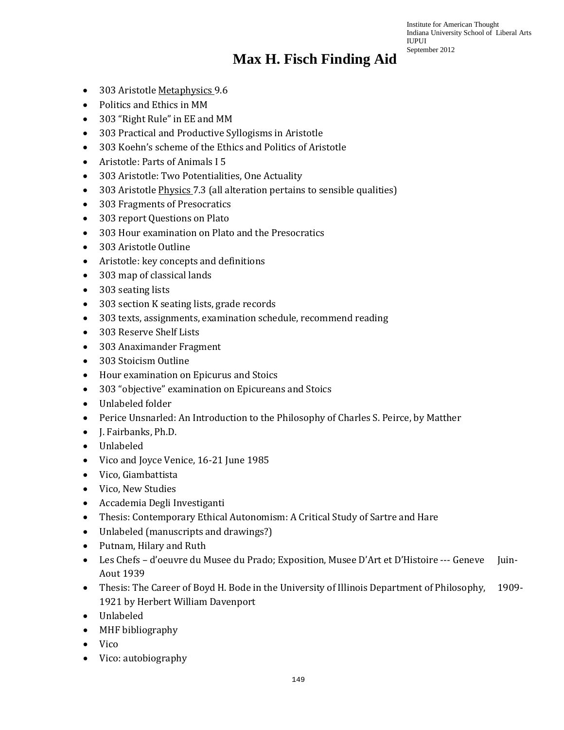Institute for American Thought Indiana University School of Liberal Arts IUPUI September 2012

## **Max H. Fisch Finding Aid**

- 303 Aristotle Metaphysics 9.6
- Politics and Ethics in MM
- 303 "Right Rule" in EE and MM
- 303 Practical and Productive Syllogisms in Aristotle
- 303 Koehn's scheme of the Ethics and Politics of Aristotle
- Aristotle: Parts of Animals I 5
- 303 Aristotle: Two Potentialities, One Actuality
- 303 Aristotle *Physics* 7.3 (all alteration pertains to sensible qualities)
- 303 Fragments of Presocratics
- 303 report Questions on Plato
- 303 Hour examination on Plato and the Presocratics
- 303 Aristotle Outline
- Aristotle: key concepts and definitions
- 303 map of classical lands
- 303 seating lists
- 303 section K seating lists, grade records
- 303 texts, assignments, examination schedule, recommend reading
- 303 Reserve Shelf Lists
- 303 Anaximander Fragment
- 303 Stoicism Outline
- Hour examination on Epicurus and Stoics
- 303 "objective" examination on Epicureans and Stoics
- Unlabeled folder
- Perice Unsnarled: An Introduction to the Philosophy of Charles S. Peirce, by Matther
- J. Fairbanks, Ph.D.
- Unlabeled
- Vico and Joyce Venice, 16-21 June 1985
- Vico, Giambattista
- Vico, New Studies
- Accademia Degli Investiganti
- Thesis: Contemporary Ethical Autonomism: A Critical Study of Sartre and Hare
- Unlabeled (manuscripts and drawings?)
- Putnam, Hilary and Ruth
- Les Chefs d'oeuvre du Musee du Prado; Exposition, Musee D'Art et D'Histoire --- Geneve Juin-Aout 1939
- Thesis: The Career of Boyd H. Bode in the University of Illinois Department of Philosophy, 1909- 1921 by Herbert William Davenport
- Unlabeled
- MHF bibliography
- Vico
- Vico: autobiography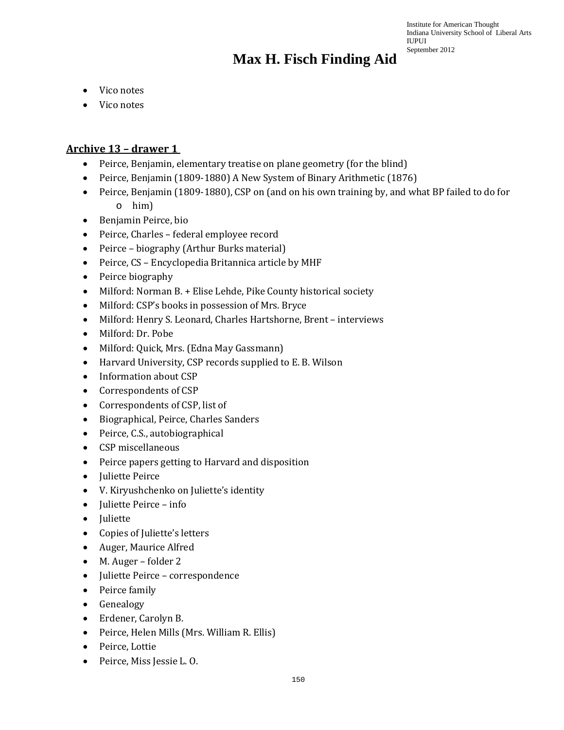- Vico notes
- Vico notes

### **Archive 13 – drawer 1**

- Peirce, Benjamin, elementary treatise on plane geometry (for the blind)
- Peirce, Benjamin (1809-1880) A New System of Binary Arithmetic (1876)
- Peirce, Benjamin (1809-1880), CSP on (and on his own training by, and what BP failed to do for o him)
- Benjamin Peirce, bio
- Peirce, Charles federal employee record
- Peirce biography (Arthur Burks material)
- Peirce, CS Encyclopedia Britannica article by MHF
- Peirce biography
- Milford: Norman B. + Elise Lehde, Pike County historical society
- Milford: CSP's books in possession of Mrs. Bryce
- Milford: Henry S. Leonard, Charles Hartshorne, Brent interviews
- Milford: Dr. Pobe
- Milford: Quick, Mrs. (Edna May Gassmann)
- Harvard University, CSP records supplied to E. B. Wilson
- Information about CSP
- Correspondents of CSP
- Correspondents of CSP, list of
- Biographical, Peirce, Charles Sanders
- Peirce, C.S., autobiographical
- CSP miscellaneous
- Peirce papers getting to Harvard and disposition
- Juliette Peirce
- V. Kiryushchenko on Juliette's identity
- Juliette Peirce info
- Juliette
- Copies of Juliette's letters
- Auger, Maurice Alfred
- M. Auger folder 2
- Juliette Peirce correspondence
- Peirce family
- Genealogy
- Erdener, Carolyn B.
- Peirce, Helen Mills (Mrs. William R. Ellis)
- Peirce, Lottie
- Peirce, Miss Jessie L. O.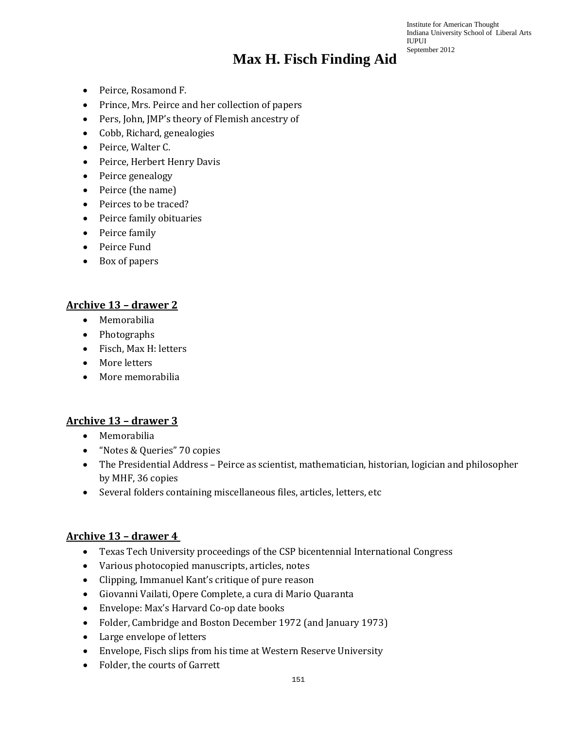- Peirce, Rosamond F.
- Prince, Mrs. Peirce and her collection of papers
- Pers, John, JMP's theory of Flemish ancestry of
- Cobb, Richard, genealogies
- Peirce, Walter C.
- Peirce, Herbert Henry Davis
- Peirce genealogy
- Peirce (the name)
- Peirces to be traced?
- Peirce family obituaries
- Peirce family
- Peirce Fund
- Box of papers

#### **Archive 13 – drawer 2**

- Memorabilia
- Photographs
- Fisch, Max H: letters
- More letters
- More memorabilia

### **Archive 13 – drawer 3**

- Memorabilia
- "Notes & Queries" 70 copies
- The Presidential Address Peirce as scientist, mathematician, historian, logician and philosopher by MHF, 36 copies
- Several folders containing miscellaneous files, articles, letters, etc

### **Archive 13 – drawer 4**

- Texas Tech University proceedings of the CSP bicentennial International Congress
- Various photocopied manuscripts, articles, notes
- Clipping, Immanuel Kant's critique of pure reason
- Giovanni Vailati, Opere Complete, a cura di Mario Quaranta
- Envelope: Max's Harvard Co-op date books
- Folder, Cambridge and Boston December 1972 (and January 1973)
- Large envelope of letters
- Envelope, Fisch slips from his time at Western Reserve University
- Folder, the courts of Garrett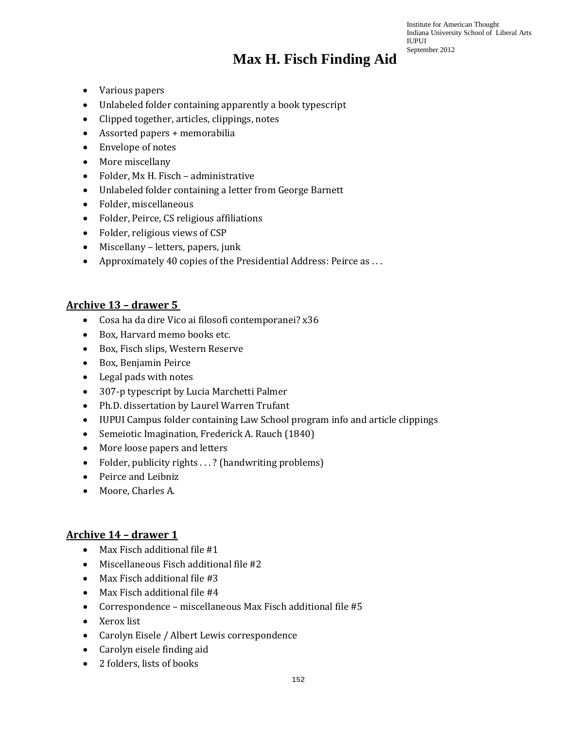- Various papers
- Unlabeled folder containing apparently a book typescript
- Clipped together, articles, clippings, notes
- Assorted papers + memorabilia
- Envelope of notes
- More miscellany
- Folder, Mx H. Fisch administrative
- Unlabeled folder containing a letter from George Barnett
- Folder, miscellaneous
- Folder, Peirce, CS religious affiliations
- Folder, religious views of CSP
- Miscellany letters, papers, junk
- Approximately 40 copies of the Presidential Address: Peirce as . . .

#### **Archive 13 – drawer 5**

- Cosa ha da dire Vico ai filosofi contemporanei? x36
- Box, Harvard memo books etc.
- Box, Fisch slips, Western Reserve
- Box, Benjamin Peirce
- Legal pads with notes
- 307-p typescript by Lucia Marchetti Palmer
- Ph.D. dissertation by Laurel Warren Trufant
- IUPUI Campus folder containing Law School program info and article clippings
- Semeiotic Imagination, Frederick A. Rauch (1840)
- More loose papers and letters
- Folder, publicity rights . . . ? (handwriting problems)
- Peirce and Leibniz
- Moore, Charles A.

### **Archive 14 – drawer 1**

- Max Fisch additional file #1
- Miscellaneous Fisch additional file #2
- Max Fisch additional file #3
- Max Fisch additional file #4
- Correspondence miscellaneous Max Fisch additional file #5
- Xerox list
- Carolyn Eisele / Albert Lewis correspondence
- Carolyn eisele finding aid
- 2 folders, lists of books